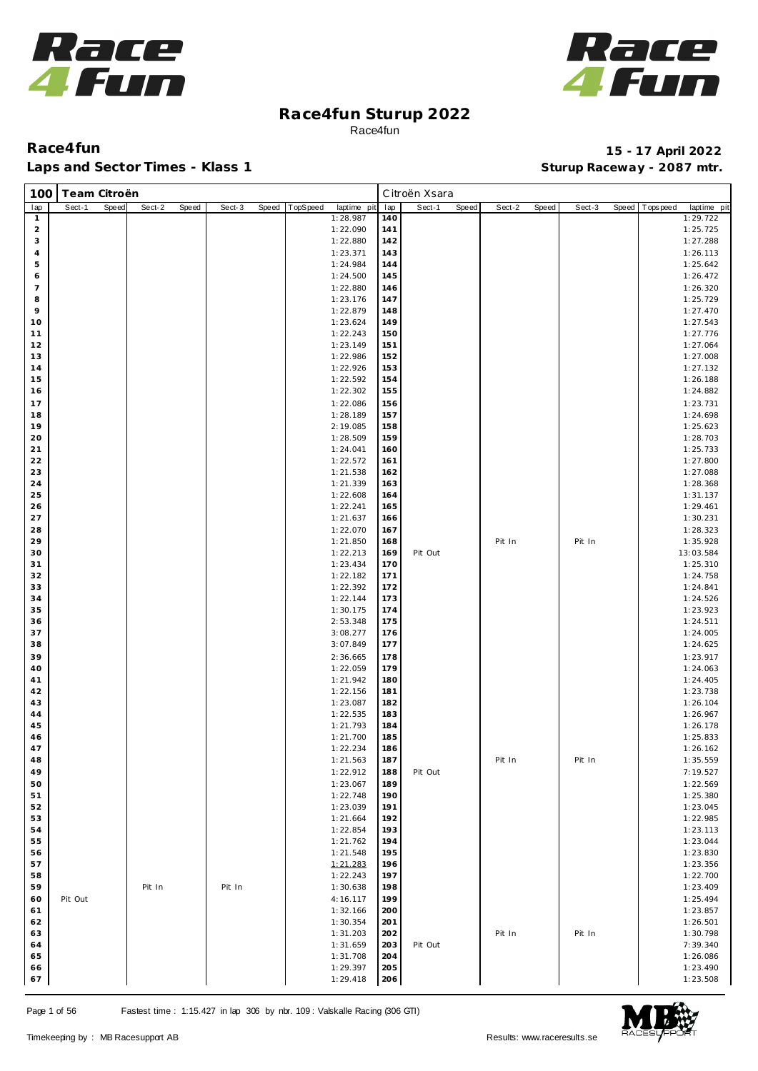



| 100            | Team Citroën |       |        |       |        |       |          |                      |            | Citroën Xsara |       |        |       |        |       |            |                      |
|----------------|--------------|-------|--------|-------|--------|-------|----------|----------------------|------------|---------------|-------|--------|-------|--------|-------|------------|----------------------|
| lap            | Sect-1       | Speed | Sect-2 | Speed | Sect-3 | Speed | TopSpeed | laptime pit          | lap        | Sect-1        | Speed | Sect-2 | Speed | Sect-3 | Speed | Tops pee d | laptime pit          |
| $\mathbf{1}$   |              |       |        |       |        |       |          | 1:28.987             | 140        |               |       |        |       |        |       |            | 1:29.722             |
| $\overline{c}$ |              |       |        |       |        |       |          | 1:22.090             | 141        |               |       |        |       |        |       |            | 1:25.725             |
| 3              |              |       |        |       |        |       |          | 1:22.880             | 142        |               |       |        |       |        |       |            | 1:27.288             |
| $\overline{4}$ |              |       |        |       |        |       |          | 1:23.371             | 143        |               |       |        |       |        |       |            | 1:26.113             |
| 5              |              |       |        |       |        |       |          | 1:24.984             | 144        |               |       |        |       |        |       |            | 1:25.642             |
| 6              |              |       |        |       |        |       |          | 1:24.500             | 145        |               |       |        |       |        |       |            | 1:26.472             |
| $\overline{7}$ |              |       |        |       |        |       |          | 1:22.880             | 146        |               |       |        |       |        |       |            | 1:26.320             |
| 8              |              |       |        |       |        |       |          | 1:23.176             | 147        |               |       |        |       |        |       |            | 1:25.729             |
| 9<br>10        |              |       |        |       |        |       |          | 1:22.879             | 148<br>149 |               |       |        |       |        |       |            | 1:27.470             |
| 11             |              |       |        |       |        |       |          | 1:23.624<br>1:22.243 | 150        |               |       |        |       |        |       |            | 1:27.543<br>1:27.776 |
| 12             |              |       |        |       |        |       |          | 1:23.149             | 151        |               |       |        |       |        |       |            | 1:27.064             |
| 13             |              |       |        |       |        |       |          | 1:22.986             | 152        |               |       |        |       |        |       |            | 1:27.008             |
| 14             |              |       |        |       |        |       |          | 1:22.926             | 153        |               |       |        |       |        |       |            | 1:27.132             |
| 15             |              |       |        |       |        |       |          | 1:22.592             | 154        |               |       |        |       |        |       |            | 1:26.188             |
| 16             |              |       |        |       |        |       |          | 1:22.302             | 155        |               |       |        |       |        |       |            | 1:24.882             |
| 17             |              |       |        |       |        |       |          | 1:22.086             | 156        |               |       |        |       |        |       |            | 1:23.731             |
| 18             |              |       |        |       |        |       |          | 1:28.189             | 157        |               |       |        |       |        |       |            | 1:24.698             |
| 19             |              |       |        |       |        |       |          | 2:19.085             | 158        |               |       |        |       |        |       |            | 1:25.623             |
| 20             |              |       |        |       |        |       |          | 1:28.509             | 159        |               |       |        |       |        |       |            | 1:28.703             |
| 21             |              |       |        |       |        |       |          | 1:24.041             | 160        |               |       |        |       |        |       |            | 1:25.733             |
| 22             |              |       |        |       |        |       |          | 1:22.572             | 161        |               |       |        |       |        |       |            | 1:27.800             |
| 23             |              |       |        |       |        |       |          | 1:21.538             | 162        |               |       |        |       |        |       |            | 1:27.088             |
| 24             |              |       |        |       |        |       |          | 1:21.339             | 163        |               |       |        |       |        |       |            | 1:28.368             |
| 25             |              |       |        |       |        |       |          | 1:22.608             | 164        |               |       |        |       |        |       |            | 1:31.137             |
| 26<br>27       |              |       |        |       |        |       |          | 1:22.241<br>1:21.637 | 165        |               |       |        |       |        |       |            | 1:29.461<br>1:30.231 |
|                |              |       |        |       |        |       |          |                      | 166<br>167 |               |       |        |       |        |       |            |                      |
| 28<br>29       |              |       |        |       |        |       |          | 1:22.070<br>1:21.850 | 168        |               |       | Pit In |       | Pit In |       |            | 1:28.323<br>1:35.928 |
| 30             |              |       |        |       |        |       |          | 1:22.213             | 169        | Pit Out       |       |        |       |        |       |            | 13:03.584            |
| 31             |              |       |        |       |        |       |          | 1:23.434             | 170        |               |       |        |       |        |       |            | 1:25.310             |
| 32             |              |       |        |       |        |       |          | 1:22.182             | 171        |               |       |        |       |        |       |            | 1:24.758             |
| 33             |              |       |        |       |        |       |          | 1:22.392             | 172        |               |       |        |       |        |       |            | 1:24.841             |
| 34             |              |       |        |       |        |       |          | 1:22.144             | 173        |               |       |        |       |        |       |            | 1:24.526             |
| 35             |              |       |        |       |        |       |          | 1:30.175             | 174        |               |       |        |       |        |       |            | 1:23.923             |
| 36             |              |       |        |       |        |       |          | 2:53.348             | 175        |               |       |        |       |        |       |            | 1:24.511             |
| 37             |              |       |        |       |        |       |          | 3:08.277             | 176        |               |       |        |       |        |       |            | 1:24.005             |
| 38             |              |       |        |       |        |       |          | 3:07.849             | 177        |               |       |        |       |        |       |            | 1:24.625             |
| 39             |              |       |        |       |        |       |          | 2:36.665             | 178        |               |       |        |       |        |       |            | 1:23.917             |
| 40             |              |       |        |       |        |       |          | 1:22.059             | 179        |               |       |        |       |        |       |            | 1:24.063             |
| 41             |              |       |        |       |        |       |          | 1:21.942             | 180        |               |       |        |       |        |       |            | 1:24.405             |
| 42             |              |       |        |       |        |       |          | 1:22.156             | 181        |               |       |        |       |        |       |            | 1:23.738             |
| 43             |              |       |        |       |        |       |          | 1:23.087             | 182        |               |       |        |       |        |       |            | 1:26.104             |
| 44<br>45       |              |       |        |       |        |       |          | 1:22.535<br>1:21.793 | 183<br>184 |               |       |        |       |        |       |            | 1:26.967<br>1:26.178 |
| 46             |              |       |        |       |        |       |          | 1:21.700             | 185        |               |       |        |       |        |       |            | 1:25.833             |
| 47             |              |       |        |       |        |       |          | 1:22.234             | 186        |               |       |        |       |        |       |            | 1:26.162             |
| 48             |              |       |        |       |        |       |          | 1:21.563             | 187        |               |       | Pit In |       | Pit In |       |            | 1:35.559             |
| 49             |              |       |        |       |        |       |          | 1:22.912             | 188        | Pit Out       |       |        |       |        |       |            | 7:19.527             |
| 50             |              |       |        |       |        |       |          | 1:23.067             | 189        |               |       |        |       |        |       |            | 1:22.569             |
| 51             |              |       |        |       |        |       |          | 1:22.748             | 190        |               |       |        |       |        |       |            | 1:25.380             |
| 52             |              |       |        |       |        |       |          | 1:23.039             | 191        |               |       |        |       |        |       |            | 1:23.045             |
| 53             |              |       |        |       |        |       |          | 1:21.664             | 192        |               |       |        |       |        |       |            | 1:22.985             |
| 54             |              |       |        |       |        |       |          | 1:22.854             | 193        |               |       |        |       |        |       |            | 1:23.113             |
| 55             |              |       |        |       |        |       |          | 1:21.762             | 194        |               |       |        |       |        |       |            | 1:23.044             |
| 56             |              |       |        |       |        |       |          | 1:21.548             | 195        |               |       |        |       |        |       |            | 1:23.830             |
| 57             |              |       |        |       |        |       |          | 1:21.283             | 196        |               |       |        |       |        |       |            | 1:23.356             |
| 58             |              |       |        |       |        |       |          | 1:22.243             | 197        |               |       |        |       |        |       |            | 1:22.700             |
| 59             |              |       | Pit In |       | Pit In |       |          | 1:30.638             | 198        |               |       |        |       |        |       |            | 1:23.409             |
| 60             | Pit Out      |       |        |       |        |       |          | 4:16.117             | 199        |               |       |        |       |        |       |            | 1:25.494             |
| 61             |              |       |        |       |        |       |          | 1:32.166             | 200        |               |       |        |       |        |       |            | 1:23.857             |
| 62<br>63       |              |       |        |       |        |       |          | 1:30.354<br>1:31.203 | 201<br>202 |               |       | Pit In |       | Pit In |       |            | 1:26.501<br>1:30.798 |
| 64             |              |       |        |       |        |       |          | 1:31.659             | 203        | Pit Out       |       |        |       |        |       |            | 7:39.340             |
| 65             |              |       |        |       |        |       |          | 1:31.708             | 204        |               |       |        |       |        |       |            | 1:26.086             |
| 66             |              |       |        |       |        |       |          | 1:29.397             | 205        |               |       |        |       |        |       |            | 1:23.490             |
| 67             |              |       |        |       |        |       |          | 1:29.418             | 206        |               |       |        |       |        |       |            | 1:23.508             |

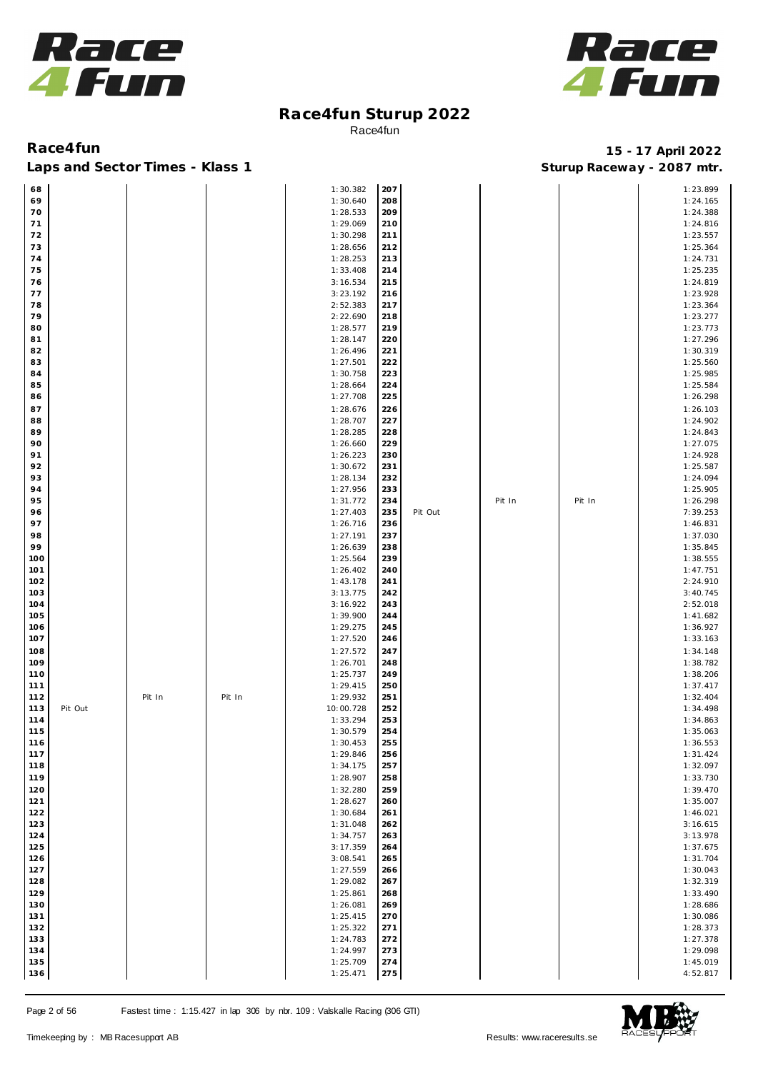



| 68             |        |        | 1:30.382  | 207 |         |        |        | 1:23.899 |
|----------------|--------|--------|-----------|-----|---------|--------|--------|----------|
| 69             |        |        | 1:30.640  | 208 |         |        |        | 1:24.165 |
| 70             |        |        | 1:28.533  | 209 |         |        |        | 1:24.388 |
| 71             |        |        | 1:29.069  | 210 |         |        |        | 1:24.816 |
| 72             |        |        | 1:30.298  | 211 |         |        |        | 1:23.557 |
| 73             |        |        | 1:28.656  | 212 |         |        |        | 1:25.364 |
| 74             |        |        | 1:28.253  | 213 |         |        |        | 1:24.731 |
|                |        |        |           |     |         |        |        |          |
| 75             |        |        | 1:33.408  | 214 |         |        |        | 1:25.235 |
| 76             |        |        | 3:16.534  | 215 |         |        |        | 1:24.819 |
| 77             |        |        | 3:23.192  | 216 |         |        |        | 1:23.928 |
| 78             |        |        | 2:52.383  | 217 |         |        |        | 1:23.364 |
| 79             |        |        | 2:22.690  | 218 |         |        |        | 1:23.277 |
| 80             |        |        | 1:28.577  | 219 |         |        |        | 1:23.773 |
| 81             |        |        | 1:28.147  | 220 |         |        |        | 1:27.296 |
| 82             |        |        | 1:26.496  | 221 |         |        |        | 1:30.319 |
| 83             |        |        | 1:27.501  | 222 |         |        |        | 1:25.560 |
| 84             |        |        | 1:30.758  | 223 |         |        |        | 1:25.985 |
| 85             |        |        | 1:28.664  | 224 |         |        |        | 1:25.584 |
| 86             |        |        | 1:27.708  | 225 |         |        |        | 1:26.298 |
| 87             |        |        | 1:28.676  | 226 |         |        |        | 1:26.103 |
| 88             |        |        | 1:28.707  | 227 |         |        |        | 1:24.902 |
|                |        |        |           |     |         |        |        |          |
| 89             |        |        | 1:28.285  | 228 |         |        |        | 1:24.843 |
| 90             |        |        | 1:26.660  | 229 |         |        |        | 1:27.075 |
| 91             |        |        | 1:26.223  | 230 |         |        |        | 1:24.928 |
| 92             |        |        | 1:30.672  | 231 |         |        |        | 1:25.587 |
| 93             |        |        | 1:28.134  | 232 |         |        |        | 1:24.094 |
| 94             |        |        | 1:27.956  | 233 |         |        |        | 1:25.905 |
| 95             |        |        | 1:31.772  | 234 |         | Pit In | Pit In | 1:26.298 |
| 96             |        |        | 1:27.403  | 235 | Pit Out |        |        | 7:39.253 |
| 97             |        |        | 1:26.716  | 236 |         |        |        | 1:46.831 |
| 98             |        |        | 1:27.191  | 237 |         |        |        | 1:37.030 |
| 99             |        |        | 1:26.639  | 238 |         |        |        | 1:35.845 |
| 100            |        |        | 1:25.564  | 239 |         |        |        | 1:38.555 |
| 101            |        |        | 1:26.402  | 240 |         |        |        | 1:47.751 |
|                |        |        |           |     |         |        |        |          |
| 102            |        |        | 1:43.178  | 241 |         |        |        | 2:24.910 |
| 103            |        |        | 3:13.775  | 242 |         |        |        | 3:40.745 |
| 104            |        |        | 3:16.922  | 243 |         |        |        | 2:52.018 |
| 105            |        |        | 1:39.900  | 244 |         |        |        | 1:41.682 |
| 106            |        |        | 1:29.275  | 245 |         |        |        | 1:36.927 |
| 107            |        |        | 1:27.520  | 246 |         |        |        | 1:33.163 |
| 108            |        |        | 1:27.572  | 247 |         |        |        | 1:34.148 |
| 109            |        |        | 1:26.701  | 248 |         |        |        | 1:38.782 |
| 110            |        |        | 1:25.737  | 249 |         |        |        | 1:38.206 |
| 111            |        |        | 1:29.415  | 250 |         |        |        | 1:37.417 |
| 112            | Pit In | Pit In | 1:29.932  | 251 |         |        |        | 1:32.404 |
| 113<br>Pit Out |        |        | 10:00.728 | 252 |         |        |        | 1:34.498 |
| 114            |        |        | 1:33.294  | 253 |         |        |        | 1:34.863 |
| 115            |        |        | 1:30.579  | 254 |         |        |        | 1:35.063 |
| 116            |        |        | 1:30.453  | 255 |         |        |        | 1:36.553 |
| 117            |        |        | 1:29.846  | 256 |         |        |        | 1:31.424 |
| 118            |        |        | 1:34.175  | 257 |         |        |        | 1:32.097 |
|                |        |        |           |     |         |        |        |          |
| 119            |        |        | 1:28.907  | 258 |         |        |        | 1:33.730 |
| 120            |        |        | 1:32.280  | 259 |         |        |        | 1:39.470 |
| 121            |        |        | 1:28.627  | 260 |         |        |        | 1:35.007 |
| 122            |        |        | 1:30.684  | 261 |         |        |        | 1:46.021 |
| 123            |        |        | 1:31.048  | 262 |         |        |        | 3:16.615 |
| 124            |        |        | 1:34.757  | 263 |         |        |        | 3:13.978 |
| 125            |        |        | 3:17.359  | 264 |         |        |        | 1:37.675 |
| 126            |        |        | 3:08.541  | 265 |         |        |        | 1:31.704 |
| 127            |        |        | 1:27.559  | 266 |         |        |        | 1:30.043 |
| 128            |        |        | 1:29.082  | 267 |         |        |        | 1:32.319 |
| 129            |        |        | 1:25.861  | 268 |         |        |        | 1:33.490 |
| 130            |        |        | 1:26.081  | 269 |         |        |        | 1:28.686 |
| 131            |        |        | 1:25.415  | 270 |         |        |        | 1:30.086 |
|                |        |        |           |     |         |        |        |          |
| 132            |        |        | 1:25.322  | 271 |         |        |        | 1:28.373 |
| 133            |        |        | 1:24.783  | 272 |         |        |        | 1:27.378 |
| 134            |        |        | 1:24.997  | 273 |         |        |        | 1:29.098 |
| 135            |        |        | 1:25.709  | 274 |         |        |        | 1:45.019 |
| 136            |        |        | 1:25.471  | 275 |         |        |        | 4:52.817 |

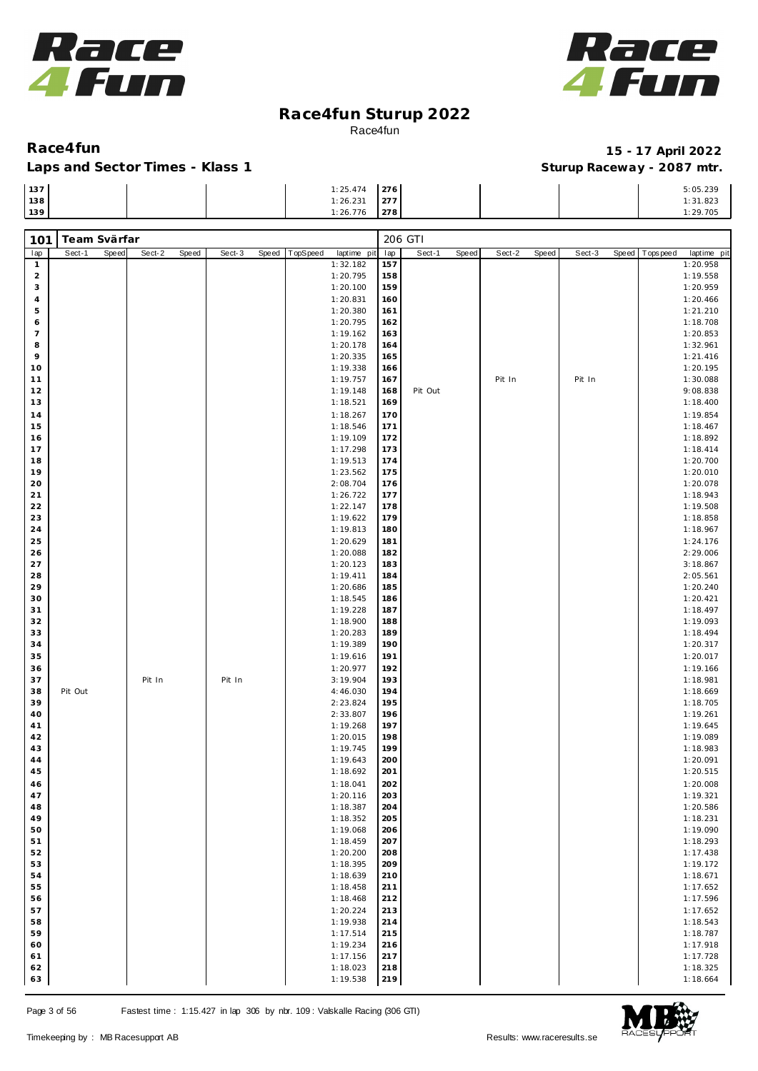



### Laps and Sector Times - Klass 1 **Sturies 1 Sturies 1 Sturies 1 8 and Sector Times - Klass 1 Sturies 1 and Section** 1 **Contrary** 1 **And Section** 1 **Contrary** 1 **Contrary** 1 **Contrary** 1 **Contrary 1 and 2007** must

| 137 | 1:25.474 | 276 |  | 5:05.239    |
|-----|----------|-----|--|-------------|
| 138 | 1:26.231 | 277 |  | ، ۲۰۰۵ ت. ۱ |
| 139 | 1:26.776 | 278 |  | 1:29.705    |

| 101            | Team Svärfar |       |        |       |        |       |          |                      |            | 206 GTI |       |        |       |        |       |                          |
|----------------|--------------|-------|--------|-------|--------|-------|----------|----------------------|------------|---------|-------|--------|-------|--------|-------|--------------------------|
| lap            | Sect-1       | Speed | Sect-2 | Speed | Sect-3 | Speed | TopSpeed | laptime pit          | lap        | Sect-1  | Speed | Sect-2 | Speed | Sect-3 | Speed | Tops peed<br>laptime pit |
| $\mathbf{1}$   |              |       |        |       |        |       |          | 1:32.182             | 157        |         |       |        |       |        |       | 1:20.958                 |
| $\overline{a}$ |              |       |        |       |        |       |          | 1:20.795             | 158        |         |       |        |       |        |       | 1:19.558                 |
| 3              |              |       |        |       |        |       |          | 1:20.100             | 159        |         |       |        |       |        |       | 1:20.959                 |
| 4              |              |       |        |       |        |       |          | 1:20.831             | 160        |         |       |        |       |        |       | 1:20.466                 |
| 5              |              |       |        |       |        |       |          | 1:20.380             | 161        |         |       |        |       |        |       | 1:21.210                 |
| 6              |              |       |        |       |        |       |          | 1:20.795             | 162        |         |       |        |       |        |       | 1:18.708                 |
| $\overline{7}$ |              |       |        |       |        |       |          | 1:19.162             | 163        |         |       |        |       |        |       | 1:20.853                 |
| 8<br>9         |              |       |        |       |        |       |          | 1:20.178             | 164        |         |       |        |       |        |       | 1:32.961                 |
| 10             |              |       |        |       |        |       |          | 1:20.335<br>1:19.338 | 165<br>166 |         |       |        |       |        |       | 1:21.416<br>1:20.195     |
| 11             |              |       |        |       |        |       |          | 1:19.757             | 167        |         |       | Pit In |       | Pit In |       | 1:30.088                 |
| 12             |              |       |        |       |        |       |          | 1:19.148             | 168        | Pit Out |       |        |       |        |       | 9:08.838                 |
| 13             |              |       |        |       |        |       |          | 1:18.521             | 169        |         |       |        |       |        |       | 1:18.400                 |
| 14             |              |       |        |       |        |       |          | 1:18.267             | 170        |         |       |        |       |        |       | 1:19.854                 |
| 15             |              |       |        |       |        |       |          | 1:18.546             | 171        |         |       |        |       |        |       | 1:18.467                 |
| 16             |              |       |        |       |        |       |          | 1:19.109             | 172        |         |       |        |       |        |       | 1:18.892                 |
| 17             |              |       |        |       |        |       |          | 1:17.298             | 173        |         |       |        |       |        |       | 1:18.414                 |
| 18             |              |       |        |       |        |       |          | 1:19.513             | 174        |         |       |        |       |        |       | 1:20.700                 |
| 19             |              |       |        |       |        |       |          | 1:23.562             | 175        |         |       |        |       |        |       | 1:20.010                 |
| 20             |              |       |        |       |        |       |          | 2:08.704             | 176        |         |       |        |       |        |       | 1:20.078                 |
| 21             |              |       |        |       |        |       |          | 1:26.722             | 177        |         |       |        |       |        |       | 1:18.943                 |
| 22             |              |       |        |       |        |       |          | 1:22.147             | 178        |         |       |        |       |        |       | 1:19.508                 |
| 23             |              |       |        |       |        |       |          | 1:19.622             | 179        |         |       |        |       |        |       | 1:18.858                 |
| 24             |              |       |        |       |        |       |          | 1:19.813             | 180        |         |       |        |       |        |       | 1:18.967                 |
| 25             |              |       |        |       |        |       |          | 1:20.629             | 181        |         |       |        |       |        |       | 1:24.176                 |
| 26<br>27       |              |       |        |       |        |       |          | 1:20.088<br>1:20.123 | 182<br>183 |         |       |        |       |        |       | 2:29.006                 |
| 28             |              |       |        |       |        |       |          | 1:19.411             | 184        |         |       |        |       |        |       | 3:18.867<br>2:05.561     |
| 29             |              |       |        |       |        |       |          | 1:20.686             | 185        |         |       |        |       |        |       | 1:20.240                 |
| 30             |              |       |        |       |        |       |          | 1:18.545             | 186        |         |       |        |       |        |       | 1:20.421                 |
| 31             |              |       |        |       |        |       |          | 1:19.228             | 187        |         |       |        |       |        |       | 1:18.497                 |
| 32             |              |       |        |       |        |       |          | 1:18.900             | 188        |         |       |        |       |        |       | 1:19.093                 |
| 33             |              |       |        |       |        |       |          | 1:20.283             | 189        |         |       |        |       |        |       | 1:18.494                 |
| 34             |              |       |        |       |        |       |          | 1:19.389             | 190        |         |       |        |       |        |       | 1:20.317                 |
| 35             |              |       |        |       |        |       |          | 1:19.616             | 191        |         |       |        |       |        |       | 1:20.017                 |
| 36             |              |       |        |       |        |       |          | 1:20.977             | 192        |         |       |        |       |        |       | 1:19.166                 |
| 37             |              |       | Pit In |       | Pit In |       |          | 3:19.904             | 193        |         |       |        |       |        |       | 1:18.981                 |
| 38             | Pit Out      |       |        |       |        |       |          | 4:46.030             | 194        |         |       |        |       |        |       | 1:18.669                 |
| 39             |              |       |        |       |        |       |          | 2:23.824             | 195        |         |       |        |       |        |       | 1:18.705                 |
| 40             |              |       |        |       |        |       |          | 2:33.807             | 196        |         |       |        |       |        |       | 1:19.261                 |
| 41<br>42       |              |       |        |       |        |       |          | 1:19.268<br>1:20.015 | 197<br>198 |         |       |        |       |        |       | 1:19.645<br>1:19.089     |
| 43             |              |       |        |       |        |       |          | 1:19.745             | 199        |         |       |        |       |        |       | 1:18.983                 |
| 44             |              |       |        |       |        |       |          | 1:19.643             | 200        |         |       |        |       |        |       | 1:20.091                 |
| 45             |              |       |        |       |        |       |          | 1:18.692             | 201        |         |       |        |       |        |       | 1:20.515                 |
| 46             |              |       |        |       |        |       |          | 1:18.041             | 202        |         |       |        |       |        |       | 1:20.008                 |
| 47             |              |       |        |       |        |       |          | 1:20.116             | 203        |         |       |        |       |        |       | 1:19.321                 |
| 48             |              |       |        |       |        |       |          | 1:18.387             | 204        |         |       |        |       |        |       | 1:20.586                 |
| 49             |              |       |        |       |        |       |          | 1:18.352             | 205        |         |       |        |       |        |       | 1:18.231                 |
| 50             |              |       |        |       |        |       |          | 1:19.068             | 206        |         |       |        |       |        |       | 1:19.090                 |
| 51             |              |       |        |       |        |       |          | 1:18.459             | 207        |         |       |        |       |        |       | 1:18.293                 |
| 52             |              |       |        |       |        |       |          | 1:20.200             | 208        |         |       |        |       |        |       | 1:17.438                 |
| 53             |              |       |        |       |        |       |          | 1:18.395             | 209        |         |       |        |       |        |       | 1:19.172                 |
| 54             |              |       |        |       |        |       |          | 1:18.639             | 210        |         |       |        |       |        |       | 1:18.671                 |
| 55             |              |       |        |       |        |       |          | 1:18.458             | 211        |         |       |        |       |        |       | 1:17.652                 |
| 56             |              |       |        |       |        |       |          | 1:18.468             | 212        |         |       |        |       |        |       | 1:17.596                 |
| 57             |              |       |        |       |        |       |          | 1:20.224             | 213        |         |       |        |       |        |       | 1:17.652                 |
| 58<br>59       |              |       |        |       |        |       |          | 1:19.938<br>1:17.514 | 214<br>215 |         |       |        |       |        |       | 1:18.543<br>1:18.787     |
| 60             |              |       |        |       |        |       |          | 1:19.234             | 216        |         |       |        |       |        |       | 1:17.918                 |
| 61             |              |       |        |       |        |       |          | 1:17.156             | 217        |         |       |        |       |        |       | 1:17.728                 |
| 62             |              |       |        |       |        |       |          | 1:18.023             | 218        |         |       |        |       |        |       | 1:18.325                 |
| 63             |              |       |        |       |        |       |          | 1:19.538             | 219        |         |       |        |       |        |       | 1:18.664                 |

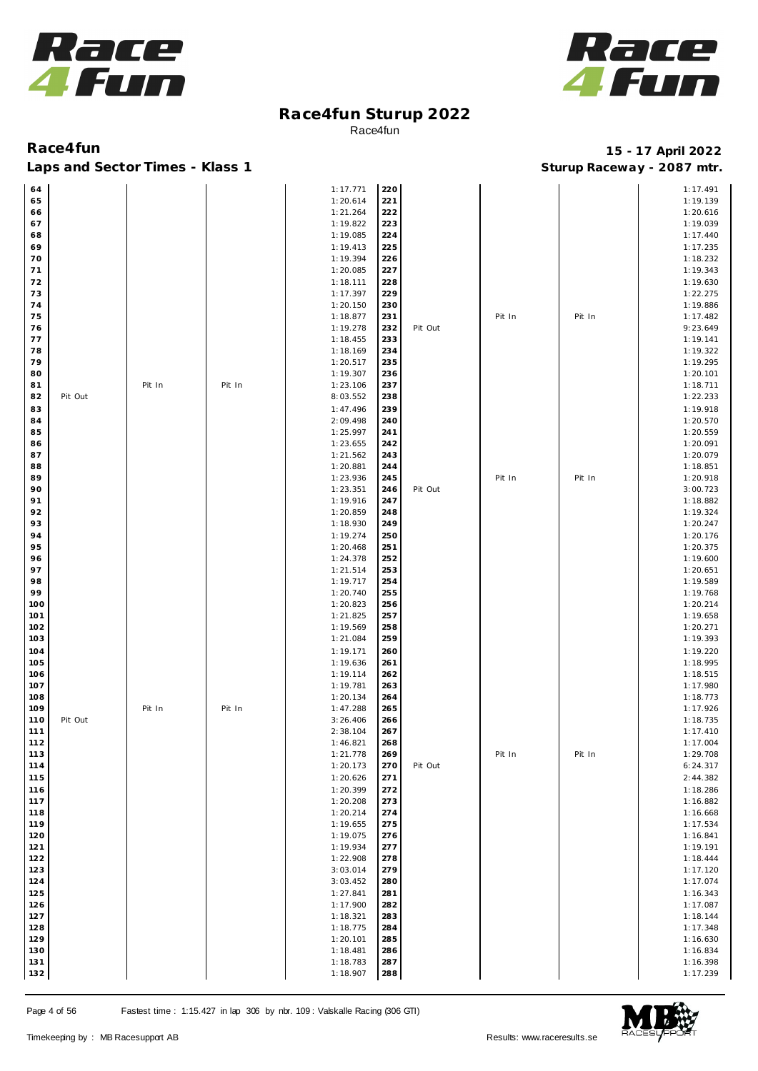



| 64  |         |        |        | 1:17.771 | 220 |         |        |        | 1:17.491 |
|-----|---------|--------|--------|----------|-----|---------|--------|--------|----------|
| 65  |         |        |        | 1:20.614 | 221 |         |        |        | 1:19.139 |
|     |         |        |        |          |     |         |        |        |          |
| 66  |         |        |        | 1:21.264 | 222 |         |        |        | 1:20.616 |
| 67  |         |        |        | 1:19.822 | 223 |         |        |        | 1:19.039 |
| 68  |         |        |        | 1:19.085 | 224 |         |        |        | 1:17.440 |
|     |         |        |        |          |     |         |        |        |          |
| 69  |         |        |        | 1:19.413 | 225 |         |        |        | 1:17.235 |
| 70  |         |        |        | 1:19.394 | 226 |         |        |        | 1:18.232 |
|     |         |        |        |          |     |         |        |        |          |
| 71  |         |        |        | 1:20.085 | 227 |         |        |        | 1:19.343 |
| 72  |         |        |        | 1:18.111 | 228 |         |        |        | 1:19.630 |
| 73  |         |        |        | 1:17.397 | 229 |         |        |        | 1:22.275 |
|     |         |        |        |          |     |         |        |        |          |
| 74  |         |        |        | 1:20.150 | 230 |         |        |        | 1:19.886 |
| 75  |         |        |        | 1:18.877 | 231 |         | Pit In | Pit In | 1:17.482 |
|     |         |        |        |          |     |         |        |        |          |
| 76  |         |        |        | 1:19.278 | 232 | Pit Out |        |        | 9:23.649 |
| 77  |         |        |        | 1:18.455 | 233 |         |        |        | 1:19.141 |
| 78  |         |        |        | 1:18.169 | 234 |         |        |        | 1:19.322 |
|     |         |        |        |          |     |         |        |        |          |
| 79  |         |        |        | 1:20.517 | 235 |         |        |        | 1:19.295 |
| 80  |         |        |        | 1:19.307 | 236 |         |        |        | 1:20.101 |
| 81  |         | Pit In | Pit In | 1:23.106 | 237 |         |        |        | 1:18.711 |
|     |         |        |        |          |     |         |        |        |          |
| 82  | Pit Out |        |        | 8:03.552 | 238 |         |        |        | 1:22.233 |
| 83  |         |        |        | 1:47.496 | 239 |         |        |        | 1:19.918 |
|     |         |        |        |          |     |         |        |        |          |
| 84  |         |        |        | 2:09.498 | 240 |         |        |        | 1:20.570 |
| 85  |         |        |        | 1:25.997 | 241 |         |        |        | 1:20.559 |
| 86  |         |        |        | 1:23.655 | 242 |         |        |        | 1:20.091 |
|     |         |        |        |          |     |         |        |        |          |
| 87  |         |        |        | 1:21.562 | 243 |         |        |        | 1:20.079 |
| 88  |         |        |        | 1:20.881 | 244 |         |        |        | 1:18.851 |
|     |         |        |        |          |     |         |        |        |          |
| 89  |         |        |        | 1:23.936 | 245 |         | Pit In | Pit In | 1:20.918 |
| 90  |         |        |        | 1:23.351 | 246 | Pit Out |        |        | 3:00.723 |
| 91  |         |        |        | 1:19.916 | 247 |         |        |        | 1:18.882 |
|     |         |        |        |          |     |         |        |        |          |
| 92  |         |        |        | 1:20.859 | 248 |         |        |        | 1:19.324 |
| 93  |         |        |        | 1:18.930 | 249 |         |        |        | 1:20.247 |
|     |         |        |        |          |     |         |        |        |          |
| 94  |         |        |        | 1:19.274 | 250 |         |        |        | 1:20.176 |
| 95  |         |        |        | 1:20.468 | 251 |         |        |        | 1:20.375 |
| 96  |         |        |        | 1:24.378 | 252 |         |        |        | 1:19.600 |
|     |         |        |        |          |     |         |        |        |          |
| 97  |         |        |        | 1:21.514 | 253 |         |        |        | 1:20.651 |
| 98  |         |        |        | 1:19.717 | 254 |         |        |        | 1:19.589 |
|     |         |        |        |          |     |         |        |        |          |
| 99  |         |        |        | 1:20.740 | 255 |         |        |        | 1:19.768 |
| 100 |         |        |        | 1:20.823 | 256 |         |        |        | 1:20.214 |
| 101 |         |        |        | 1:21.825 | 257 |         |        |        | 1:19.658 |
|     |         |        |        |          |     |         |        |        |          |
| 102 |         |        |        | 1:19.569 | 258 |         |        |        | 1:20.271 |
| 103 |         |        |        | 1:21.084 | 259 |         |        |        | 1:19.393 |
|     |         |        |        |          |     |         |        |        | 1:19.220 |
| 104 |         |        |        | 1:19.171 | 260 |         |        |        |          |
| 105 |         |        |        | 1:19.636 | 261 |         |        |        | 1:18.995 |
| 106 |         |        |        | 1:19.114 | 262 |         |        |        | 1:18.515 |
|     |         |        |        |          |     |         |        |        |          |
| 107 |         |        |        | 1:19.781 | 263 |         |        |        | 1:17.980 |
| 108 |         |        |        | 1:20.134 | 264 |         |        |        | 1:18.773 |
| 109 |         | Pit In | Pit In | 1:47.288 | 265 |         |        |        | 1:17.926 |
|     |         |        |        |          |     |         |        |        |          |
| 110 | Pit Out |        |        | 3:26.406 | 266 |         |        |        | 1:18.735 |
| 111 |         |        |        | 2:38.104 | 267 |         |        |        | 1:17.410 |
| 112 |         |        |        | 1:46.821 | 268 |         |        |        | 1:17.004 |
|     |         |        |        |          |     |         |        |        |          |
| 113 |         |        |        | 1:21.778 | 269 |         | Pit In | Pit In | 1:29.708 |
| 114 |         |        |        | 1:20.173 | 270 | Pit Out |        |        | 6:24.317 |
|     |         |        |        |          |     |         |        |        |          |
| 115 |         |        |        | 1:20.626 | 271 |         |        |        | 2:44.382 |
| 116 |         |        |        | 1:20.399 | 272 |         |        |        | 1:18.286 |
| 117 |         |        |        | 1:20.208 | 273 |         |        |        | 1:16.882 |
|     |         |        |        |          |     |         |        |        |          |
| 118 |         |        |        | 1:20.214 | 274 |         |        |        | 1:16.668 |
| 119 |         |        |        | 1:19.655 | 275 |         |        |        | 1:17.534 |
| 120 |         |        |        | 1:19.075 | 276 |         |        |        | 1:16.841 |
|     |         |        |        |          |     |         |        |        |          |
| 121 |         |        |        | 1:19.934 | 277 |         |        |        | 1:19.191 |
| 122 |         |        |        | 1:22.908 | 278 |         |        |        | 1:18.444 |
|     |         |        |        |          |     |         |        |        |          |
| 123 |         |        |        | 3:03.014 | 279 |         |        |        | 1:17.120 |
| 124 |         |        |        | 3:03.452 | 280 |         |        |        | 1:17.074 |
| 125 |         |        |        | 1:27.841 | 281 |         |        |        | 1:16.343 |
|     |         |        |        |          |     |         |        |        |          |
| 126 |         |        |        | 1:17.900 | 282 |         |        |        | 1:17.087 |
| 127 |         |        |        | 1:18.321 | 283 |         |        |        | 1:18.144 |
|     |         |        |        |          |     |         |        |        |          |
| 128 |         |        |        | 1:18.775 | 284 |         |        |        | 1:17.348 |
| 129 |         |        |        | 1:20.101 | 285 |         |        |        | 1:16.630 |
| 130 |         |        |        | 1:18.481 | 286 |         |        |        | 1:16.834 |
|     |         |        |        |          |     |         |        |        |          |
| 131 |         |        |        | 1:18.783 | 287 |         |        |        | 1:16.398 |
| 132 |         |        |        | 1:18.907 | 288 |         |        |        | 1:17.239 |

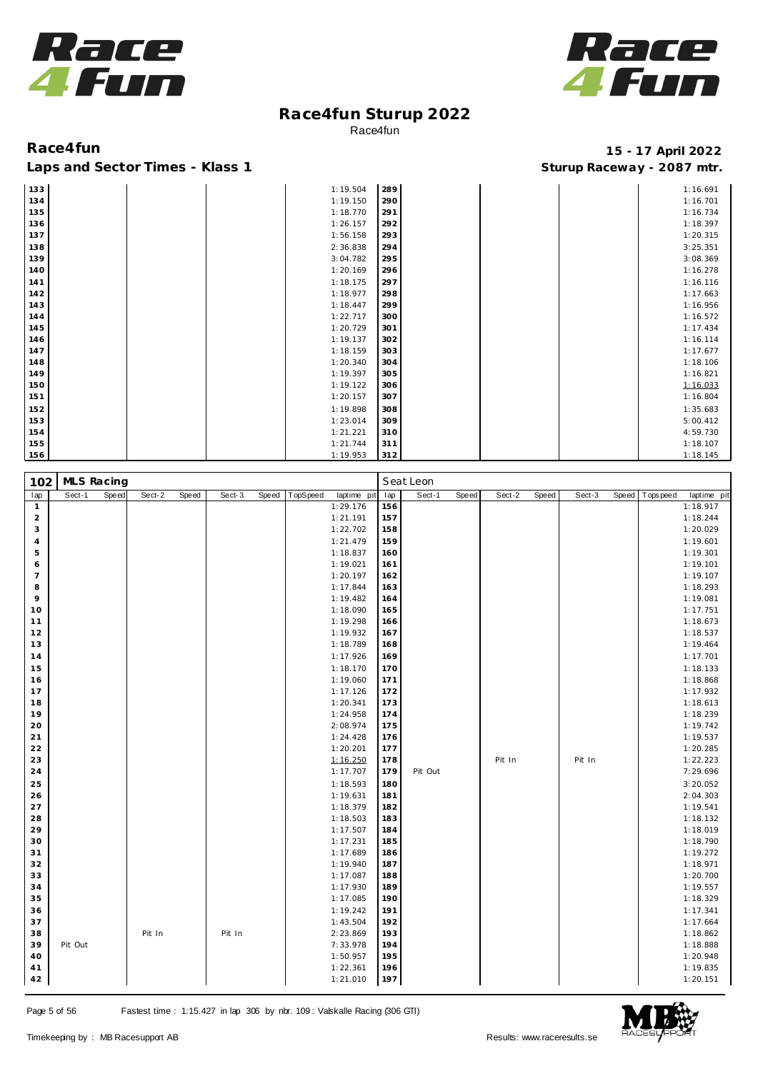



### **Race4fun 15 - 17 April 2022** Laps and Sector Times - Klass 1 **Sturies 1 Sturies 1 Sturies 1 Sturies 1 Sturies 1 Sturies 1 Sturies 1 Sturies 1 Sturies 1 Sturies 1 Sturies 1 Sturies 1 Sturies 1 Sturies 1 Sturies 1 Sturies 1**

1:18.917

Pit Out 7:29.696

| 133 |  | 1:19.504 | 289 |  | 1:16.691 |
|-----|--|----------|-----|--|----------|
| 134 |  | 1:19.150 | 290 |  | 1:16.701 |
| 135 |  | 1:18.770 | 291 |  | 1:16.734 |
| 136 |  | 1:26.157 | 292 |  | 1:18.397 |
| 137 |  | 1:56.158 | 293 |  | 1:20.315 |
| 138 |  | 2:36.838 | 294 |  | 3:25.351 |
| 139 |  | 3:04.782 | 295 |  | 3:08.369 |
| 140 |  | 1:20.169 | 296 |  | 1:16.278 |
| 141 |  | 1:18.175 | 297 |  | 1:16.116 |
| 142 |  | 1:18.977 | 298 |  | 1:17.663 |
| 143 |  | 1:18.447 | 299 |  | 1:16.956 |
| 144 |  | 1:22.717 | 300 |  | 1:16.572 |
| 145 |  | 1:20.729 | 301 |  | 1:17.434 |
| 146 |  | 1:19.137 | 302 |  | 1:16.114 |
| 147 |  | 1:18.159 | 303 |  | 1:17.677 |
| 148 |  | 1:20.340 | 304 |  | 1:18.106 |
| 149 |  | 1:19.397 | 305 |  | 1:16.821 |
| 150 |  | 1:19.122 | 306 |  | 1:16.033 |
| 151 |  | 1:20.157 | 307 |  | 1:16.804 |
| 152 |  | 1:19.898 | 308 |  | 1:35.683 |
| 153 |  | 1:23.014 | 309 |  | 5:00.412 |
| 154 |  | 1:21.221 | 310 |  | 4:59.730 |
| 155 |  | 1:21.744 | 311 |  | 1:18.107 |
| 156 |  | 1:19.953 | 312 |  | 1:18.145 |

lap Sect-1 Speed Sect-2 Speed Sect-3 Speed TopSpeed laptime pit lap Sect-1 Speed Sect-2 Speed Sect-3 Speed Topspeed laptime pit 1:29.176 156

1:17.707

| Page 5 of 56 |  |  |  |  |
|--------------|--|--|--|--|
|--------------|--|--|--|--|

MLS Racing **Seat Leon** 

 1:29.176 **2** 1:21.191<br> **3** 1:22.702 1:22.702 1:21.479 1:18.837 1:19.021 1:19.021 1:20.197 1:20.197 **1 1:17.844**  1:19.482 1:18.090 1:19.298 1:19.932 1:18.789 1:17.926 1:18.170 1:19.060 1:17.126 1:20.341 1:24.958 2:08.974 1:24.428 1:20.201 24 **1:16.250**<br> **24 1:17.707** 

 1:18.593 1:19.631 1:18.379 1:18.503 1:17.507 1:17.231 1:17.689 1:19.940 1:17.087 1:17.930 1:17.085 1:19.242 **1:43.504**  Pit In Pit In 2:23.869 Pit Out 7:33.978 1:50.957 1:22.361 1:21.010



 1:18.244 1:20.029 1:19.601 1:19.301 1:19.101 1:19.107 1:18.293 1:19.081 1:17.751 1:18.673 1:18.537 1:19.464 1:17.701 1:18.133 1:18.868 1:17.932 1:18.613 1:18.239 1:19.742 1:19.537 1:20.285 Pit In Pit In Pit In 1:22.223<br>179 Pit Out Pit In 7:29.696

 3:20.052 2:04.303 1:19.541 1:18.132 1:18.019 1:18.790 1:19.272 1:18.971 1:20.700 1:19.557 1:18.329 1:17.341 1:17.664 1:18.862 1:18.888 1:20.948 **1:19.835** 197 **1:19.835** 1:20.151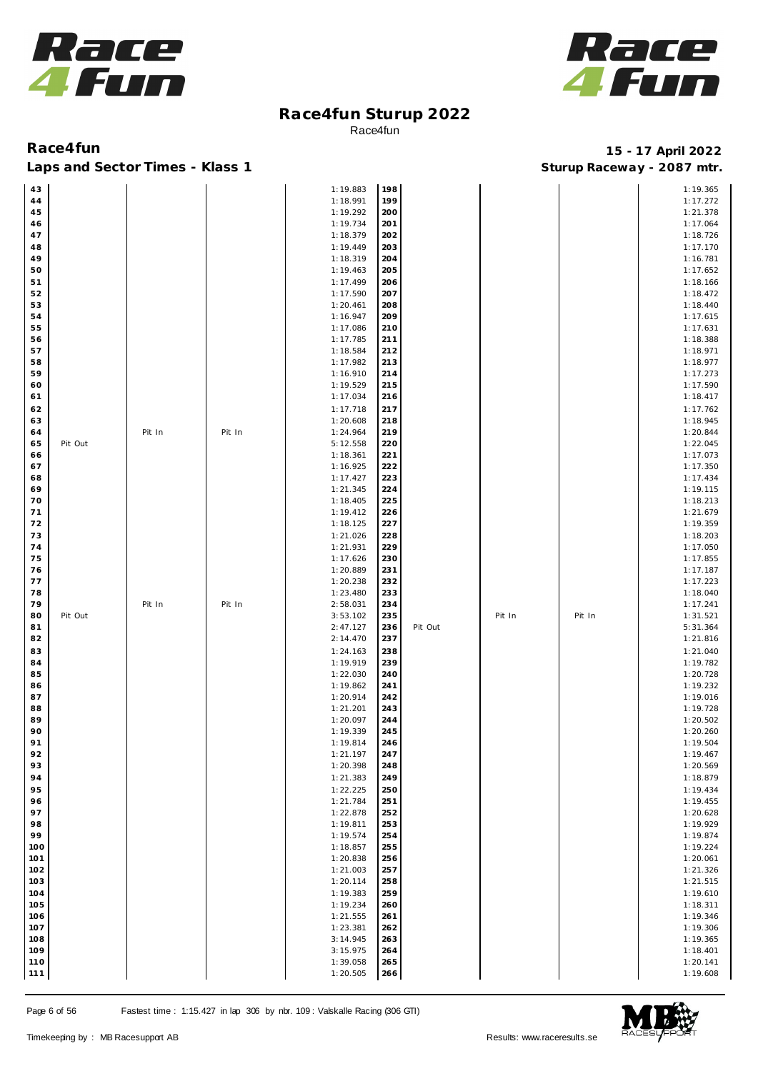



**Race4fun 15 - 17 April 2022** Laps and Sector Times - Klass 1 **Sturies 1 Sturies 1 Sturies 1 Sturies 8 and Sector Times - Klass 1 Sturies 1 Sturies 8 and Section** 1 **Matrice 1 Sturies 1 Sturies 1 Sturies 1 Sturies 1 Sturies 1 Stur** 

| 43         |         |        |        | 1:19.883             | 198        |         |        |        | 1:19.365             |
|------------|---------|--------|--------|----------------------|------------|---------|--------|--------|----------------------|
| 44         |         |        |        | 1:18.991             | 199        |         |        |        | 1:17.272             |
|            |         |        |        |                      |            |         |        |        |                      |
| 45         |         |        |        | 1:19.292             | 200        |         |        |        | 1:21.378             |
| 46         |         |        |        | 1:19.734             | 201        |         |        |        | 1:17.064             |
| 47         |         |        |        | 1:18.379             | 202        |         |        |        | 1:18.726             |
| 48         |         |        |        | 1:19.449             | 203        |         |        |        | 1:17.170             |
|            |         |        |        | 1:18.319             | 204        |         |        |        | 1:16.781             |
| 49         |         |        |        |                      |            |         |        |        |                      |
| 50         |         |        |        | 1:19.463             | 205        |         |        |        | 1:17.652             |
| 51         |         |        |        | 1:17.499             | 206        |         |        |        | 1:18.166             |
| 52         |         |        |        | 1:17.590             | 207        |         |        |        | 1:18.472             |
| 53         |         |        |        | 1:20.461             | 208        |         |        |        | 1:18.440             |
|            |         |        |        |                      |            |         |        |        |                      |
| 54         |         |        |        | 1:16.947             | 209        |         |        |        | 1:17.615             |
| 55         |         |        |        | 1:17.086             | 210        |         |        |        | 1:17.631             |
| 56         |         |        |        | 1:17.785             | 211        |         |        |        | 1:18.388             |
| 57         |         |        |        | 1:18.584             | 212        |         |        |        | 1:18.971             |
| 58         |         |        |        | 1:17.982             | 213        |         |        |        | 1:18.977             |
|            |         |        |        |                      | 214        |         |        |        |                      |
| 59         |         |        |        | 1:16.910             |            |         |        |        | 1:17.273             |
| 60         |         |        |        | 1:19.529             | 215        |         |        |        | 1:17.590             |
| 61         |         |        |        | 1:17.034             | 216        |         |        |        | 1:18.417             |
| 62         |         |        |        | 1:17.718             | 217        |         |        |        | 1:17.762             |
| 63         |         |        |        | 1:20.608             | 218        |         |        |        | 1:18.945             |
|            |         |        | Pit In | 1:24.964             | 219        |         |        |        | 1:20.844             |
| 64         |         | Pit In |        |                      |            |         |        |        |                      |
| 65         | Pit Out |        |        | 5:12.558             | 220        |         |        |        | 1:22.045             |
| 66         |         |        |        | 1:18.361             | 221        |         |        |        | 1:17.073             |
| 67         |         |        |        | 1:16.925             | 222        |         |        |        | 1:17.350             |
| 68         |         |        |        | 1:17.427             | 223        |         |        |        | 1:17.434             |
| 69         |         |        |        | 1:21.345             | 224        |         |        |        | 1:19.115             |
|            |         |        |        |                      |            |         |        |        |                      |
| 70         |         |        |        | 1:18.405             | 225        |         |        |        | 1:18.213             |
| 71         |         |        |        | 1:19.412             | 226        |         |        |        | 1:21.679             |
| 72         |         |        |        | 1:18.125             | 227        |         |        |        | 1:19.359             |
| 73         |         |        |        | 1:21.026             | 228        |         |        |        | 1:18.203             |
|            |         |        |        |                      |            |         |        |        |                      |
| 74         |         |        |        | 1:21.931             | 229        |         |        |        | 1:17.050             |
| 75         |         |        |        | 1:17.626             | 230        |         |        |        | 1:17.855             |
| 76         |         |        |        | 1:20.889             | 231        |         |        |        | 1:17.187             |
| 77         |         |        |        | 1:20.238             | 232        |         |        |        | 1:17.223             |
| 78         |         |        |        | 1:23.480             | 233        |         |        |        | 1:18.040             |
| 79         |         | Pit In | Pit In | 2:58.031             | 234        |         |        |        | 1:17.241             |
|            |         |        |        |                      |            |         |        |        |                      |
| 80         | Pit Out |        |        | 3:53.102             | 235        |         | Pit In | Pit In | 1:31.521             |
| 81         |         |        |        | 2:47.127             | 236        | Pit Out |        |        | 5:31.364             |
| 82         |         |        |        | 2:14.470             | 237        |         |        |        | 1:21.816             |
| 83         |         |        |        | 1:24.163             | 238        |         |        |        | 1:21.040             |
| 84         |         |        |        | 1:19.919             | 239        |         |        |        | 1:19.782             |
|            |         |        |        |                      |            |         |        |        |                      |
| 85         |         |        |        | 1:22.030             | 240        |         |        |        | 1:20.728             |
| 86         |         |        |        | 1:19.862             | 241        |         |        |        | 1:19.232             |
| 87         |         |        |        | 1:20.914             | 242        |         |        |        | 1:19.016             |
| 88         |         |        |        | 1:21.201             | 243        |         |        |        | 1:19.728             |
| 89         |         |        |        | 1:20.097             | 244        |         |        |        | 1:20.502             |
| 90         |         |        |        | 1:19.339             | 245        |         |        |        | 1:20.260             |
|            |         |        |        |                      | 246        |         |        |        |                      |
| 91         |         |        |        | 1:19.814             |            |         |        |        | 1:19.504             |
| 92         |         |        |        | 1:21.197             | 247        |         |        |        | 1:19.467             |
| 93         |         |        |        | 1:20.398             | 248        |         |        |        | 1:20.569             |
| 94         |         |        |        | 1:21.383             | 249        |         |        |        | 1:18.879             |
| 95         |         |        |        | 1:22.225             | 250        |         |        |        | 1:19.434             |
|            |         |        |        | 1:21.784             |            |         |        |        |                      |
| 96         |         |        |        |                      | 251        |         |        |        | 1:19.455             |
| 97         |         |        |        | 1:22.878             | 252        |         |        |        | 1:20.628             |
| 98         |         |        |        | 1:19.811             | 253        |         |        |        | 1:19.929             |
| 99         |         |        |        | 1:19.574             | 254        |         |        |        | 1:19.874             |
| 100        |         |        |        | 1:18.857             | 255        |         |        |        | 1:19.224             |
| 101        |         |        |        | 1:20.838             |            |         |        |        | 1:20.061             |
|            |         |        |        |                      | 256        |         |        |        |                      |
| 102        |         |        |        | 1:21.003             | 257        |         |        |        | 1:21.326             |
| 103        |         |        |        | 1:20.114             | 258        |         |        |        | 1:21.515             |
| 104        |         |        |        | 1:19.383             | 259        |         |        |        | 1:19.610             |
| 105        |         |        |        | 1:19.234             | 260        |         |        |        | 1:18.311             |
|            |         |        |        |                      |            |         |        |        |                      |
| 106        |         |        |        | 1:21.555             | 261        |         |        |        | 1:19.346             |
| 107        |         |        |        | 1:23.381             | 262        |         |        |        | 1:19.306             |
| 108        |         |        |        | 3:14.945             | 263        |         |        |        | 1:19.365             |
|            |         |        |        |                      |            |         |        |        |                      |
|            |         |        |        |                      |            |         |        |        |                      |
| 109        |         |        |        | 3:15.975             | 264        |         |        |        | 1:18.401             |
| 110<br>111 |         |        |        | 1:39.058<br>1:20.505 | 265<br>266 |         |        |        | 1:20.141<br>1:19.608 |

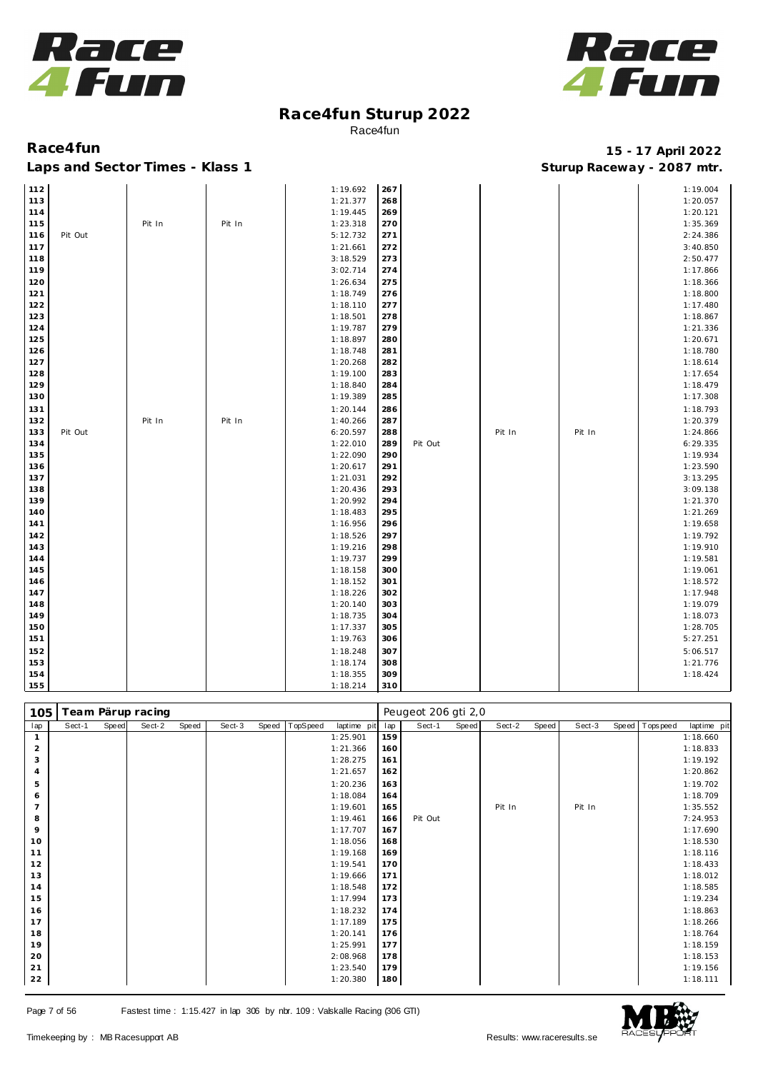



## **Race4fun 15 - 17 April 2022**

| 112        |         |        |        | 1:19.692             | 267        |         |        |        | 1:19.004             |
|------------|---------|--------|--------|----------------------|------------|---------|--------|--------|----------------------|
| 113        |         |        |        | 1:21.377             | 268        |         |        |        | 1:20.057             |
| 114        |         |        |        | 1:19.445             | 269        |         |        |        | 1:20.121             |
| 115        |         | Pit In | Pit In | 1:23.318             | 270        |         |        |        | 1:35.369             |
| 116        | Pit Out |        |        | 5:12.732             | 271        |         |        |        | 2:24.386             |
| 117        |         |        |        | 1:21.661             | 272        |         |        |        | 3:40.850             |
| 118        |         |        |        | 3:18.529             | 273        |         |        |        | 2:50.477             |
| 119        |         |        |        | 3:02.714             | 274        |         |        |        | 1:17.866             |
| 120        |         |        |        | 1:26.634             | 275        |         |        |        | 1:18.366             |
| 121        |         |        |        | 1:18.749             | 276        |         |        |        | 1:18.800             |
| 122        |         |        |        | 1:18.110             | 277        |         |        |        | 1:17.480             |
| 123        |         |        |        | 1:18.501             | 278        |         |        |        | 1:18.867             |
| 124        |         |        |        | 1:19.787             | 279        |         |        |        | 1:21.336             |
| 125        |         |        |        | 1:18.897             | 280        |         |        |        | 1:20.671             |
| 126        |         |        |        | 1:18.748             | 281        |         |        |        | 1:18.780             |
| 127        |         |        |        | 1:20.268             | 282        |         |        |        | 1:18.614             |
| 128        |         |        |        | 1:19.100             | 283        |         |        |        | 1:17.654             |
| 129        |         |        |        | 1:18.840             | 284        |         |        |        | 1:18.479             |
| 130        |         |        |        | 1:19.389             | 285        |         |        |        | 1:17.308             |
| 131        |         |        |        | 1:20.144             | 286        |         |        |        | 1:18.793             |
| 132        |         | Pit In | Pit In | 1:40.266             | 287        |         |        |        | 1:20.379             |
| 133        | Pit Out |        |        | 6:20.597             | 288        |         | Pit In | Pit In | 1:24.866             |
| 134        |         |        |        | 1:22.010             | 289        | Pit Out |        |        | 6:29.335             |
| 135        |         |        |        | 1:22.090             | 290        |         |        |        | 1:19.934             |
| 136        |         |        |        | 1:20.617             | 291        |         |        |        | 1:23.590             |
| 137        |         |        |        | 1:21.031             | 292        |         |        |        | 3:13.295             |
| 138        |         |        |        | 1:20.436             | 293        |         |        |        | 3:09.138             |
| 139        |         |        |        | 1:20.992             | 294        |         |        |        | 1:21.370             |
| 140        |         |        |        | 1:18.483             | 295        |         |        |        | 1:21.269             |
| 141        |         |        |        | 1:16.956             | 296        |         |        |        | 1:19.658             |
|            |         |        |        |                      | 297        |         |        |        |                      |
| 142        |         |        |        | 1:18.526             |            |         |        |        | 1:19.792             |
| 143        |         |        |        | 1:19.216<br>1:19.737 | 298<br>299 |         |        |        | 1:19.910             |
| 144<br>145 |         |        |        |                      |            |         |        |        | 1:19.581             |
|            |         |        |        | 1:18.158             | 300        |         |        |        | 1:19.061             |
| 146        |         |        |        | 1:18.152             | 301        |         |        |        | 1:18.572<br>1:17.948 |
| 147        |         |        |        | 1:18.226             | 302        |         |        |        |                      |
| 148        |         |        |        | 1:20.140             | 303        |         |        |        | 1:19.079             |
| 149        |         |        |        | 1:18.735             | 304        |         |        |        | 1:18.073             |
| 150<br>151 |         |        |        | 1:17.337<br>1:19.763 | 305<br>306 |         |        |        | 1:28.705<br>5:27.251 |
|            |         |        |        |                      |            |         |        |        |                      |
| 152        |         |        |        | 1:18.248             | 307        |         |        |        | 5:06.517             |
| 153        |         |        |        | 1:18.174             | 308        |         |        |        | 1:21.776             |
| 154        |         |        |        | 1:18.355             | 309        |         |        |        | 1:18.424             |
| 155        |         |        |        | 1:18.214             | 310        |         |        |        |                      |

| 105            |        |       | Team Pärup racing |       |        |       |          |             |     | Peugeot 206 gti 2,0 |       |        |       |        |                |             |
|----------------|--------|-------|-------------------|-------|--------|-------|----------|-------------|-----|---------------------|-------|--------|-------|--------|----------------|-------------|
| lap            | Sect-1 | Speed | Sect-2            | Speed | Sect-3 | Speed | TopSpeed | laptime pit | lap | Sect-1              | Speed | Sect-2 | Speed | Sect-3 | Speed Topspeed | laptime pit |
|                |        |       |                   |       |        |       |          | 1:25.901    | 159 |                     |       |        |       |        |                | 1:18.660    |
| $\overline{2}$ |        |       |                   |       |        |       |          | 1:21.366    | 160 |                     |       |        |       |        |                | 1:18.833    |
| 3              |        |       |                   |       |        |       |          | 1:28.275    | 161 |                     |       |        |       |        |                | 1:19.192    |
| $\overline{4}$ |        |       |                   |       |        |       |          | 1:21.657    | 162 |                     |       |        |       |        |                | 1:20.862    |
| 5              |        |       |                   |       |        |       |          | 1:20.236    | 163 |                     |       |        |       |        |                | 1:19.702    |
| 6              |        |       |                   |       |        |       |          | 1:18.084    | 164 |                     |       |        |       |        |                | 1:18.709    |
| 7              |        |       |                   |       |        |       |          | 1:19.601    | 165 |                     |       | Pit In |       | Pit In |                | 1:35.552    |
| 8              |        |       |                   |       |        |       |          | 1:19.461    | 166 | Pit Out             |       |        |       |        |                | 7:24.953    |
| 9              |        |       |                   |       |        |       |          | 1:17.707    | 167 |                     |       |        |       |        |                | 1:17.690    |
| 10             |        |       |                   |       |        |       |          | 1:18.056    | 168 |                     |       |        |       |        |                | 1:18.530    |
| 11             |        |       |                   |       |        |       |          | 1:19.168    | 169 |                     |       |        |       |        |                | 1:18.116    |
| 12             |        |       |                   |       |        |       |          | 1:19.541    | 170 |                     |       |        |       |        |                | 1:18.433    |
| 13             |        |       |                   |       |        |       |          | 1:19.666    | 171 |                     |       |        |       |        |                | 1:18.012    |
| 14             |        |       |                   |       |        |       |          | 1:18.548    | 172 |                     |       |        |       |        |                | 1:18.585    |
| 15             |        |       |                   |       |        |       |          | 1:17.994    | 173 |                     |       |        |       |        |                | 1:19.234    |
| 16             |        |       |                   |       |        |       |          | 1:18.232    | 174 |                     |       |        |       |        |                | 1:18.863    |
| 17             |        |       |                   |       |        |       |          | 1:17.189    | 175 |                     |       |        |       |        |                | 1:18.266    |
| 18             |        |       |                   |       |        |       |          | 1:20.141    | 176 |                     |       |        |       |        |                | 1:18.764    |
| 19             |        |       |                   |       |        |       |          | 1:25.991    | 177 |                     |       |        |       |        |                | 1:18.159    |
| 20             |        |       |                   |       |        |       |          | 2:08.968    | 178 |                     |       |        |       |        |                | 1:18.153    |
| 21             |        |       |                   |       |        |       |          | 1:23.540    | 179 |                     |       |        |       |        |                | 1:19.156    |
| 22             |        |       |                   |       |        |       |          | 1:20.380    | 180 |                     |       |        |       |        |                | 1:18.111    |

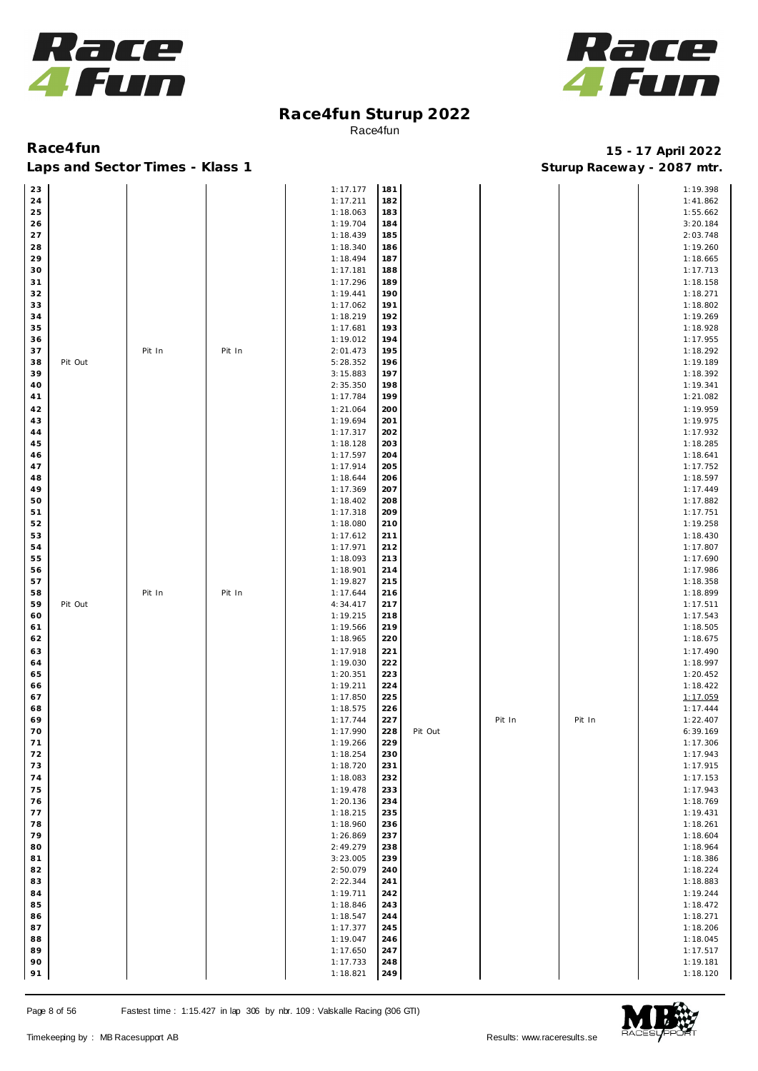



### **Race4fun 15 - 17 April 2022** Laps and Sector Times - Klass 1 **Sturies 1 Sturies 1 Sturies 1 Sturies 1 Sturies 1 Sturies 1 Sturies 1 Sturies 1 Sturies 1 Sturies 1 Sturies 1 Sturies 1 Sturies 1 Sturies 1 Sturies 1 Sturies 1**

| 23 |         |        |        | 1:17.177 | 181 |         |        |        | 1:19.398 |
|----|---------|--------|--------|----------|-----|---------|--------|--------|----------|
| 24 |         |        |        | 1:17.211 | 182 |         |        |        | 1:41.862 |
| 25 |         |        |        | 1:18.063 | 183 |         |        |        | 1:55.662 |
| 26 |         |        |        | 1:19.704 | 184 |         |        |        | 3:20.184 |
| 27 |         |        |        | 1:18.439 | 185 |         |        |        | 2:03.748 |
|    |         |        |        |          |     |         |        |        |          |
| 28 |         |        |        | 1:18.340 | 186 |         |        |        | 1:19.260 |
| 29 |         |        |        | 1:18.494 | 187 |         |        |        | 1:18.665 |
| 30 |         |        |        | 1:17.181 | 188 |         |        |        | 1:17.713 |
| 31 |         |        |        | 1:17.296 | 189 |         |        |        | 1:18.158 |
|    |         |        |        |          |     |         |        |        |          |
| 32 |         |        |        | 1:19.441 | 190 |         |        |        | 1:18.271 |
| 33 |         |        |        | 1:17.062 | 191 |         |        |        | 1:18.802 |
| 34 |         |        |        | 1:18.219 | 192 |         |        |        | 1:19.269 |
| 35 |         |        |        | 1:17.681 | 193 |         |        |        | 1:18.928 |
| 36 |         |        |        | 1:19.012 | 194 |         |        |        | 1:17.955 |
| 37 |         |        |        | 2:01.473 | 195 |         |        |        | 1:18.292 |
|    |         | Pit In | Pit In |          |     |         |        |        |          |
| 38 | Pit Out |        |        | 5:28.352 | 196 |         |        |        | 1:19.189 |
| 39 |         |        |        | 3:15.883 | 197 |         |        |        | 1:18.392 |
| 40 |         |        |        | 2:35.350 | 198 |         |        |        | 1:19.341 |
| 41 |         |        |        | 1:17.784 | 199 |         |        |        | 1:21.082 |
|    |         |        |        |          |     |         |        |        |          |
| 42 |         |        |        | 1:21.064 | 200 |         |        |        | 1:19.959 |
| 43 |         |        |        | 1:19.694 | 201 |         |        |        | 1:19.975 |
| 44 |         |        |        | 1:17.317 | 202 |         |        |        | 1:17.932 |
| 45 |         |        |        | 1:18.128 | 203 |         |        |        | 1:18.285 |
| 46 |         |        |        | 1:17.597 | 204 |         |        |        | 1:18.641 |
| 47 |         |        |        | 1:17.914 | 205 |         |        |        | 1:17.752 |
|    |         |        |        |          |     |         |        |        |          |
| 48 |         |        |        | 1:18.644 | 206 |         |        |        | 1:18.597 |
| 49 |         |        |        | 1:17.369 | 207 |         |        |        | 1:17.449 |
| 50 |         |        |        | 1:18.402 | 208 |         |        |        | 1:17.882 |
| 51 |         |        |        | 1:17.318 | 209 |         |        |        | 1:17.751 |
| 52 |         |        |        | 1:18.080 | 210 |         |        |        | 1:19.258 |
|    |         |        |        |          |     |         |        |        |          |
| 53 |         |        |        | 1:17.612 | 211 |         |        |        | 1:18.430 |
| 54 |         |        |        | 1:17.971 | 212 |         |        |        | 1:17.807 |
| 55 |         |        |        | 1:18.093 | 213 |         |        |        | 1:17.690 |
| 56 |         |        |        | 1:18.901 | 214 |         |        |        | 1:17.986 |
| 57 |         |        |        | 1:19.827 | 215 |         |        |        | 1:18.358 |
|    |         |        |        |          |     |         |        |        |          |
| 58 |         | Pit In | Pit In | 1:17.644 | 216 |         |        |        | 1:18.899 |
| 59 | Pit Out |        |        | 4:34.417 | 217 |         |        |        | 1:17.511 |
| 60 |         |        |        | 1:19.215 | 218 |         |        |        | 1:17.543 |
| 61 |         |        |        | 1:19.566 | 219 |         |        |        | 1:18.505 |
| 62 |         |        |        | 1:18.965 | 220 |         |        |        | 1:18.675 |
|    |         |        |        |          |     |         |        |        |          |
| 63 |         |        |        | 1:17.918 | 221 |         |        |        | 1:17.490 |
| 64 |         |        |        | 1:19.030 | 222 |         |        |        | 1:18.997 |
| 65 |         |        |        | 1:20.351 | 223 |         |        |        | 1:20.452 |
| 66 |         |        |        | 1:19.211 | 224 |         |        |        | 1:18.422 |
| 67 |         |        |        | 1:17.850 | 225 |         |        |        | 1:17.059 |
|    |         |        |        |          |     |         |        |        |          |
| 68 |         |        |        | 1:18.575 | 226 |         |        |        | 1:17.444 |
| 69 |         |        |        | 1:17.744 | 227 |         | Pit In | Pit In | 1:22.407 |
| 70 |         |        |        | 1:17.990 | 228 | Pit Out |        |        | 6:39.169 |
| 71 |         |        |        | 1:19.266 | 229 |         |        |        | 1:17.306 |
| 72 |         |        |        | 1:18.254 | 230 |         |        |        | 1:17.943 |
| 73 |         |        |        | 1:18.720 | 231 |         |        |        | 1:17.915 |
|    |         |        |        |          |     |         |        |        |          |
| 74 |         |        |        | 1:18.083 | 232 |         |        |        | 1:17.153 |
| 75 |         |        |        | 1:19.478 | 233 |         |        |        | 1:17.943 |
| 76 |         |        |        | 1:20.136 | 234 |         |        |        | 1:18.769 |
| 77 |         |        |        | 1:18.215 | 235 |         |        |        | 1:19.431 |
| 78 |         |        |        | 1:18.960 | 236 |         |        |        | 1:18.261 |
|    |         |        |        |          |     |         |        |        |          |
| 79 |         |        |        | 1:26.869 | 237 |         |        |        | 1:18.604 |
|    |         |        |        | 2:49.279 | 238 |         |        |        | 1:18.964 |
| 80 |         |        |        |          |     |         |        |        |          |
| 81 |         |        |        | 3:23.005 | 239 |         |        |        | 1:18.386 |
|    |         |        |        |          | 240 |         |        |        |          |
| 82 |         |        |        | 2:50.079 |     |         |        |        | 1:18.224 |
| 83 |         |        |        | 2:22.344 | 241 |         |        |        | 1:18.883 |
| 84 |         |        |        | 1:19.711 | 242 |         |        |        | 1:19.244 |
| 85 |         |        |        | 1:18.846 | 243 |         |        |        | 1:18.472 |
| 86 |         |        |        | 1:18.547 | 244 |         |        |        | 1:18.271 |
|    |         |        |        |          |     |         |        |        |          |
| 87 |         |        |        | 1:17.377 | 245 |         |        |        | 1:18.206 |
| 88 |         |        |        | 1:19.047 | 246 |         |        |        | 1:18.045 |
| 89 |         |        |        | 1:17.650 | 247 |         |        |        | 1:17.517 |
| 90 |         |        |        | 1:17.733 | 248 |         |        |        | 1:19.181 |

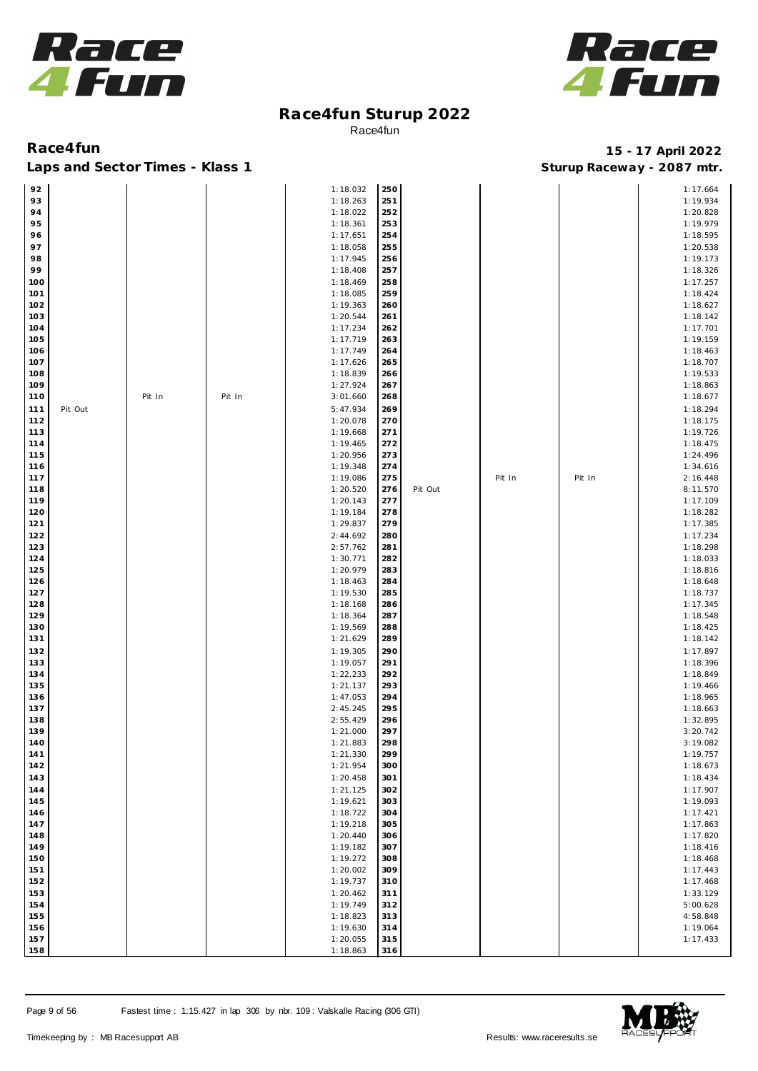



| 92  |         |        |        | 1:18.032 | 250 |         |        |        | 1:17.664 |
|-----|---------|--------|--------|----------|-----|---------|--------|--------|----------|
|     |         |        |        |          |     |         |        |        |          |
| 93  |         |        |        | 1:18.263 | 251 |         |        |        | 1:19.934 |
| 94  |         |        |        | 1:18.022 | 252 |         |        |        | 1:20.828 |
| 95  |         |        |        | 1:18.361 | 253 |         |        |        | 1:19.979 |
| 96  |         |        |        | 1:17.651 | 254 |         |        |        | 1:18.595 |
|     |         |        |        |          |     |         |        |        |          |
| 97  |         |        |        | 1:18.058 | 255 |         |        |        | 1:20.538 |
| 98  |         |        |        | 1:17.945 | 256 |         |        |        | 1:19.173 |
| 99  |         |        |        | 1:18.408 | 257 |         |        |        | 1:18.326 |
| 100 |         |        |        | 1:18.469 | 258 |         |        |        | 1:17.257 |
|     |         |        |        |          |     |         |        |        |          |
| 101 |         |        |        | 1:18.085 | 259 |         |        |        | 1:18.424 |
| 102 |         |        |        | 1:19.363 | 260 |         |        |        | 1:18.627 |
| 103 |         |        |        | 1:20.544 | 261 |         |        |        | 1:18.142 |
| 104 |         |        |        | 1:17.234 | 262 |         |        |        | 1:17.701 |
|     |         |        |        |          |     |         |        |        |          |
| 105 |         |        |        | 1:17.719 | 263 |         |        |        | 1:19.159 |
| 106 |         |        |        | 1:17.749 | 264 |         |        |        | 1:18.463 |
| 107 |         |        |        | 1:17.626 | 265 |         |        |        | 1:18.707 |
| 108 |         |        |        | 1:18.839 | 266 |         |        |        | 1:19.533 |
|     |         |        |        |          |     |         |        |        |          |
| 109 |         |        |        | 1:27.924 | 267 |         |        |        | 1:18.863 |
| 110 |         | Pit In | Pit In | 3:01.660 | 268 |         |        |        | 1:18.677 |
| 111 | Pit Out |        |        | 5:47.934 | 269 |         |        |        | 1:18.294 |
|     |         |        |        |          |     |         |        |        |          |
| 112 |         |        |        | 1:20.078 | 270 |         |        |        | 1:18.175 |
| 113 |         |        |        | 1:19.668 | 271 |         |        |        | 1:19.726 |
| 114 |         |        |        | 1:19.465 | 272 |         |        |        | 1:18.475 |
| 115 |         |        |        | 1:20.956 | 273 |         |        |        | 1:24.496 |
|     |         |        |        |          |     |         |        |        |          |
| 116 |         |        |        | 1:19.348 | 274 |         |        |        | 1:34.616 |
| 117 |         |        |        | 1:19.086 | 275 |         | Pit In | Pit In | 2:16.448 |
| 118 |         |        |        | 1:20.520 | 276 | Pit Out |        |        | 8:11.570 |
| 119 |         |        |        | 1:20.143 | 277 |         |        |        | 1:17.109 |
|     |         |        |        |          |     |         |        |        |          |
| 120 |         |        |        | 1:19.184 | 278 |         |        |        | 1:18.282 |
| 121 |         |        |        | 1:29.837 | 279 |         |        |        | 1:17.385 |
| 122 |         |        |        | 2:44.692 | 280 |         |        |        | 1:17.234 |
| 123 |         |        |        | 2:57.762 | 281 |         |        |        | 1:18.298 |
|     |         |        |        |          |     |         |        |        |          |
| 124 |         |        |        | 1:30.771 | 282 |         |        |        | 1:18.033 |
| 125 |         |        |        | 1:20.979 | 283 |         |        |        | 1:18.816 |
| 126 |         |        |        | 1:18.463 | 284 |         |        |        | 1:18.648 |
| 127 |         |        |        | 1:19.530 | 285 |         |        |        | 1:18.737 |
|     |         |        |        |          |     |         |        |        |          |
| 128 |         |        |        | 1:18.168 | 286 |         |        |        | 1:17.345 |
| 129 |         |        |        | 1:18.364 | 287 |         |        |        | 1:18.548 |
| 130 |         |        |        | 1:19.569 | 288 |         |        |        | 1:18.425 |
|     |         |        |        | 1:21.629 | 289 |         |        |        | 1:18.142 |
| 131 |         |        |        |          |     |         |        |        |          |
| 132 |         |        |        | 1:19.305 | 290 |         |        |        | 1:17.897 |
| 133 |         |        |        | 1:19.057 | 291 |         |        |        | 1:18.396 |
| 134 |         |        |        | 1:22.233 | 292 |         |        |        | 1:18.849 |
|     |         |        |        |          | 293 |         |        |        |          |
| 135 |         |        |        | 1:21.137 |     |         |        |        | 1:19.466 |
| 136 |         |        |        | 1:47.053 | 294 |         |        |        | 1:18.965 |
| 137 |         |        |        | 2:45.245 | 295 |         |        |        | 1:18.663 |
| 138 |         |        |        | 2:55.429 | 296 |         |        |        | 1:32.895 |
| 139 |         |        |        | 1:21.000 | 297 |         |        |        | 3:20.742 |
|     |         |        |        |          |     |         |        |        |          |
| 140 |         |        |        | 1:21.883 | 298 |         |        |        | 3:19.082 |
| 141 |         |        |        | 1:21.330 | 299 |         |        |        | 1:19.757 |
| 142 |         |        |        | 1:21.954 | 300 |         |        |        | 1:18.673 |
|     |         |        |        |          |     |         |        |        |          |
| 143 |         |        |        | 1:20.458 | 301 |         |        |        | 1:18.434 |
| 144 |         |        |        | 1:21.125 | 302 |         |        |        | 1:17.907 |
| 145 |         |        |        | 1:19.621 | 303 |         |        |        | 1:19.093 |
| 146 |         |        |        | 1:18.722 | 304 |         |        |        | 1:17.421 |
|     |         |        |        |          |     |         |        |        |          |
| 147 |         |        |        | 1:19.218 | 305 |         |        |        | 1:17.863 |
| 148 |         |        |        | 1:20.440 | 306 |         |        |        | 1:17.820 |
| 149 |         |        |        | 1:19.182 | 307 |         |        |        | 1:18.416 |
| 150 |         |        |        | 1:19.272 | 308 |         |        |        | 1:18.468 |
|     |         |        |        |          |     |         |        |        |          |
| 151 |         |        |        | 1:20.002 | 309 |         |        |        | 1:17.443 |
| 152 |         |        |        | 1:19.737 | 310 |         |        |        | 1:17.468 |
| 153 |         |        |        | 1:20.462 | 311 |         |        |        | 1:33.129 |
| 154 |         |        |        | 1:19.749 | 312 |         |        |        | 5:00.628 |
|     |         |        |        |          |     |         |        |        |          |
| 155 |         |        |        | 1:18.823 | 313 |         |        |        | 4:58.848 |
| 156 |         |        |        | 1:19.630 | 314 |         |        |        | 1:19.064 |
| 157 |         |        |        | 1:20.055 | 315 |         |        |        | 1:17.433 |
| 158 |         |        |        | 1:18.863 | 316 |         |        |        |          |
|     |         |        |        |          |     |         |        |        |          |



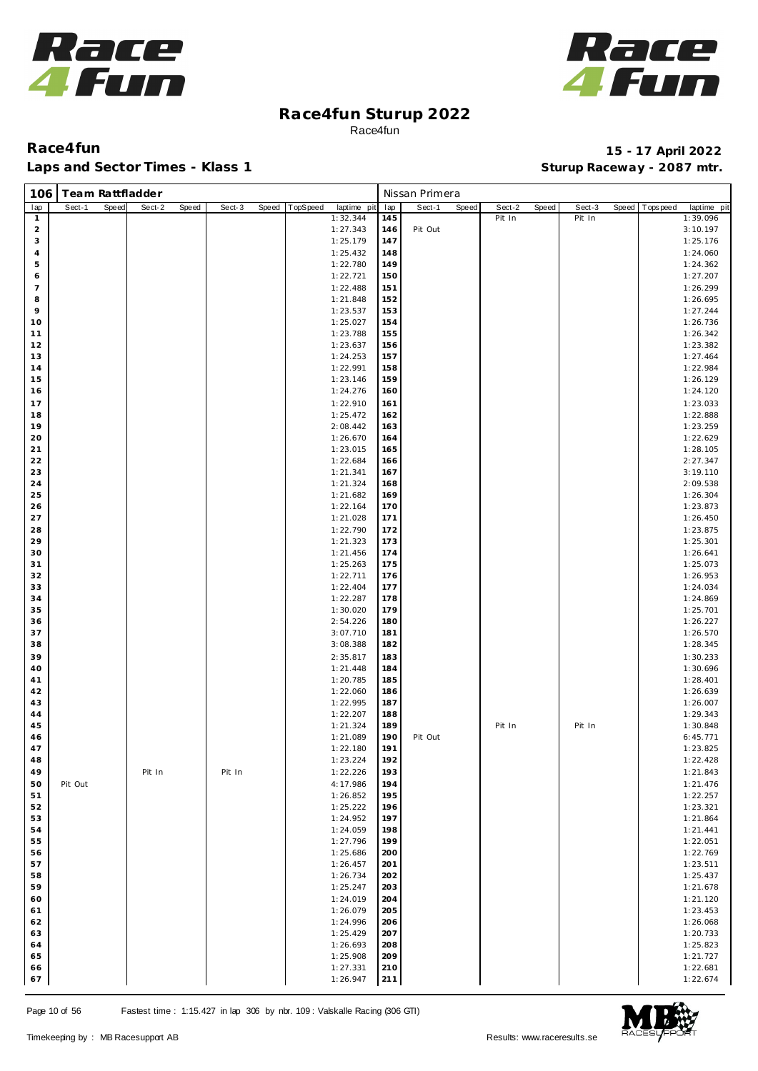



| 106            | Team Rattfladder |       |        |       |        |       |          |                      |            | Nissan Primera |       |        |       |        |       |            |                      |
|----------------|------------------|-------|--------|-------|--------|-------|----------|----------------------|------------|----------------|-------|--------|-------|--------|-------|------------|----------------------|
| lap            | Sect-1           | Speed | Sect-2 | Speed | Sect-3 | Speed | TopSpeed | laptime pit          | lap        | Sect-1         | Speed | Sect-2 | Speed | Sect-3 | Speed | Tops pee d | laptime pit          |
| $\mathbf{1}$   |                  |       |        |       |        |       |          | 1:32.344             | 145        |                |       | Pit In |       | Pit In |       |            | 1:39.096             |
| $\overline{a}$ |                  |       |        |       |        |       |          | 1:27.343             | 146        | Pit Out        |       |        |       |        |       |            | 3:10.197             |
| 3              |                  |       |        |       |        |       |          | 1:25.179             | 147        |                |       |        |       |        |       |            | 1:25.176             |
| $\overline{4}$ |                  |       |        |       |        |       |          | 1:25.432             | 148        |                |       |        |       |        |       |            | 1:24.060             |
| 5              |                  |       |        |       |        |       |          | 1:22.780             | 149        |                |       |        |       |        |       |            | 1:24.362             |
| 6              |                  |       |        |       |        |       |          | 1:22.721             | 150        |                |       |        |       |        |       |            | 1:27.207             |
| $\overline{7}$ |                  |       |        |       |        |       |          | 1:22.488             | 151        |                |       |        |       |        |       |            | 1:26.299             |
| 8              |                  |       |        |       |        |       |          | 1:21.848             | 152        |                |       |        |       |        |       |            | 1:26.695             |
| 9              |                  |       |        |       |        |       |          | 1:23.537             | 153        |                |       |        |       |        |       |            | 1:27.244             |
| 10<br>11       |                  |       |        |       |        |       |          | 1:25.027<br>1:23.788 | 154<br>155 |                |       |        |       |        |       |            | 1:26.736<br>1:26.342 |
| 12             |                  |       |        |       |        |       |          | 1:23.637             | 156        |                |       |        |       |        |       |            | 1:23.382             |
| 13             |                  |       |        |       |        |       |          | 1:24.253             | 157        |                |       |        |       |        |       |            | 1:27.464             |
| 14             |                  |       |        |       |        |       |          | 1:22.991             | 158        |                |       |        |       |        |       |            | 1:22.984             |
| 15             |                  |       |        |       |        |       |          | 1:23.146             | 159        |                |       |        |       |        |       |            | 1:26.129             |
| 16             |                  |       |        |       |        |       |          | 1:24.276             | 160        |                |       |        |       |        |       |            | 1:24.120             |
| 17             |                  |       |        |       |        |       |          | 1:22.910             | 161        |                |       |        |       |        |       |            | 1:23.033             |
| 18             |                  |       |        |       |        |       |          | 1:25.472             | 162        |                |       |        |       |        |       |            | 1:22.888             |
| 19             |                  |       |        |       |        |       |          | 2:08.442             | 163        |                |       |        |       |        |       |            | 1:23.259             |
| 20             |                  |       |        |       |        |       |          | 1:26.670             | 164        |                |       |        |       |        |       |            | 1:22.629             |
| 21             |                  |       |        |       |        |       |          | 1:23.015             | 165        |                |       |        |       |        |       |            | 1:28.105             |
| 22             |                  |       |        |       |        |       |          | 1:22.684             | 166        |                |       |        |       |        |       |            | 2:27.347             |
| 23             |                  |       |        |       |        |       |          | 1:21.341             | 167        |                |       |        |       |        |       |            | 3:19.110             |
| 24             |                  |       |        |       |        |       |          | 1:21.324             | 168        |                |       |        |       |        |       |            | 2:09.538             |
| 25             |                  |       |        |       |        |       |          | 1:21.682             | 169        |                |       |        |       |        |       |            | 1:26.304             |
| 26             |                  |       |        |       |        |       |          | 1:22.164             | 170        |                |       |        |       |        |       |            | 1:23.873             |
| 27             |                  |       |        |       |        |       |          | 1:21.028             | 171        |                |       |        |       |        |       |            | 1:26.450             |
| 28             |                  |       |        |       |        |       |          | 1:22.790             | 172        |                |       |        |       |        |       |            | 1:23.875             |
| 29             |                  |       |        |       |        |       |          | 1:21.323             | 173        |                |       |        |       |        |       |            | 1:25.301             |
| 30<br>31       |                  |       |        |       |        |       |          | 1:21.456<br>1:25.263 | 174<br>175 |                |       |        |       |        |       |            | 1:26.641<br>1:25.073 |
| 32             |                  |       |        |       |        |       |          | 1:22.711             | 176        |                |       |        |       |        |       |            | 1:26.953             |
| 33             |                  |       |        |       |        |       |          | 1:22.404             | 177        |                |       |        |       |        |       |            | 1:24.034             |
| 34             |                  |       |        |       |        |       |          | 1:22.287             | 178        |                |       |        |       |        |       |            | 1:24.869             |
| 35             |                  |       |        |       |        |       |          | 1:30.020             | 179        |                |       |        |       |        |       |            | 1:25.701             |
| 36             |                  |       |        |       |        |       |          | 2:54.226             | 180        |                |       |        |       |        |       |            | 1:26.227             |
| 37             |                  |       |        |       |        |       |          | 3:07.710             | 181        |                |       |        |       |        |       |            | 1:26.570             |
| 38             |                  |       |        |       |        |       |          | 3:08.388             | 182        |                |       |        |       |        |       |            | 1:28.345             |
| 39             |                  |       |        |       |        |       |          | 2:35.817             | 183        |                |       |        |       |        |       |            | 1:30.233             |
| 40             |                  |       |        |       |        |       |          | 1:21.448             | 184        |                |       |        |       |        |       |            | 1:30.696             |
| 41             |                  |       |        |       |        |       |          | 1:20.785             | 185        |                |       |        |       |        |       |            | 1:28.401             |
| 42             |                  |       |        |       |        |       |          | 1:22.060             | 186        |                |       |        |       |        |       |            | 1:26.639             |
| 43             |                  |       |        |       |        |       |          | 1:22.995             | 187        |                |       |        |       |        |       |            | 1:26.007             |
| 44             |                  |       |        |       |        |       |          | 1:22.207             | 188        |                |       |        |       |        |       |            | 1:29.343             |
| 45             |                  |       |        |       |        |       |          | 1:21.324             | 189        |                |       | Pit In |       | Pit In |       |            | 1:30.848             |
| 46             |                  |       |        |       |        |       |          | 1:21.089             | 190        | Pit Out        |       |        |       |        |       |            | 6:45.771             |
| 47<br>48       |                  |       |        |       |        |       |          | 1:22.180<br>1:23.224 | 191<br>192 |                |       |        |       |        |       |            | 1:23.825<br>1:22.428 |
| 49             |                  |       | Pit In |       | Pit In |       |          | 1:22.226             | 193        |                |       |        |       |        |       |            |                      |
| 50             | Pit Out          |       |        |       |        |       |          | 4:17.986             | 194        |                |       |        |       |        |       |            | 1:21.843<br>1:21.476 |
| 51             |                  |       |        |       |        |       |          | 1:26.852             | 195        |                |       |        |       |        |       |            | 1:22.257             |
| 52             |                  |       |        |       |        |       |          | 1:25.222             | 196        |                |       |        |       |        |       |            | 1:23.321             |
| 53             |                  |       |        |       |        |       |          | 1:24.952             | 197        |                |       |        |       |        |       |            | 1:21.864             |
| 54             |                  |       |        |       |        |       |          | 1:24.059             | 198        |                |       |        |       |        |       |            | 1:21.441             |
| 55             |                  |       |        |       |        |       |          | 1:27.796             | 199        |                |       |        |       |        |       |            | 1:22.051             |
| 56             |                  |       |        |       |        |       |          | 1:25.686             | 200        |                |       |        |       |        |       |            | 1:22.769             |
| 57             |                  |       |        |       |        |       |          | 1:26.457             | 201        |                |       |        |       |        |       |            | 1:23.511             |
| 58             |                  |       |        |       |        |       |          | 1:26.734             | 202        |                |       |        |       |        |       |            | 1:25.437             |
| 59             |                  |       |        |       |        |       |          | 1:25.247             | 203        |                |       |        |       |        |       |            | 1:21.678             |
| 60             |                  |       |        |       |        |       |          | 1:24.019             | 204        |                |       |        |       |        |       |            | 1:21.120             |
| 61             |                  |       |        |       |        |       |          | 1:26.079             | 205        |                |       |        |       |        |       |            | 1:23.453             |
| 62             |                  |       |        |       |        |       |          | 1:24.996             | 206        |                |       |        |       |        |       |            | 1:26.068             |
| 63             |                  |       |        |       |        |       |          | 1:25.429             | 207        |                |       |        |       |        |       |            | 1:20.733             |
| 64             |                  |       |        |       |        |       |          | 1:26.693             | 208        |                |       |        |       |        |       |            | 1:25.823             |
| 65             |                  |       |        |       |        |       |          | 1:25.908             | 209        |                |       |        |       |        |       |            | 1:21.727             |
| 66<br>67       |                  |       |        |       |        |       |          | 1:27.331<br>1:26.947 | 210<br>211 |                |       |        |       |        |       |            | 1:22.681<br>1:22.674 |
|                |                  |       |        |       |        |       |          |                      |            |                |       |        |       |        |       |            |                      |

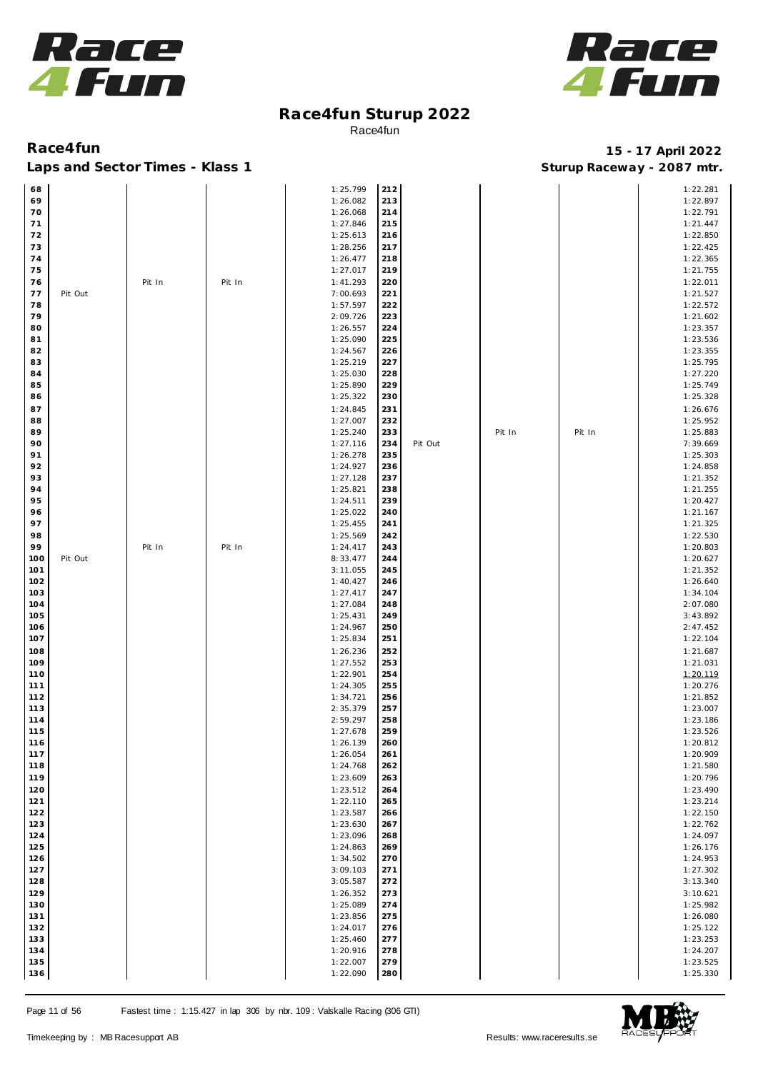



| 68         |         |        |        | 1:25.799             | 212        |         |        |        | 1:22.281             |
|------------|---------|--------|--------|----------------------|------------|---------|--------|--------|----------------------|
| 69         |         |        |        | 1:26.082             | 213        |         |        |        | 1:22.897             |
| 70         |         |        |        | 1:26.068             | 214        |         |        |        | 1:22.791             |
| 71         |         |        |        | 1:27.846             | 215        |         |        |        | 1:21.447             |
| 72         |         |        |        | 1:25.613             | 216        |         |        |        | 1:22.850             |
| 73         |         |        |        | 1:28.256             | 217        |         |        |        | 1:22.425             |
| 74         |         |        |        | 1:26.477             | 218        |         |        |        | 1:22.365             |
| 75         |         |        |        | 1:27.017             | 219        |         |        |        | 1:21.755             |
| 76         |         | Pit In | Pit In | 1:41.293             | 220        |         |        |        | 1:22.011             |
| 77<br>78   | Pit Out |        |        | 7:00.693<br>1:57.597 | 221<br>222 |         |        |        | 1:21.527<br>1:22.572 |
| 79         |         |        |        | 2:09.726             | 223        |         |        |        | 1:21.602             |
| 80         |         |        |        | 1:26.557             | 224        |         |        |        | 1:23.357             |
| 81         |         |        |        | 1:25.090             | 225        |         |        |        | 1:23.536             |
| 82         |         |        |        | 1:24.567             | 226        |         |        |        | 1:23.355             |
| 83         |         |        |        | 1:25.219             | 227        |         |        |        | 1:25.795             |
| 84         |         |        |        | 1:25.030             | 228        |         |        |        | 1:27.220             |
| 85         |         |        |        | 1:25.890             | 229        |         |        |        | 1:25.749             |
| 86         |         |        |        | 1:25.322             | 230        |         |        |        | 1:25.328             |
| 87         |         |        |        | 1:24.845             | 231        |         |        |        | 1:26.676             |
| 88         |         |        |        | 1:27.007             | 232        |         |        |        | 1:25.952             |
| 89         |         |        |        | 1:25.240             | 233        |         | Pit In | Pit In | 1:25.883             |
| 90<br>91   |         |        |        | 1:27.116             | 234        | Pit Out |        |        | 7:39.669             |
| 92         |         |        |        | 1:26.278<br>1:24.927 | 235<br>236 |         |        |        | 1:25.303<br>1:24.858 |
| 93         |         |        |        | 1:27.128             | 237        |         |        |        | 1:21.352             |
| 94         |         |        |        | 1:25.821             | 238        |         |        |        | 1:21.255             |
| 95         |         |        |        | 1:24.511             | 239        |         |        |        | 1:20.427             |
| 96         |         |        |        | 1:25.022             | 240        |         |        |        | 1:21.167             |
| 97         |         |        |        | 1:25.455             | 241        |         |        |        | 1:21.325             |
| 98         |         |        |        | 1:25.569             | 242        |         |        |        | 1:22.530             |
| 99         |         | Pit In | Pit In | 1:24.417             | 243        |         |        |        | 1:20.803             |
| 100        | Pit Out |        |        | 8:33.477             | 244        |         |        |        | 1:20.627             |
| 101        |         |        |        | 3:11.055             | 245        |         |        |        | 1:21.352             |
| 102        |         |        |        | 1:40.427             | 246        |         |        |        | 1:26.640             |
| 103<br>104 |         |        |        | 1:27.417<br>1:27.084 | 247<br>248 |         |        |        | 1:34.104<br>2:07.080 |
| 105        |         |        |        | 1:25.431             | 249        |         |        |        | 3:43.892             |
| 106        |         |        |        | 1:24.967             | 250        |         |        |        | 2:47.452             |
| 107        |         |        |        | 1:25.834             | 251        |         |        |        | 1:22.104             |
| 108        |         |        |        | 1:26.236             | 252        |         |        |        | 1:21.687             |
| 109        |         |        |        | 1:27.552             | 253        |         |        |        | 1:21.031             |
| 110        |         |        |        | 1:22.901             | 254        |         |        |        | 1:20.119             |
| 111        |         |        |        | 1:24.305             | 255        |         |        |        | 1:20.276             |
| 112        |         |        |        | 1:34.721             | 256        |         |        |        | 1:21.852             |
| 113        |         |        |        | 2:35.379             | 257        |         |        |        | 1:23.007             |
| 114        |         |        |        | 2:59.297             | 258        |         |        |        | 1:23.186             |
| 115        |         |        |        | 1:27.678             | 259        |         |        |        | 1:23.526             |
| 116<br>117 |         |        |        | 1:26.139<br>1:26.054 | 260<br>261 |         |        |        | 1:20.812<br>1:20.909 |
| 118        |         |        |        | 1:24.768             | 262        |         |        |        | 1:21.580             |
| 119        |         |        |        | 1:23.609             | 263        |         |        |        | 1:20.796             |
| 120        |         |        |        | 1:23.512             | 264        |         |        |        | 1:23.490             |
| 121        |         |        |        | 1:22.110             | 265        |         |        |        | 1:23.214             |
| 122        |         |        |        | 1:23.587             | 266        |         |        |        | 1:22.150             |
| 123        |         |        |        | 1:23.630             | 267        |         |        |        | 1:22.762             |
| 124        |         |        |        | 1:23.096             | 268        |         |        |        | 1:24.097             |
| 125        |         |        |        | 1:24.863             | 269        |         |        |        | 1:26.176             |
| 126        |         |        |        | 1:34.502             | 270        |         |        |        | 1:24.953             |
| 127        |         |        |        | 3:09.103             | 271        |         |        |        | 1:27.302             |
| 128        |         |        |        | 3:05.587             | 272        |         |        |        | 3:13.340             |
| 129<br>130 |         |        |        | 1:26.352<br>1:25.089 | 273<br>274 |         |        |        | 3:10.621<br>1:25.982 |
| 131        |         |        |        | 1:23.856             | 275        |         |        |        | 1:26.080             |
| 132        |         |        |        | 1:24.017             | 276        |         |        |        | 1:25.122             |
| 133        |         |        |        | 1:25.460             | 277        |         |        |        | 1:23.253             |
| 134        |         |        |        | 1:20.916             | 278        |         |        |        | 1:24.207             |
| 135        |         |        |        | 1:22.007             | 279        |         |        |        | 1:23.525             |
| 136        |         |        |        | 1:22.090             | 280        |         |        |        | 1:25.330             |

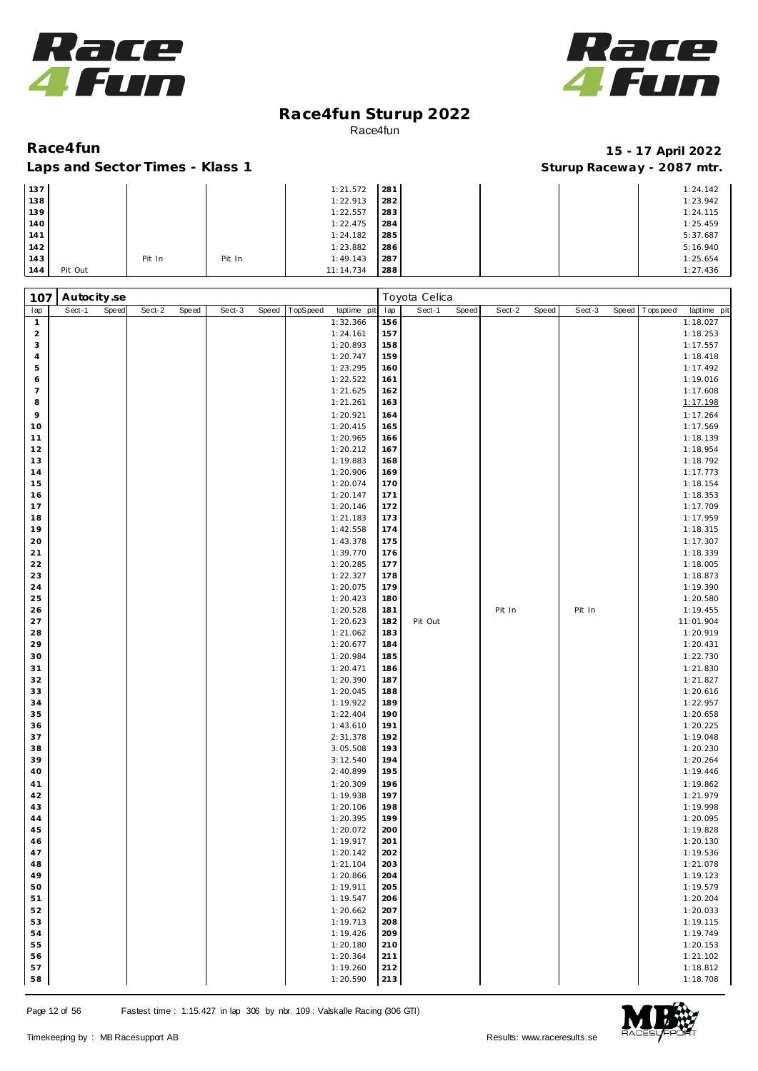



### Laps and Sector Times - Klass 1 **Sturies 1 Sturies 1 Sturies 1 8 and Sector Times - Klass 1 Sturies 1 and Section** 1 **Contrary** 1 **And Section** 1 **Contrary** 1 **Contrary** 1 **Contrary** 1 **Contrary 1 and 2007** must

| 137 |         |        |        | 1:21.572  | 281 |  | 1:24.142 |
|-----|---------|--------|--------|-----------|-----|--|----------|
| 138 |         |        |        | 1:22.913  | 282 |  | 1:23.942 |
| 139 |         |        |        | 1:22.557  | 283 |  | 1:24.115 |
| 140 |         |        |        | 1:22.475  | 284 |  | 1:25.459 |
| 141 |         |        |        | 1:24.182  | 285 |  | 5:37.687 |
| 142 |         |        |        | 1:23.882  | 286 |  | 5:16.940 |
| 143 |         | Pit In | Pit In | 1:49.143  | 287 |  | 1:25.654 |
| 144 | Pit Out |        |        | 11:14.734 | 288 |  | 1:27.436 |

| 107            | Autocity.se     |        |       |        |       |          |                      |            | Toyota Celica   |        |       |        |       |           |             |
|----------------|-----------------|--------|-------|--------|-------|----------|----------------------|------------|-----------------|--------|-------|--------|-------|-----------|-------------|
| lap            | Sect-1<br>Speed | Sect-2 | Speed | Sect-3 | Speed | TopSpeed | laptime pit          | lap        | Speed<br>Sect-1 | Sect-2 | Speed | Sect-3 | Speed | Tops peed | laptime pit |
| $\mathbf{1}$   |                 |        |       |        |       |          | 1:32.366             | 156        |                 |        |       |        |       |           | 1:18.027    |
| $\overline{a}$ |                 |        |       |        |       |          | 1:24.161             | 157        |                 |        |       |        |       |           | 1:18.253    |
| 3              |                 |        |       |        |       |          | 1:20.893             | 158        |                 |        |       |        |       |           | 1:17.557    |
| $\overline{4}$ |                 |        |       |        |       |          | 1:20.747             | 159        |                 |        |       |        |       |           | 1:18.418    |
| 5              |                 |        |       |        |       |          | 1:23.295             | 160        |                 |        |       |        |       |           | 1:17.492    |
| 6              |                 |        |       |        |       |          | 1:22.522             | 161        |                 |        |       |        |       |           | 1:19.016    |
| $\overline{7}$ |                 |        |       |        |       |          | 1:21.625             | 162        |                 |        |       |        |       |           | 1:17.608    |
| 8              |                 |        |       |        |       |          | 1:21.261             | 163        |                 |        |       |        |       |           | 1:17.198    |
| 9              |                 |        |       |        |       |          | 1:20.921             | 164        |                 |        |       |        |       |           | 1:17.264    |
| 10             |                 |        |       |        |       |          | 1:20.415             | 165        |                 |        |       |        |       |           | 1:17.569    |
| 11             |                 |        |       |        |       |          | 1:20.965             | 166        |                 |        |       |        |       |           | 1:18.139    |
| 12             |                 |        |       |        |       |          | 1:20.212             | 167        |                 |        |       |        |       |           | 1:18.954    |
| 13             |                 |        |       |        |       |          | 1:19.883             | 168        |                 |        |       |        |       |           | 1:18.792    |
| 14             |                 |        |       |        |       |          | 1:20.906             | 169        |                 |        |       |        |       |           | 1:17.773    |
| 15             |                 |        |       |        |       |          | 1:20.074             | 170        |                 |        |       |        |       |           | 1:18.154    |
| 16             |                 |        |       |        |       |          | 1:20.147             | 171        |                 |        |       |        |       |           | 1:18.353    |
| 17             |                 |        |       |        |       |          | 1:20.146             | 172        |                 |        |       |        |       |           | 1:17.709    |
| 18             |                 |        |       |        |       |          | 1:21.183             | 173        |                 |        |       |        |       |           | 1:17.959    |
| 19             |                 |        |       |        |       |          | 1:42.558             | 174        |                 |        |       |        |       |           | 1:18.315    |
| 20             |                 |        |       |        |       |          | 1:43.378             | 175        |                 |        |       |        |       |           | 1:17.307    |
| 21             |                 |        |       |        |       |          | 1:39.770             | 176        |                 |        |       |        |       |           | 1:18.339    |
| 22             |                 |        |       |        |       |          | 1:20.285             | 177        |                 |        |       |        |       |           | 1:18.005    |
| 23             |                 |        |       |        |       |          | 1:22.327             | 178        |                 |        |       |        |       |           | 1:18.873    |
| 24             |                 |        |       |        |       |          | 1:20.075             | 179        |                 |        |       |        |       |           | 1:19.390    |
| 25             |                 |        |       |        |       |          | 1:20.423             | 180        |                 |        |       |        |       |           | 1:20.580    |
| 26             |                 |        |       |        |       |          | 1:20.528             | 181        |                 | Pit In |       | Pit In |       |           | 1:19.455    |
| 27             |                 |        |       |        |       |          | 1:20.623             | 182        | Pit Out         |        |       |        |       |           | 11:01.904   |
| 28             |                 |        |       |        |       |          | 1:21.062             | 183        |                 |        |       |        |       |           | 1:20.919    |
| 29             |                 |        |       |        |       |          | 1:20.677             | 184        |                 |        |       |        |       |           | 1:20.431    |
| 30             |                 |        |       |        |       |          | 1:20.984             | 185        |                 |        |       |        |       |           | 1:22.730    |
| 31             |                 |        |       |        |       |          | 1:20.471             | 186        |                 |        |       |        |       |           | 1:21.830    |
| 32             |                 |        |       |        |       |          | 1:20.390             | 187        |                 |        |       |        |       |           | 1:21.827    |
| 33             |                 |        |       |        |       |          | 1:20.045             | 188        |                 |        |       |        |       |           | 1:20.616    |
| 34             |                 |        |       |        |       |          | 1:19.922             | 189        |                 |        |       |        |       |           | 1:22.957    |
| 35             |                 |        |       |        |       |          | 1:22.404             | 190        |                 |        |       |        |       |           | 1:20.658    |
| 36             |                 |        |       |        |       |          | 1:43.610             | 191        |                 |        |       |        |       |           | 1:20.225    |
| 37             |                 |        |       |        |       |          | 2:31.378             | 192        |                 |        |       |        |       |           | 1:19.048    |
| 38             |                 |        |       |        |       |          | 3:05.508             | 193        |                 |        |       |        |       |           | 1:20.230    |
| 39             |                 |        |       |        |       |          | 3:12.540             | 194        |                 |        |       |        |       |           | 1:20.264    |
| 40             |                 |        |       |        |       |          | 2:40.899             | 195        |                 |        |       |        |       |           | 1:19.446    |
| 41             |                 |        |       |        |       |          | 1:20.309             | 196        |                 |        |       |        |       |           | 1:19.862    |
| 42             |                 |        |       |        |       |          | 1:19.938             | 197        |                 |        |       |        |       |           | 1:21.979    |
| 43             |                 |        |       |        |       |          | 1:20.106             | 198        |                 |        |       |        |       |           | 1:19.998    |
| 44             |                 |        |       |        |       |          | 1:20.395             | 199        |                 |        |       |        |       |           | 1:20.095    |
| 45             |                 |        |       |        |       |          | 1:20.072             | 200        |                 |        |       |        |       |           | 1:19.828    |
| 46             |                 |        |       |        |       |          | 1:19.917             | 201        |                 |        |       |        |       |           | 1:20.130    |
| 47             |                 |        |       |        |       |          | 1:20.142             | 202        |                 |        |       |        |       |           | 1:19.536    |
| 48             |                 |        |       |        |       |          | 1:21.104             | 203        |                 |        |       |        |       |           | 1:21.078    |
| 49             |                 |        |       |        |       |          | 1:20.866             | 204        |                 |        |       |        |       |           | 1:19.123    |
| 50<br>51       |                 |        |       |        |       |          | 1:19.911<br>1:19.547 | 205<br>206 |                 |        |       |        |       |           | 1:19.579    |
|                |                 |        |       |        |       |          |                      |            |                 |        |       |        |       |           | 1:20.204    |
| 52             |                 |        |       |        |       |          | 1:20.662             | 207        |                 |        |       |        |       |           | 1:20.033    |
| 53             |                 |        |       |        |       |          | 1:19.713             | 208        |                 |        |       |        |       |           | 1:19.115    |
| 54             |                 |        |       |        |       |          | 1:19.426             | 209        |                 |        |       |        |       |           | 1:19.749    |
| 55             |                 |        |       |        |       |          | 1:20.180             | 210        |                 |        |       |        |       |           | 1:20.153    |
| 56             |                 |        |       |        |       |          | 1:20.364             | 211        |                 |        |       |        |       |           | 1:21.102    |
| 57             |                 |        |       |        |       |          | 1:19.260             | 212        |                 |        |       |        |       |           | 1:18.812    |
| 58             |                 |        |       |        |       |          | 1:20.590             | 213        |                 |        |       |        |       |           | 1:18.708    |

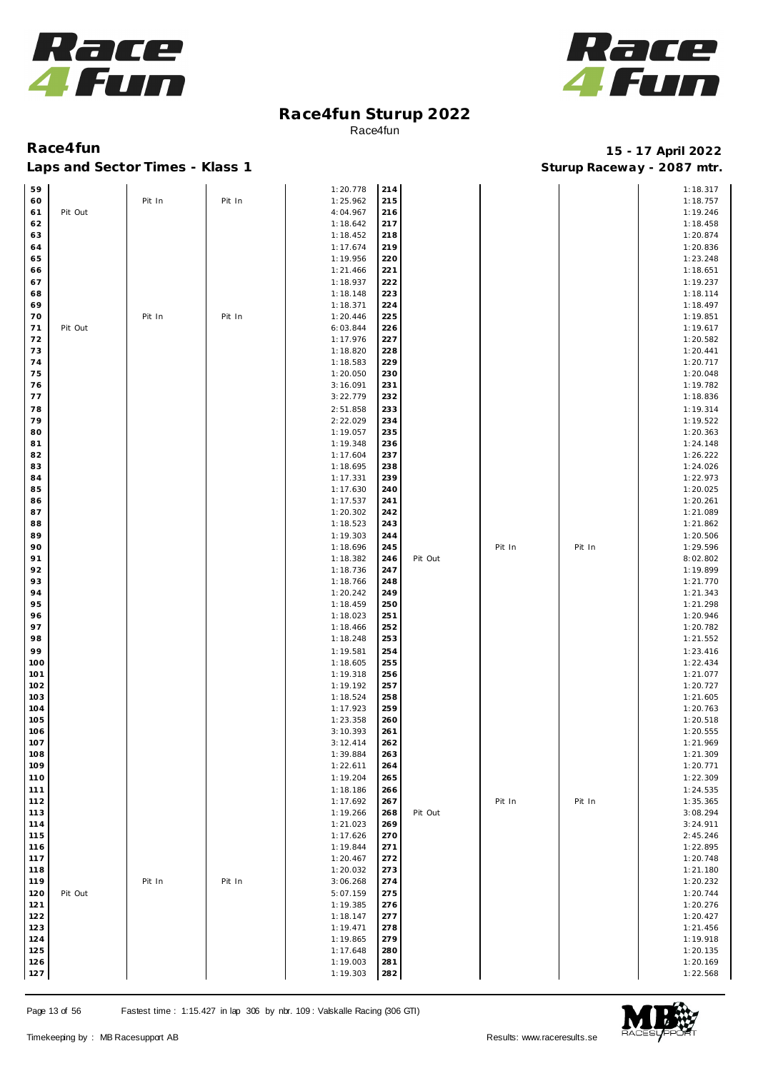



| 59  |         |        |        | 1:20.778 | 214 |         |        |        | 1:18.317 |
|-----|---------|--------|--------|----------|-----|---------|--------|--------|----------|
|     |         |        |        |          |     |         |        |        |          |
| 60  |         | Pit In | Pit In | 1:25.962 | 215 |         |        |        | 1:18.757 |
| 61  | Pit Out |        |        | 4:04.967 | 216 |         |        |        | 1:19.246 |
| 62  |         |        |        | 1:18.642 | 217 |         |        |        | 1:18.458 |
| 63  |         |        |        | 1:18.452 | 218 |         |        |        | 1:20.874 |
|     |         |        |        |          |     |         |        |        |          |
| 64  |         |        |        | 1:17.674 | 219 |         |        |        | 1:20.836 |
| 65  |         |        |        | 1:19.956 | 220 |         |        |        | 1:23.248 |
| 66  |         |        |        | 1:21.466 | 221 |         |        |        | 1:18.651 |
|     |         |        |        |          |     |         |        |        |          |
| 67  |         |        |        | 1:18.937 | 222 |         |        |        | 1:19.237 |
| 68  |         |        |        | 1:18.148 | 223 |         |        |        | 1:18.114 |
| 69  |         |        |        | 1:18.371 | 224 |         |        |        | 1:18.497 |
|     |         |        |        |          |     |         |        |        |          |
| 70  |         | Pit In | Pit In | 1:20.446 | 225 |         |        |        | 1:19.851 |
| 71  | Pit Out |        |        | 6:03.844 | 226 |         |        |        | 1:19.617 |
| 72  |         |        |        | 1:17.976 | 227 |         |        |        | 1:20.582 |
|     |         |        |        |          |     |         |        |        |          |
| 73  |         |        |        | 1:18.820 | 228 |         |        |        | 1:20.441 |
| 74  |         |        |        | 1:18.583 | 229 |         |        |        | 1:20.717 |
| 75  |         |        |        | 1:20.050 | 230 |         |        |        | 1:20.048 |
|     |         |        |        |          |     |         |        |        |          |
| 76  |         |        |        | 3:16.091 | 231 |         |        |        | 1:19.782 |
| 77  |         |        |        | 3:22.779 | 232 |         |        |        | 1:18.836 |
| 78  |         |        |        | 2:51.858 | 233 |         |        |        | 1:19.314 |
|     |         |        |        |          |     |         |        |        |          |
| 79  |         |        |        | 2:22.029 | 234 |         |        |        | 1:19.522 |
| 80  |         |        |        | 1:19.057 | 235 |         |        |        | 1:20.363 |
| 81  |         |        |        | 1:19.348 | 236 |         |        |        | 1:24.148 |
| 82  |         |        |        | 1:17.604 | 237 |         |        |        | 1:26.222 |
|     |         |        |        |          |     |         |        |        |          |
| 83  |         |        |        | 1:18.695 | 238 |         |        |        | 1:24.026 |
| 84  |         |        |        | 1:17.331 | 239 |         |        |        | 1:22.973 |
| 85  |         |        |        | 1:17.630 | 240 |         |        |        | 1:20.025 |
|     |         |        |        |          |     |         |        |        |          |
| 86  |         |        |        | 1:17.537 | 241 |         |        |        | 1:20.261 |
| 87  |         |        |        | 1:20.302 | 242 |         |        |        | 1:21.089 |
| 88  |         |        |        | 1:18.523 | 243 |         |        |        | 1:21.862 |
|     |         |        |        |          |     |         |        |        |          |
| 89  |         |        |        | 1:19.303 | 244 |         |        |        | 1:20.506 |
| 90  |         |        |        | 1:18.696 | 245 |         | Pit In | Pit In | 1:29.596 |
| 91  |         |        |        | 1:18.382 | 246 | Pit Out |        |        | 8:02.802 |
| 92  |         |        |        |          |     |         |        |        |          |
|     |         |        |        | 1:18.736 | 247 |         |        |        | 1:19.899 |
| 93  |         |        |        | 1:18.766 | 248 |         |        |        | 1:21.770 |
| 94  |         |        |        | 1:20.242 | 249 |         |        |        | 1:21.343 |
| 95  |         |        |        | 1:18.459 | 250 |         |        |        | 1:21.298 |
|     |         |        |        |          |     |         |        |        |          |
| 96  |         |        |        | 1:18.023 | 251 |         |        |        | 1:20.946 |
| 97  |         |        |        | 1:18.466 | 252 |         |        |        | 1:20.782 |
| 98  |         |        |        | 1:18.248 | 253 |         |        |        | 1:21.552 |
|     |         |        |        |          |     |         |        |        |          |
| 99  |         |        |        | 1:19.581 | 254 |         |        |        | 1:23.416 |
| 100 |         |        |        | 1:18.605 | 255 |         |        |        | 1:22.434 |
| 101 |         |        |        | 1:19.318 | 256 |         |        |        | 1:21.077 |
|     |         |        |        |          |     |         |        |        |          |
| 102 |         |        |        | 1:19.192 | 257 |         |        |        | 1:20.727 |
| 103 |         |        |        | 1:18.524 | 258 |         |        |        | 1:21.605 |
| 104 |         |        |        | 1:17.923 | 259 |         |        |        | 1:20.763 |
| 105 |         |        |        | 1:23.358 | 260 |         |        |        | 1:20.518 |
|     |         |        |        |          |     |         |        |        |          |
| 106 |         |        |        | 3:10.393 | 261 |         |        |        | 1:20.555 |
| 107 |         |        |        | 3:12.414 | 262 |         |        |        | 1:21.969 |
| 108 |         |        |        | 1:39.884 | 263 |         |        |        | 1:21.309 |
|     |         |        |        |          |     |         |        |        |          |
| 109 |         |        |        | 1:22.611 | 264 |         |        |        | 1:20.771 |
| 110 |         |        |        | 1:19.204 | 265 |         |        |        | 1:22.309 |
| 111 |         |        |        | 1:18.186 | 266 |         |        |        | 1:24.535 |
|     |         |        |        |          |     |         |        |        |          |
| 112 |         |        |        | 1:17.692 | 267 |         | Pit In | Pit In | 1:35.365 |
| 113 |         |        |        | 1:19.266 | 268 | Pit Out |        |        | 3:08.294 |
| 114 |         |        |        | 1:21.023 | 269 |         |        |        | 3:24.911 |
| 115 |         |        |        | 1:17.626 | 270 |         |        |        | 2:45.246 |
|     |         |        |        |          |     |         |        |        |          |
| 116 |         |        |        | 1:19.844 | 271 |         |        |        | 1:22.895 |
| 117 |         |        |        | 1:20.467 | 272 |         |        |        | 1:20.748 |
| 118 |         |        |        | 1:20.032 | 273 |         |        |        | 1:21.180 |
|     |         |        |        |          |     |         |        |        |          |
| 119 |         | Pit In | Pit In | 3:06.268 | 274 |         |        |        | 1:20.232 |
| 120 | Pit Out |        |        | 5:07.159 | 275 |         |        |        | 1:20.744 |
| 121 |         |        |        | 1:19.385 | 276 |         |        |        | 1:20.276 |
|     |         |        |        |          |     |         |        |        |          |
| 122 |         |        |        | 1:18.147 | 277 |         |        |        | 1:20.427 |
| 123 |         |        |        | 1:19.471 | 278 |         |        |        | 1:21.456 |
| 124 |         |        |        | 1:19.865 | 279 |         |        |        | 1:19.918 |
|     |         |        |        |          |     |         |        |        |          |
| 125 |         |        |        | 1:17.648 | 280 |         |        |        | 1:20.135 |
| 126 |         |        |        | 1:19.003 | 281 |         |        |        | 1:20.169 |
| 127 |         |        |        | 1:19.303 | 282 |         |        |        | 1:22.568 |

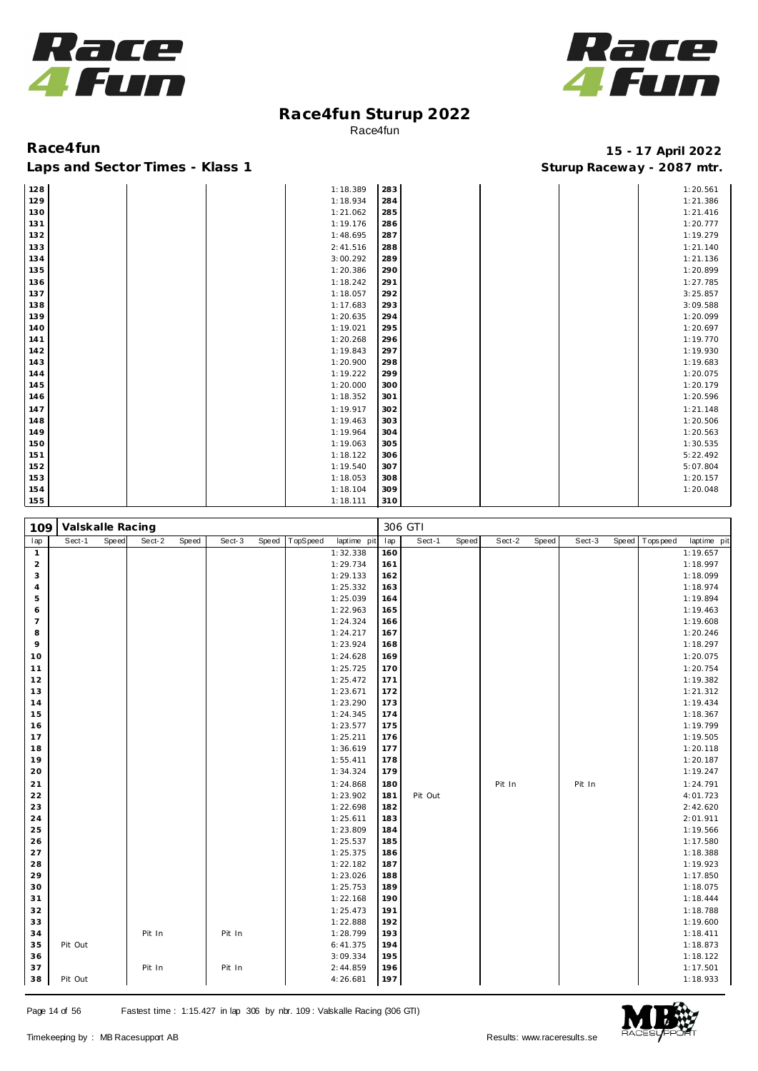



| 128 |  | 1:18.389 | 283 |  | 1:20.561 |
|-----|--|----------|-----|--|----------|
| 129 |  | 1:18.934 | 284 |  | 1:21.386 |
| 130 |  | 1:21.062 | 285 |  | 1:21.416 |
| 131 |  | 1:19.176 | 286 |  | 1:20.777 |
| 132 |  | 1:48.695 | 287 |  | 1:19.279 |
| 133 |  | 2:41.516 | 288 |  | 1:21.140 |
| 134 |  | 3:00.292 | 289 |  | 1:21.136 |
| 135 |  | 1:20.386 | 290 |  | 1:20.899 |
| 136 |  | 1:18.242 | 291 |  | 1:27.785 |
| 137 |  | 1:18.057 | 292 |  | 3:25.857 |
| 138 |  | 1:17.683 | 293 |  | 3:09.588 |
| 139 |  | 1:20.635 | 294 |  | 1:20.099 |
| 140 |  | 1:19.021 | 295 |  | 1:20.697 |
| 141 |  | 1:20.268 | 296 |  | 1:19.770 |
| 142 |  | 1:19.843 | 297 |  | 1:19.930 |
| 143 |  | 1:20.900 | 298 |  | 1:19.683 |
| 144 |  | 1:19.222 | 299 |  | 1:20.075 |
| 145 |  | 1:20.000 | 300 |  | 1:20.179 |
| 146 |  | 1:18.352 | 301 |  | 1:20.596 |
| 147 |  | 1:19.917 | 302 |  | 1:21.148 |
| 148 |  | 1:19.463 | 303 |  | 1:20.506 |
| 149 |  | 1:19.964 | 304 |  | 1:20.563 |
| 150 |  | 1:19.063 | 305 |  | 1:30.535 |
| 151 |  | 1:18.122 | 306 |  | 5:22.492 |
| 152 |  | 1:19.540 | 307 |  | 5:07.804 |
| 153 |  | 1:18.053 | 308 |  | 1:20.157 |
| 154 |  | 1:18.104 | 309 |  | 1:20.048 |
| 155 |  | 1:18.111 | 310 |  |          |

| 109            | Valskalle Racing |       |        |       |        |       |          |                      |            | 306 GTI |       |        |       |        |       |          |                      |
|----------------|------------------|-------|--------|-------|--------|-------|----------|----------------------|------------|---------|-------|--------|-------|--------|-------|----------|----------------------|
| lap            | Sect-1           | Speed | Sect-2 | Speed | Sect-3 | Speed | TopSpeed | laptime pit          | lap        | Sect-1  | Speed | Sect-2 | Speed | Sect-3 | Speed | Topspeed | laptime pit          |
| $\mathbf{1}$   |                  |       |        |       |        |       |          | 1:32.338             | 160        |         |       |        |       |        |       |          | 1:19.657             |
| $\overline{2}$ |                  |       |        |       |        |       |          | 1:29.734             | 161        |         |       |        |       |        |       |          | 1:18.997             |
| 3              |                  |       |        |       |        |       |          | 1:29.133             | 162        |         |       |        |       |        |       |          | 1:18.099             |
| $\overline{4}$ |                  |       |        |       |        |       |          | 1:25.332             | 163        |         |       |        |       |        |       |          | 1:18.974             |
| 5              |                  |       |        |       |        |       |          | 1:25.039             | 164        |         |       |        |       |        |       |          | 1:19.894             |
| 6              |                  |       |        |       |        |       |          | 1:22.963             | 165        |         |       |        |       |        |       |          | 1:19.463             |
| $\overline{7}$ |                  |       |        |       |        |       |          | 1:24.324             | 166        |         |       |        |       |        |       |          | 1:19.608             |
| 8              |                  |       |        |       |        |       |          | 1:24.217             | 167        |         |       |        |       |        |       |          | 1:20.246             |
| 9              |                  |       |        |       |        |       |          | 1:23.924             | 168        |         |       |        |       |        |       |          | 1:18.297             |
| 10             |                  |       |        |       |        |       |          | 1:24.628             | 169        |         |       |        |       |        |       |          | 1:20.075             |
| 11             |                  |       |        |       |        |       |          | 1:25.725             | 170        |         |       |        |       |        |       |          | 1:20.754             |
| 12             |                  |       |        |       |        |       |          | 1:25.472             | 171        |         |       |        |       |        |       |          | 1:19.382             |
| 13             |                  |       |        |       |        |       |          | 1:23.671             | 172        |         |       |        |       |        |       |          | 1:21.312             |
| 14             |                  |       |        |       |        |       |          | 1:23.290             | 173        |         |       |        |       |        |       |          | 1:19.434             |
| 15             |                  |       |        |       |        |       |          | 1:24.345             | 174        |         |       |        |       |        |       |          | 1:18.367             |
| 16             |                  |       |        |       |        |       |          | 1:23.577             | 175        |         |       |        |       |        |       |          | 1:19.799             |
| 17             |                  |       |        |       |        |       |          | 1:25.211             | 176        |         |       |        |       |        |       |          | 1:19.505             |
| 18             |                  |       |        |       |        |       |          | 1:36.619             | 177        |         |       |        |       |        |       |          | 1:20.118             |
| 19             |                  |       |        |       |        |       |          | 1:55.411             | 178        |         |       |        |       |        |       |          | 1:20.187             |
| 20             |                  |       |        |       |        |       |          | 1:34.324             | 179        |         |       |        |       |        |       |          | 1:19.247             |
| 21             |                  |       |        |       |        |       |          | 1:24.868             | 180        |         |       | Pit In |       | Pit In |       |          | 1:24.791             |
| 22             |                  |       |        |       |        |       |          | 1:23.902             | 181        | Pit Out |       |        |       |        |       |          | 4:01.723             |
| 23             |                  |       |        |       |        |       |          | 1:22.698             | 182        |         |       |        |       |        |       |          | 2:42.620             |
| 24             |                  |       |        |       |        |       |          | 1:25.611             | 183        |         |       |        |       |        |       |          | 2:01.911             |
| 25             |                  |       |        |       |        |       |          | 1:23.809             | 184        |         |       |        |       |        |       |          | 1:19.566             |
| 26             |                  |       |        |       |        |       |          | 1:25.537             | 185        |         |       |        |       |        |       |          | 1:17.580             |
| 27             |                  |       |        |       |        |       |          | 1:25.375             | 186        |         |       |        |       |        |       |          | 1:18.388             |
| 28             |                  |       |        |       |        |       |          | 1:22.182             | 187        |         |       |        |       |        |       |          | 1:19.923             |
| 29             |                  |       |        |       |        |       |          | 1:23.026<br>1:25.753 | 188<br>189 |         |       |        |       |        |       |          | 1:17.850             |
| 30<br>31       |                  |       |        |       |        |       |          | 1:22.168             | 190        |         |       |        |       |        |       |          | 1:18.075<br>1:18.444 |
|                |                  |       |        |       |        |       |          |                      |            |         |       |        |       |        |       |          |                      |
| 32             |                  |       |        |       |        |       |          | 1:25.473             | 191        |         |       |        |       |        |       |          | 1:18.788             |
| 33<br>34       |                  |       | Pit In |       | Pit In |       |          | 1:22.888<br>1:28.799 | 192<br>193 |         |       |        |       |        |       |          | 1:19.600<br>1:18.411 |
| 35             | Pit Out          |       |        |       |        |       |          | 6: 41.375            | 194        |         |       |        |       |        |       |          | 1:18.873             |
| 36             |                  |       |        |       |        |       |          | 3:09.334             | 195        |         |       |        |       |        |       |          | 1:18.122             |
| 37             |                  |       | Pit In |       | Pit In |       |          | 2:44.859             | 196        |         |       |        |       |        |       |          | 1:17.501             |
|                |                  |       |        |       |        |       |          |                      | 197        |         |       |        |       |        |       |          |                      |
| 38             | Pit Out          |       |        |       |        |       |          | 4:26.681             |            |         |       |        |       |        |       |          | 1:18.933             |

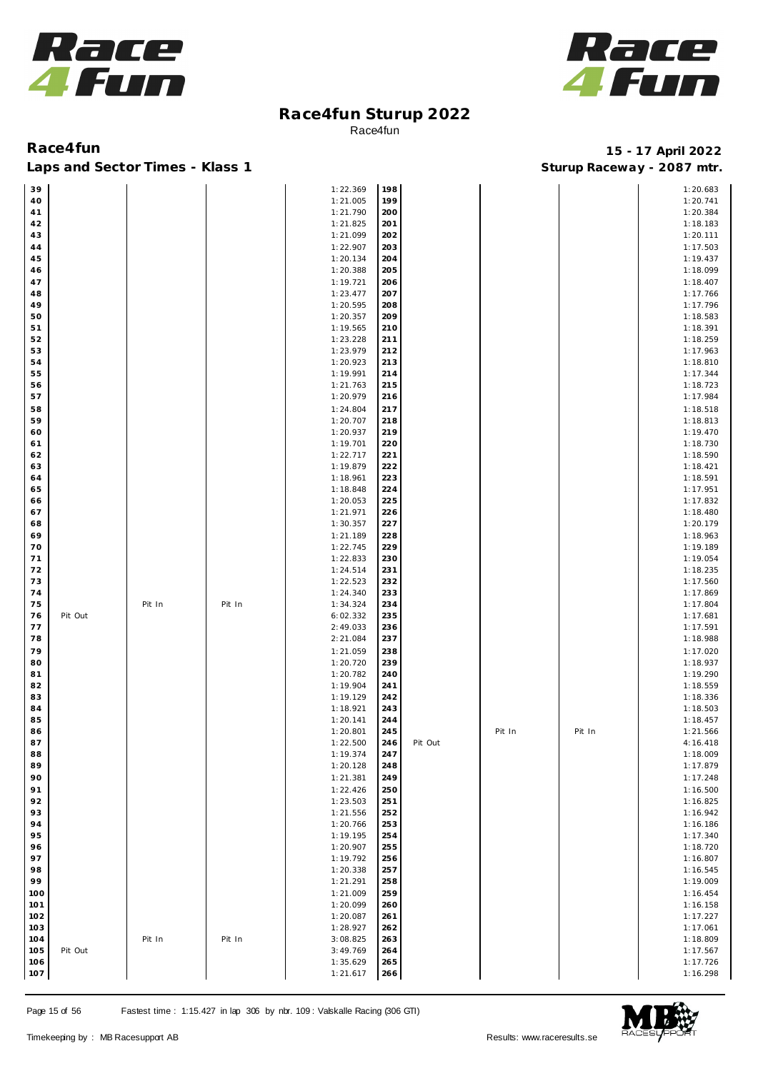



Laps and Sector Times - Klass 1 **Sturies 1 Sturies 1 Sturies 1 8 and Sector Times - Klass 1 Sturies 1 and Section** 1 **Contrary** 1 **And Section** 1 **Contrary** 1 **Contrary** 1 **Contrary** 1 **Contrary 1 and 2007** must

| 39  |         |        |        | 1:22.369 | 198 |         |        |        | 1:20.683 |
|-----|---------|--------|--------|----------|-----|---------|--------|--------|----------|
| 40  |         |        |        | 1:21.005 | 199 |         |        |        | 1:20.741 |
| 41  |         |        |        | 1:21.790 | 200 |         |        |        | 1:20.384 |
| 42  |         |        |        | 1:21.825 | 201 |         |        |        | 1:18.183 |
|     |         |        |        |          |     |         |        |        |          |
| 43  |         |        |        | 1:21.099 | 202 |         |        |        | 1:20.111 |
| 44  |         |        |        | 1:22.907 | 203 |         |        |        | 1:17.503 |
| 45  |         |        |        | 1:20.134 | 204 |         |        |        | 1:19.437 |
| 46  |         |        |        | 1:20.388 | 205 |         |        |        | 1:18.099 |
|     |         |        |        |          |     |         |        |        |          |
| 47  |         |        |        | 1:19.721 | 206 |         |        |        | 1:18.407 |
| 48  |         |        |        | 1:23.477 | 207 |         |        |        | 1:17.766 |
| 49  |         |        |        | 1:20.595 | 208 |         |        |        | 1:17.796 |
| 50  |         |        |        | 1:20.357 | 209 |         |        |        | 1:18.583 |
| 51  |         |        |        | 1:19.565 | 210 |         |        |        | 1:18.391 |
|     |         |        |        |          |     |         |        |        |          |
| 52  |         |        |        | 1:23.228 | 211 |         |        |        | 1:18.259 |
| 53  |         |        |        | 1:23.979 | 212 |         |        |        | 1:17.963 |
| 54  |         |        |        | 1:20.923 | 213 |         |        |        | 1:18.810 |
| 55  |         |        |        | 1:19.991 | 214 |         |        |        | 1:17.344 |
| 56  |         |        |        | 1:21.763 | 215 |         |        |        | 1:18.723 |
|     |         |        |        |          |     |         |        |        |          |
| 57  |         |        |        | 1:20.979 | 216 |         |        |        | 1:17.984 |
| 58  |         |        |        | 1:24.804 | 217 |         |        |        | 1:18.518 |
| 59  |         |        |        | 1:20.707 | 218 |         |        |        | 1:18.813 |
| 60  |         |        |        | 1:20.937 | 219 |         |        |        | 1:19.470 |
| 61  |         |        |        | 1:19.701 | 220 |         |        |        | 1:18.730 |
|     |         |        |        |          |     |         |        |        |          |
| 62  |         |        |        | 1:22.717 | 221 |         |        |        | 1:18.590 |
| 63  |         |        |        | 1:19.879 | 222 |         |        |        | 1:18.421 |
| 64  |         |        |        | 1:18.961 | 223 |         |        |        | 1:18.591 |
| 65  |         |        |        | 1:18.848 | 224 |         |        |        | 1:17.951 |
|     |         |        |        |          |     |         |        |        | 1:17.832 |
| 66  |         |        |        | 1:20.053 | 225 |         |        |        |          |
| 67  |         |        |        | 1:21.971 | 226 |         |        |        | 1:18.480 |
| 68  |         |        |        | 1:30.357 | 227 |         |        |        | 1:20.179 |
| 69  |         |        |        | 1:21.189 | 228 |         |        |        | 1:18.963 |
| 70  |         |        |        | 1:22.745 | 229 |         |        |        | 1:19.189 |
|     |         |        |        |          |     |         |        |        |          |
| 71  |         |        |        | 1:22.833 | 230 |         |        |        | 1:19.054 |
| 72  |         |        |        | 1:24.514 | 231 |         |        |        | 1:18.235 |
| 73  |         |        |        | 1:22.523 | 232 |         |        |        | 1:17.560 |
| 74  |         |        |        | 1:24.340 | 233 |         |        |        | 1:17.869 |
| 75  |         | Pit In | Pit In | 1:34.324 | 234 |         |        |        | 1:17.804 |
|     |         |        |        |          |     |         |        |        |          |
| 76  | Pit Out |        |        | 6:02.332 | 235 |         |        |        | 1:17.681 |
| 77  |         |        |        | 2:49.033 | 236 |         |        |        | 1:17.591 |
| 78  |         |        |        | 2:21.084 | 237 |         |        |        | 1:18.988 |
| 79  |         |        |        | 1:21.059 | 238 |         |        |        | 1:17.020 |
| 80  |         |        |        | 1:20.720 | 239 |         |        |        | 1:18.937 |
|     |         |        |        |          |     |         |        |        |          |
| 81  |         |        |        | 1:20.782 | 240 |         |        |        | 1:19.290 |
| 82  |         |        |        | 1:19.904 | 241 |         |        |        | 1:18.559 |
| 83  |         |        |        | 1:19.129 | 242 |         |        |        | 1:18.336 |
| 84  |         |        |        | 1:18.921 | 243 |         |        |        | 1:18.503 |
| 85  |         |        |        | 1:20.141 | 244 |         |        |        | 1:18.457 |
|     |         |        |        |          |     |         |        |        |          |
| 86  |         |        |        | 1:20.801 | 245 |         | Pit In | Pit In | 1:21.566 |
| 87  |         |        |        | 1:22.500 | 246 | Pit Out |        |        | 4:16.418 |
| 88  |         |        |        | 1:19.374 | 247 |         |        |        | 1:18.009 |
| 89  |         |        |        | 1:20.128 | 248 |         |        |        | 1:17.879 |
| 90  |         |        |        | 1:21.381 | 249 |         |        |        | 1:17.248 |
|     |         |        |        |          |     |         |        |        |          |
| 91  |         |        |        | 1:22.426 | 250 |         |        |        | 1:16.500 |
| 92  |         |        |        | 1:23.503 | 251 |         |        |        | 1:16.825 |
| 93  |         |        |        | 1:21.556 | 252 |         |        |        | 1:16.942 |
| 94  |         |        |        | 1:20.766 | 253 |         |        |        | 1:16.186 |
| 95  |         |        |        | 1:19.195 | 254 |         |        |        | 1:17.340 |
|     |         |        |        |          |     |         |        |        |          |
| 96  |         |        |        | 1:20.907 | 255 |         |        |        | 1:18.720 |
| 97  |         |        |        | 1:19.792 | 256 |         |        |        | 1:16.807 |
| 98  |         |        |        | 1:20.338 | 257 |         |        |        | 1:16.545 |
| 99  |         |        |        | 1:21.291 | 258 |         |        |        | 1:19.009 |
|     |         |        |        |          |     |         |        |        |          |
| 100 |         |        |        | 1:21.009 | 259 |         |        |        | 1:16.454 |
| 101 |         |        |        | 1:20.099 | 260 |         |        |        | 1:16.158 |
| 102 |         |        |        | 1:20.087 | 261 |         |        |        | 1:17.227 |
| 103 |         |        |        | 1:28.927 | 262 |         |        |        | 1:17.061 |
| 104 |         | Pit In | Pit In | 3:08.825 | 263 |         |        |        | 1:18.809 |
|     |         |        |        |          |     |         |        |        |          |
| 105 | Pit Out |        |        | 3:49.769 | 264 |         |        |        | 1:17.567 |
| 106 |         |        |        | 1:35.629 | 265 |         |        |        | 1:17.726 |
| 107 |         |        |        | 1:21.617 | 266 |         |        |        | 1:16.298 |

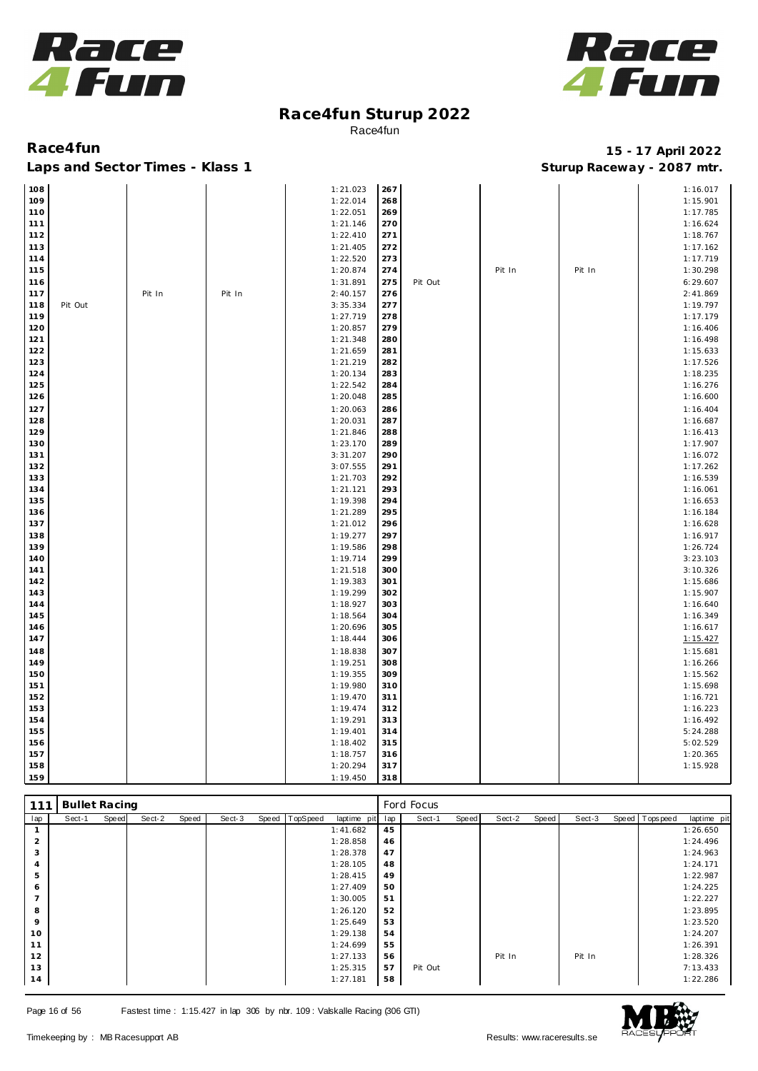



### Laps and Sector Times - Klass 1 **Sturies 1 Sturies 1 Sturies 1 8 and Sector Times - Klass 1 Sturies 1 and Section** 1 **Contrary** 1 **And Section** 1 **Contrary** 1 **Contrary** 1 **Contrary** 1 **Contrary 1 and 2007** must

| 108 |         |        |        | 1:21.023 | 267 |         |        |        | 1:16.017 |
|-----|---------|--------|--------|----------|-----|---------|--------|--------|----------|
| 109 |         |        |        | 1:22.014 | 268 |         |        |        | 1:15.901 |
| 110 |         |        |        | 1:22.051 | 269 |         |        |        | 1:17.785 |
| 111 |         |        |        | 1:21.146 | 270 |         |        |        | 1:16.624 |
| 112 |         |        |        | 1:22.410 | 271 |         |        |        | 1:18.767 |
| 113 |         |        |        | 1:21.405 | 272 |         |        |        | 1:17.162 |
| 114 |         |        |        | 1:22.520 | 273 |         |        |        | 1:17.719 |
| 115 |         |        |        | 1:20.874 | 274 |         | Pit In | Pit In | 1:30.298 |
| 116 |         |        |        | 1:31.891 | 275 | Pit Out |        |        | 6:29.607 |
| 117 |         | Pit In | Pit In | 2:40.157 | 276 |         |        |        | 2:41.869 |
| 118 | Pit Out |        |        | 3:35.334 | 277 |         |        |        | 1:19.797 |
| 119 |         |        |        | 1:27.719 | 278 |         |        |        | 1:17.179 |
| 120 |         |        |        | 1:20.857 | 279 |         |        |        | 1:16.406 |
| 121 |         |        |        | 1:21.348 | 280 |         |        |        | 1:16.498 |
| 122 |         |        |        | 1:21.659 | 281 |         |        |        | 1:15.633 |
| 123 |         |        |        | 1:21.219 | 282 |         |        |        | 1:17.526 |
| 124 |         |        |        | 1:20.134 | 283 |         |        |        | 1:18.235 |
| 125 |         |        |        | 1:22.542 | 284 |         |        |        | 1:16.276 |
| 126 |         |        |        | 1:20.048 | 285 |         |        |        | 1:16.600 |
| 127 |         |        |        | 1:20.063 | 286 |         |        |        | 1:16.404 |
| 128 |         |        |        | 1:20.031 | 287 |         |        |        | 1:16.687 |
| 129 |         |        |        | 1:21.846 | 288 |         |        |        | 1:16.413 |
| 130 |         |        |        | 1:23.170 | 289 |         |        |        | 1:17.907 |
| 131 |         |        |        | 3:31.207 | 290 |         |        |        | 1:16.072 |
| 132 |         |        |        | 3:07.555 | 291 |         |        |        | 1:17.262 |
| 133 |         |        |        | 1:21.703 | 292 |         |        |        | 1:16.539 |
| 134 |         |        |        | 1:21.121 | 293 |         |        |        | 1:16.061 |
| 135 |         |        |        | 1:19.398 | 294 |         |        |        | 1:16.653 |
| 136 |         |        |        | 1:21.289 | 295 |         |        |        | 1:16.184 |
| 137 |         |        |        | 1:21.012 | 296 |         |        |        | 1:16.628 |
| 138 |         |        |        | 1:19.277 | 297 |         |        |        | 1:16.917 |
| 139 |         |        |        | 1:19.586 | 298 |         |        |        | 1:26.724 |
| 140 |         |        |        | 1:19.714 | 299 |         |        |        | 3:23.103 |
| 141 |         |        |        | 1:21.518 | 300 |         |        |        | 3:10.326 |
| 142 |         |        |        | 1:19.383 | 301 |         |        |        | 1:15.686 |
| 143 |         |        |        | 1:19.299 | 302 |         |        |        | 1:15.907 |
| 144 |         |        |        | 1:18.927 | 303 |         |        |        | 1:16.640 |
| 145 |         |        |        | 1:18.564 | 304 |         |        |        | 1:16.349 |
| 146 |         |        |        | 1:20.696 | 305 |         |        |        | 1:16.617 |
| 147 |         |        |        | 1:18.444 | 306 |         |        |        | 1:15.427 |
| 148 |         |        |        | 1:18.838 | 307 |         |        |        | 1:15.681 |
| 149 |         |        |        | 1:19.251 | 308 |         |        |        | 1:16.266 |
| 150 |         |        |        | 1:19.355 | 309 |         |        |        | 1:15.562 |
| 151 |         |        |        | 1:19.980 | 310 |         |        |        | 1:15.698 |
| 152 |         |        |        | 1:19.470 | 311 |         |        |        | 1:16.721 |
| 153 |         |        |        | 1:19.474 | 312 |         |        |        | 1:16.223 |
| 154 |         |        |        | 1:19.291 | 313 |         |        |        | 1:16.492 |
| 155 |         |        |        | 1:19.401 | 314 |         |        |        | 5:24.288 |
| 156 |         |        |        | 1:18.402 | 315 |         |        |        | 5:02.529 |
| 157 |         |        |        | 1:18.757 | 316 |         |        |        | 1:20.365 |
| 158 |         |        |        | 1:20.294 | 317 |         |        |        | 1:15.928 |
| 159 |         |        |        | 1:19.450 | 318 |         |        |        |          |

| 111            | <b>Bullet Racing</b> |       |        |       |        |                |             |     | Ford Focus |       |        |       |        |                |             |
|----------------|----------------------|-------|--------|-------|--------|----------------|-------------|-----|------------|-------|--------|-------|--------|----------------|-------------|
| lap            | Sect-1               | Speed | Sect-2 | Speed | Sect-3 | Speed TopSpeed | laptime pit | lap | Sect-1     | Speed | Sect-2 | Speed | Sect-3 | Speed Topspeed | laptime pit |
|                |                      |       |        |       |        |                | 1:41.682    | 45  |            |       |        |       |        |                | 1:26.650    |
| 2              |                      |       |        |       |        |                | 1:28.858    | 46  |            |       |        |       |        |                | 1:24.496    |
| 3              |                      |       |        |       |        |                | 1:28.378    | 47  |            |       |        |       |        |                | 1:24.963    |
| 4              |                      |       |        |       |        |                | 1:28.105    | 48  |            |       |        |       |        |                | 1:24.171    |
| 5              |                      |       |        |       |        |                | 1:28.415    | 49  |            |       |        |       |        |                | 1:22.987    |
| 6              |                      |       |        |       |        |                | 1:27.409    | 50  |            |       |        |       |        |                | 1:24.225    |
| $\overline{ }$ |                      |       |        |       |        |                | 1:30.005    | 51  |            |       |        |       |        |                | 1:22.227    |
| 8              |                      |       |        |       |        |                | 1:26.120    | 52  |            |       |        |       |        |                | 1:23.895    |
| 9              |                      |       |        |       |        |                | 1:25.649    | 53  |            |       |        |       |        |                | 1:23.520    |
| 10             |                      |       |        |       |        |                | 1:29.138    | 54  |            |       |        |       |        |                | 1:24.207    |
| 11             |                      |       |        |       |        |                | 1:24.699    | 55  |            |       |        |       |        |                | 1:26.391    |
| 12             |                      |       |        |       |        |                | 1:27.133    | 56  |            |       | Pit In |       | Pit In |                | 1:28.326    |
| 13             |                      |       |        |       |        |                | 1:25.315    | 57  | Pit Out    |       |        |       |        |                | 7:13.433    |
| 14             |                      |       |        |       |        |                | 1:27.181    | 58  |            |       |        |       |        |                | 1:22.286    |

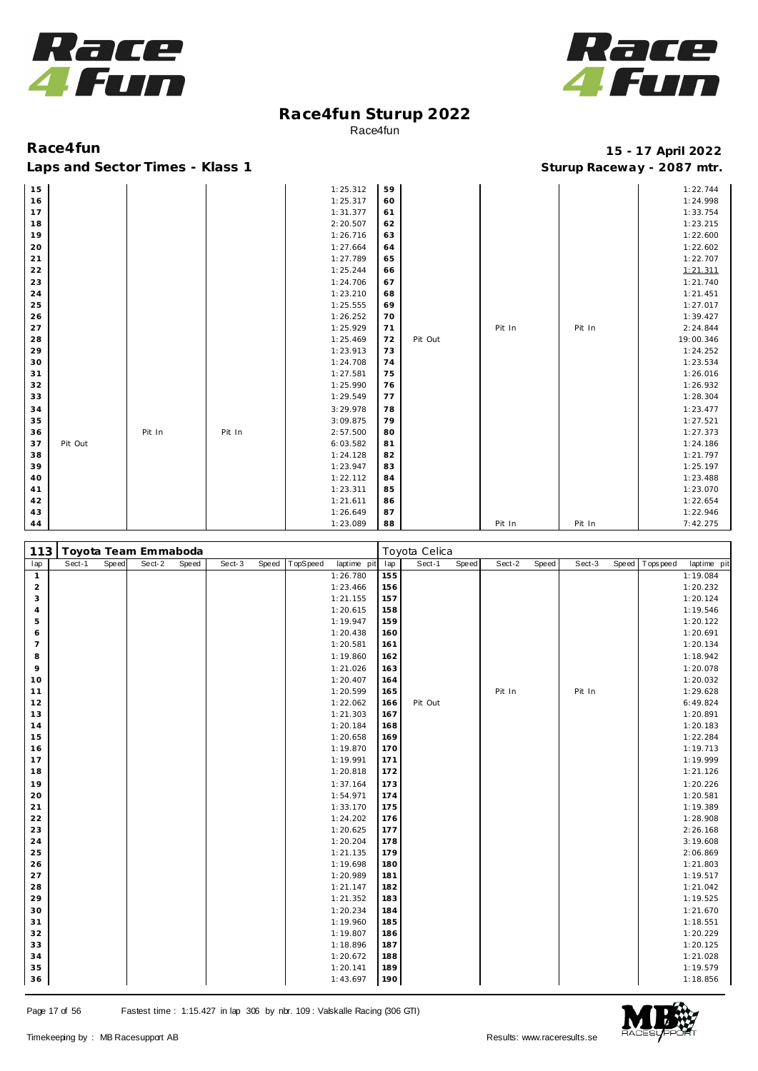



| 15 |         |        |        | 1:25.312 | 59 |         |        |        | 1:22.744  |
|----|---------|--------|--------|----------|----|---------|--------|--------|-----------|
| 16 |         |        |        | 1:25.317 | 60 |         |        |        | 1:24.998  |
| 17 |         |        |        | 1:31.377 | 61 |         |        |        | 1:33.754  |
| 18 |         |        |        | 2:20.507 | 62 |         |        |        | 1:23.215  |
| 19 |         |        |        | 1:26.716 | 63 |         |        |        | 1:22.600  |
| 20 |         |        |        | 1:27.664 | 64 |         |        |        | 1:22.602  |
| 21 |         |        |        | 1:27.789 | 65 |         |        |        | 1:22.707  |
| 22 |         |        |        | 1:25.244 | 66 |         |        |        | 1:21.311  |
| 23 |         |        |        | 1:24.706 | 67 |         |        |        | 1:21.740  |
| 24 |         |        |        | 1:23.210 | 68 |         |        |        | 1:21.451  |
| 25 |         |        |        | 1:25.555 | 69 |         |        |        | 1:27.017  |
| 26 |         |        |        | 1:26.252 | 70 |         |        |        | 1:39.427  |
| 27 |         |        |        | 1:25.929 | 71 |         | Pit In | Pit In | 2:24.844  |
| 28 |         |        |        | 1:25.469 | 72 | Pit Out |        |        | 19:00.346 |
| 29 |         |        |        | 1:23.913 | 73 |         |        |        | 1:24.252  |
| 30 |         |        |        | 1:24.708 | 74 |         |        |        | 1:23.534  |
| 31 |         |        |        | 1:27.581 | 75 |         |        |        | 1:26.016  |
| 32 |         |        |        | 1:25.990 | 76 |         |        |        | 1:26.932  |
| 33 |         |        |        | 1:29.549 | 77 |         |        |        | 1:28.304  |
| 34 |         |        |        | 3:29.978 | 78 |         |        |        | 1:23.477  |
| 35 |         |        |        | 3:09.875 | 79 |         |        |        | 1:27.521  |
| 36 |         | Pit In | Pit In | 2:57.500 | 80 |         |        |        | 1:27.373  |
| 37 | Pit Out |        |        | 6:03.582 | 81 |         |        |        | 1:24.186  |
| 38 |         |        |        | 1:24.128 | 82 |         |        |        | 1:21.797  |
| 39 |         |        |        | 1:23.947 | 83 |         |        |        | 1:25.197  |
| 40 |         |        |        | 1:22.112 | 84 |         |        |        | 1:23.488  |
| 41 |         |        |        | 1:23.311 | 85 |         |        |        | 1:23.070  |
| 42 |         |        |        | 1:21.611 | 86 |         |        |        | 1:22.654  |
| 43 |         |        |        | 1:26.649 | 87 |         |        |        | 1:22.946  |
| 44 |         |        |        | 1:23.089 | 88 |         | Pit In | Pit In | 7:42.275  |

| 113            |        |       | Toyota Team Emmaboda |       |        |       |          |             |     | Toyota Celica |       |        |       |        |                |             |
|----------------|--------|-------|----------------------|-------|--------|-------|----------|-------------|-----|---------------|-------|--------|-------|--------|----------------|-------------|
| lap            | Sect-1 | Speed | Sect-2               | Speed | Sect-3 | Speed | TopSpeed | laptime pit | lap | Sect-1        | Speed | Sect-2 | Speed | Sect-3 | Speed Topspeed | laptime pit |
| $\mathbf{1}$   |        |       |                      |       |        |       |          | 1:26.780    | 155 |               |       |        |       |        |                | 1:19.084    |
| $\overline{a}$ |        |       |                      |       |        |       |          | 1:23.466    | 156 |               |       |        |       |        |                | 1:20.232    |
| 3              |        |       |                      |       |        |       |          | 1:21.155    | 157 |               |       |        |       |        |                | 1:20.124    |
| 4              |        |       |                      |       |        |       |          | 1:20.615    | 158 |               |       |        |       |        |                | 1:19.546    |
| 5              |        |       |                      |       |        |       |          | 1:19.947    | 159 |               |       |        |       |        |                | 1:20.122    |
| 6              |        |       |                      |       |        |       |          | 1:20.438    | 160 |               |       |        |       |        |                | 1:20.691    |
| $\overline{7}$ |        |       |                      |       |        |       |          | 1:20.581    | 161 |               |       |        |       |        |                | 1:20.134    |
| 8              |        |       |                      |       |        |       |          | 1:19.860    | 162 |               |       |        |       |        |                | 1:18.942    |
| 9              |        |       |                      |       |        |       |          | 1:21.026    | 163 |               |       |        |       |        |                | 1:20.078    |
| 10             |        |       |                      |       |        |       |          | 1:20.407    | 164 |               |       |        |       |        |                | 1:20.032    |
| 11             |        |       |                      |       |        |       |          | 1:20.599    | 165 |               |       | Pit In |       | Pit In |                | 1:29.628    |
| 12             |        |       |                      |       |        |       |          | 1:22.062    | 166 | Pit Out       |       |        |       |        |                | 6:49.824    |
| 13             |        |       |                      |       |        |       |          | 1:21.303    | 167 |               |       |        |       |        |                | 1:20.891    |
| 14             |        |       |                      |       |        |       |          | 1:20.184    | 168 |               |       |        |       |        |                | 1:20.183    |
| 15             |        |       |                      |       |        |       |          | 1:20.658    | 169 |               |       |        |       |        |                | 1:22.284    |
| 16             |        |       |                      |       |        |       |          | 1:19.870    | 170 |               |       |        |       |        |                | 1:19.713    |
| 17             |        |       |                      |       |        |       |          | 1:19.991    | 171 |               |       |        |       |        |                | 1:19.999    |
| 18             |        |       |                      |       |        |       |          | 1:20.818    | 172 |               |       |        |       |        |                | 1:21.126    |
| 19             |        |       |                      |       |        |       |          | 1:37.164    | 173 |               |       |        |       |        |                | 1:20.226    |
| 20             |        |       |                      |       |        |       |          | 1:54.971    | 174 |               |       |        |       |        |                | 1:20.581    |
| 21             |        |       |                      |       |        |       |          | 1:33.170    | 175 |               |       |        |       |        |                | 1:19.389    |
| 22             |        |       |                      |       |        |       |          | 1:24.202    | 176 |               |       |        |       |        |                | 1:28.908    |
| 23             |        |       |                      |       |        |       |          | 1:20.625    | 177 |               |       |        |       |        |                | 2:26.168    |
| 24             |        |       |                      |       |        |       |          | 1:20.204    | 178 |               |       |        |       |        |                | 3:19.608    |
| 25             |        |       |                      |       |        |       |          | 1:21.135    | 179 |               |       |        |       |        |                | 2:06.869    |
| 26             |        |       |                      |       |        |       |          | 1:19.698    | 180 |               |       |        |       |        |                | 1:21.803    |
| 27             |        |       |                      |       |        |       |          | 1:20.989    | 181 |               |       |        |       |        |                | 1:19.517    |
| 28             |        |       |                      |       |        |       |          | 1:21.147    | 182 |               |       |        |       |        |                | 1:21.042    |
| 29             |        |       |                      |       |        |       |          | 1:21.352    | 183 |               |       |        |       |        |                | 1:19.525    |
| 30             |        |       |                      |       |        |       |          | 1:20.234    | 184 |               |       |        |       |        |                | 1:21.670    |
| 31             |        |       |                      |       |        |       |          | 1:19.960    | 185 |               |       |        |       |        |                | 1:18.551    |
| 32             |        |       |                      |       |        |       |          | 1:19.807    | 186 |               |       |        |       |        |                | 1:20.229    |
| 33             |        |       |                      |       |        |       |          | 1:18.896    | 187 |               |       |        |       |        |                | 1:20.125    |
| 34             |        |       |                      |       |        |       |          | 1:20.672    | 188 |               |       |        |       |        |                | 1:21.028    |
| 35             |        |       |                      |       |        |       |          | 1:20.141    | 189 |               |       |        |       |        |                | 1:19.579    |
| 36             |        |       |                      |       |        |       |          | 1:43.697    | 190 |               |       |        |       |        |                | 1:18.856    |

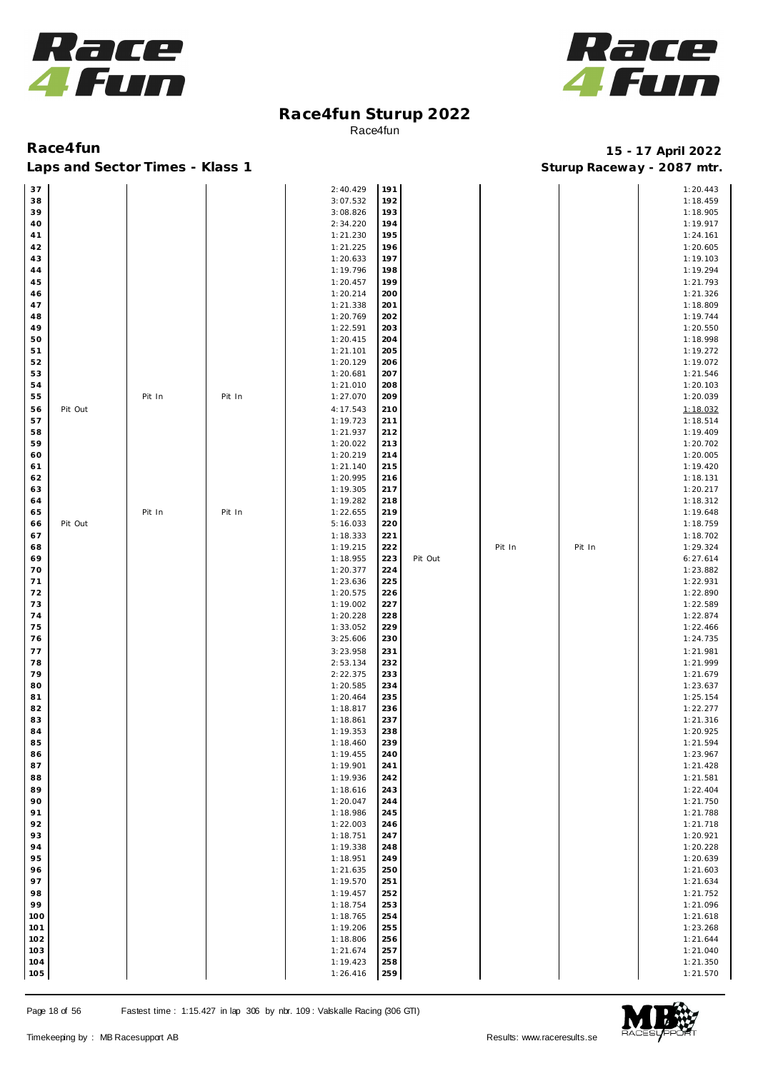



| 37            |        |        | 2:40.429 | 191 |         |        |        | 1:20.443 |
|---------------|--------|--------|----------|-----|---------|--------|--------|----------|
| 38            |        |        | 3:07.532 | 192 |         |        |        | 1:18.459 |
| 39            |        |        | 3:08.826 | 193 |         |        |        | 1:18.905 |
|               |        |        |          |     |         |        |        |          |
| 40            |        |        | 2:34.220 | 194 |         |        |        | 1:19.917 |
| 41            |        |        | 1:21.230 | 195 |         |        |        | 1:24.161 |
| 42            |        |        | 1:21.225 | 196 |         |        |        | 1:20.605 |
| 43            |        |        | 1:20.633 | 197 |         |        |        | 1:19.103 |
| 44            |        |        | 1:19.796 | 198 |         |        |        | 1:19.294 |
|               |        |        |          |     |         |        |        |          |
| 45            |        |        | 1:20.457 | 199 |         |        |        | 1:21.793 |
| 46            |        |        | 1:20.214 | 200 |         |        |        | 1:21.326 |
| 47            |        |        | 1:21.338 | 201 |         |        |        | 1:18.809 |
| 48            |        |        | 1:20.769 | 202 |         |        |        | 1:19.744 |
| 49            |        |        | 1:22.591 | 203 |         |        |        | 1:20.550 |
|               |        |        |          |     |         |        |        |          |
| 50            |        |        | 1:20.415 | 204 |         |        |        | 1:18.998 |
| 51            |        |        | 1:21.101 | 205 |         |        |        | 1:19.272 |
| 52            |        |        | 1:20.129 | 206 |         |        |        | 1:19.072 |
| 53            |        |        | 1:20.681 | 207 |         |        |        | 1:21.546 |
| 54            |        |        | 1:21.010 | 208 |         |        |        | 1:20.103 |
| 55            |        |        |          | 209 |         |        |        |          |
|               | Pit In | Pit In | 1:27.070 |     |         |        |        | 1:20.039 |
| Pit Out<br>56 |        |        | 4:17.543 | 210 |         |        |        | 1:18.032 |
| 57            |        |        | 1:19.723 | 211 |         |        |        | 1:18.514 |
| 58            |        |        | 1:21.937 | 212 |         |        |        | 1:19.409 |
| 59            |        |        | 1:20.022 | 213 |         |        |        | 1:20.702 |
|               |        |        |          |     |         |        |        |          |
| 60            |        |        | 1:20.219 | 214 |         |        |        | 1:20.005 |
| 61            |        |        | 1:21.140 | 215 |         |        |        | 1:19.420 |
| 62            |        |        | 1:20.995 | 216 |         |        |        | 1:18.131 |
| 63            |        |        | 1:19.305 | 217 |         |        |        | 1:20.217 |
| 64            |        |        | 1:19.282 | 218 |         |        |        | 1:18.312 |
|               |        |        |          |     |         |        |        |          |
| 65            | Pit In | Pit In | 1:22.655 | 219 |         |        |        | 1:19.648 |
| Pit Out<br>66 |        |        | 5:16.033 | 220 |         |        |        | 1:18.759 |
| 67            |        |        | 1:18.333 | 221 |         |        |        | 1:18.702 |
| 68            |        |        | 1:19.215 | 222 |         | Pit In | Pit In | 1:29.324 |
| 69            |        |        | 1:18.955 | 223 | Pit Out |        |        | 6:27.614 |
|               |        |        |          |     |         |        |        |          |
| 70            |        |        | 1:20.377 | 224 |         |        |        | 1:23.882 |
| 71            |        |        | 1:23.636 | 225 |         |        |        | 1:22.931 |
| 72            |        |        | 1:20.575 | 226 |         |        |        | 1:22.890 |
| 73            |        |        | 1:19.002 | 227 |         |        |        | 1:22.589 |
| 74            |        |        | 1:20.228 | 228 |         |        |        | 1:22.874 |
|               |        |        |          |     |         |        |        |          |
| 75            |        |        | 1:33.052 | 229 |         |        |        | 1:22.466 |
| 76            |        |        | 3:25.606 | 230 |         |        |        | 1:24.735 |
| 77            |        |        | 3:23.958 | 231 |         |        |        | 1:21.981 |
| 78            |        |        | 2:53.134 | 232 |         |        |        | 1:21.999 |
| 79            |        |        | 2:22.375 | 233 |         |        |        | 1:21.679 |
|               |        |        |          |     |         |        |        |          |
| 80            |        |        | 1:20.585 | 234 |         |        |        | 1:23.637 |
| 81            |        |        | 1:20.464 | 235 |         |        |        | 1:25.154 |
| 82            |        |        | 1:18.817 | 236 |         |        |        | 1:22.277 |
| 83            |        |        | 1:18.861 | 237 |         |        |        | 1:21.316 |
| 84            |        |        | 1:19.353 | 238 |         |        |        | 1:20.925 |
| 85            |        |        | 1:18.460 | 239 |         |        |        | 1:21.594 |
|               |        |        |          |     |         |        |        |          |
| 86            |        |        | 1:19.455 | 240 |         |        |        | 1:23.967 |
| 87            |        |        | 1:19.901 | 241 |         |        |        | 1:21.428 |
| 88            |        |        | 1:19.936 | 242 |         |        |        | 1:21.581 |
| 89            |        |        | 1:18.616 | 243 |         |        |        | 1:22.404 |
| 90            |        |        | 1:20.047 | 244 |         |        |        | 1:21.750 |
|               |        |        |          |     |         |        |        |          |
| 91            |        |        | 1:18.986 | 245 |         |        |        | 1:21.788 |
| 92            |        |        | 1:22.003 | 246 |         |        |        | 1:21.718 |
| 93            |        |        | 1:18.751 | 247 |         |        |        | 1:20.921 |
| 94            |        |        | 1:19.338 | 248 |         |        |        | 1:20.228 |
| 95            |        |        | 1:18.951 | 249 |         |        |        | 1:20.639 |
|               |        |        | 1:21.635 |     |         |        |        |          |
| 96            |        |        |          | 250 |         |        |        | 1:21.603 |
| 97            |        |        | 1:19.570 | 251 |         |        |        | 1:21.634 |
| 98            |        |        | 1:19.457 | 252 |         |        |        | 1:21.752 |
| 99            |        |        | 1:18.754 | 253 |         |        |        | 1:21.096 |
| 100           |        |        | 1:18.765 | 254 |         |        |        | 1:21.618 |
|               |        |        |          |     |         |        |        |          |
| 101           |        |        | 1:19.206 | 255 |         |        |        | 1:23.268 |
| 102           |        |        | 1:18.806 | 256 |         |        |        | 1:21.644 |
| 103           |        |        | 1:21.674 | 257 |         |        |        | 1:21.040 |
| 104           |        |        | 1:19.423 | 258 |         |        |        | 1:21.350 |
| 105           |        |        | 1:26.416 | 259 |         |        |        | 1:21.570 |
|               |        |        |          |     |         |        |        |          |

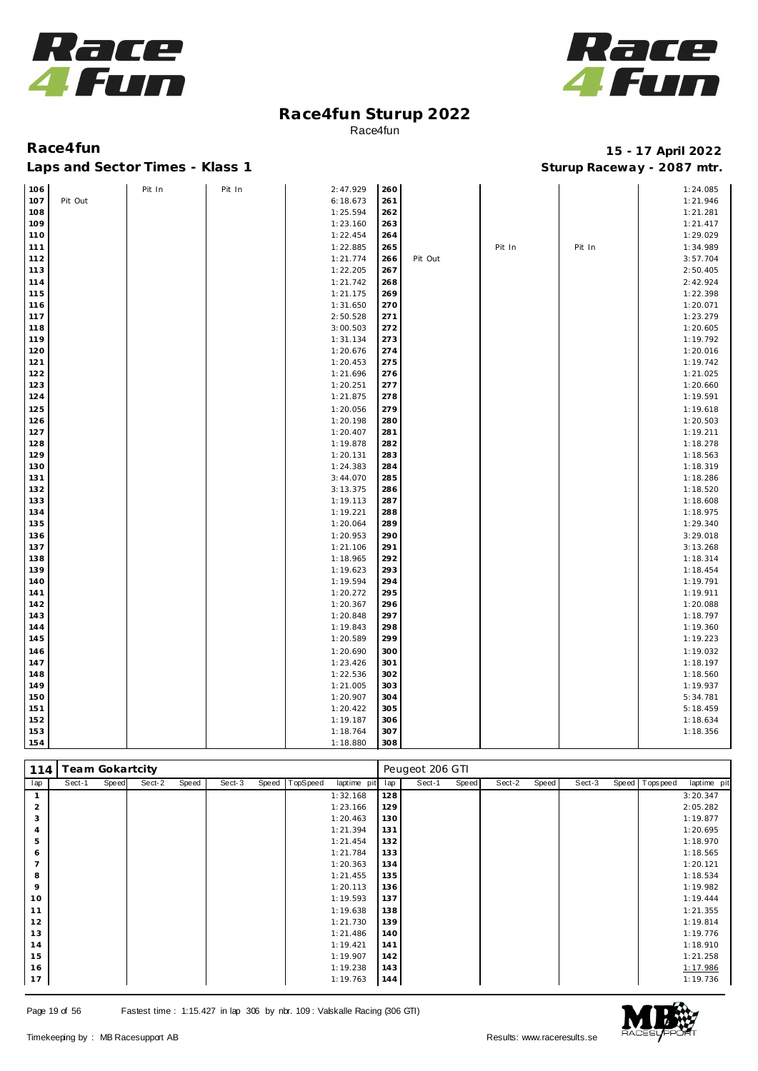



### **Race4fun 15 - 17 April 2022 Laps and Sector Times - Klass 1 Sturup Raceway - 2087 mtr.**

| Race4fun                        |  |
|---------------------------------|--|
| Lans and Sector Times - Klass 1 |  |

| 106 |         | Pit In | Pit In | 2:47.929 | 260 |         |        |        | 1:24.085 |
|-----|---------|--------|--------|----------|-----|---------|--------|--------|----------|
| 107 | Pit Out |        |        | 6:18.673 | 261 |         |        |        | 1:21.946 |
| 108 |         |        |        | 1:25.594 | 262 |         |        |        | 1:21.281 |
| 109 |         |        |        | 1:23.160 | 263 |         |        |        | 1:21.417 |
| 110 |         |        |        | 1:22.454 | 264 |         |        |        | 1:29.029 |
| 111 |         |        |        | 1:22.885 | 265 |         | Pit In | Pit In | 1:34.989 |
| 112 |         |        |        | 1:21.774 | 266 | Pit Out |        |        | 3:57.704 |
| 113 |         |        |        | 1:22.205 | 267 |         |        |        | 2:50.405 |
| 114 |         |        |        | 1:21.742 | 268 |         |        |        | 2:42.924 |
| 115 |         |        |        | 1:21.175 | 269 |         |        |        | 1:22.398 |
| 116 |         |        |        | 1:31.650 | 270 |         |        |        | 1:20.071 |
| 117 |         |        |        | 2:50.528 | 271 |         |        |        | 1:23.279 |
| 118 |         |        |        | 3:00.503 | 272 |         |        |        | 1:20.605 |
| 119 |         |        |        | 1:31.134 | 273 |         |        |        | 1:19.792 |
| 120 |         |        |        | 1:20.676 | 274 |         |        |        | 1:20.016 |
| 121 |         |        |        | 1:20.453 | 275 |         |        |        | 1:19.742 |
| 122 |         |        |        | 1:21.696 | 276 |         |        |        | 1:21.025 |
| 123 |         |        |        | 1:20.251 | 277 |         |        |        | 1:20.660 |
| 124 |         |        |        | 1:21.875 | 278 |         |        |        | 1:19.591 |
| 125 |         |        |        | 1:20.056 | 279 |         |        |        | 1:19.618 |
| 126 |         |        |        | 1:20.198 | 280 |         |        |        | 1:20.503 |
| 127 |         |        |        | 1:20.407 | 281 |         |        |        | 1:19.211 |
| 128 |         |        |        | 1:19.878 | 282 |         |        |        | 1:18.278 |
| 129 |         |        |        | 1:20.131 | 283 |         |        |        | 1:18.563 |
| 130 |         |        |        | 1:24.383 | 284 |         |        |        | 1:18.319 |
| 131 |         |        |        | 3:44.070 | 285 |         |        |        | 1:18.286 |
| 132 |         |        |        | 3:13.375 | 286 |         |        |        | 1:18.520 |
| 133 |         |        |        | 1:19.113 | 287 |         |        |        | 1:18.608 |
| 134 |         |        |        | 1:19.221 | 288 |         |        |        | 1:18.975 |
| 135 |         |        |        | 1:20.064 | 289 |         |        |        | 1:29.340 |
| 136 |         |        |        | 1:20.953 | 290 |         |        |        | 3:29.018 |
| 137 |         |        |        | 1:21.106 | 291 |         |        |        | 3:13.268 |
| 138 |         |        |        | 1:18.965 | 292 |         |        |        | 1:18.314 |
| 139 |         |        |        | 1:19.623 | 293 |         |        |        | 1:18.454 |
| 140 |         |        |        | 1:19.594 | 294 |         |        |        | 1:19.791 |
| 141 |         |        |        | 1:20.272 | 295 |         |        |        | 1:19.911 |
| 142 |         |        |        | 1:20.367 | 296 |         |        |        | 1:20.088 |
| 143 |         |        |        | 1:20.848 | 297 |         |        |        | 1:18.797 |
| 144 |         |        |        | 1:19.843 | 298 |         |        |        | 1:19.360 |
| 145 |         |        |        | 1:20.589 | 299 |         |        |        | 1:19.223 |
| 146 |         |        |        | 1:20.690 | 300 |         |        |        | 1:19.032 |
| 147 |         |        |        | 1:23.426 | 301 |         |        |        | 1:18.197 |
| 148 |         |        |        | 1:22.536 | 302 |         |        |        | 1:18.560 |
| 149 |         |        |        | 1:21.005 | 303 |         |        |        | 1:19.937 |
| 150 |         |        |        | 1:20.907 | 304 |         |        |        | 5:34.781 |
| 151 |         |        |        | 1:20.422 | 305 |         |        |        | 5:18.459 |
| 152 |         |        |        | 1:19.187 | 306 |         |        |        | 1:18.634 |
| 153 |         |        |        | 1:18.764 | 307 |         |        |        | 1:18.356 |
| 154 |         |        |        | 1:18.880 | 308 |         |        |        |          |

| 114 | <b>Team Gokartcity</b> |       |        |       |        |       |          |             |     | Peugeot 206 GTI |       |        |       |        |                   |             |
|-----|------------------------|-------|--------|-------|--------|-------|----------|-------------|-----|-----------------|-------|--------|-------|--------|-------------------|-------------|
| lap | Sect-1                 | Speed | Sect-2 | Speed | Sect-3 | Speed | TopSpeed | laptime pit | lap | Sect-1          | Speed | Sect-2 | Speed | Sect-3 | Speed   Tops peed | laptime pit |
|     |                        |       |        |       |        |       |          | 1:32.168    | 128 |                 |       |        |       |        |                   | 3:20.347    |
| 2   |                        |       |        |       |        |       |          | 1:23.166    | 129 |                 |       |        |       |        |                   | 2:05.282    |
| 3   |                        |       |        |       |        |       |          | 1:20.463    | 130 |                 |       |        |       |        |                   | 1:19.877    |
| 4   |                        |       |        |       |        |       |          | 1:21.394    | 131 |                 |       |        |       |        |                   | 1:20.695    |
| 5   |                        |       |        |       |        |       |          | 1:21.454    | 132 |                 |       |        |       |        |                   | 1:18.970    |
| 6   |                        |       |        |       |        |       |          | 1:21.784    | 133 |                 |       |        |       |        |                   | 1:18.565    |
|     |                        |       |        |       |        |       |          | 1:20.363    | 134 |                 |       |        |       |        |                   | 1:20.121    |
| 8   |                        |       |        |       |        |       |          | 1:21.455    | 135 |                 |       |        |       |        |                   | 1:18.534    |
| 9   |                        |       |        |       |        |       |          | 1:20.113    | 136 |                 |       |        |       |        |                   | 1:19.982    |
| 10  |                        |       |        |       |        |       |          | 1:19.593    | 137 |                 |       |        |       |        |                   | 1:19.444    |
| 11  |                        |       |        |       |        |       |          | 1:19.638    | 138 |                 |       |        |       |        |                   | 1:21.355    |
| 12  |                        |       |        |       |        |       |          | 1:21.730    | 139 |                 |       |        |       |        |                   | 1:19.814    |
| 13  |                        |       |        |       |        |       |          | 1:21.486    | 140 |                 |       |        |       |        |                   | 1:19.776    |
| 14  |                        |       |        |       |        |       |          | 1:19.421    | 141 |                 |       |        |       |        |                   | 1:18.910    |
| 15  |                        |       |        |       |        |       |          | 1:19.907    | 142 |                 |       |        |       |        |                   | 1:21.258    |
| 16  |                        |       |        |       |        |       |          | 1:19.238    | 143 |                 |       |        |       |        |                   | 1:17.986    |
| 17  |                        |       |        |       |        |       |          | 1:19.763    | 144 |                 |       |        |       |        |                   | 1:19.736    |

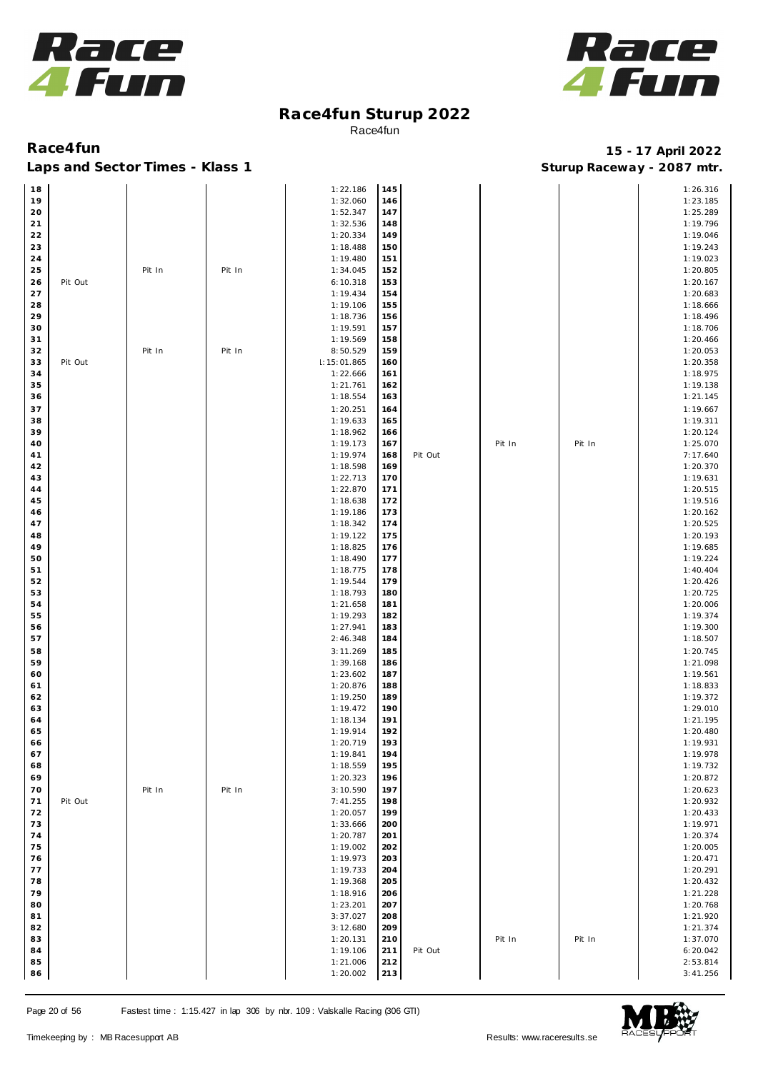



| 18          |         |        |        | 1:22.186    | 145 |         |        |        | 1:26.316 |
|-------------|---------|--------|--------|-------------|-----|---------|--------|--------|----------|
| 19          |         |        |        | 1:32.060    | 146 |         |        |        | 1:23.185 |
|             |         |        |        |             |     |         |        |        |          |
| 20          |         |        |        | 1:52.347    | 147 |         |        |        | 1:25.289 |
| $21$        |         |        |        | 1:32.536    | 148 |         |        |        | 1:19.796 |
| $2\sqrt{2}$ |         |        |        | 1:20.334    | 149 |         |        |        | 1:19.046 |
|             |         |        |        |             |     |         |        |        |          |
| 23          |         |        |        | 1:18.488    | 150 |         |        |        | 1:19.243 |
| $24$        |         |        |        | 1:19.480    | 151 |         |        |        | 1:19.023 |
| 25          |         | Pit In | Pit In | 1:34.045    | 152 |         |        |        | 1:20.805 |
|             |         |        |        |             |     |         |        |        |          |
| 26          | Pit Out |        |        | 6:10.318    | 153 |         |        |        | 1:20.167 |
| 27          |         |        |        | 1:19.434    | 154 |         |        |        | 1:20.683 |
| 28          |         |        |        | 1:19.106    | 155 |         |        |        | 1:18.666 |
|             |         |        |        |             |     |         |        |        |          |
| 29          |         |        |        | 1:18.736    | 156 |         |        |        | 1:18.496 |
| 30          |         |        |        | 1:19.591    | 157 |         |        |        | 1:18.706 |
| 31          |         |        |        | 1:19.569    | 158 |         |        |        | 1:20.466 |
|             |         |        |        |             |     |         |        |        |          |
| 32          |         | Pit In | Pit In | 8:50.529    | 159 |         |        |        | 1:20.053 |
| 33          | Pit Out |        |        | 1:15:01.865 | 160 |         |        |        | 1:20.358 |
| 34          |         |        |        | 1:22.666    | 161 |         |        |        | 1:18.975 |
| 35          |         |        |        | 1:21.761    |     |         |        |        | 1:19.138 |
|             |         |        |        |             | 162 |         |        |        |          |
| 36          |         |        |        | 1:18.554    | 163 |         |        |        | 1:21.145 |
| 37          |         |        |        | 1:20.251    | 164 |         |        |        | 1:19.667 |
|             |         |        |        |             |     |         |        |        |          |
| 38          |         |        |        | 1:19.633    | 165 |         |        |        | 1:19.311 |
| 39          |         |        |        | 1:18.962    | 166 |         |        |        | 1:20.124 |
| 40          |         |        |        | 1:19.173    | 167 |         | Pit In | Pit In | 1:25.070 |
|             |         |        |        | 1:19.974    |     | Pit Out |        |        | 7:17.640 |
| 41          |         |        |        |             | 168 |         |        |        |          |
| 42          |         |        |        | 1:18.598    | 169 |         |        |        | 1:20.370 |
| 43          |         |        |        | 1:22.713    | 170 |         |        |        | 1:19.631 |
| 44          |         |        |        | 1:22.870    | 171 |         |        |        | 1:20.515 |
|             |         |        |        |             |     |         |        |        |          |
| 45          |         |        |        | 1:18.638    | 172 |         |        |        | 1:19.516 |
| 46          |         |        |        | 1:19.186    | 173 |         |        |        | 1:20.162 |
| 47          |         |        |        | 1:18.342    | 174 |         |        |        | 1:20.525 |
|             |         |        |        |             |     |         |        |        |          |
| 48          |         |        |        | 1:19.122    | 175 |         |        |        | 1:20.193 |
| 49          |         |        |        | 1:18.825    | 176 |         |        |        | 1:19.685 |
| 50          |         |        |        | 1:18.490    | 177 |         |        |        | 1:19.224 |
|             |         |        |        |             |     |         |        |        |          |
| 51          |         |        |        | 1:18.775    | 178 |         |        |        | 1:40.404 |
| 52          |         |        |        | 1:19.544    | 179 |         |        |        | 1:20.426 |
| 53          |         |        |        | 1:18.793    | 180 |         |        |        | 1:20.725 |
|             |         |        |        |             |     |         |        |        |          |
| 54          |         |        |        | 1:21.658    | 181 |         |        |        | 1:20.006 |
| 55          |         |        |        | 1:19.293    | 182 |         |        |        | 1:19.374 |
| 56          |         |        |        | 1:27.941    | 183 |         |        |        | 1:19.300 |
|             |         |        |        |             |     |         |        |        |          |
| 57          |         |        |        | 2:46.348    | 184 |         |        |        | 1:18.507 |
| 58          |         |        |        | 3:11.269    | 185 |         |        |        | 1:20.745 |
| 59          |         |        |        | 1:39.168    | 186 |         |        |        | 1:21.098 |
|             |         |        |        |             |     |         |        |        |          |
| 60          |         |        |        | 1:23.602    | 187 |         |        |        | 1:19.561 |
| 61          |         |        |        | 1:20.876    | 188 |         |        |        | 1:18.833 |
| 62          |         |        |        | 1:19.250    | 189 |         |        |        | 1:19.372 |
|             |         |        |        |             |     |         |        |        |          |
| 63          |         |        |        | 1:19.472    | 190 |         |        |        | 1:29.010 |
| 64          |         |        |        | 1:18.134    | 191 |         |        |        | 1:21.195 |
| 65          |         |        |        | 1:19.914    | 192 |         |        |        | 1:20.480 |
| 66          |         |        |        | 1:20.719    | 193 |         |        |        | 1:19.931 |
|             |         |        |        |             |     |         |        |        |          |
| 67          |         |        |        | 1:19.841    | 194 |         |        |        | 1:19.978 |
| 68          |         |        |        | 1:18.559    | 195 |         |        |        | 1:19.732 |
| 69          |         |        |        | 1:20.323    | 196 |         |        |        | 1:20.872 |
|             |         |        |        |             |     |         |        |        |          |
| 70          |         | Pit In | Pit In | 3:10.590    | 197 |         |        |        | 1:20.623 |
| 71          | Pit Out |        |        | 7:41.255    | 198 |         |        |        | 1:20.932 |
| 72          |         |        |        | 1:20.057    | 199 |         |        |        | 1:20.433 |
|             |         |        |        |             |     |         |        |        |          |
| 73          |         |        |        | 1:33.666    | 200 |         |        |        | 1:19.971 |
| 74          |         |        |        | 1:20.787    | 201 |         |        |        | 1:20.374 |
| 75          |         |        |        | 1:19.002    | 202 |         |        |        | 1:20.005 |
| 76          |         |        |        | 1:19.973    | 203 |         |        |        | 1:20.471 |
|             |         |        |        |             |     |         |        |        |          |
| 77          |         |        |        | 1:19.733    | 204 |         |        |        | 1:20.291 |
| 78          |         |        |        | 1:19.368    | 205 |         |        |        | 1:20.432 |
| 79          |         |        |        |             |     |         |        |        |          |
|             |         |        |        | 1:18.916    | 206 |         |        |        | 1:21.228 |
| 80          |         |        |        | 1:23.201    | 207 |         |        |        | 1:20.768 |
| 81          |         |        |        | 3:37.027    | 208 |         |        |        | 1:21.920 |
|             |         |        |        |             |     |         |        |        |          |
| 82          |         |        |        | 3:12.680    | 209 |         |        |        | 1:21.374 |
| 83          |         |        |        | 1:20.131    | 210 |         | Pit In | Pit In | 1:37.070 |
| 84          |         |        |        | 1:19.106    | 211 | Pit Out |        |        | 6:20.042 |
| 85          |         |        |        | 1:21.006    | 212 |         |        |        | 2:53.814 |
|             |         |        |        |             |     |         |        |        |          |
| 86          |         |        |        | 1:20.002    | 213 |         |        |        | 3:41.256 |

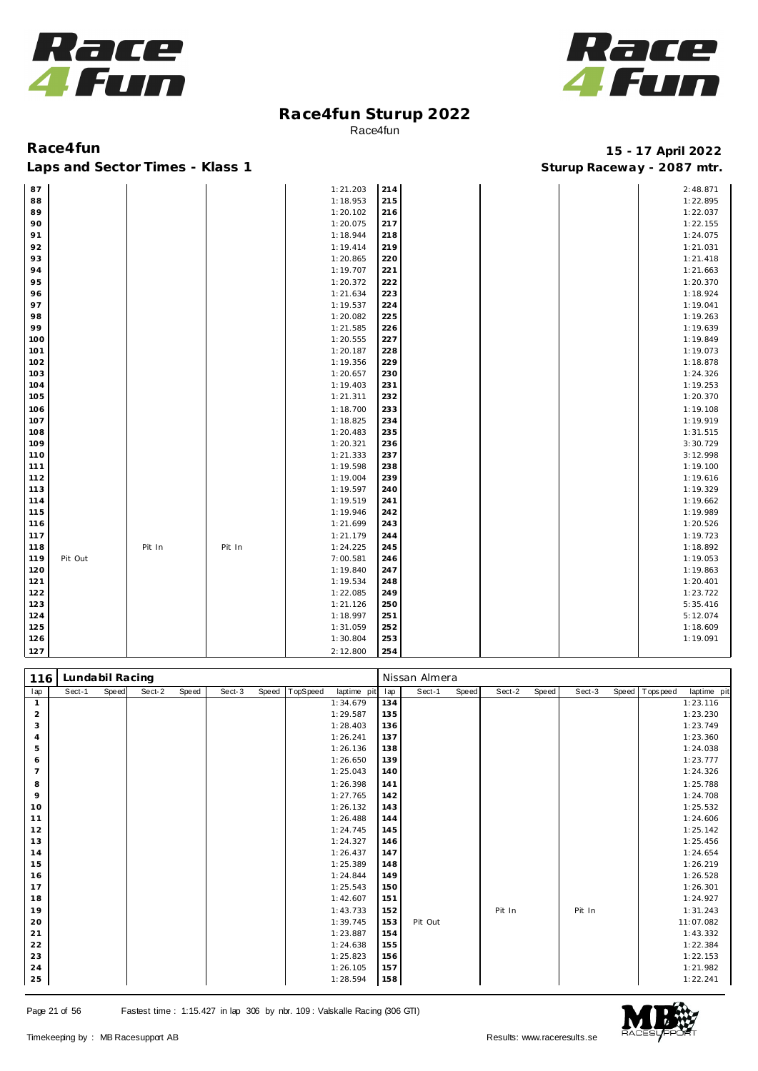



Laps and Sector Times - Klass 1 **Sturies 1 Sturies 1 Sturies 1 8 and Sector Times - Klass 1 Sturies 1 and Section** 1 **Contrary** 1 **And Section** 1 **Contrary** 1 **Contrary** 1 **Contrary** 1 **Contrary 1 and 2007** must

| 87  |         |        |        | 1:21.203 | 214 |  | 2:48.871 |
|-----|---------|--------|--------|----------|-----|--|----------|
| 88  |         |        |        | 1:18.953 | 215 |  | 1:22.895 |
| 89  |         |        |        | 1:20.102 | 216 |  | 1:22.037 |
| 90  |         |        |        | 1:20.075 | 217 |  | 1:22.155 |
| 91  |         |        |        | 1:18.944 | 218 |  | 1:24.075 |
| 92  |         |        |        | 1:19.414 | 219 |  | 1:21.031 |
| 93  |         |        |        | 1:20.865 | 220 |  | 1:21.418 |
| 94  |         |        |        | 1:19.707 | 221 |  | 1:21.663 |
| 95  |         |        |        | 1:20.372 | 222 |  | 1:20.370 |
| 96  |         |        |        | 1:21.634 | 223 |  | 1:18.924 |
| 97  |         |        |        | 1:19.537 | 224 |  | 1:19.041 |
| 98  |         |        |        | 1:20.082 | 225 |  | 1:19.263 |
| 99  |         |        |        | 1:21.585 | 226 |  | 1:19.639 |
| 100 |         |        |        | 1:20.555 | 227 |  | 1:19.849 |
| 101 |         |        |        | 1:20.187 | 228 |  | 1:19.073 |
| 102 |         |        |        | 1:19.356 | 229 |  | 1:18.878 |
| 103 |         |        |        | 1:20.657 | 230 |  | 1:24.326 |
| 104 |         |        |        | 1:19.403 | 231 |  | 1:19.253 |
| 105 |         |        |        | 1:21.311 | 232 |  | 1:20.370 |
| 106 |         |        |        | 1:18.700 | 233 |  | 1:19.108 |
| 107 |         |        |        | 1:18.825 | 234 |  | 1:19.919 |
| 108 |         |        |        | 1:20.483 | 235 |  | 1:31.515 |
| 109 |         |        |        | 1:20.321 | 236 |  | 3:30.729 |
| 110 |         |        |        | 1:21.333 | 237 |  | 3:12.998 |
| 111 |         |        |        | 1:19.598 | 238 |  | 1:19.100 |
| 112 |         |        |        | 1:19.004 | 239 |  | 1:19.616 |
| 113 |         |        |        | 1:19.597 | 240 |  | 1:19.329 |
| 114 |         |        |        | 1:19.519 | 241 |  | 1:19.662 |
| 115 |         |        |        | 1:19.946 | 242 |  | 1:19.989 |
| 116 |         |        |        | 1:21.699 | 243 |  | 1:20.526 |
| 117 |         |        |        | 1:21.179 | 244 |  | 1:19.723 |
| 118 |         | Pit In | Pit In | 1:24.225 | 245 |  | 1:18.892 |
| 119 | Pit Out |        |        | 7:00.581 | 246 |  | 1:19.053 |
| 120 |         |        |        | 1:19.840 | 247 |  | 1:19.863 |
| 121 |         |        |        | 1:19.534 | 248 |  | 1:20.401 |
| 122 |         |        |        | 1:22.085 | 249 |  | 1:23.722 |
| 123 |         |        |        | 1:21.126 | 250 |  | 5:35.416 |
| 124 |         |        |        | 1:18.997 | 251 |  | 5:12.074 |
| 125 |         |        |        | 1:31.059 | 252 |  | 1:18.609 |
| 126 |         |        |        | 1:30.804 | 253 |  | 1:19.091 |
| 127 |         |        |        | 2:12.800 | 254 |  |          |

| 116            | Lundabil Racing |       |        |       |        |       |          |             |     | Nissan Almera |       |        |       |        |                |             |
|----------------|-----------------|-------|--------|-------|--------|-------|----------|-------------|-----|---------------|-------|--------|-------|--------|----------------|-------------|
| lap            | Sect-1          | Speed | Sect-2 | Speed | Sect-3 | Speed | TopSpeed | laptime pit | lap | Sect-1        | Speed | Sect-2 | Speed | Sect-3 | Speed Topspeed | laptime pit |
| $\mathbf{1}$   |                 |       |        |       |        |       |          | 1:34.679    | 134 |               |       |        |       |        |                | 1:23.116    |
| $\overline{2}$ |                 |       |        |       |        |       |          | 1:29.587    | 135 |               |       |        |       |        |                | 1:23.230    |
| 3              |                 |       |        |       |        |       |          | 1:28.403    | 136 |               |       |        |       |        |                | 1:23.749    |
| $\overline{4}$ |                 |       |        |       |        |       |          | 1:26.241    | 137 |               |       |        |       |        |                | 1:23.360    |
| 5              |                 |       |        |       |        |       |          | 1:26.136    | 138 |               |       |        |       |        |                | 1:24.038    |
| 6              |                 |       |        |       |        |       |          | 1:26.650    | 139 |               |       |        |       |        |                | 1:23.777    |
| $\overline{7}$ |                 |       |        |       |        |       |          | 1:25.043    | 140 |               |       |        |       |        |                | 1:24.326    |
| 8              |                 |       |        |       |        |       |          | 1:26.398    | 141 |               |       |        |       |        |                | 1:25.788    |
| $\circ$        |                 |       |        |       |        |       |          | 1:27.765    | 142 |               |       |        |       |        |                | 1:24.708    |
| 10             |                 |       |        |       |        |       |          | 1:26.132    | 143 |               |       |        |       |        |                | 1:25.532    |
| 11             |                 |       |        |       |        |       |          | 1:26.488    | 144 |               |       |        |       |        |                | 1:24.606    |
| 12             |                 |       |        |       |        |       |          | 1:24.745    | 145 |               |       |        |       |        |                | 1:25.142    |
| 13             |                 |       |        |       |        |       |          | 1:24.327    | 146 |               |       |        |       |        |                | 1:25.456    |
| 14             |                 |       |        |       |        |       |          | 1:26.437    | 147 |               |       |        |       |        |                | 1:24.654    |
| 15             |                 |       |        |       |        |       |          | 1:25.389    | 148 |               |       |        |       |        |                | 1:26.219    |
| 16             |                 |       |        |       |        |       |          | 1:24.844    | 149 |               |       |        |       |        |                | 1:26.528    |
| 17             |                 |       |        |       |        |       |          | 1:25.543    | 150 |               |       |        |       |        |                | 1:26.301    |
| 18             |                 |       |        |       |        |       |          | 1:42.607    | 151 |               |       |        |       |        |                | 1:24.927    |
| 19             |                 |       |        |       |        |       |          | 1:43.733    | 152 |               |       | Pit In |       | Pit In |                | 1:31.243    |
| 20             |                 |       |        |       |        |       |          | 1:39.745    | 153 | Pit Out       |       |        |       |        |                | 11:07.082   |
| 21             |                 |       |        |       |        |       |          | 1:23.887    | 154 |               |       |        |       |        |                | 1:43.332    |
| 22             |                 |       |        |       |        |       |          | 1:24.638    | 155 |               |       |        |       |        |                | 1:22.384    |
| 23             |                 |       |        |       |        |       |          | 1:25.823    | 156 |               |       |        |       |        |                | 1:22.153    |
| 24             |                 |       |        |       |        |       |          | 1:26.105    | 157 |               |       |        |       |        |                | 1:21.982    |
| 25             |                 |       |        |       |        |       |          | 1:28.594    | 158 |               |       |        |       |        |                | 1:22.241    |

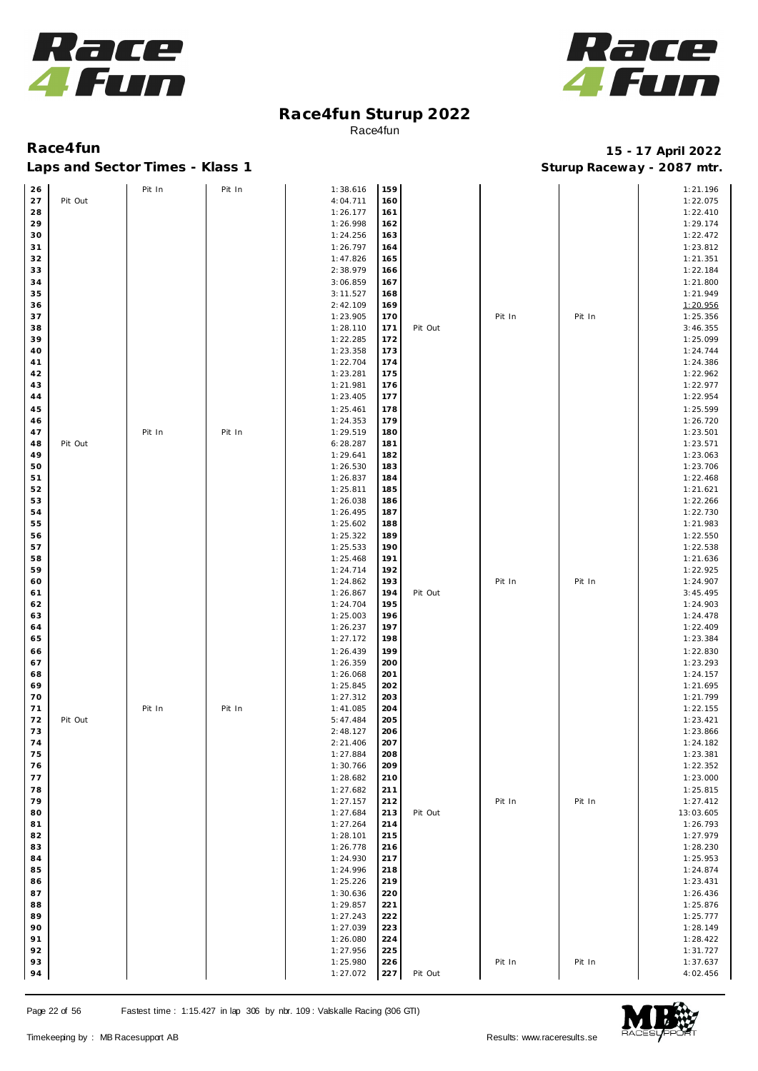



## Laps and Sector Times - Klass 1 **Sturies 1 Sturies 1 Sturies 1 8 and Sector Times - Klass 1 Sturies 1 and Section** 1 **Contrary** 1 **And Section** 1 **Contrary** 1 **Contrary** 1 **Contrary** 1 **Contrary 1 and 2007** must

| 26 |         | Pit In | Pit In | 1:38.616 | 159 |         |        |        | 1:21.196  |
|----|---------|--------|--------|----------|-----|---------|--------|--------|-----------|
| 27 | Pit Out |        |        | 4:04.711 | 160 |         |        |        | 1:22.075  |
|    |         |        |        |          |     |         |        |        |           |
| 28 |         |        |        | 1:26.177 | 161 |         |        |        | 1:22.410  |
| 29 |         |        |        | 1:26.998 | 162 |         |        |        | 1:29.174  |
| 30 |         |        |        | 1:24.256 | 163 |         |        |        | 1:22.472  |
| 31 |         |        |        | 1:26.797 | 164 |         |        |        | 1:23.812  |
| 32 |         |        |        | 1:47.826 | 165 |         |        |        | 1:21.351  |
|    |         |        |        |          |     |         |        |        |           |
| 33 |         |        |        | 2:38.979 | 166 |         |        |        | 1:22.184  |
| 34 |         |        |        | 3:06.859 | 167 |         |        |        | 1:21.800  |
| 35 |         |        |        | 3:11.527 | 168 |         |        |        | 1:21.949  |
| 36 |         |        |        | 2:42.109 | 169 |         |        |        | 1:20.956  |
| 37 |         |        |        | 1:23.905 | 170 |         | Pit In | Pit In | 1:25.356  |
| 38 |         |        |        | 1:28.110 |     | Pit Out |        |        | 3:46.355  |
|    |         |        |        |          | 171 |         |        |        |           |
| 39 |         |        |        | 1:22.285 | 172 |         |        |        | 1:25.099  |
| 40 |         |        |        | 1:23.358 | 173 |         |        |        | 1:24.744  |
| 41 |         |        |        | 1:22.704 | 174 |         |        |        | 1:24.386  |
| 42 |         |        |        | 1:23.281 | 175 |         |        |        | 1:22.962  |
| 43 |         |        |        | 1:21.981 | 176 |         |        |        | 1:22.977  |
| 44 |         |        |        | 1:23.405 | 177 |         |        |        | 1:22.954  |
|    |         |        |        |          |     |         |        |        |           |
| 45 |         |        |        | 1:25.461 | 178 |         |        |        | 1:25.599  |
| 46 |         |        |        | 1:24.353 | 179 |         |        |        | 1:26.720  |
| 47 |         | Pit In | Pit In | 1:29.519 | 180 |         |        |        | 1:23.501  |
| 48 | Pit Out |        |        | 6:28.287 | 181 |         |        |        | 1:23.571  |
| 49 |         |        |        | 1:29.641 | 182 |         |        |        | 1:23.063  |
| 50 |         |        |        | 1:26.530 | 183 |         |        |        | 1:23.706  |
|    |         |        |        |          |     |         |        |        |           |
| 51 |         |        |        | 1:26.837 | 184 |         |        |        | 1:22.468  |
| 52 |         |        |        | 1:25.811 | 185 |         |        |        | 1:21.621  |
| 53 |         |        |        | 1:26.038 | 186 |         |        |        | 1:22.266  |
| 54 |         |        |        | 1:26.495 | 187 |         |        |        | 1:22.730  |
| 55 |         |        |        | 1:25.602 | 188 |         |        |        | 1:21.983  |
|    |         |        |        |          |     |         |        |        |           |
| 56 |         |        |        | 1:25.322 | 189 |         |        |        | 1:22.550  |
| 57 |         |        |        | 1:25.533 | 190 |         |        |        | 1:22.538  |
| 58 |         |        |        | 1:25.468 | 191 |         |        |        | 1:21.636  |
| 59 |         |        |        | 1:24.714 | 192 |         |        |        | 1:22.925  |
| 60 |         |        |        | 1:24.862 | 193 |         | Pit In | Pit In | 1:24.907  |
| 61 |         |        |        | 1:26.867 | 194 | Pit Out |        |        | 3:45.495  |
|    |         |        |        |          |     |         |        |        |           |
| 62 |         |        |        | 1:24.704 | 195 |         |        |        | 1:24.903  |
| 63 |         |        |        | 1:25.003 | 196 |         |        |        | 1:24.478  |
| 64 |         |        |        | 1:26.237 | 197 |         |        |        | 1:22.409  |
| 65 |         |        |        | 1:27.172 | 198 |         |        |        | 1:23.384  |
| 66 |         |        |        | 1:26.439 | 199 |         |        |        | 1:22.830  |
|    |         |        |        |          |     |         |        |        | 1:23.293  |
| 67 |         |        |        | 1:26.359 | 200 |         |        |        |           |
| 68 |         |        |        | 1:26.068 | 201 |         |        |        | 1:24.157  |
| 69 |         |        |        | 1:25.845 | 202 |         |        |        | 1:21.695  |
| 70 |         |        |        | 1:27.312 | 203 |         |        |        | 1:21.799  |
| 71 |         | Pit In | Pit In | 1:41.085 | 204 |         |        |        | 1:22.155  |
| 72 | Pit Out |        |        | 5:47.484 | 205 |         |        |        | 1:23.421  |
| 73 |         |        |        | 2:48.127 | 206 |         |        |        | 1:23.866  |
|    |         |        |        |          |     |         |        |        |           |
| 74 |         |        |        | 2:21.406 | 207 |         |        |        | 1:24.182  |
| 75 |         |        |        | 1:27.884 | 208 |         |        |        | 1:23.381  |
| 76 |         |        |        | 1:30.766 | 209 |         |        |        | 1:22.352  |
| 77 |         |        |        | 1:28.682 | 210 |         |        |        | 1:23.000  |
| 78 |         |        |        | 1:27.682 | 211 |         |        |        | 1:25.815  |
| 79 |         |        |        |          |     |         |        |        |           |
|    |         |        |        | 1:27.157 | 212 |         | Pit In | Pit In | 1:27.412  |
| 80 |         |        |        | 1:27.684 | 213 | Pit Out |        |        | 13:03.605 |
| 81 |         |        |        | 1:27.264 | 214 |         |        |        | 1:26.793  |
| 82 |         |        |        | 1:28.101 | 215 |         |        |        | 1:27.979  |
| 83 |         |        |        | 1:26.778 | 216 |         |        |        | 1:28.230  |
| 84 |         |        |        | 1:24.930 | 217 |         |        |        | 1:25.953  |
| 85 |         |        |        | 1:24.996 | 218 |         |        |        | 1:24.874  |
|    |         |        |        |          |     |         |        |        |           |
| 86 |         |        |        | 1:25.226 | 219 |         |        |        | 1:23.431  |
| 87 |         |        |        | 1:30.636 | 220 |         |        |        | 1:26.436  |
| 88 |         |        |        | 1:29.857 | 221 |         |        |        | 1:25.876  |
| 89 |         |        |        | 1:27.243 | 222 |         |        |        | 1:25.777  |
| 90 |         |        |        | 1:27.039 | 223 |         |        |        | 1:28.149  |
| 91 |         |        |        |          |     |         |        |        |           |
|    |         |        |        | 1:26.080 | 224 |         |        |        | 1:28.422  |
| 92 |         |        |        | 1:27.956 | 225 |         |        |        | 1:31.727  |
| 93 |         |        |        | 1:25.980 | 226 |         | Pit In | Pit In | 1:37.637  |
| 94 |         |        |        | 1:27.072 | 227 | Pit Out |        |        | 4:02.456  |

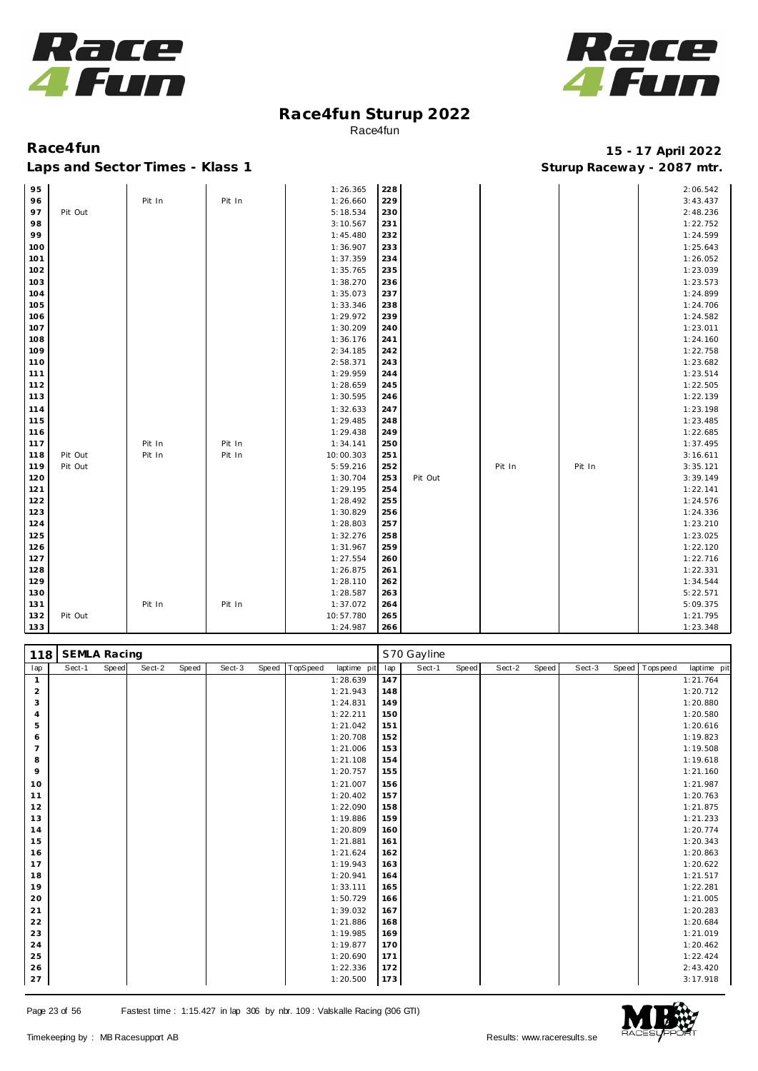



## Laps and Sector Times - Klass 1 **Sturies 1 Sturies 1 Sturies 1 8 and Sector Times - Klass 1 Sturies 1 and Section** 1 **Contrary** 1 **And Section** 1 **Contrary** 1 **Contrary** 1 **Contrary** 1 **Contrary 1 and 2007** must

| 95  |         |        |        | 1:26.365  | 228 |         |        |        | 2:06.542 |
|-----|---------|--------|--------|-----------|-----|---------|--------|--------|----------|
| 96  |         | Pit In | Pit In | 1:26.660  | 229 |         |        |        | 3:43.437 |
| 97  | Pit Out |        |        | 5:18.534  | 230 |         |        |        | 2:48.236 |
| 98  |         |        |        | 3:10.567  | 231 |         |        |        | 1:22.752 |
| 99  |         |        |        | 1:45.480  | 232 |         |        |        | 1:24.599 |
| 100 |         |        |        | 1:36.907  | 233 |         |        |        | 1:25.643 |
| 101 |         |        |        | 1:37.359  | 234 |         |        |        | 1:26.052 |
| 102 |         |        |        | 1:35.765  | 235 |         |        |        | 1:23.039 |
| 103 |         |        |        | 1:38.270  | 236 |         |        |        | 1:23.573 |
| 104 |         |        |        | 1:35.073  | 237 |         |        |        | 1:24.899 |
| 105 |         |        |        | 1:33.346  | 238 |         |        |        | 1:24.706 |
| 106 |         |        |        | 1:29.972  | 239 |         |        |        | 1:24.582 |
| 107 |         |        |        | 1:30.209  | 240 |         |        |        | 1:23.011 |
| 108 |         |        |        | 1:36.176  | 241 |         |        |        | 1:24.160 |
| 109 |         |        |        | 2:34.185  | 242 |         |        |        | 1:22.758 |
| 110 |         |        |        | 2:58.371  | 243 |         |        |        | 1:23.682 |
| 111 |         |        |        | 1:29.959  | 244 |         |        |        | 1:23.514 |
| 112 |         |        |        | 1:28.659  | 245 |         |        |        | 1:22.505 |
| 113 |         |        |        | 1:30.595  | 246 |         |        |        | 1:22.139 |
| 114 |         |        |        | 1:32.633  | 247 |         |        |        | 1:23.198 |
| 115 |         |        |        | 1:29.485  | 248 |         |        |        | 1:23.485 |
| 116 |         |        |        | 1:29.438  | 249 |         |        |        | 1:22.685 |
| 117 |         | Pit In | Pit In | 1:34.141  | 250 |         |        |        | 1:37.495 |
| 118 | Pit Out | Pit In | Pit In | 10:00.303 | 251 |         |        |        | 3:16.611 |
| 119 | Pit Out |        |        | 5:59.216  | 252 |         | Pit In | Pit In | 3:35.121 |
| 120 |         |        |        | 1:30.704  | 253 | Pit Out |        |        | 3:39.149 |
| 121 |         |        |        | 1:29.195  | 254 |         |        |        | 1:22.141 |
| 122 |         |        |        | 1:28.492  | 255 |         |        |        | 1:24.576 |
| 123 |         |        |        | 1:30.829  | 256 |         |        |        | 1:24.336 |
| 124 |         |        |        | 1:28.803  | 257 |         |        |        | 1:23.210 |
| 125 |         |        |        | 1:32.276  | 258 |         |        |        | 1:23.025 |
| 126 |         |        |        | 1:31.967  | 259 |         |        |        | 1:22.120 |
| 127 |         |        |        | 1:27.554  | 260 |         |        |        | 1:22.716 |
| 128 |         |        |        | 1:26.875  | 261 |         |        |        | 1:22.331 |
| 129 |         |        |        | 1:28.110  | 262 |         |        |        | 1:34.544 |
| 130 |         |        |        | 1:28.587  | 263 |         |        |        | 5:22.571 |
| 131 |         | Pit In | Pit In | 1:37.072  | 264 |         |        |        | 5:09.375 |
| 132 | Pit Out |        |        | 10:57.780 | 265 |         |        |        | 1:21.795 |
| 133 |         |        |        | 1:24.987  | 266 |         |        |        | 1:23.348 |

| 118            | <b>SEMLA Racing</b> |       |        |       |        |       |          |             |     | S70 Gayline |       |        |       |        |                |             |
|----------------|---------------------|-------|--------|-------|--------|-------|----------|-------------|-----|-------------|-------|--------|-------|--------|----------------|-------------|
| lap            | Sect-1              | Speed | Sect-2 | Speed | Sect-3 | Speed | TopSpeed | laptime pit | lap | Sect-1      | Speed | Sect-2 | Speed | Sect-3 | Speed Topspeed | laptime pit |
| $\mathbf{1}$   |                     |       |        |       |        |       |          | 1:28.639    | 147 |             |       |        |       |        |                | 1:21.764    |
| $\overline{a}$ |                     |       |        |       |        |       |          | 1:21.943    | 148 |             |       |        |       |        |                | 1:20.712    |
| 3              |                     |       |        |       |        |       |          | 1:24.831    | 149 |             |       |        |       |        |                | 1:20.880    |
| 4              |                     |       |        |       |        |       |          | 1:22.211    | 150 |             |       |        |       |        |                | 1:20.580    |
| 5              |                     |       |        |       |        |       |          | 1:21.042    | 151 |             |       |        |       |        |                | 1:20.616    |
| 6              |                     |       |        |       |        |       |          | 1:20.708    | 152 |             |       |        |       |        |                | 1:19.823    |
| 7              |                     |       |        |       |        |       |          | 1:21.006    | 153 |             |       |        |       |        |                | 1:19.508    |
| 8              |                     |       |        |       |        |       |          | 1:21.108    | 154 |             |       |        |       |        |                | 1:19.618    |
| 9              |                     |       |        |       |        |       |          | 1:20.757    | 155 |             |       |        |       |        |                | 1:21.160    |
| 10             |                     |       |        |       |        |       |          | 1:21.007    | 156 |             |       |        |       |        |                | 1:21.987    |
| 11             |                     |       |        |       |        |       |          | 1:20.402    | 157 |             |       |        |       |        |                | 1:20.763    |
| 12             |                     |       |        |       |        |       |          | 1:22.090    | 158 |             |       |        |       |        |                | 1:21.875    |
| 13             |                     |       |        |       |        |       |          | 1:19.886    | 159 |             |       |        |       |        |                | 1:21.233    |
| 14             |                     |       |        |       |        |       |          | 1:20.809    | 160 |             |       |        |       |        |                | 1:20.774    |
| 15             |                     |       |        |       |        |       |          | 1:21.881    | 161 |             |       |        |       |        |                | 1:20.343    |
| 16             |                     |       |        |       |        |       |          | 1:21.624    | 162 |             |       |        |       |        |                | 1:20.863    |
| 17             |                     |       |        |       |        |       |          | 1:19.943    | 163 |             |       |        |       |        |                | 1:20.622    |
| 18             |                     |       |        |       |        |       |          | 1:20.941    | 164 |             |       |        |       |        |                | 1:21.517    |
| 19             |                     |       |        |       |        |       |          | 1:33.111    | 165 |             |       |        |       |        |                | 1:22.281    |
| 20             |                     |       |        |       |        |       |          | 1:50.729    | 166 |             |       |        |       |        |                | 1:21.005    |
| 21             |                     |       |        |       |        |       |          | 1:39.032    | 167 |             |       |        |       |        |                | 1:20.283    |
| 22             |                     |       |        |       |        |       |          | 1:21.886    | 168 |             |       |        |       |        |                | 1:20.684    |
| 23             |                     |       |        |       |        |       |          | 1:19.985    | 169 |             |       |        |       |        |                | 1:21.019    |
| 24             |                     |       |        |       |        |       |          | 1:19.877    | 170 |             |       |        |       |        |                | 1:20.462    |
| 25             |                     |       |        |       |        |       |          | 1:20.690    | 171 |             |       |        |       |        |                | 1:22.424    |
| 26             |                     |       |        |       |        |       |          | 1:22.336    | 172 |             |       |        |       |        |                | 2:43.420    |
| 27             |                     |       |        |       |        |       |          | 1:20.500    | 173 |             |       |        |       |        |                | 3:17.918    |

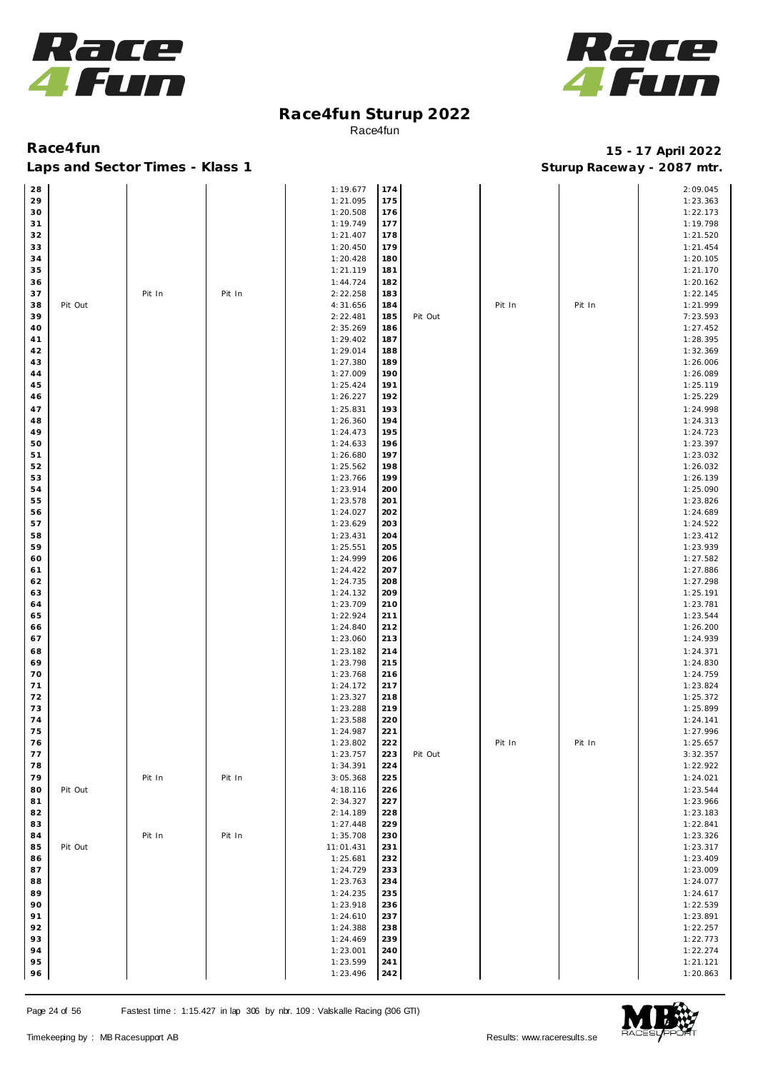



| 28 |         |        |        | 1:19.677  | 174 |         |        |        | 2:09.045 |
|----|---------|--------|--------|-----------|-----|---------|--------|--------|----------|
| 29 |         |        |        | 1:21.095  | 175 |         |        |        | 1:23.363 |
|    |         |        |        |           |     |         |        |        |          |
| 30 |         |        |        | 1:20.508  | 176 |         |        |        | 1:22.173 |
| 31 |         |        |        | 1:19.749  | 177 |         |        |        | 1:19.798 |
| 32 |         |        |        | 1:21.407  | 178 |         |        |        | 1:21.520 |
| 33 |         |        |        | 1:20.450  | 179 |         |        |        | 1:21.454 |
|    |         |        |        |           |     |         |        |        |          |
| 34 |         |        |        | 1:20.428  | 180 |         |        |        | 1:20.105 |
| 35 |         |        |        | 1:21.119  | 181 |         |        |        | 1:21.170 |
| 36 |         |        |        | 1:44.724  | 182 |         |        |        | 1:20.162 |
| 37 |         | Pit In | Pit In | 2:22.258  | 183 |         |        |        | 1:22.145 |
|    | Pit Out |        |        |           |     |         |        |        |          |
| 38 |         |        |        | 4:31.656  | 184 |         | Pit In | Pit In | 1:21.999 |
| 39 |         |        |        | 2:22.481  | 185 | Pit Out |        |        | 7:23.593 |
| 40 |         |        |        | 2:35.269  | 186 |         |        |        | 1:27.452 |
| 41 |         |        |        | 1:29.402  | 187 |         |        |        | 1:28.395 |
| 42 |         |        |        | 1:29.014  | 188 |         |        |        | 1:32.369 |
|    |         |        |        |           |     |         |        |        |          |
| 43 |         |        |        | 1:27.380  | 189 |         |        |        | 1:26.006 |
| 44 |         |        |        | 1:27.009  | 190 |         |        |        | 1:26.089 |
| 45 |         |        |        | 1:25.424  | 191 |         |        |        | 1:25.119 |
| 46 |         |        |        | 1:26.227  | 192 |         |        |        | 1:25.229 |
|    |         |        |        |           |     |         |        |        |          |
| 47 |         |        |        | 1:25.831  | 193 |         |        |        | 1:24.998 |
| 48 |         |        |        | 1:26.360  | 194 |         |        |        | 1:24.313 |
| 49 |         |        |        | 1:24.473  | 195 |         |        |        | 1:24.723 |
| 50 |         |        |        | 1:24.633  | 196 |         |        |        | 1:23.397 |
| 51 |         |        |        | 1:26.680  | 197 |         |        |        | 1:23.032 |
|    |         |        |        |           |     |         |        |        |          |
| 52 |         |        |        | 1:25.562  | 198 |         |        |        | 1:26.032 |
| 53 |         |        |        | 1:23.766  | 199 |         |        |        | 1:26.139 |
| 54 |         |        |        | 1:23.914  | 200 |         |        |        | 1:25.090 |
| 55 |         |        |        | 1:23.578  | 201 |         |        |        | 1:23.826 |
|    |         |        |        |           |     |         |        |        |          |
| 56 |         |        |        | 1:24.027  | 202 |         |        |        | 1:24.689 |
| 57 |         |        |        | 1:23.629  | 203 |         |        |        | 1:24.522 |
| 58 |         |        |        | 1:23.431  | 204 |         |        |        | 1:23.412 |
| 59 |         |        |        | 1:25.551  | 205 |         |        |        | 1:23.939 |
|    |         |        |        |           |     |         |        |        |          |
| 60 |         |        |        | 1:24.999  | 206 |         |        |        | 1:27.582 |
| 61 |         |        |        | 1:24.422  | 207 |         |        |        | 1:27.886 |
| 62 |         |        |        | 1:24.735  | 208 |         |        |        | 1:27.298 |
| 63 |         |        |        | 1:24.132  | 209 |         |        |        | 1:25.191 |
| 64 |         |        |        | 1:23.709  | 210 |         |        |        | 1:23.781 |
|    |         |        |        |           |     |         |        |        |          |
| 65 |         |        |        | 1:22.924  | 211 |         |        |        | 1:23.544 |
| 66 |         |        |        | 1:24.840  | 212 |         |        |        | 1:26.200 |
| 67 |         |        |        | 1:23.060  | 213 |         |        |        | 1:24.939 |
| 68 |         |        |        | 1:23.182  | 214 |         |        |        | 1:24.371 |
|    |         |        |        |           |     |         |        |        |          |
| 69 |         |        |        | 1:23.798  | 215 |         |        |        | 1:24.830 |
| 70 |         |        |        | 1:23.768  | 216 |         |        |        | 1:24.759 |
| 71 |         |        |        | 1:24.172  | 217 |         |        |        | 1:23.824 |
| 72 |         |        |        | 1:23.327  | 218 |         |        |        | 1:25.372 |
|    |         |        |        |           | 219 |         |        |        | 1:25.899 |
| 73 |         |        |        | 1:23.288  |     |         |        |        |          |
| 74 |         |        |        | 1:23.588  | 220 |         |        |        | 1:24.141 |
| 75 |         |        |        | 1:24.987  | 221 |         |        |        | 1:27.996 |
| 76 |         |        |        | 1:23.802  | 222 |         | Pit In | Pit In | 1:25.657 |
| 77 |         |        |        | 1:23.757  | 223 | Pit Out |        |        | 3:32.357 |
|    |         |        |        |           |     |         |        |        |          |
| 78 |         |        |        | 1:34.391  | 224 |         |        |        | 1:22.922 |
| 79 |         | Pit In | Pit In | 3:05.368  | 225 |         |        |        | 1:24.021 |
| 80 | Pit Out |        |        | 4:18.116  | 226 |         |        |        | 1:23.544 |
| 81 |         |        |        | 2:34.327  | 227 |         |        |        | 1:23.966 |
|    |         |        |        |           | 228 |         |        |        |          |
| 82 |         |        |        | 2:14.189  |     |         |        |        | 1:23.183 |
| 83 |         |        |        | 1:27.448  | 229 |         |        |        | 1:22.841 |
| 84 |         | Pit In | Pit In | 1:35.708  | 230 |         |        |        | 1:23.326 |
| 85 | Pit Out |        |        | 11:01.431 | 231 |         |        |        | 1:23.317 |
| 86 |         |        |        | 1:25.681  | 232 |         |        |        | 1:23.409 |
|    |         |        |        |           |     |         |        |        |          |
| 87 |         |        |        | 1:24.729  | 233 |         |        |        | 1:23.009 |
| 88 |         |        |        | 1:23.763  | 234 |         |        |        | 1:24.077 |
| 89 |         |        |        | 1:24.235  | 235 |         |        |        | 1:24.617 |
| 90 |         |        |        | 1:23.918  | 236 |         |        |        | 1:22.539 |
|    |         |        |        |           |     |         |        |        |          |
| 91 |         |        |        | 1:24.610  | 237 |         |        |        | 1:23.891 |
| 92 |         |        |        | 1:24.388  | 238 |         |        |        | 1:22.257 |
| 93 |         |        |        | 1:24.469  | 239 |         |        |        | 1:22.773 |
| 94 |         |        |        | 1:23.001  | 240 |         |        |        | 1:22.274 |
| 95 |         |        |        | 1:23.599  | 241 |         |        |        | 1:21.121 |
|    |         |        |        |           |     |         |        |        |          |
| 96 |         |        |        | 1:23.496  | 242 |         |        |        | 1:20.863 |

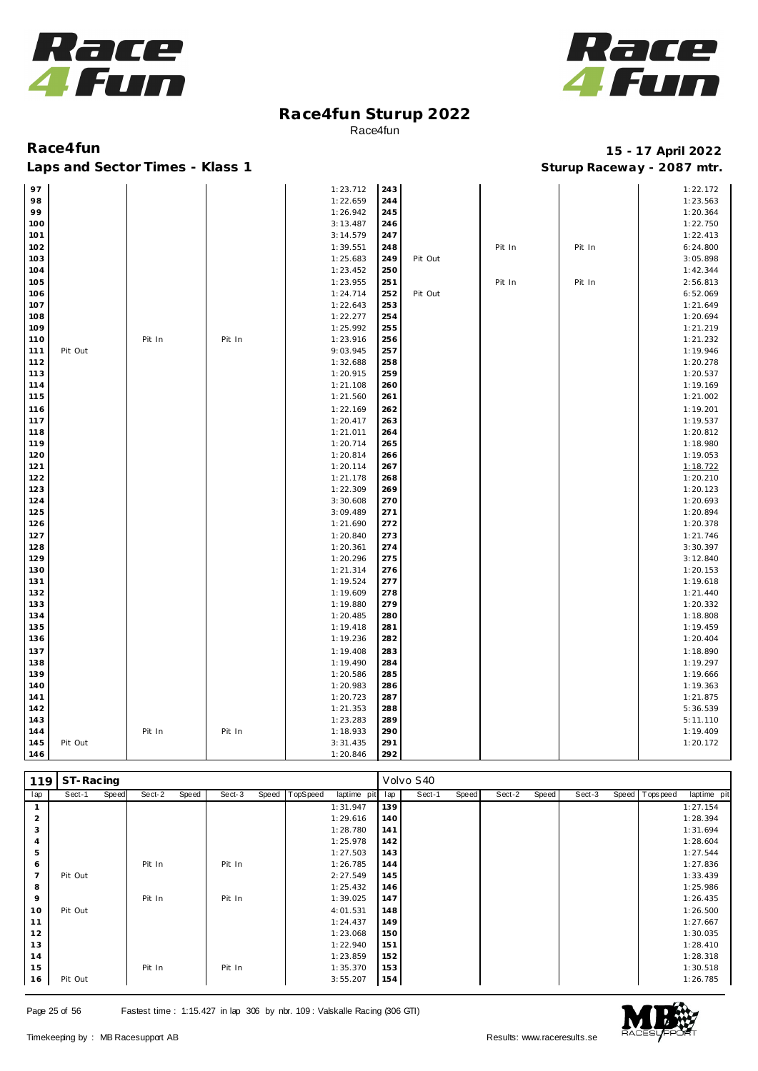



### Laps and Sector Times - Klass 1 **Sturies 1 Sturies 1 Sturies 1 8 and Sector Times - Klass 1 Sturies 1 and Section** 1 **Contrary** 1 **And Section** 1 **Contrary** 1 **Contrary** 1 **Contrary** 1 **Contrary 1 and 2007** must

| 243<br>97<br>1:23.712<br>1:22.172<br>244<br>98<br>1:22.659<br>1:23.563<br>99<br>1:26.942<br>245<br>1:20.364<br>100<br>3:13.487<br>1:22.750<br>246<br>101<br>3:14.579<br>1:22.413<br>247<br>102<br>1:39.551<br>248<br>Pit In<br>Pit In<br>6:24.800<br>103<br>1:25.683<br>249<br>3:05.898<br>Pit Out<br>250<br>104<br>1:23.452<br>1:42.344<br>105<br>1:23.955<br>251<br>Pit In<br>Pit In<br>2:56.813<br>6:52.069<br>106<br>1:24.714<br>252<br>Pit Out<br>107<br>1:22.643<br>253<br>1:21.649<br>254<br>108<br>1:22.277<br>1:20.694<br>109<br>1:25.992<br>255<br>1:21.219<br>110<br>Pit In<br>Pit In<br>1:23.916<br>256<br>1:21.232<br>9:03.945<br>257<br>1:19.946<br>111<br>Pit Out<br>112<br>1:32.688<br>258<br>1:20.278<br>113<br>1:20.915<br>259<br>1:20.537<br>114<br>1:21.108<br>260<br>1:19.169<br>115<br>1:21.002<br>1:21.560<br>261<br>116<br>1:22.169<br>262<br>1:19.201<br>117<br>1:20.417<br>263<br>1:19.537<br>264<br>1:20.812<br>118<br>1:21.011<br>119<br>1:20.714<br>265<br>1:18.980<br>120<br>1:19.053<br>1:20.814<br>266<br>121<br>1:18.722<br>1:20.114<br>267<br>122<br>1:21.178<br>1:20.210<br>268<br>123<br>1:22.309<br>269<br>1:20.123<br>124<br>3:30.608<br>270<br>1:20.693<br>271<br>125<br>3:09.489<br>1:20.894<br>126<br>272<br>1:20.378<br>1:21.690<br>127<br>273<br>1:21.746<br>1:20.840<br>3:30.397<br>128<br>1:20.361<br>274<br>129<br>275<br>3:12.840<br>1:20.296<br>130<br>1:21.314<br>276<br>1:20.153<br>131<br>277<br>1:19.618<br>1:19.524<br>132<br>1:19.609<br>278<br>1:21.440<br>133<br>1:19.880<br>279<br>1:20.332<br>134<br>1:20.485<br>280<br>1:18.808<br>135<br>281<br>1:19.459<br>1:19.418<br>136<br>1:19.236<br>282<br>1:20.404<br>137<br>1:19.408<br>283<br>1:18.890<br>138<br>1:19.490<br>284<br>1:19.297<br>139<br>285<br>1:19.666<br>1:20.586<br>140<br>1:20.983<br>286<br>1:19.363<br>141<br>287<br>1:21.875<br>1:20.723<br>142<br>1:21.353<br>288<br>5:36.539<br>1:23.283<br>289<br>5:11.110<br>143<br>290<br>1:19.409<br>1:18.933<br>144<br>Pit In<br>Pit In<br>291<br>145<br>Pit Out<br>3:31.435<br>1:20.172<br>292<br>146<br>1:20.846 |  |  |  |  |  |
|---------------------------------------------------------------------------------------------------------------------------------------------------------------------------------------------------------------------------------------------------------------------------------------------------------------------------------------------------------------------------------------------------------------------------------------------------------------------------------------------------------------------------------------------------------------------------------------------------------------------------------------------------------------------------------------------------------------------------------------------------------------------------------------------------------------------------------------------------------------------------------------------------------------------------------------------------------------------------------------------------------------------------------------------------------------------------------------------------------------------------------------------------------------------------------------------------------------------------------------------------------------------------------------------------------------------------------------------------------------------------------------------------------------------------------------------------------------------------------------------------------------------------------------------------------------------------------------------------------------------------------------------------------------------------------------------------------------------------------------------------------------------------------------------------------------------------------------------------------------------------------------------------------------------------------------------------------------------------------------------------------------------------------------------------------------------------------------|--|--|--|--|--|
|                                                                                                                                                                                                                                                                                                                                                                                                                                                                                                                                                                                                                                                                                                                                                                                                                                                                                                                                                                                                                                                                                                                                                                                                                                                                                                                                                                                                                                                                                                                                                                                                                                                                                                                                                                                                                                                                                                                                                                                                                                                                                       |  |  |  |  |  |
|                                                                                                                                                                                                                                                                                                                                                                                                                                                                                                                                                                                                                                                                                                                                                                                                                                                                                                                                                                                                                                                                                                                                                                                                                                                                                                                                                                                                                                                                                                                                                                                                                                                                                                                                                                                                                                                                                                                                                                                                                                                                                       |  |  |  |  |  |
|                                                                                                                                                                                                                                                                                                                                                                                                                                                                                                                                                                                                                                                                                                                                                                                                                                                                                                                                                                                                                                                                                                                                                                                                                                                                                                                                                                                                                                                                                                                                                                                                                                                                                                                                                                                                                                                                                                                                                                                                                                                                                       |  |  |  |  |  |
|                                                                                                                                                                                                                                                                                                                                                                                                                                                                                                                                                                                                                                                                                                                                                                                                                                                                                                                                                                                                                                                                                                                                                                                                                                                                                                                                                                                                                                                                                                                                                                                                                                                                                                                                                                                                                                                                                                                                                                                                                                                                                       |  |  |  |  |  |
|                                                                                                                                                                                                                                                                                                                                                                                                                                                                                                                                                                                                                                                                                                                                                                                                                                                                                                                                                                                                                                                                                                                                                                                                                                                                                                                                                                                                                                                                                                                                                                                                                                                                                                                                                                                                                                                                                                                                                                                                                                                                                       |  |  |  |  |  |
|                                                                                                                                                                                                                                                                                                                                                                                                                                                                                                                                                                                                                                                                                                                                                                                                                                                                                                                                                                                                                                                                                                                                                                                                                                                                                                                                                                                                                                                                                                                                                                                                                                                                                                                                                                                                                                                                                                                                                                                                                                                                                       |  |  |  |  |  |
|                                                                                                                                                                                                                                                                                                                                                                                                                                                                                                                                                                                                                                                                                                                                                                                                                                                                                                                                                                                                                                                                                                                                                                                                                                                                                                                                                                                                                                                                                                                                                                                                                                                                                                                                                                                                                                                                                                                                                                                                                                                                                       |  |  |  |  |  |
|                                                                                                                                                                                                                                                                                                                                                                                                                                                                                                                                                                                                                                                                                                                                                                                                                                                                                                                                                                                                                                                                                                                                                                                                                                                                                                                                                                                                                                                                                                                                                                                                                                                                                                                                                                                                                                                                                                                                                                                                                                                                                       |  |  |  |  |  |
|                                                                                                                                                                                                                                                                                                                                                                                                                                                                                                                                                                                                                                                                                                                                                                                                                                                                                                                                                                                                                                                                                                                                                                                                                                                                                                                                                                                                                                                                                                                                                                                                                                                                                                                                                                                                                                                                                                                                                                                                                                                                                       |  |  |  |  |  |
|                                                                                                                                                                                                                                                                                                                                                                                                                                                                                                                                                                                                                                                                                                                                                                                                                                                                                                                                                                                                                                                                                                                                                                                                                                                                                                                                                                                                                                                                                                                                                                                                                                                                                                                                                                                                                                                                                                                                                                                                                                                                                       |  |  |  |  |  |
|                                                                                                                                                                                                                                                                                                                                                                                                                                                                                                                                                                                                                                                                                                                                                                                                                                                                                                                                                                                                                                                                                                                                                                                                                                                                                                                                                                                                                                                                                                                                                                                                                                                                                                                                                                                                                                                                                                                                                                                                                                                                                       |  |  |  |  |  |
|                                                                                                                                                                                                                                                                                                                                                                                                                                                                                                                                                                                                                                                                                                                                                                                                                                                                                                                                                                                                                                                                                                                                                                                                                                                                                                                                                                                                                                                                                                                                                                                                                                                                                                                                                                                                                                                                                                                                                                                                                                                                                       |  |  |  |  |  |
|                                                                                                                                                                                                                                                                                                                                                                                                                                                                                                                                                                                                                                                                                                                                                                                                                                                                                                                                                                                                                                                                                                                                                                                                                                                                                                                                                                                                                                                                                                                                                                                                                                                                                                                                                                                                                                                                                                                                                                                                                                                                                       |  |  |  |  |  |
|                                                                                                                                                                                                                                                                                                                                                                                                                                                                                                                                                                                                                                                                                                                                                                                                                                                                                                                                                                                                                                                                                                                                                                                                                                                                                                                                                                                                                                                                                                                                                                                                                                                                                                                                                                                                                                                                                                                                                                                                                                                                                       |  |  |  |  |  |
|                                                                                                                                                                                                                                                                                                                                                                                                                                                                                                                                                                                                                                                                                                                                                                                                                                                                                                                                                                                                                                                                                                                                                                                                                                                                                                                                                                                                                                                                                                                                                                                                                                                                                                                                                                                                                                                                                                                                                                                                                                                                                       |  |  |  |  |  |
|                                                                                                                                                                                                                                                                                                                                                                                                                                                                                                                                                                                                                                                                                                                                                                                                                                                                                                                                                                                                                                                                                                                                                                                                                                                                                                                                                                                                                                                                                                                                                                                                                                                                                                                                                                                                                                                                                                                                                                                                                                                                                       |  |  |  |  |  |
|                                                                                                                                                                                                                                                                                                                                                                                                                                                                                                                                                                                                                                                                                                                                                                                                                                                                                                                                                                                                                                                                                                                                                                                                                                                                                                                                                                                                                                                                                                                                                                                                                                                                                                                                                                                                                                                                                                                                                                                                                                                                                       |  |  |  |  |  |
|                                                                                                                                                                                                                                                                                                                                                                                                                                                                                                                                                                                                                                                                                                                                                                                                                                                                                                                                                                                                                                                                                                                                                                                                                                                                                                                                                                                                                                                                                                                                                                                                                                                                                                                                                                                                                                                                                                                                                                                                                                                                                       |  |  |  |  |  |
|                                                                                                                                                                                                                                                                                                                                                                                                                                                                                                                                                                                                                                                                                                                                                                                                                                                                                                                                                                                                                                                                                                                                                                                                                                                                                                                                                                                                                                                                                                                                                                                                                                                                                                                                                                                                                                                                                                                                                                                                                                                                                       |  |  |  |  |  |
|                                                                                                                                                                                                                                                                                                                                                                                                                                                                                                                                                                                                                                                                                                                                                                                                                                                                                                                                                                                                                                                                                                                                                                                                                                                                                                                                                                                                                                                                                                                                                                                                                                                                                                                                                                                                                                                                                                                                                                                                                                                                                       |  |  |  |  |  |
|                                                                                                                                                                                                                                                                                                                                                                                                                                                                                                                                                                                                                                                                                                                                                                                                                                                                                                                                                                                                                                                                                                                                                                                                                                                                                                                                                                                                                                                                                                                                                                                                                                                                                                                                                                                                                                                                                                                                                                                                                                                                                       |  |  |  |  |  |
|                                                                                                                                                                                                                                                                                                                                                                                                                                                                                                                                                                                                                                                                                                                                                                                                                                                                                                                                                                                                                                                                                                                                                                                                                                                                                                                                                                                                                                                                                                                                                                                                                                                                                                                                                                                                                                                                                                                                                                                                                                                                                       |  |  |  |  |  |
|                                                                                                                                                                                                                                                                                                                                                                                                                                                                                                                                                                                                                                                                                                                                                                                                                                                                                                                                                                                                                                                                                                                                                                                                                                                                                                                                                                                                                                                                                                                                                                                                                                                                                                                                                                                                                                                                                                                                                                                                                                                                                       |  |  |  |  |  |
|                                                                                                                                                                                                                                                                                                                                                                                                                                                                                                                                                                                                                                                                                                                                                                                                                                                                                                                                                                                                                                                                                                                                                                                                                                                                                                                                                                                                                                                                                                                                                                                                                                                                                                                                                                                                                                                                                                                                                                                                                                                                                       |  |  |  |  |  |
|                                                                                                                                                                                                                                                                                                                                                                                                                                                                                                                                                                                                                                                                                                                                                                                                                                                                                                                                                                                                                                                                                                                                                                                                                                                                                                                                                                                                                                                                                                                                                                                                                                                                                                                                                                                                                                                                                                                                                                                                                                                                                       |  |  |  |  |  |
|                                                                                                                                                                                                                                                                                                                                                                                                                                                                                                                                                                                                                                                                                                                                                                                                                                                                                                                                                                                                                                                                                                                                                                                                                                                                                                                                                                                                                                                                                                                                                                                                                                                                                                                                                                                                                                                                                                                                                                                                                                                                                       |  |  |  |  |  |
|                                                                                                                                                                                                                                                                                                                                                                                                                                                                                                                                                                                                                                                                                                                                                                                                                                                                                                                                                                                                                                                                                                                                                                                                                                                                                                                                                                                                                                                                                                                                                                                                                                                                                                                                                                                                                                                                                                                                                                                                                                                                                       |  |  |  |  |  |
|                                                                                                                                                                                                                                                                                                                                                                                                                                                                                                                                                                                                                                                                                                                                                                                                                                                                                                                                                                                                                                                                                                                                                                                                                                                                                                                                                                                                                                                                                                                                                                                                                                                                                                                                                                                                                                                                                                                                                                                                                                                                                       |  |  |  |  |  |
|                                                                                                                                                                                                                                                                                                                                                                                                                                                                                                                                                                                                                                                                                                                                                                                                                                                                                                                                                                                                                                                                                                                                                                                                                                                                                                                                                                                                                                                                                                                                                                                                                                                                                                                                                                                                                                                                                                                                                                                                                                                                                       |  |  |  |  |  |
|                                                                                                                                                                                                                                                                                                                                                                                                                                                                                                                                                                                                                                                                                                                                                                                                                                                                                                                                                                                                                                                                                                                                                                                                                                                                                                                                                                                                                                                                                                                                                                                                                                                                                                                                                                                                                                                                                                                                                                                                                                                                                       |  |  |  |  |  |
|                                                                                                                                                                                                                                                                                                                                                                                                                                                                                                                                                                                                                                                                                                                                                                                                                                                                                                                                                                                                                                                                                                                                                                                                                                                                                                                                                                                                                                                                                                                                                                                                                                                                                                                                                                                                                                                                                                                                                                                                                                                                                       |  |  |  |  |  |
|                                                                                                                                                                                                                                                                                                                                                                                                                                                                                                                                                                                                                                                                                                                                                                                                                                                                                                                                                                                                                                                                                                                                                                                                                                                                                                                                                                                                                                                                                                                                                                                                                                                                                                                                                                                                                                                                                                                                                                                                                                                                                       |  |  |  |  |  |
|                                                                                                                                                                                                                                                                                                                                                                                                                                                                                                                                                                                                                                                                                                                                                                                                                                                                                                                                                                                                                                                                                                                                                                                                                                                                                                                                                                                                                                                                                                                                                                                                                                                                                                                                                                                                                                                                                                                                                                                                                                                                                       |  |  |  |  |  |
|                                                                                                                                                                                                                                                                                                                                                                                                                                                                                                                                                                                                                                                                                                                                                                                                                                                                                                                                                                                                                                                                                                                                                                                                                                                                                                                                                                                                                                                                                                                                                                                                                                                                                                                                                                                                                                                                                                                                                                                                                                                                                       |  |  |  |  |  |
|                                                                                                                                                                                                                                                                                                                                                                                                                                                                                                                                                                                                                                                                                                                                                                                                                                                                                                                                                                                                                                                                                                                                                                                                                                                                                                                                                                                                                                                                                                                                                                                                                                                                                                                                                                                                                                                                                                                                                                                                                                                                                       |  |  |  |  |  |
|                                                                                                                                                                                                                                                                                                                                                                                                                                                                                                                                                                                                                                                                                                                                                                                                                                                                                                                                                                                                                                                                                                                                                                                                                                                                                                                                                                                                                                                                                                                                                                                                                                                                                                                                                                                                                                                                                                                                                                                                                                                                                       |  |  |  |  |  |
|                                                                                                                                                                                                                                                                                                                                                                                                                                                                                                                                                                                                                                                                                                                                                                                                                                                                                                                                                                                                                                                                                                                                                                                                                                                                                                                                                                                                                                                                                                                                                                                                                                                                                                                                                                                                                                                                                                                                                                                                                                                                                       |  |  |  |  |  |
|                                                                                                                                                                                                                                                                                                                                                                                                                                                                                                                                                                                                                                                                                                                                                                                                                                                                                                                                                                                                                                                                                                                                                                                                                                                                                                                                                                                                                                                                                                                                                                                                                                                                                                                                                                                                                                                                                                                                                                                                                                                                                       |  |  |  |  |  |
|                                                                                                                                                                                                                                                                                                                                                                                                                                                                                                                                                                                                                                                                                                                                                                                                                                                                                                                                                                                                                                                                                                                                                                                                                                                                                                                                                                                                                                                                                                                                                                                                                                                                                                                                                                                                                                                                                                                                                                                                                                                                                       |  |  |  |  |  |
|                                                                                                                                                                                                                                                                                                                                                                                                                                                                                                                                                                                                                                                                                                                                                                                                                                                                                                                                                                                                                                                                                                                                                                                                                                                                                                                                                                                                                                                                                                                                                                                                                                                                                                                                                                                                                                                                                                                                                                                                                                                                                       |  |  |  |  |  |
|                                                                                                                                                                                                                                                                                                                                                                                                                                                                                                                                                                                                                                                                                                                                                                                                                                                                                                                                                                                                                                                                                                                                                                                                                                                                                                                                                                                                                                                                                                                                                                                                                                                                                                                                                                                                                                                                                                                                                                                                                                                                                       |  |  |  |  |  |
|                                                                                                                                                                                                                                                                                                                                                                                                                                                                                                                                                                                                                                                                                                                                                                                                                                                                                                                                                                                                                                                                                                                                                                                                                                                                                                                                                                                                                                                                                                                                                                                                                                                                                                                                                                                                                                                                                                                                                                                                                                                                                       |  |  |  |  |  |
|                                                                                                                                                                                                                                                                                                                                                                                                                                                                                                                                                                                                                                                                                                                                                                                                                                                                                                                                                                                                                                                                                                                                                                                                                                                                                                                                                                                                                                                                                                                                                                                                                                                                                                                                                                                                                                                                                                                                                                                                                                                                                       |  |  |  |  |  |
|                                                                                                                                                                                                                                                                                                                                                                                                                                                                                                                                                                                                                                                                                                                                                                                                                                                                                                                                                                                                                                                                                                                                                                                                                                                                                                                                                                                                                                                                                                                                                                                                                                                                                                                                                                                                                                                                                                                                                                                                                                                                                       |  |  |  |  |  |
|                                                                                                                                                                                                                                                                                                                                                                                                                                                                                                                                                                                                                                                                                                                                                                                                                                                                                                                                                                                                                                                                                                                                                                                                                                                                                                                                                                                                                                                                                                                                                                                                                                                                                                                                                                                                                                                                                                                                                                                                                                                                                       |  |  |  |  |  |
|                                                                                                                                                                                                                                                                                                                                                                                                                                                                                                                                                                                                                                                                                                                                                                                                                                                                                                                                                                                                                                                                                                                                                                                                                                                                                                                                                                                                                                                                                                                                                                                                                                                                                                                                                                                                                                                                                                                                                                                                                                                                                       |  |  |  |  |  |
|                                                                                                                                                                                                                                                                                                                                                                                                                                                                                                                                                                                                                                                                                                                                                                                                                                                                                                                                                                                                                                                                                                                                                                                                                                                                                                                                                                                                                                                                                                                                                                                                                                                                                                                                                                                                                                                                                                                                                                                                                                                                                       |  |  |  |  |  |
|                                                                                                                                                                                                                                                                                                                                                                                                                                                                                                                                                                                                                                                                                                                                                                                                                                                                                                                                                                                                                                                                                                                                                                                                                                                                                                                                                                                                                                                                                                                                                                                                                                                                                                                                                                                                                                                                                                                                                                                                                                                                                       |  |  |  |  |  |
|                                                                                                                                                                                                                                                                                                                                                                                                                                                                                                                                                                                                                                                                                                                                                                                                                                                                                                                                                                                                                                                                                                                                                                                                                                                                                                                                                                                                                                                                                                                                                                                                                                                                                                                                                                                                                                                                                                                                                                                                                                                                                       |  |  |  |  |  |
|                                                                                                                                                                                                                                                                                                                                                                                                                                                                                                                                                                                                                                                                                                                                                                                                                                                                                                                                                                                                                                                                                                                                                                                                                                                                                                                                                                                                                                                                                                                                                                                                                                                                                                                                                                                                                                                                                                                                                                                                                                                                                       |  |  |  |  |  |
|                                                                                                                                                                                                                                                                                                                                                                                                                                                                                                                                                                                                                                                                                                                                                                                                                                                                                                                                                                                                                                                                                                                                                                                                                                                                                                                                                                                                                                                                                                                                                                                                                                                                                                                                                                                                                                                                                                                                                                                                                                                                                       |  |  |  |  |  |
|                                                                                                                                                                                                                                                                                                                                                                                                                                                                                                                                                                                                                                                                                                                                                                                                                                                                                                                                                                                                                                                                                                                                                                                                                                                                                                                                                                                                                                                                                                                                                                                                                                                                                                                                                                                                                                                                                                                                                                                                                                                                                       |  |  |  |  |  |
|                                                                                                                                                                                                                                                                                                                                                                                                                                                                                                                                                                                                                                                                                                                                                                                                                                                                                                                                                                                                                                                                                                                                                                                                                                                                                                                                                                                                                                                                                                                                                                                                                                                                                                                                                                                                                                                                                                                                                                                                                                                                                       |  |  |  |  |  |

| 119            | ST-Racing |       |        |       |        |       |          |             |     | Volvo S40 |       |        |       |        |                  |             |
|----------------|-----------|-------|--------|-------|--------|-------|----------|-------------|-----|-----------|-------|--------|-------|--------|------------------|-------------|
| lap            | Sect-1    | Speed | Sect-2 | Speed | Sect-3 | Speed | TopSpeed | laptime pit | lap | Sect-1    | Speed | Sect-2 | Speed | Sect-3 | Speed   Topspeed | laptime pit |
|                |           |       |        |       |        |       |          | 1:31.947    | 139 |           |       |        |       |        |                  | 1:27.154    |
| 2              |           |       |        |       |        |       |          | 1:29.616    | 140 |           |       |        |       |        |                  | 1:28.394    |
| 3              |           |       |        |       |        |       |          | 1:28.780    | 141 |           |       |        |       |        |                  | 1:31.694    |
| $\overline{4}$ |           |       |        |       |        |       |          | 1:25.978    | 142 |           |       |        |       |        |                  | 1:28.604    |
| 5              |           |       |        |       |        |       |          | 1:27.503    | 143 |           |       |        |       |        |                  | 1:27.544    |
| 6              |           |       | Pit In |       | Pit In |       |          | 1:26.785    | 144 |           |       |        |       |        |                  | 1:27.836    |
| $\overline{7}$ | Pit Out   |       |        |       |        |       |          | 2:27.549    | 145 |           |       |        |       |        |                  | 1:33.439    |
| 8              |           |       |        |       |        |       |          | 1:25.432    | 146 |           |       |        |       |        |                  | 1:25.986    |
| 9              |           |       | Pit In |       | Pit In |       |          | 1:39.025    | 147 |           |       |        |       |        |                  | 1:26.435    |
| 10             | Pit Out   |       |        |       |        |       |          | 4:01.531    | 148 |           |       |        |       |        |                  | 1:26.500    |
| 11             |           |       |        |       |        |       |          | 1:24.437    | 149 |           |       |        |       |        |                  | 1:27.667    |
| 12             |           |       |        |       |        |       |          | 1:23.068    | 150 |           |       |        |       |        |                  | 1:30.035    |
| 13             |           |       |        |       |        |       |          | 1:22.940    | 151 |           |       |        |       |        |                  | 1:28.410    |
| 14             |           |       |        |       |        |       |          | 1:23.859    | 152 |           |       |        |       |        |                  | 1:28.318    |
| 15             |           |       | Pit In |       | Pit In |       |          | 1:35.370    | 153 |           |       |        |       |        |                  | 1:30.518    |
| 16             | Pit Out   |       |        |       |        |       |          | 3:55.207    | 154 |           |       |        |       |        |                  | 1:26.785    |

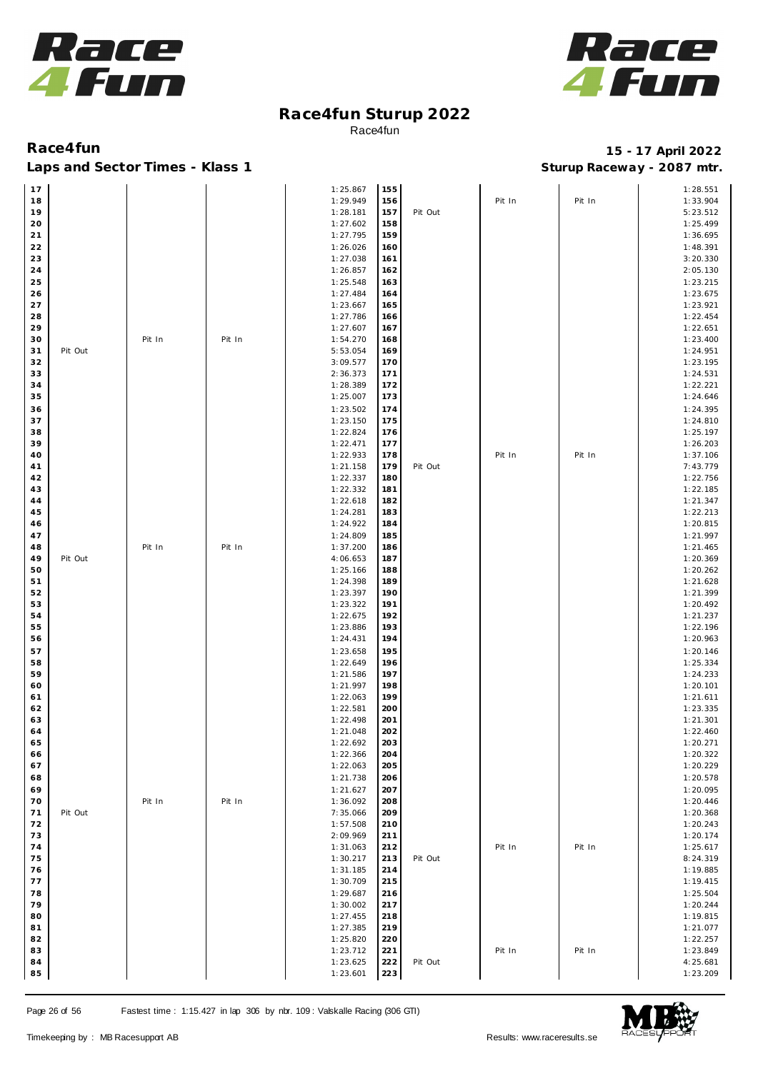



| 17          |         |        |        | 1:25.867             | 155        |         |        |        | 1:28.551             |
|-------------|---------|--------|--------|----------------------|------------|---------|--------|--------|----------------------|
| 18          |         |        |        | 1:29.949             | 156        |         | Pit In | Pit In | 1:33.904             |
| 19          |         |        |        | 1:28.181             | 157        | Pit Out |        |        | 5:23.512             |
| 20          |         |        |        | 1:27.602             | 158        |         |        |        | 1:25.499             |
| $21$        |         |        |        | 1:27.795             | 159        |         |        |        | 1:36.695             |
| $2\sqrt{2}$ |         |        |        | 1:26.026             | 160        |         |        |        | 1:48.391             |
| 23          |         |        |        | 1:27.038             | 161        |         |        |        | 3:20.330             |
| 24          |         |        |        | 1:26.857             | 162        |         |        |        | 2:05.130             |
| 25          |         |        |        | 1:25.548             | 163        |         |        |        | 1:23.215             |
| 26          |         |        |        | 1:27.484             | 164        |         |        |        | 1:23.675             |
| 27          |         |        |        | 1:23.667             | 165        |         |        |        | 1:23.921             |
| 28          |         |        |        | 1:27.786             | 166        |         |        |        | 1:22.454             |
| 29          |         |        |        | 1:27.607             | 167        |         |        |        | 1:22.651             |
| 30          |         | Pit In | Pit In | 1:54.270             | 168        |         |        |        | 1:23.400             |
| 31          | Pit Out |        |        | 5:53.054             | 169        |         |        |        | 1:24.951             |
| 32          |         |        |        | 3:09.577             | 170        |         |        |        | 1:23.195             |
| 33          |         |        |        | 2:36.373             | 171        |         |        |        | 1:24.531             |
| 34          |         |        |        | 1:28.389             | 172        |         |        |        | 1:22.221             |
| 35          |         |        |        | 1:25.007             | 173        |         |        |        | 1:24.646             |
| 36          |         |        |        | 1:23.502             | 174        |         |        |        | 1:24.395             |
| 37          |         |        |        | 1:23.150             | 175        |         |        |        | 1:24.810             |
| 38          |         |        |        | 1:22.824             | 176        |         |        |        | 1:25.197             |
| 39          |         |        |        | 1:22.471             | 177        |         |        |        | 1:26.203             |
| 40          |         |        |        | 1:22.933             | 178        |         | Pit In | Pit In | 1:37.106             |
| 41          |         |        |        | 1:21.158             | 179        | Pit Out |        |        | 7:43.779             |
| 42          |         |        |        | 1:22.337             | 180        |         |        |        | 1:22.756             |
| 43          |         |        |        | 1:22.332             | 181        |         |        |        | 1:22.185             |
| 44          |         |        |        | 1:22.618             | 182        |         |        |        | 1:21.347             |
| 45          |         |        |        | 1:24.281             | 183        |         |        |        | 1:22.213             |
| 46          |         |        |        | 1:24.922             | 184        |         |        |        | 1:20.815             |
| 47          |         |        |        | 1:24.809             | 185        |         |        |        | 1:21.997             |
| 48          |         | Pit In | Pit In | 1:37.200             | 186        |         |        |        | 1:21.465             |
| 49          | Pit Out |        |        | 4:06.653             | 187        |         |        |        | 1:20.369             |
| 50          |         |        |        | 1:25.166             | 188        |         |        |        | 1:20.262             |
| 51          |         |        |        | 1:24.398             | 189        |         |        |        | 1:21.628             |
| 52          |         |        |        | 1:23.397             | 190        |         |        |        | 1:21.399             |
| 53          |         |        |        | 1:23.322             | 191        |         |        |        | 1:20.492             |
| 54          |         |        |        | 1:22.675             | 192        |         |        |        | 1:21.237             |
| 55          |         |        |        | 1:23.886             | 193        |         |        |        | 1:22.196             |
| 56          |         |        |        | 1:24.431             | 194        |         |        |        | 1:20.963             |
| 57          |         |        |        | 1:23.658             | 195        |         |        |        | 1:20.146             |
| 58          |         |        |        | 1:22.649             | 196        |         |        |        | 1:25.334             |
| 59          |         |        |        | 1:21.586             | 197        |         |        |        | 1:24.233             |
| 60          |         |        |        | 1:21.997             | 198        |         |        |        | 1:20.101             |
| 61          |         |        |        | 1:22.063             | 199        |         |        |        | 1:21.611             |
| 62          |         |        |        | 1:22.581             | 200        |         |        |        | 1:23.335             |
| 63          |         |        |        | 1:22.498             | 201        |         |        |        | 1:21.301             |
| 64          |         |        |        | 1:21.048             | 202        |         |        |        | 1:22.460             |
| 65          |         |        |        | 1:22.692             | 203        |         |        |        | 1:20.271             |
| 66          |         |        |        | 1:22.366             | 204        |         |        |        | 1:20.322             |
| 67          |         |        |        | 1:22.063             | 205        |         |        |        | 1:20.229             |
| 68          |         |        |        | 1:21.738             | 206        |         |        |        | 1:20.578             |
| 69          |         |        |        | 1:21.627             | 207        |         |        |        | 1:20.095             |
| 70<br>71    |         | Pit In | Pit In | 1:36.092<br>7:35.066 | 208        |         |        |        | 1:20.446<br>1:20.368 |
| 72          | Pit Out |        |        | 1:57.508             | 209<br>210 |         |        |        | 1:20.243             |
| 73          |         |        |        | 2:09.969             | 211        |         |        |        | 1:20.174             |
| 74          |         |        |        | 1:31.063             | 212        |         | Pit In | Pit In | 1:25.617             |
| 75          |         |        |        | 1:30.217             | 213        | Pit Out |        |        | 8:24.319             |
| 76          |         |        |        | 1:31.185             | 214        |         |        |        | 1:19.885             |
| 77          |         |        |        | 1:30.709             | 215        |         |        |        | 1:19.415             |
| 78          |         |        |        | 1:29.687             | 216        |         |        |        | 1:25.504             |
| 79          |         |        |        | 1:30.002             | 217        |         |        |        | 1:20.244             |
| 80          |         |        |        | 1:27.455             | 218        |         |        |        | 1:19.815             |
| 81          |         |        |        | 1:27.385             | 219        |         |        |        | 1:21.077             |
| 82          |         |        |        | 1:25.820             | 220        |         |        |        | 1:22.257             |
| 83          |         |        |        | 1:23.712             | 221        |         | Pit In | Pit In | 1:23.849             |
| 84          |         |        |        | 1:23.625             | 222        | Pit Out |        |        | 4:25.681             |
| 85          |         |        |        | 1:23.601             | 223        |         |        |        | 1:23.209             |

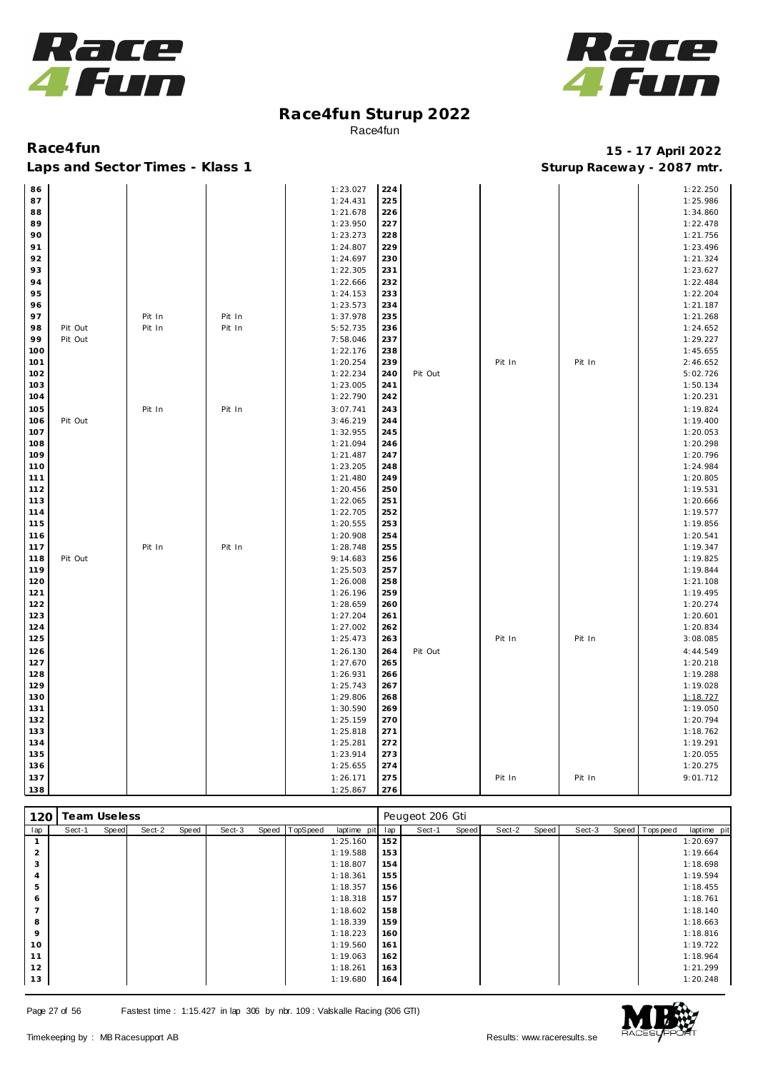



| 86    |         |        |        | 1:23.027             | 224        |         |        |        | 1:22.250             |
|-------|---------|--------|--------|----------------------|------------|---------|--------|--------|----------------------|
| 87    |         |        |        | 1:24.431             | 225        |         |        |        | 1:25.986             |
| 88    |         |        |        | 1:21.678             | 226        |         |        |        | 1:34.860             |
| 89    |         |        |        | 1:23.950             | 227        |         |        |        | 1:22.478             |
| 90    |         |        |        | 1:23.273             | 228        |         |        |        | 1:21.756             |
| 91    |         |        |        | 1:24.807             | 229        |         |        |        | 1:23.496             |
| 92    |         |        |        | 1:24.697             | 230        |         |        |        | 1:21.324             |
| 93    |         |        |        | 1:22.305             | 231        |         |        |        | 1:23.627             |
| 94    |         |        |        | 1:22.666             | 232        |         |        |        | 1:22.484             |
| 95    |         |        |        | 1:24.153             | 233        |         |        |        | 1:22.204             |
| 96    |         |        |        | 1:23.573             | 234        |         |        |        | 1:21.187             |
| 97    |         | Pit In | Pit In | 1:37.978             | 235        |         |        |        | 1:21.268             |
| 98    | Pit Out | Pit In | Pit In | 5:52.735             | 236        |         |        |        | 1:24.652             |
| 99    | Pit Out |        |        | 7:58.046             | 237        |         |        |        | 1:29.227             |
| 100   |         |        |        | 1:22.176             | 238        |         |        |        | 1:45.655             |
| 101   |         |        |        | 1:20.254             | 239        |         | Pit In | Pit In | 2:46.652             |
| 102   |         |        |        | 1:22.234             | 240        | Pit Out |        |        | 5:02.726             |
| 103   |         |        |        | 1:23.005             | 241        |         |        |        | 1:50.134             |
| 104   |         |        |        | 1:22.790             | 242        |         |        |        | 1:20.231             |
| 105   |         | Pit In | Pit In | 3:07.741             | 243        |         |        |        | 1:19.824             |
| 106   | Pit Out |        |        | 3:46.219             | 244        |         |        |        | 1:19.400             |
| 107   |         |        |        | 1:32.955             | 245        |         |        |        | 1:20.053             |
| 108   |         |        |        | 1:21.094             | 246        |         |        |        | 1:20.298             |
| 109   |         |        |        | 1:21.487             | 247        |         |        |        | 1:20.796             |
| 110   |         |        |        | 1:23.205             | 248        |         |        |        | 1:24.984             |
| 111   |         |        |        | 1:21.480             | 249        |         |        |        | 1:20.805             |
| 112   |         |        |        | 1:20.456             | 250        |         |        |        | 1:19.531             |
|       |         |        |        |                      |            |         |        |        |                      |
| 113   |         |        |        | 1:22.065<br>1:22.705 | 251        |         |        |        | 1:20.666<br>1:19.577 |
| 114   |         |        |        |                      | 252<br>253 |         |        |        |                      |
| $115$ |         |        |        | 1:20.555             |            |         |        |        | 1:19.856             |
| 116   |         |        |        | 1:20.908             | 254        |         |        |        | 1:20.541             |
| 117   |         | Pit In | Pit In | 1:28.748             | 255        |         |        |        | 1:19.347             |
| 118   | Pit Out |        |        | 9:14.683             | 256        |         |        |        | 1:19.825             |
| 119   |         |        |        | 1:25.503             | 257        |         |        |        | 1:19.844             |
| 120   |         |        |        | 1:26.008             | 258        |         |        |        | 1:21.108             |
| 121   |         |        |        | 1:26.196             | 259        |         |        |        | 1:19.495             |
| 122   |         |        |        | 1:28.659             | 260        |         |        |        | 1:20.274             |
| 123   |         |        |        | 1:27.204             | 261        |         |        |        | 1:20.601             |
| 124   |         |        |        | 1:27.002             | 262        |         |        |        | 1:20.834             |
| 125   |         |        |        | 1:25.473             | 263        |         | Pit In | Pit In | 3:08.085             |
| 126   |         |        |        | 1:26.130             | 264        | Pit Out |        |        | 4:44.549             |
| $127$ |         |        |        | 1:27.670             | 265        |         |        |        | 1:20.218             |
| 128   |         |        |        | 1:26.931             | 266        |         |        |        | 1:19.288             |
| 129   |         |        |        | 1:25.743             | 267        |         |        |        | 1:19.028             |
| 130   |         |        |        | 1:29.806             | 268        |         |        |        | 1:18.727             |
| 131   |         |        |        | 1:30.590             | 269        |         |        |        | 1:19.050             |
| 132   |         |        |        | 1:25.159             | 270        |         |        |        | 1:20.794             |
| 133   |         |        |        | 1:25.818             | 271        |         |        |        | 1:18.762             |
| 134   |         |        |        | 1:25.281             | 272        |         |        |        | 1:19.291             |
| 135   |         |        |        | 1:23.914             | 273        |         |        |        | 1:20.055             |
| 136   |         |        |        | 1:25.655             | 274        |         |        |        | 1:20.275             |
| 137   |         |        |        | 1:26.171             | 275        |         | Pit In | Pit In | 9:01.712             |
| 138   |         |        |        | 1:25.867             | 276        |         |        |        |                      |

| 120     | Team Useless |       |        |       |        |       |                 |             |     | Peugeot 206 Gti |       |        |       |        |                  |             |
|---------|--------------|-------|--------|-------|--------|-------|-----------------|-------------|-----|-----------------|-------|--------|-------|--------|------------------|-------------|
| lap     | Sect-1       | Speed | Sect-2 | Speed | Sect-3 | Speed | <b>TopSpeed</b> | laptime pit | lap | Sect-1          | Speed | Sect-2 | Speed | Sect-3 | Speed   Topspeed | laptime pit |
|         |              |       |        |       |        |       |                 | 1:25.160    | 152 |                 |       |        |       |        |                  | 1:20.697    |
| 2       |              |       |        |       |        |       |                 | 1:19.588    | 153 |                 |       |        |       |        |                  | 1:19.664    |
| 3       |              |       |        |       |        |       |                 | 1:18.807    | 154 |                 |       |        |       |        |                  | 1:18.698    |
|         |              |       |        |       |        |       |                 | 1:18.361    | 155 |                 |       |        |       |        |                  | 1:19.594    |
| 5       |              |       |        |       |        |       |                 | 1:18.357    | 156 |                 |       |        |       |        |                  | 1:18.455    |
| 6       |              |       |        |       |        |       |                 | 1:18.318    | 157 |                 |       |        |       |        |                  | 1:18.761    |
|         |              |       |        |       |        |       |                 | 1:18.602    | 158 |                 |       |        |       |        |                  | 1:18.140    |
| 8       |              |       |        |       |        |       |                 | 1:18.339    | 159 |                 |       |        |       |        |                  | 1:18.663    |
| $\circ$ |              |       |        |       |        |       |                 | 1:18.223    | 160 |                 |       |        |       |        |                  | 1:18.816    |
| 10      |              |       |        |       |        |       |                 | 1:19.560    | 161 |                 |       |        |       |        |                  | 1:19.722    |
| 11      |              |       |        |       |        |       |                 | 1:19.063    | 162 |                 |       |        |       |        |                  | 1:18.964    |
| 12      |              |       |        |       |        |       |                 | 1:18.261    | 163 |                 |       |        |       |        |                  | 1:21.299    |
| 13      |              |       |        |       |        |       |                 | 1:19.680    | 164 |                 |       |        |       |        |                  | 1:20.248    |

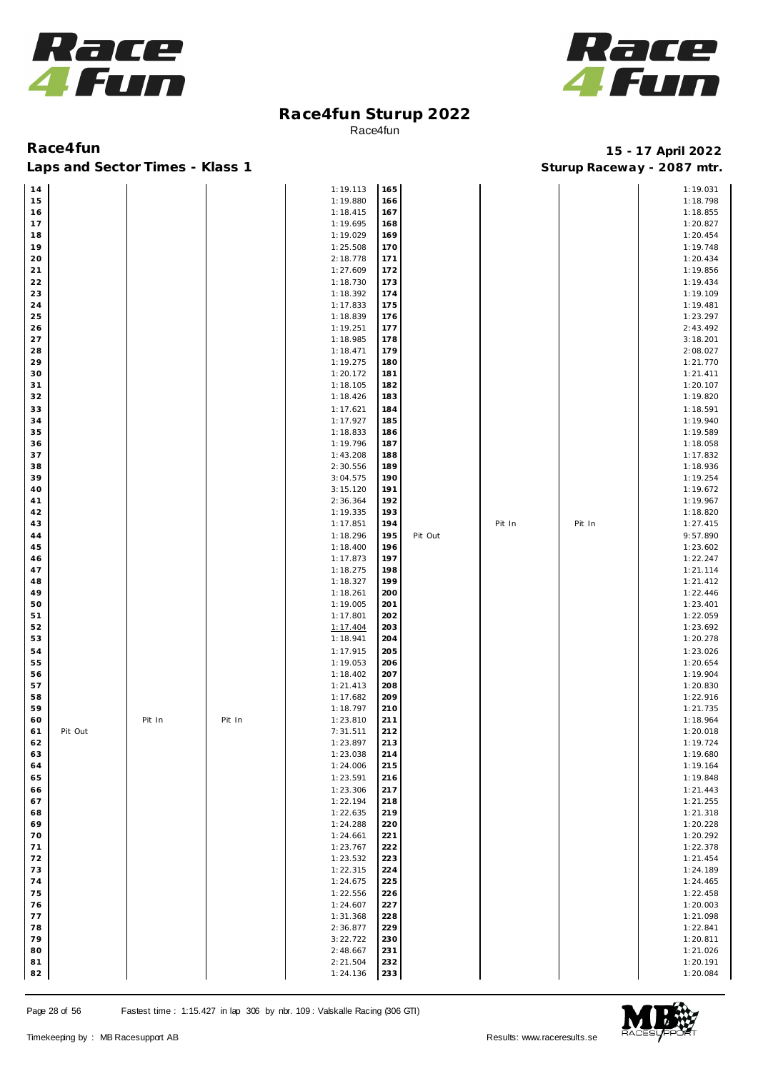



### Laps and Sector Times - Klass 1 **Sturies 1 Sturies 1 Sturies 1 8 and Sector Times - Klass 1 Sturies 1 and Section** 1 **Contrary** 1 **And Section** 1 **Contrary** 1 **Contrary** 1 **Contrary** 1 **Contrary 1 and 2007** must

| 14   |         |        |        | 1:19.113 | 165 |         |        |        | 1:19.031 |
|------|---------|--------|--------|----------|-----|---------|--------|--------|----------|
| 15   |         |        |        | 1:19.880 | 166 |         |        |        | 1:18.798 |
| 16   |         |        |        | 1:18.415 | 167 |         |        |        | 1:18.855 |
| 17   |         |        |        | 1:19.695 | 168 |         |        |        | 1:20.827 |
|      |         |        |        |          |     |         |        |        |          |
| 18   |         |        |        | 1:19.029 | 169 |         |        |        | 1:20.454 |
| 19   |         |        |        | 1:25.508 | 170 |         |        |        | 1:19.748 |
| 20   |         |        |        | 2:18.778 | 171 |         |        |        | 1:20.434 |
| $21$ |         |        |        | 1:27.609 | 172 |         |        |        | 1:19.856 |
|      |         |        |        |          |     |         |        |        |          |
| 22   |         |        |        | 1:18.730 | 173 |         |        |        | 1:19.434 |
| 23   |         |        |        | 1:18.392 | 174 |         |        |        | 1:19.109 |
| 24   |         |        |        | 1:17.833 | 175 |         |        |        | 1:19.481 |
| 25   |         |        |        | 1:18.839 | 176 |         |        |        | 1:23.297 |
| 26   |         |        |        | 1:19.251 | 177 |         |        |        | 2:43.492 |
|      |         |        |        |          |     |         |        |        |          |
| 27   |         |        |        | 1:18.985 | 178 |         |        |        | 3:18.201 |
| 28   |         |        |        | 1:18.471 | 179 |         |        |        | 2:08.027 |
| 29   |         |        |        | 1:19.275 | 180 |         |        |        | 1:21.770 |
| 30   |         |        |        | 1:20.172 | 181 |         |        |        | 1:21.411 |
| 31   |         |        |        | 1:18.105 | 182 |         |        |        | 1:20.107 |
|      |         |        |        |          |     |         |        |        |          |
| 32   |         |        |        | 1:18.426 | 183 |         |        |        | 1:19.820 |
| 33   |         |        |        | 1:17.621 | 184 |         |        |        | 1:18.591 |
| 34   |         |        |        | 1:17.927 | 185 |         |        |        | 1:19.940 |
| 35   |         |        |        | 1:18.833 | 186 |         |        |        | 1:19.589 |
|      |         |        |        |          |     |         |        |        |          |
| 36   |         |        |        | 1:19.796 | 187 |         |        |        | 1:18.058 |
| 37   |         |        |        | 1:43.208 | 188 |         |        |        | 1:17.832 |
| 38   |         |        |        | 2:30.556 | 189 |         |        |        | 1:18.936 |
| 39   |         |        |        | 3:04.575 | 190 |         |        |        | 1:19.254 |
| 40   |         |        |        | 3:15.120 | 191 |         |        |        | 1:19.672 |
|      |         |        |        |          |     |         |        |        |          |
| 41   |         |        |        | 2:36.364 | 192 |         |        |        | 1:19.967 |
| 42   |         |        |        | 1:19.335 | 193 |         |        |        | 1:18.820 |
| 43   |         |        |        | 1:17.851 | 194 |         | Pit In | Pit In | 1:27.415 |
| 44   |         |        |        | 1:18.296 | 195 | Pit Out |        |        | 9:57.890 |
|      |         |        |        |          |     |         |        |        |          |
| 45   |         |        |        | 1:18.400 | 196 |         |        |        | 1:23.602 |
| 46   |         |        |        | 1:17.873 | 197 |         |        |        | 1:22.247 |
| 47   |         |        |        | 1:18.275 | 198 |         |        |        | 1:21.114 |
| 48   |         |        |        | 1:18.327 | 199 |         |        |        | 1:21.412 |
| 49   |         |        |        |          | 200 |         |        |        | 1:22.446 |
|      |         |        |        | 1:18.261 |     |         |        |        |          |
| 50   |         |        |        | 1:19.005 | 201 |         |        |        | 1:23.401 |
| 51   |         |        |        | 1:17.801 | 202 |         |        |        | 1:22.059 |
| 52   |         |        |        | 1:17.404 | 203 |         |        |        | 1:23.692 |
| 53   |         |        |        | 1:18.941 | 204 |         |        |        | 1:20.278 |
|      |         |        |        |          |     |         |        |        |          |
| 54   |         |        |        | 1:17.915 | 205 |         |        |        | 1:23.026 |
| 55   |         |        |        | 1:19.053 | 206 |         |        |        | 1:20.654 |
| 56   |         |        |        | 1:18.402 | 207 |         |        |        | 1:19.904 |
| 57   |         |        |        | 1:21.413 | 208 |         |        |        | 1:20.830 |
| 58   |         |        |        | 1:17.682 | 209 |         |        |        | 1:22.916 |
|      |         |        |        |          |     |         |        |        |          |
| 59   |         |        |        | 1:18.797 | 210 |         |        |        | 1:21.735 |
| 60   |         | Pit In | Pit In | 1:23.810 | 211 |         |        |        | 1:18.964 |
| 61   | Pit Out |        |        | 7:31.511 | 212 |         |        |        | 1:20.018 |
| 62   |         |        |        | 1:23.897 | 213 |         |        |        | 1:19.724 |
| 63   |         |        |        | 1:23.038 | 214 |         |        |        | 1:19.680 |
|      |         |        |        |          |     |         |        |        |          |
| 64   |         |        |        | 1:24.006 | 215 |         |        |        | 1:19.164 |
| 65   |         |        |        | 1:23.591 | 216 |         |        |        | 1:19.848 |
| 66   |         |        |        | 1:23.306 | 217 |         |        |        | 1:21.443 |
| 67   |         |        |        | 1:22.194 | 218 |         |        |        | 1:21.255 |
|      |         |        |        |          |     |         |        |        |          |
| 68   |         |        |        | 1:22.635 | 219 |         |        |        | 1:21.318 |
| 69   |         |        |        | 1:24.288 | 220 |         |        |        | 1:20.228 |
| 70   |         |        |        | 1:24.661 | 221 |         |        |        | 1:20.292 |
| 71   |         |        |        | 1:23.767 | 222 |         |        |        | 1:22.378 |
| 72   |         |        |        | 1:23.532 | 223 |         |        |        | 1:21.454 |
|      |         |        |        |          |     |         |        |        |          |
| 73   |         |        |        | 1:22.315 | 224 |         |        |        | 1:24.189 |
| 74   |         |        |        | 1:24.675 | 225 |         |        |        | 1:24.465 |
| 75   |         |        |        | 1:22.556 | 226 |         |        |        | 1:22.458 |
| 76   |         |        |        | 1:24.607 | 227 |         |        |        | 1:20.003 |
|      |         |        |        |          |     |         |        |        |          |
| 77   |         |        |        | 1:31.368 | 228 |         |        |        | 1:21.098 |
| 78   |         |        |        | 2:36.877 | 229 |         |        |        | 1:22.841 |
| 79   |         |        |        | 3:22.722 | 230 |         |        |        | 1:20.811 |
| 80   |         |        |        | 2:48.667 | 231 |         |        |        | 1:21.026 |
| 81   |         |        |        | 2:21.504 | 232 |         |        |        | 1:20.191 |
|      |         |        |        |          |     |         |        |        |          |
| 82   |         |        |        | 1:24.136 | 233 |         |        |        | 1:20.084 |

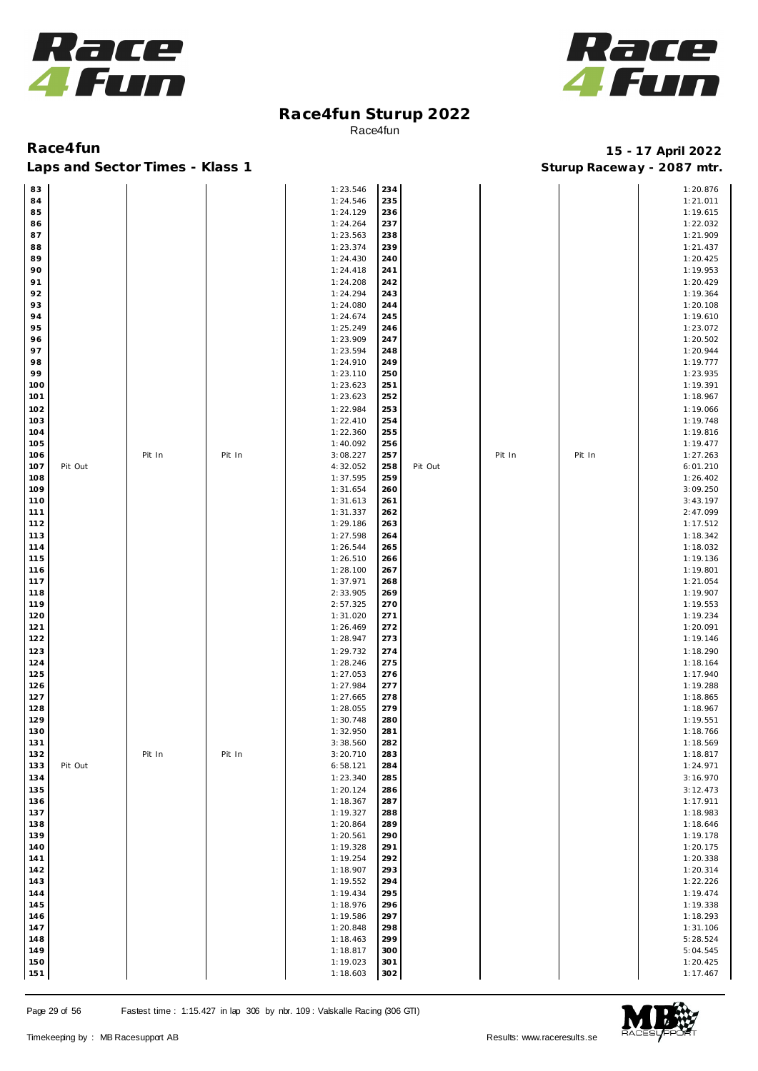



| 83  |         |        |        | 1:23.546 | 234 |         |        |        | 1:20.876 |
|-----|---------|--------|--------|----------|-----|---------|--------|--------|----------|
| 84  |         |        |        | 1:24.546 | 235 |         |        |        | 1:21.011 |
| 85  |         |        |        | 1:24.129 | 236 |         |        |        | 1:19.615 |
| 86  |         |        |        | 1:24.264 | 237 |         |        |        | 1:22.032 |
| 87  |         |        |        | 1:23.563 | 238 |         |        |        | 1:21.909 |
| 88  |         |        |        | 1:23.374 | 239 |         |        |        | 1:21.437 |
|     |         |        |        |          |     |         |        |        |          |
| 89  |         |        |        | 1:24.430 | 240 |         |        |        | 1:20.425 |
| 90  |         |        |        | 1:24.418 | 241 |         |        |        | 1:19.953 |
| 91  |         |        |        | 1:24.208 | 242 |         |        |        | 1:20.429 |
| 92  |         |        |        | 1:24.294 | 243 |         |        |        | 1:19.364 |
| 93  |         |        |        | 1:24.080 | 244 |         |        |        | 1:20.108 |
| 94  |         |        |        | 1:24.674 | 245 |         |        |        | 1:19.610 |
| 95  |         |        |        | 1:25.249 | 246 |         |        |        | 1:23.072 |
| 96  |         |        |        | 1:23.909 | 247 |         |        |        | 1:20.502 |
|     |         |        |        |          |     |         |        |        |          |
| 97  |         |        |        | 1:23.594 | 248 |         |        |        | 1:20.944 |
| 98  |         |        |        | 1:24.910 | 249 |         |        |        | 1:19.777 |
| 99  |         |        |        | 1:23.110 | 250 |         |        |        | 1:23.935 |
| 100 |         |        |        | 1:23.623 | 251 |         |        |        | 1:19.391 |
| 101 |         |        |        | 1:23.623 | 252 |         |        |        | 1:18.967 |
| 102 |         |        |        | 1:22.984 | 253 |         |        |        | 1:19.066 |
| 103 |         |        |        | 1:22.410 | 254 |         |        |        | 1:19.748 |
| 104 |         |        |        |          | 255 |         |        |        |          |
|     |         |        |        | 1:22.360 |     |         |        |        | 1:19.816 |
| 105 |         |        |        | 1:40.092 | 256 |         |        |        | 1:19.477 |
| 106 |         | Pit In | Pit In | 3:08.227 | 257 |         | Pit In | Pit In | 1:27.263 |
| 107 | Pit Out |        |        | 4:32.052 | 258 | Pit Out |        |        | 6:01.210 |
| 108 |         |        |        | 1:37.595 | 259 |         |        |        | 1:26.402 |
| 109 |         |        |        | 1:31.654 | 260 |         |        |        | 3:09.250 |
| 110 |         |        |        | 1:31.613 | 261 |         |        |        | 3:43.197 |
| 111 |         |        |        | 1:31.337 | 262 |         |        |        | 2:47.099 |
| 112 |         |        |        | 1:29.186 | 263 |         |        |        | 1:17.512 |
|     |         |        |        |          |     |         |        |        |          |
| 113 |         |        |        | 1:27.598 | 264 |         |        |        | 1:18.342 |
| 114 |         |        |        | 1:26.544 | 265 |         |        |        | 1:18.032 |
| 115 |         |        |        | 1:26.510 | 266 |         |        |        | 1:19.136 |
| 116 |         |        |        | 1:28.100 | 267 |         |        |        | 1:19.801 |
| 117 |         |        |        | 1:37.971 | 268 |         |        |        | 1:21.054 |
| 118 |         |        |        | 2:33.905 | 269 |         |        |        | 1:19.907 |
| 119 |         |        |        | 2:57.325 | 270 |         |        |        | 1:19.553 |
|     |         |        |        | 1:31.020 | 271 |         |        |        |          |
| 120 |         |        |        |          |     |         |        |        | 1:19.234 |
| 121 |         |        |        | 1:26.469 | 272 |         |        |        | 1:20.091 |
| 122 |         |        |        | 1:28.947 | 273 |         |        |        | 1:19.146 |
| 123 |         |        |        | 1:29.732 | 274 |         |        |        | 1:18.290 |
| 124 |         |        |        | 1:28.246 | 275 |         |        |        | 1:18.164 |
| 125 |         |        |        | 1:27.053 | 276 |         |        |        | 1:17.940 |
| 126 |         |        |        | 1:27.984 | 277 |         |        |        | 1:19.288 |
| 127 |         |        |        | 1:27.665 | 278 |         |        |        | 1:18.865 |
| 128 |         |        |        | 1:28.055 | 279 |         |        |        | 1:18.967 |
|     |         |        |        |          |     |         |        |        |          |
| 129 |         |        |        | 1:30.748 | 280 |         |        |        | 1:19.551 |
| 130 |         |        |        | 1:32.950 | 281 |         |        |        | 1:18.766 |
| 131 |         |        |        | 3:38.560 | 282 |         |        |        | 1:18.569 |
| 132 |         | Pit In | Pit In | 3:20.710 | 283 |         |        |        | 1:18.817 |
| 133 | Pit Out |        |        | 6:58.121 | 284 |         |        |        | 1:24.971 |
| 134 |         |        |        | 1:23.340 | 285 |         |        |        | 3:16.970 |
| 135 |         |        |        | 1:20.124 | 286 |         |        |        | 3:12.473 |
| 136 |         |        |        | 1:18.367 | 287 |         |        |        | 1:17.911 |
| 137 |         |        |        |          |     |         |        |        |          |
|     |         |        |        | 1:19.327 | 288 |         |        |        | 1:18.983 |
| 138 |         |        |        | 1:20.864 | 289 |         |        |        | 1:18.646 |
| 139 |         |        |        | 1:20.561 | 290 |         |        |        | 1:19.178 |
| 140 |         |        |        | 1:19.328 | 291 |         |        |        | 1:20.175 |
| 141 |         |        |        | 1:19.254 | 292 |         |        |        | 1:20.338 |
|     |         |        |        |          |     |         |        |        |          |
| 142 |         |        |        | 1:18.907 | 293 |         |        |        | 1:20.314 |
| 143 |         |        |        |          | 294 |         |        |        |          |
|     |         |        |        | 1:19.552 |     |         |        |        | 1:22.226 |
| 144 |         |        |        | 1:19.434 | 295 |         |        |        | 1:19.474 |
| 145 |         |        |        | 1:18.976 | 296 |         |        |        | 1:19.338 |
| 146 |         |        |        | 1:19.586 | 297 |         |        |        | 1:18.293 |
| 147 |         |        |        | 1:20.848 | 298 |         |        |        | 1:31.106 |
| 148 |         |        |        | 1:18.463 | 299 |         |        |        | 5:28.524 |
| 149 |         |        |        | 1:18.817 | 300 |         |        |        | 5:04.545 |
| 150 |         |        |        | 1:19.023 | 301 |         |        |        | 1:20.425 |

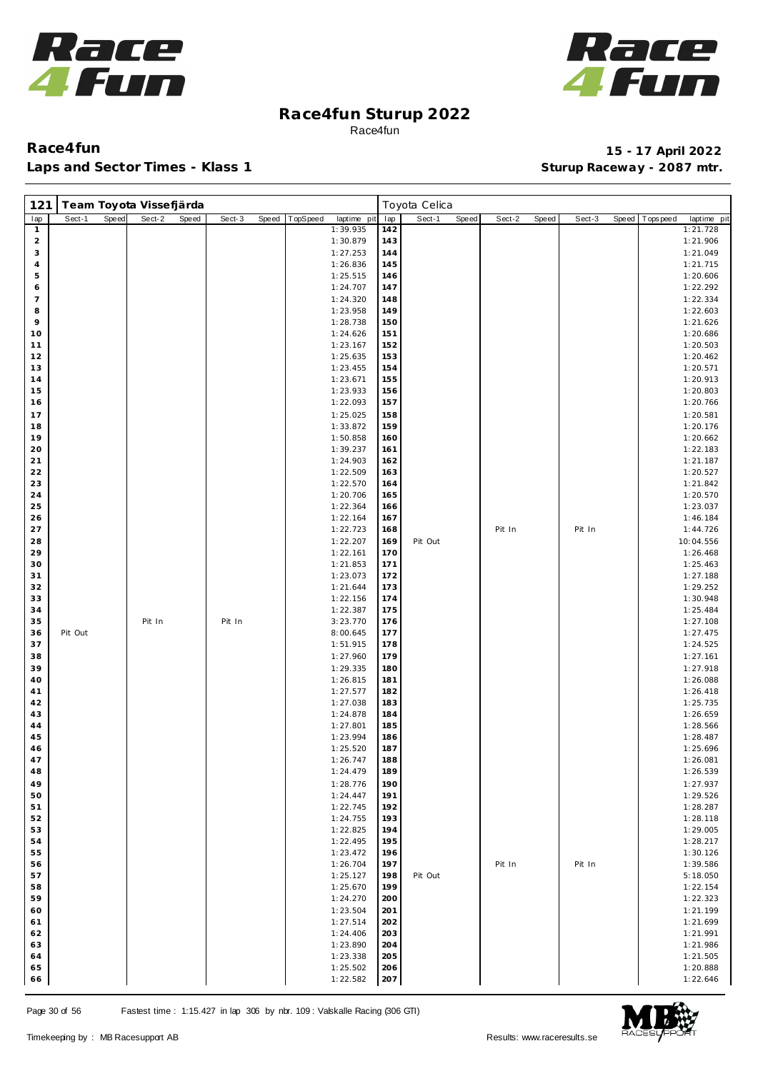



| 121                          | Team Toyota Vissefjärda |       |        |       |        |       |          |                      |            | Toyota Celica |       |        |       |        |       |            |                      |
|------------------------------|-------------------------|-------|--------|-------|--------|-------|----------|----------------------|------------|---------------|-------|--------|-------|--------|-------|------------|----------------------|
| lap                          | Sect-1                  | Speed | Sect-2 | Speed | Sect-3 | Speed | TopSpeed | laptime pit          | lap        | Sect-1        | Speed | Sect-2 | Speed | Sect-3 | Speed | Tops pee d | laptime pit          |
| $\mathbf{1}$                 |                         |       |        |       |        |       |          | 1:39.935             | 142        |               |       |        |       |        |       |            | 1:21.728             |
| $\overline{\mathbf{c}}$<br>3 |                         |       |        |       |        |       |          | 1:30.879<br>1:27.253 | 143<br>144 |               |       |        |       |        |       |            | 1:21.906<br>1:21.049 |
| $\overline{4}$               |                         |       |        |       |        |       |          | 1:26.836             | 145        |               |       |        |       |        |       |            | 1:21.715             |
| 5                            |                         |       |        |       |        |       |          | 1:25.515             | 146        |               |       |        |       |        |       |            | 1:20.606             |
| 6                            |                         |       |        |       |        |       |          | 1:24.707             | 147        |               |       |        |       |        |       |            | 1:22.292             |
| $\overline{7}$               |                         |       |        |       |        |       |          | 1:24.320             | 148        |               |       |        |       |        |       |            | 1:22.334             |
| 8                            |                         |       |        |       |        |       |          | 1:23.958             | 149        |               |       |        |       |        |       |            | 1:22.603             |
| 9                            |                         |       |        |       |        |       |          | 1:28.738             | 150        |               |       |        |       |        |       |            | 1:21.626             |
| 10<br>11                     |                         |       |        |       |        |       |          | 1:24.626<br>1:23.167 | 151<br>152 |               |       |        |       |        |       |            | 1:20.686<br>1:20.503 |
| 12                           |                         |       |        |       |        |       |          | 1:25.635             | 153        |               |       |        |       |        |       |            | 1:20.462             |
| 13                           |                         |       |        |       |        |       |          | 1:23.455             | 154        |               |       |        |       |        |       |            | 1:20.571             |
| 14                           |                         |       |        |       |        |       |          | 1:23.671             | 155        |               |       |        |       |        |       |            | 1:20.913             |
| 15                           |                         |       |        |       |        |       |          | 1:23.933             | 156        |               |       |        |       |        |       |            | 1:20.803             |
| 16                           |                         |       |        |       |        |       |          | 1:22.093             | 157        |               |       |        |       |        |       |            | 1:20.766             |
| 17                           |                         |       |        |       |        |       |          | 1:25.025             | 158        |               |       |        |       |        |       |            | 1:20.581             |
| 18<br>19                     |                         |       |        |       |        |       |          | 1:33.872<br>1:50.858 | 159<br>160 |               |       |        |       |        |       |            | 1:20.176<br>1:20.662 |
| 20                           |                         |       |        |       |        |       |          | 1:39.237             | 161        |               |       |        |       |        |       |            | 1:22.183             |
| 21                           |                         |       |        |       |        |       |          | 1:24.903             | 162        |               |       |        |       |        |       |            | 1:21.187             |
| 22                           |                         |       |        |       |        |       |          | 1:22.509             | 163        |               |       |        |       |        |       |            | 1:20.527             |
| 23                           |                         |       |        |       |        |       |          | 1:22.570             | 164        |               |       |        |       |        |       |            | 1:21.842             |
| 24                           |                         |       |        |       |        |       |          | 1:20.706             | 165        |               |       |        |       |        |       |            | 1:20.570             |
| 25                           |                         |       |        |       |        |       |          | 1:22.364             | 166        |               |       |        |       |        |       |            | 1:23.037             |
| 26<br>27                     |                         |       |        |       |        |       |          | 1:22.164<br>1:22.723 | 167<br>168 |               |       | Pit In |       | Pit In |       |            | 1:46.184<br>1:44.726 |
| 28                           |                         |       |        |       |        |       |          | 1:22.207             | 169        | Pit Out       |       |        |       |        |       |            | 10:04.556            |
| 29                           |                         |       |        |       |        |       |          | 1:22.161             | 170        |               |       |        |       |        |       |            | 1:26.468             |
| 30                           |                         |       |        |       |        |       |          | 1:21.853             | 171        |               |       |        |       |        |       |            | 1:25.463             |
| 31                           |                         |       |        |       |        |       |          | 1:23.073             | 172        |               |       |        |       |        |       |            | 1:27.188             |
| 32                           |                         |       |        |       |        |       |          | 1:21.644             | 173        |               |       |        |       |        |       |            | 1:29.252             |
| 33                           |                         |       |        |       |        |       |          | 1:22.156             | 174        |               |       |        |       |        |       |            | 1:30.948             |
| 34<br>35                     |                         |       | Pit In |       | Pit In |       |          | 1:22.387<br>3:23.770 | 175<br>176 |               |       |        |       |        |       |            | 1:25.484<br>1:27.108 |
| 36                           | Pit Out                 |       |        |       |        |       |          | 8:00.645             | 177        |               |       |        |       |        |       |            | 1:27.475             |
| 37                           |                         |       |        |       |        |       |          | 1:51.915             | 178        |               |       |        |       |        |       |            | 1:24.525             |
| 38                           |                         |       |        |       |        |       |          | 1:27.960             | 179        |               |       |        |       |        |       |            | 1:27.161             |
| 39                           |                         |       |        |       |        |       |          | 1:29.335             | 180        |               |       |        |       |        |       |            | 1:27.918             |
| 40                           |                         |       |        |       |        |       |          | 1:26.815             | 181        |               |       |        |       |        |       |            | 1:26.088             |
| 41<br>42                     |                         |       |        |       |        |       |          | 1:27.577<br>1:27.038 | 182<br>183 |               |       |        |       |        |       |            | 1:26.418<br>1:25.735 |
| 43                           |                         |       |        |       |        |       |          | 1:24.878             | 184        |               |       |        |       |        |       |            | 1:26.659             |
| 44                           |                         |       |        |       |        |       |          | 1:27.801             | 185        |               |       |        |       |        |       |            | 1:28.566             |
| 45                           |                         |       |        |       |        |       |          | 1:23.994             | 186        |               |       |        |       |        |       |            | 1:28.487             |
| 46                           |                         |       |        |       |        |       |          | 1:25.520             | 187        |               |       |        |       |        |       |            | 1:25.696             |
| 47                           |                         |       |        |       |        |       |          | 1:26.747             | 188        |               |       |        |       |        |       |            | 1:26.081             |
| 48                           |                         |       |        |       |        |       |          | 1:24.479             | 189        |               |       |        |       |        |       |            | 1:26.539             |
| 49<br>50                     |                         |       |        |       |        |       |          | 1:28.776<br>1:24.447 | 190<br>191 |               |       |        |       |        |       |            | 1:27.937<br>1:29.526 |
| 51                           |                         |       |        |       |        |       |          | 1:22.745             | 192        |               |       |        |       |        |       |            | 1:28.287             |
| 52                           |                         |       |        |       |        |       |          | 1:24.755             | 193        |               |       |        |       |        |       |            | 1:28.118             |
| 53                           |                         |       |        |       |        |       |          | 1:22.825             | 194        |               |       |        |       |        |       |            | 1:29.005             |
| 54                           |                         |       |        |       |        |       |          | 1:22.495             | 195        |               |       |        |       |        |       |            | 1:28.217             |
| 55                           |                         |       |        |       |        |       |          | 1:23.472             | 196        |               |       |        |       |        |       |            | 1:30.126             |
| 56<br>57                     |                         |       |        |       |        |       |          | 1:26.704<br>1:25.127 | 197<br>198 | Pit Out       |       | Pit In |       | Pit In |       |            | 1:39.586             |
| 58                           |                         |       |        |       |        |       |          | 1:25.670             | 199        |               |       |        |       |        |       |            | 5:18.050<br>1:22.154 |
| 59                           |                         |       |        |       |        |       |          | 1:24.270             | 200        |               |       |        |       |        |       |            | 1:22.323             |
| 60                           |                         |       |        |       |        |       |          | 1:23.504             | 201        |               |       |        |       |        |       |            | 1:21.199             |
| 61                           |                         |       |        |       |        |       |          | 1:27.514             | 202        |               |       |        |       |        |       |            | 1:21.699             |
| 62                           |                         |       |        |       |        |       |          | 1:24.406             | 203        |               |       |        |       |        |       |            | 1:21.991             |
| 63                           |                         |       |        |       |        |       |          | 1:23.890             | 204        |               |       |        |       |        |       |            | 1:21.986             |
| 64<br>65                     |                         |       |        |       |        |       |          | 1:23.338<br>1:25.502 | 205<br>206 |               |       |        |       |        |       |            | 1:21.505<br>1:20.888 |
| 66                           |                         |       |        |       |        |       |          | 1:22.582             | 207        |               |       |        |       |        |       |            | 1:22.646             |

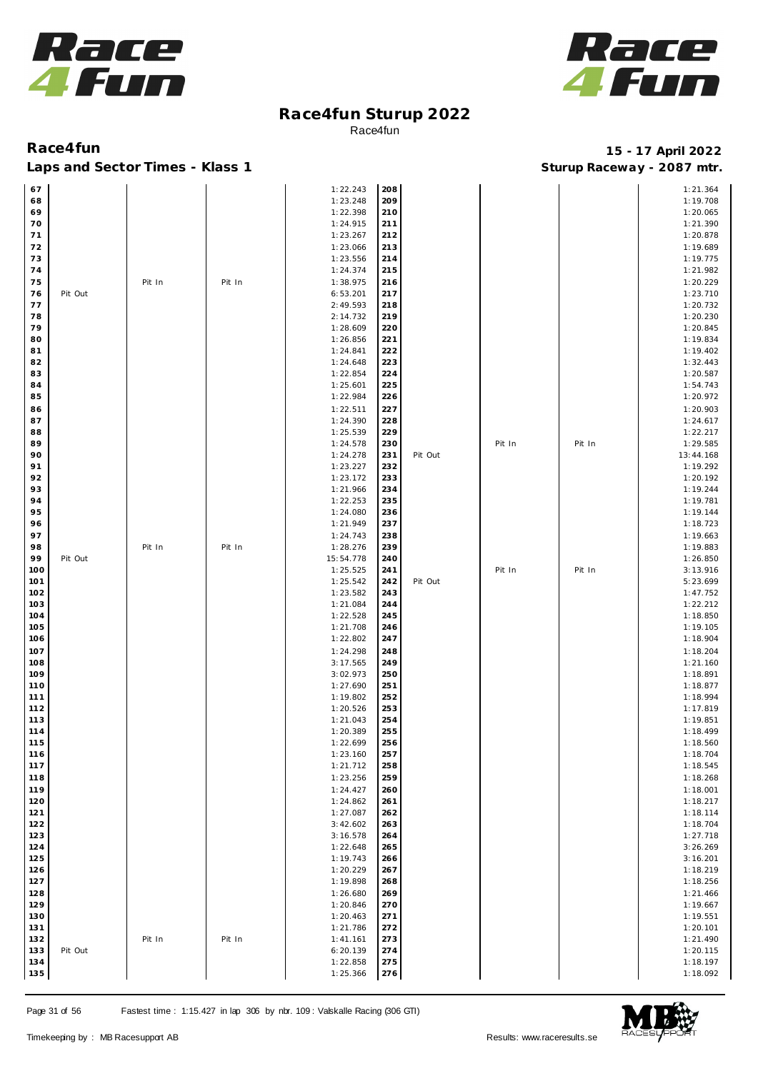



| 67   |         |        |        | 1:22.243  | 208 |         |        |        | 1:21.364  |
|------|---------|--------|--------|-----------|-----|---------|--------|--------|-----------|
| 68   |         |        |        | 1:23.248  | 209 |         |        |        | 1:19.708  |
| 69   |         |        |        | 1:22.398  | 210 |         |        |        | 1:20.065  |
| 70   |         |        |        | 1:24.915  | 211 |         |        |        | 1:21.390  |
|      |         |        |        |           |     |         |        |        |           |
| $71$ |         |        |        | 1:23.267  | 212 |         |        |        | 1:20.878  |
| 72   |         |        |        | 1:23.066  | 213 |         |        |        | 1:19.689  |
| 73   |         |        |        | 1:23.556  | 214 |         |        |        | 1:19.775  |
| 74   |         |        |        | 1:24.374  | 215 |         |        |        | 1:21.982  |
|      |         |        |        |           |     |         |        |        |           |
| 75   |         | Pit In | Pit In | 1:38.975  | 216 |         |        |        | 1:20.229  |
| 76   | Pit Out |        |        | 6:53.201  | 217 |         |        |        | 1:23.710  |
| 77   |         |        |        | 2:49.593  | 218 |         |        |        | 1:20.732  |
| 78   |         |        |        | 2:14.732  | 219 |         |        |        | 1:20.230  |
| 79   |         |        |        | 1:28.609  | 220 |         |        |        | 1:20.845  |
|      |         |        |        |           |     |         |        |        |           |
| 80   |         |        |        | 1:26.856  | 221 |         |        |        | 1:19.834  |
| 81   |         |        |        | 1:24.841  | 222 |         |        |        | 1:19.402  |
| 82   |         |        |        | 1:24.648  | 223 |         |        |        | 1:32.443  |
| 83   |         |        |        | 1:22.854  | 224 |         |        |        | 1:20.587  |
| 84   |         |        |        | 1:25.601  | 225 |         |        |        | 1:54.743  |
|      |         |        |        |           |     |         |        |        |           |
| 85   |         |        |        | 1:22.984  | 226 |         |        |        | 1:20.972  |
| 86   |         |        |        | 1:22.511  | 227 |         |        |        | 1:20.903  |
| 87   |         |        |        | 1:24.390  | 228 |         |        |        | 1:24.617  |
| 88   |         |        |        | 1:25.539  | 229 |         |        |        | 1:22.217  |
|      |         |        |        |           |     |         |        |        |           |
| 89   |         |        |        | 1:24.578  | 230 |         | Pit In | Pit In | 1:29.585  |
| 90   |         |        |        | 1:24.278  | 231 | Pit Out |        |        | 13:44.168 |
| 91   |         |        |        | 1:23.227  | 232 |         |        |        | 1:19.292  |
| 92   |         |        |        | 1:23.172  | 233 |         |        |        | 1:20.192  |
| 93   |         |        |        | 1:21.966  | 234 |         |        |        | 1:19.244  |
|      |         |        |        |           |     |         |        |        |           |
| 94   |         |        |        | 1:22.253  | 235 |         |        |        | 1:19.781  |
| 95   |         |        |        | 1:24.080  | 236 |         |        |        | 1:19.144  |
| 96   |         |        |        | 1:21.949  | 237 |         |        |        | 1:18.723  |
| 97   |         |        |        | 1:24.743  | 238 |         |        |        | 1:19.663  |
|      |         |        |        |           |     |         |        |        |           |
| 98   |         | Pit In | Pit In | 1:28.276  | 239 |         |        |        | 1:19.883  |
| 99   | Pit Out |        |        | 15:54.778 | 240 |         |        |        | 1:26.850  |
| 100  |         |        |        | 1:25.525  | 241 |         | Pit In | Pit In | 3:13.916  |
| 101  |         |        |        | 1:25.542  | 242 | Pit Out |        |        | 5:23.699  |
|      |         |        |        |           |     |         |        |        |           |
| 102  |         |        |        | 1:23.582  | 243 |         |        |        | 1:47.752  |
| 103  |         |        |        | 1:21.084  | 244 |         |        |        | 1:22.212  |
| 104  |         |        |        | 1:22.528  | 245 |         |        |        | 1:18.850  |
| 105  |         |        |        | 1:21.708  | 246 |         |        |        | 1:19.105  |
| 106  |         |        |        | 1:22.802  | 247 |         |        |        | 1:18.904  |
|      |         |        |        |           |     |         |        |        |           |
| 107  |         |        |        | 1:24.298  | 248 |         |        |        | 1:18.204  |
| 108  |         |        |        | 3:17.565  | 249 |         |        |        | 1:21.160  |
| 109  |         |        |        | 3:02.973  | 250 |         |        |        | 1:18.891  |
| 110  |         |        |        | 1:27.690  | 251 |         |        |        | 1:18.877  |
| 111  |         |        |        | 1:19.802  | 252 |         |        |        | 1:18.994  |
|      |         |        |        |           |     |         |        |        |           |
| 112  |         |        |        | 1:20.526  | 253 |         |        |        | 1:17.819  |
| 113  |         |        |        | 1:21.043  | 254 |         |        |        | 1:19.851  |
| 114  |         |        |        | 1:20.389  | 255 |         |        |        | 1:18.499  |
| 115  |         |        |        | 1:22.699  | 256 |         |        |        | 1:18.560  |
| 116  |         |        |        | 1:23.160  | 257 |         |        |        | 1:18.704  |
|      |         |        |        |           |     |         |        |        |           |
| 117  |         |        |        | 1:21.712  | 258 |         |        |        | 1:18.545  |
| 118  |         |        |        | 1:23.256  | 259 |         |        |        | 1:18.268  |
| 119  |         |        |        | 1:24.427  | 260 |         |        |        | 1:18.001  |
| 120  |         |        |        | 1:24.862  | 261 |         |        |        | 1:18.217  |
| 121  |         |        |        | 1:27.087  | 262 |         |        |        | 1:18.114  |
|      |         |        |        |           |     |         |        |        |           |
| 122  |         |        |        | 3:42.602  | 263 |         |        |        | 1:18.704  |
| 123  |         |        |        | 3:16.578  | 264 |         |        |        | 1:27.718  |
| 124  |         |        |        | 1:22.648  | 265 |         |        |        | 3:26.269  |
| 125  |         |        |        | 1:19.743  | 266 |         |        |        | 3:16.201  |
| 126  |         |        |        | 1:20.229  | 267 |         |        |        | 1:18.219  |
|      |         |        |        |           |     |         |        |        |           |
| 127  |         |        |        | 1:19.898  | 268 |         |        |        | 1:18.256  |
| 128  |         |        |        | 1:26.680  | 269 |         |        |        | 1:21.466  |
| 129  |         |        |        | 1:20.846  | 270 |         |        |        | 1:19.667  |
| 130  |         |        |        | 1:20.463  | 271 |         |        |        | 1:19.551  |
|      |         |        |        |           |     |         |        |        |           |
| 131  |         |        |        | 1:21.786  | 272 |         |        |        | 1:20.101  |
| 132  |         | Pit In | Pit In | 1:41.161  | 273 |         |        |        | 1:21.490  |
| 133  | Pit Out |        |        | 6:20.139  | 274 |         |        |        | 1:20.115  |
| 134  |         |        |        | 1:22.858  | 275 |         |        |        | 1:18.197  |
| 135  |         |        |        | 1:25.366  | 276 |         |        |        | 1:18.092  |
|      |         |        |        |           |     |         |        |        |           |

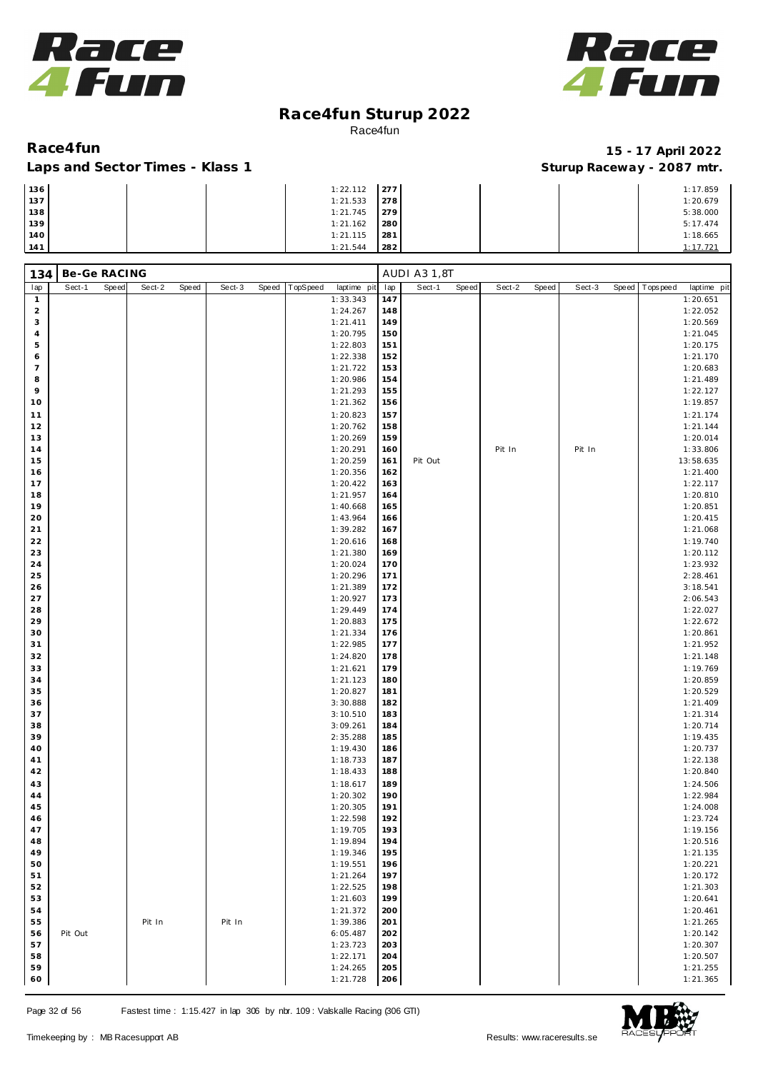



### Laps and Sector Times - Klass 1

| 136 | 1:22.112 | 277 |  | 1:17.859 |
|-----|----------|-----|--|----------|
| 137 | 1:21.533 | 278 |  | 1:20.679 |
| 138 | 1:21.745 | 279 |  | 5:38.000 |
| 139 | 1:21.162 | 280 |  | 5:17.474 |
| 140 | 1:21.115 | 281 |  | 1:18.665 |
| 141 | 1:21.544 | 282 |  | 1:17.721 |

| Be-Ge RACING<br>134     |         |       |        |       |        |       |          |                      | AUDI A3 1,8T |         |       |        |       |        |       |             |                      |
|-------------------------|---------|-------|--------|-------|--------|-------|----------|----------------------|--------------|---------|-------|--------|-------|--------|-------|-------------|----------------------|
| lap                     | Sect-1  | Speed | Sect-2 | Speed | Sect-3 | Speed | TopSpeed | laptime pit          | lap          | Sect-1  | Speed | Sect-2 | Speed | Sect-3 | Speed | T ops pee d | laptime pit          |
| $\mathbf{1}$            |         |       |        |       |        |       |          | 1:33.343             | 147          |         |       |        |       |        |       |             | 1:20.651             |
| $\overline{\mathbf{c}}$ |         |       |        |       |        |       |          | 1:24.267             | 148          |         |       |        |       |        |       |             | 1:22.052             |
| 3                       |         |       |        |       |        |       |          | 1:21.411             | 149          |         |       |        |       |        |       |             | 1:20.569             |
| 4                       |         |       |        |       |        |       |          | 1:20.795             | 150          |         |       |        |       |        |       |             | 1:21.045             |
| 5                       |         |       |        |       |        |       |          | 1:22.803             | 151          |         |       |        |       |        |       |             | 1:20.175             |
| 6                       |         |       |        |       |        |       |          | 1:22.338             | 152          |         |       |        |       |        |       |             | 1:21.170             |
| $\overline{7}$<br>8     |         |       |        |       |        |       |          | 1:21.722             | 153          |         |       |        |       |        |       |             | 1:20.683             |
| 9                       |         |       |        |       |        |       |          | 1:20.986<br>1:21.293 | 154<br>155   |         |       |        |       |        |       |             | 1:21.489<br>1:22.127 |
| 10                      |         |       |        |       |        |       |          | 1:21.362             | 156          |         |       |        |       |        |       |             | 1:19.857             |
| 11                      |         |       |        |       |        |       |          | 1:20.823             | 157          |         |       |        |       |        |       |             | 1:21.174             |
| 12                      |         |       |        |       |        |       |          | 1:20.762             | 158          |         |       |        |       |        |       |             | 1:21.144             |
| 13                      |         |       |        |       |        |       |          | 1:20.269             | 159          |         |       |        |       |        |       |             | 1:20.014             |
| 14                      |         |       |        |       |        |       |          | 1:20.291             | 160          |         |       | Pit In |       | Pit In |       |             | 1:33.806             |
| 15                      |         |       |        |       |        |       |          | 1:20.259             | 161          | Pit Out |       |        |       |        |       |             | 13:58.635            |
| 16                      |         |       |        |       |        |       |          | 1:20.356             | 162          |         |       |        |       |        |       |             | 1:21.400             |
| 17                      |         |       |        |       |        |       |          | 1:20.422             | 163          |         |       |        |       |        |       |             | 1:22.117             |
| 18                      |         |       |        |       |        |       |          | 1:21.957             | 164          |         |       |        |       |        |       |             | 1:20.810             |
| 19                      |         |       |        |       |        |       |          | 1:40.668             | 165          |         |       |        |       |        |       |             | 1:20.851             |
| 20                      |         |       |        |       |        |       |          | 1:43.964             | 166          |         |       |        |       |        |       |             | 1:20.415             |
| 21                      |         |       |        |       |        |       |          | 1:39.282             | 167          |         |       |        |       |        |       |             | 1:21.068             |
| 22                      |         |       |        |       |        |       |          | 1:20.616             | 168          |         |       |        |       |        |       |             | 1:19.740             |
| 23                      |         |       |        |       |        |       |          | 1:21.380             | 169          |         |       |        |       |        |       |             | 1:20.112             |
| 24                      |         |       |        |       |        |       |          | 1:20.024             | 170          |         |       |        |       |        |       |             | 1:23.932             |
| 25                      |         |       |        |       |        |       |          | 1:20.296             | 171          |         |       |        |       |        |       |             | 2:28.461             |
| 26                      |         |       |        |       |        |       |          | 1:21.389             | 172          |         |       |        |       |        |       |             | 3:18.541             |
| 27                      |         |       |        |       |        |       |          | 1:20.927             | 173          |         |       |        |       |        |       |             | 2:06.543             |
| 28                      |         |       |        |       |        |       |          | 1:29.449             | 174          |         |       |        |       |        |       |             | 1:22.027             |
| 29                      |         |       |        |       |        |       |          | 1:20.883             | 175          |         |       |        |       |        |       |             | 1:22.672             |
| 30                      |         |       |        |       |        |       |          | 1:21.334             | 176          |         |       |        |       |        |       |             | 1:20.861             |
| 31                      |         |       |        |       |        |       |          | 1:22.985             | 177          |         |       |        |       |        |       |             | 1:21.952             |
| 32                      |         |       |        |       |        |       |          | 1:24.820             | 178          |         |       |        |       |        |       |             | 1:21.148             |
| 33                      |         |       |        |       |        |       |          | 1:21.621             | 179          |         |       |        |       |        |       |             | 1:19.769             |
| 34                      |         |       |        |       |        |       |          | 1:21.123             | 180          |         |       |        |       |        |       |             | 1:20.859             |
| 35                      |         |       |        |       |        |       |          | 1:20.827             | 181          |         |       |        |       |        |       |             | 1:20.529             |
| 36                      |         |       |        |       |        |       |          | 3:30.888             | 182          |         |       |        |       |        |       |             | 1:21.409             |
| 37                      |         |       |        |       |        |       |          | 3:10.510             | 183          |         |       |        |       |        |       |             | 1:21.314             |
| 38<br>39                |         |       |        |       |        |       |          | 3:09.261             | 184<br>185   |         |       |        |       |        |       |             | 1:20.714             |
| 40                      |         |       |        |       |        |       |          | 2:35.288<br>1:19.430 | 186          |         |       |        |       |        |       |             | 1:19.435<br>1:20.737 |
| 41                      |         |       |        |       |        |       |          | 1:18.733             | 187          |         |       |        |       |        |       |             | 1:22.138             |
| 42                      |         |       |        |       |        |       |          | 1:18.433             | 188          |         |       |        |       |        |       |             | 1:20.840             |
| 43                      |         |       |        |       |        |       |          | 1:18.617             | 189          |         |       |        |       |        |       |             | 1:24.506             |
| 44                      |         |       |        |       |        |       |          | 1:20.302             | 190          |         |       |        |       |        |       |             | 1:22.984             |
| 45                      |         |       |        |       |        |       |          | 1:20.305             | 191          |         |       |        |       |        |       |             | 1:24.008             |
| 46                      |         |       |        |       |        |       |          | 1:22.598             | 192          |         |       |        |       |        |       |             | 1:23.724             |
| 47                      |         |       |        |       |        |       |          | 1:19.705             | 193          |         |       |        |       |        |       |             | 1:19.156             |
| 48                      |         |       |        |       |        |       |          | 1:19.894             | 194          |         |       |        |       |        |       |             | 1:20.516             |
| 49                      |         |       |        |       |        |       |          | 1:19.346             | 195          |         |       |        |       |        |       |             | 1:21.135             |
| 50                      |         |       |        |       |        |       |          | 1:19.551             | 196          |         |       |        |       |        |       |             | 1:20.221             |
| 51                      |         |       |        |       |        |       |          | 1:21.264             | 197          |         |       |        |       |        |       |             | 1:20.172             |
| 52                      |         |       |        |       |        |       |          | 1:22.525             | 198          |         |       |        |       |        |       |             | 1:21.303             |
| 53                      |         |       |        |       |        |       |          | 1:21.603             | 199          |         |       |        |       |        |       |             | 1:20.641             |
| 54                      |         |       |        |       |        |       |          | 1:21.372             | 200          |         |       |        |       |        |       |             | 1:20.461             |
| 55                      |         |       | Pit In |       | Pit In |       |          | 1:39.386             | 201          |         |       |        |       |        |       |             | 1:21.265             |
| 56                      | Pit Out |       |        |       |        |       |          | 6:05.487             | 202          |         |       |        |       |        |       |             | 1:20.142             |
| 57                      |         |       |        |       |        |       |          | 1:23.723             | 203          |         |       |        |       |        |       |             | 1:20.307             |
| 58                      |         |       |        |       |        |       |          | 1:22.171             | 204          |         |       |        |       |        |       |             | 1:20.507             |
| 59                      |         |       |        |       |        |       |          | 1:24.265             | 205          |         |       |        |       |        |       |             | 1:21.255             |
| 60                      |         |       |        |       |        |       |          | 1:21.728             | 206          |         |       |        |       |        |       |             | 1:21.365             |

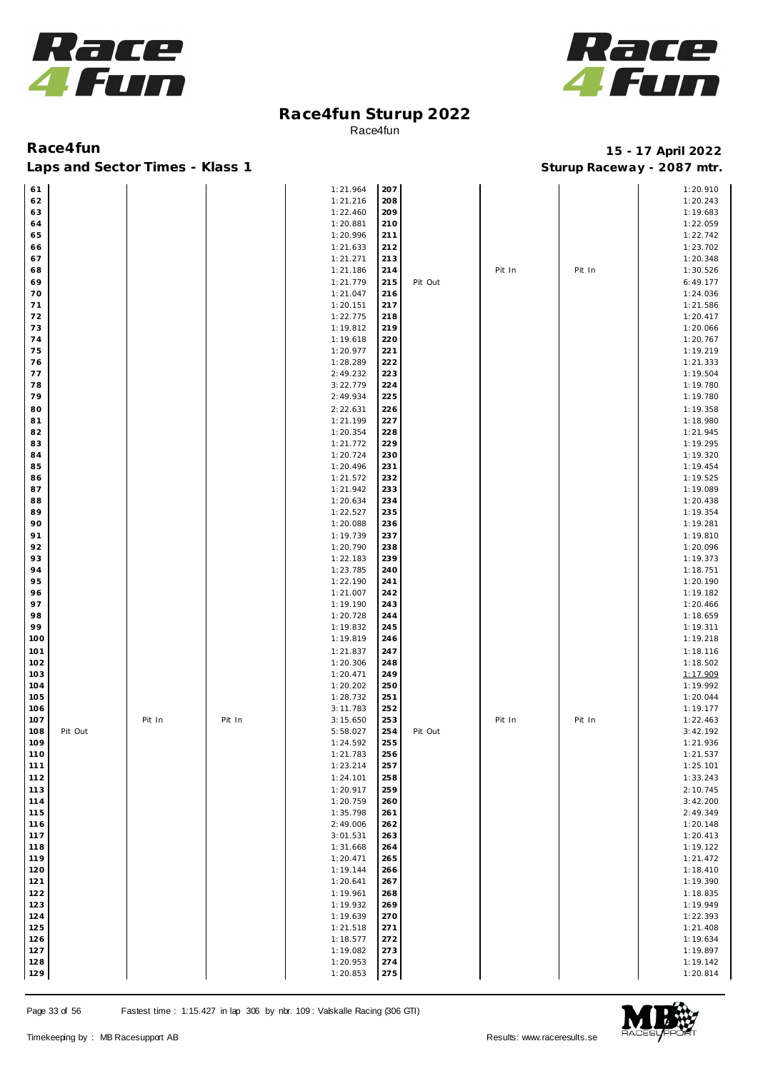



Laps and Sector Times - Klass 1 **Sturies 1 Sturies 1 Sturies 1 8 and Sector Times - Klass 1 Sturies 1 and Section** 1 **Contrary** 1 **And Section** 1 **Contrary** 1 **Contrary** 1 **Contrary** 1 **Contrary 1 and 2007** must

| 61  |         |        |        | 1:21.964 | 207 |         |        |        | 1:20.910 |
|-----|---------|--------|--------|----------|-----|---------|--------|--------|----------|
| 62  |         |        |        | 1:21.216 | 208 |         |        |        | 1:20.243 |
| 63  |         |        |        | 1:22.460 | 209 |         |        |        | 1:19.683 |
| 64  |         |        |        | 1:20.881 | 210 |         |        |        | 1:22.059 |
| 65  |         |        |        | 1:20.996 | 211 |         |        |        | 1:22.742 |
| 66  |         |        |        | 1:21.633 | 212 |         |        |        | 1:23.702 |
| 67  |         |        |        | 1:21.271 | 213 |         |        |        | 1:20.348 |
| 68  |         |        |        | 1:21.186 | 214 |         | Pit In | Pit In | 1:30.526 |
| 69  |         |        |        | 1:21.779 | 215 | Pit Out |        |        | 6:49.177 |
| 70  |         |        |        | 1:21.047 | 216 |         |        |        | 1:24.036 |
| 71  |         |        |        | 1:20.151 | 217 |         |        |        | 1:21.586 |
| 72  |         |        |        | 1:22.775 | 218 |         |        |        | 1:20.417 |
| 73  |         |        |        | 1:19.812 | 219 |         |        |        | 1:20.066 |
| 74  |         |        |        | 1:19.618 | 220 |         |        |        | 1:20.767 |
| 75  |         |        |        | 1:20.977 | 221 |         |        |        | 1:19.219 |
| 76  |         |        |        | 1:28.289 | 222 |         |        |        | 1:21.333 |
| 77  |         |        |        | 2:49.232 | 223 |         |        |        | 1:19.504 |
| 78  |         |        |        | 3:22.779 | 224 |         |        |        | 1:19.780 |
| 79  |         |        |        | 2:49.934 | 225 |         |        |        | 1:19.780 |
| 80  |         |        |        | 2:22.631 | 226 |         |        |        | 1:19.358 |
| 81  |         |        |        | 1:21.199 | 227 |         |        |        | 1:18.980 |
| 82  |         |        |        | 1:20.354 | 228 |         |        |        | 1:21.945 |
| 83  |         |        |        | 1:21.772 | 229 |         |        |        | 1:19.295 |
| 84  |         |        |        | 1:20.724 | 230 |         |        |        | 1:19.320 |
| 85  |         |        |        | 1:20.496 | 231 |         |        |        | 1:19.454 |
| 86  |         |        |        | 1:21.572 | 232 |         |        |        | 1:19.525 |
| 87  |         |        |        | 1:21.942 | 233 |         |        |        | 1:19.089 |
| 88  |         |        |        | 1:20.634 | 234 |         |        |        | 1:20.438 |
| 89  |         |        |        | 1:22.527 | 235 |         |        |        | 1:19.354 |
| 90  |         |        |        | 1:20.088 | 236 |         |        |        | 1:19.281 |
| 91  |         |        |        | 1:19.739 | 237 |         |        |        | 1:19.810 |
| 92  |         |        |        | 1:20.790 | 238 |         |        |        | 1:20.096 |
| 93  |         |        |        | 1:22.183 | 239 |         |        |        | 1:19.373 |
| 94  |         |        |        | 1:23.785 | 240 |         |        |        | 1:18.751 |
| 95  |         |        |        | 1:22.190 | 241 |         |        |        | 1:20.190 |
| 96  |         |        |        | 1:21.007 | 242 |         |        |        | 1:19.182 |
| 97  |         |        |        | 1:19.190 | 243 |         |        |        | 1:20.466 |
| 98  |         |        |        | 1:20.728 | 244 |         |        |        | 1:18.659 |
| 99  |         |        |        | 1:19.832 | 245 |         |        |        | 1:19.311 |
| 100 |         |        |        | 1:19.819 | 246 |         |        |        | 1:19.218 |
| 101 |         |        |        | 1:21.837 | 247 |         |        |        | 1:18.116 |
| 102 |         |        |        | 1:20.306 | 248 |         |        |        | 1:18.502 |
| 103 |         |        |        | 1:20.471 | 249 |         |        |        | 1:17.909 |
| 104 |         |        |        | 1:20.202 | 250 |         |        |        | 1:19.992 |
| 105 |         |        |        | 1:28.732 | 251 |         |        |        | 1:20.044 |
| 106 |         |        |        | 3:11.783 | 252 |         |        |        | 1:19.177 |
| 107 |         | Pit In | Pit In | 3:15.650 | 253 |         | Pit In | Pit In | 1:22.463 |
| 108 | Pit Out |        |        | 5:58.027 | 254 | Pit Out |        |        | 3:42.192 |
| 109 |         |        |        | 1:24.592 | 255 |         |        |        | 1:21.936 |
| 110 |         |        |        | 1:21.783 | 256 |         |        |        | 1:21.537 |
| 111 |         |        |        | 1:23.214 | 257 |         |        |        | 1:25.101 |
| 112 |         |        |        | 1:24.101 | 258 |         |        |        | 1:33.243 |
| 113 |         |        |        | 1:20.917 | 259 |         |        |        | 2:10.745 |
| 114 |         |        |        | 1:20.759 | 260 |         |        |        | 3:42.200 |
| 115 |         |        |        | 1:35.798 | 261 |         |        |        | 2:49.349 |
| 116 |         |        |        | 2:49.006 | 262 |         |        |        | 1:20.148 |
| 117 |         |        |        | 3:01.531 | 263 |         |        |        | 1:20.413 |
| 118 |         |        |        | 1:31.668 | 264 |         |        |        | 1:19.122 |
| 119 |         |        |        | 1:20.471 | 265 |         |        |        | 1:21.472 |
| 120 |         |        |        | 1:19.144 | 266 |         |        |        | 1:18.410 |
| 121 |         |        |        | 1:20.641 | 267 |         |        |        | 1:19.390 |
| 122 |         |        |        | 1:19.961 | 268 |         |        |        | 1:18.835 |
| 123 |         |        |        | 1:19.932 | 269 |         |        |        | 1:19.949 |
| 124 |         |        |        | 1:19.639 | 270 |         |        |        | 1:22.393 |
| 125 |         |        |        | 1:21.518 | 271 |         |        |        | 1:21.408 |
| 126 |         |        |        | 1:18.577 | 272 |         |        |        | 1:19.634 |
| 127 |         |        |        | 1:19.082 | 273 |         |        |        | 1:19.897 |
| 128 |         |        |        | 1:20.953 | 274 |         |        |        | 1:19.142 |
| 129 |         |        |        | 1:20.853 | 275 |         |        |        | 1:20.814 |

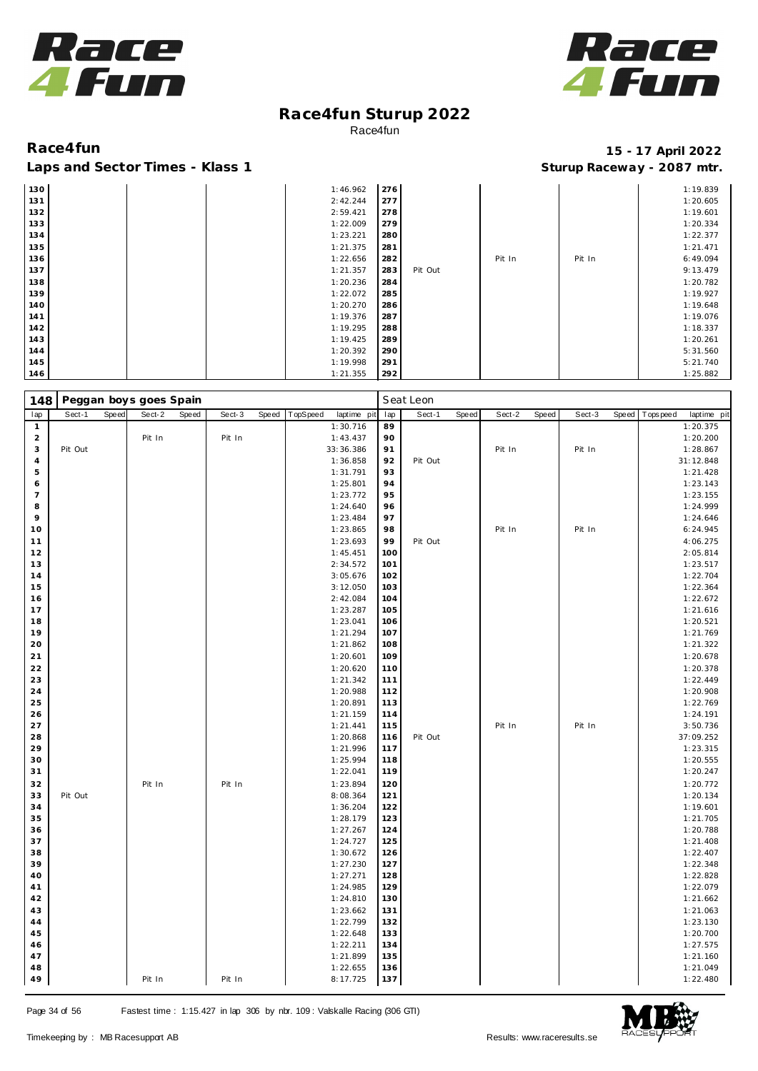



| 130 |  | 1:46.962 | 276 |         |        |        | 1:19.839 |
|-----|--|----------|-----|---------|--------|--------|----------|
| 131 |  | 2:42.244 | 277 |         |        |        | 1:20.605 |
| 132 |  | 2:59.421 | 278 |         |        |        | 1:19.601 |
| 133 |  | 1:22.009 | 279 |         |        |        | 1:20.334 |
| 134 |  | 1:23.221 | 280 |         |        |        | 1:22.377 |
| 135 |  | 1:21.375 | 281 |         |        |        | 1:21.471 |
| 136 |  | 1:22.656 | 282 |         | Pit In | Pit In | 6:49.094 |
| 137 |  | 1:21.357 | 283 | Pit Out |        |        | 9:13.479 |
| 138 |  | 1:20.236 | 284 |         |        |        | 1:20.782 |
| 139 |  | 1:22.072 | 285 |         |        |        | 1:19.927 |
| 140 |  | 1:20.270 | 286 |         |        |        | 1:19.648 |
| 141 |  | 1:19.376 | 287 |         |        |        | 1:19.076 |
| 142 |  | 1:19.295 | 288 |         |        |        | 1:18.337 |
| 143 |  | 1:19.425 | 289 |         |        |        | 1:20.261 |
| 144 |  | 1:20.392 | 290 |         |        |        | 5:31.560 |
| 145 |  | 1:19.998 | 291 |         |        |        | 5:21.740 |
| 146 |  | 1:21.355 | 292 |         |        |        | 1:25.882 |

| 148            |         |       | Peggan boys goes Spain |       |        |       |          |             |     | Seat Leon |       |        |       |        |       |           |             |
|----------------|---------|-------|------------------------|-------|--------|-------|----------|-------------|-----|-----------|-------|--------|-------|--------|-------|-----------|-------------|
| lap            | Sect-1  | Speed | Sect-2                 | Speed | Sect-3 | Speed | TopSpeed | laptime pit | lap | Sect-1    | Speed | Sect-2 | Speed | Sect-3 | Speed | Tops peed | laptime pit |
| $\mathbf{1}$   |         |       |                        |       |        |       |          | 1:30.716    | 89  |           |       |        |       |        |       |           | 1:20.375    |
| $\overline{a}$ |         |       | Pit In                 |       | Pit In |       |          | 1:43.437    | 90  |           |       |        |       |        |       |           | 1:20.200    |
| 3              | Pit Out |       |                        |       |        |       |          | 33:36.386   | 91  |           |       | Pit In |       | Pit In |       |           | 1:28.867    |
| 4              |         |       |                        |       |        |       |          | 1:36.858    | 92  | Pit Out   |       |        |       |        |       |           | 31:12.848   |
| 5              |         |       |                        |       |        |       |          | 1:31.791    | 93  |           |       |        |       |        |       |           | 1:21.428    |
| 6              |         |       |                        |       |        |       |          | 1:25.801    | 94  |           |       |        |       |        |       |           | 1:23.143    |
| $\overline{7}$ |         |       |                        |       |        |       |          | 1:23.772    | 95  |           |       |        |       |        |       |           | 1:23.155    |
| 8              |         |       |                        |       |        |       |          | 1:24.640    | 96  |           |       |        |       |        |       |           | 1:24.999    |
| 9              |         |       |                        |       |        |       |          | 1:23.484    | 97  |           |       |        |       |        |       |           | 1:24.646    |
| 10             |         |       |                        |       |        |       |          | 1:23.865    | 98  |           |       | Pit In |       | Pit In |       |           | 6:24.945    |
| 11             |         |       |                        |       |        |       |          | 1:23.693    | 99  | Pit Out   |       |        |       |        |       |           | 4:06.275    |
| 12             |         |       |                        |       |        |       |          | 1:45.451    | 100 |           |       |        |       |        |       |           | 2:05.814    |
| 13             |         |       |                        |       |        |       |          | 2:34.572    | 101 |           |       |        |       |        |       |           | 1:23.517    |
| 14             |         |       |                        |       |        |       |          | 3:05.676    | 102 |           |       |        |       |        |       |           | 1:22.704    |
| 15             |         |       |                        |       |        |       |          | 3:12.050    | 103 |           |       |        |       |        |       |           | 1:22.364    |
| 16             |         |       |                        |       |        |       |          | 2:42.084    | 104 |           |       |        |       |        |       |           | 1:22.672    |
| 17             |         |       |                        |       |        |       |          | 1:23.287    | 105 |           |       |        |       |        |       |           | 1:21.616    |
| 18             |         |       |                        |       |        |       |          | 1:23.041    | 106 |           |       |        |       |        |       |           | 1:20.521    |
| 19             |         |       |                        |       |        |       |          | 1:21.294    | 107 |           |       |        |       |        |       |           | 1:21.769    |
| 20             |         |       |                        |       |        |       |          | 1:21.862    | 108 |           |       |        |       |        |       |           | 1:21.322    |
| 21             |         |       |                        |       |        |       |          | 1:20.601    | 109 |           |       |        |       |        |       |           | 1:20.678    |
| 22             |         |       |                        |       |        |       |          | 1:20.620    | 110 |           |       |        |       |        |       |           | 1:20.378    |
| 23             |         |       |                        |       |        |       |          | 1:21.342    | 111 |           |       |        |       |        |       |           | 1:22.449    |
| 24             |         |       |                        |       |        |       |          | 1:20.988    | 112 |           |       |        |       |        |       |           | 1:20.908    |
| 25             |         |       |                        |       |        |       |          | 1:20.891    | 113 |           |       |        |       |        |       |           | 1:22.769    |
| 26             |         |       |                        |       |        |       |          | 1:21.159    | 114 |           |       |        |       |        |       |           | 1:24.191    |
| 27             |         |       |                        |       |        |       |          | 1:21.441    | 115 |           |       | Pit In |       | Pit In |       |           | 3:50.736    |
| 28             |         |       |                        |       |        |       |          | 1:20.868    | 116 | Pit Out   |       |        |       |        |       |           | 37:09.252   |
| 29             |         |       |                        |       |        |       |          | 1:21.996    | 117 |           |       |        |       |        |       |           | 1:23.315    |
| 30             |         |       |                        |       |        |       |          | 1:25.994    | 118 |           |       |        |       |        |       |           | 1:20.555    |
| 31             |         |       |                        |       |        |       |          | 1:22.041    | 119 |           |       |        |       |        |       |           | 1:20.247    |
| 32             |         |       | Pit In                 |       | Pit In |       |          | 1:23.894    | 120 |           |       |        |       |        |       |           | 1:20.772    |
| 33             | Pit Out |       |                        |       |        |       |          | 8:08.364    | 121 |           |       |        |       |        |       |           | 1:20.134    |
| 34             |         |       |                        |       |        |       |          | 1:36.204    | 122 |           |       |        |       |        |       |           | 1:19.601    |
| 35             |         |       |                        |       |        |       |          | 1:28.179    | 123 |           |       |        |       |        |       |           | 1:21.705    |
| 36             |         |       |                        |       |        |       |          | 1:27.267    | 124 |           |       |        |       |        |       |           | 1:20.788    |
| 37             |         |       |                        |       |        |       |          | 1:24.727    | 125 |           |       |        |       |        |       |           | 1:21.408    |
| 38             |         |       |                        |       |        |       |          | 1:30.672    | 126 |           |       |        |       |        |       |           | 1:22.407    |
| 39             |         |       |                        |       |        |       |          | 1:27.230    | 127 |           |       |        |       |        |       |           | 1:22.348    |
| 40             |         |       |                        |       |        |       |          | 1:27.271    | 128 |           |       |        |       |        |       |           | 1:22.828    |
| 41             |         |       |                        |       |        |       |          | 1:24.985    | 129 |           |       |        |       |        |       |           | 1:22.079    |
| 42             |         |       |                        |       |        |       |          | 1:24.810    | 130 |           |       |        |       |        |       |           | 1:21.662    |
| 43             |         |       |                        |       |        |       |          | 1:23.662    | 131 |           |       |        |       |        |       |           | 1:21.063    |
| 44             |         |       |                        |       |        |       |          | 1:22.799    | 132 |           |       |        |       |        |       |           | 1:23.130    |
| 45             |         |       |                        |       |        |       |          | 1:22.648    | 133 |           |       |        |       |        |       |           | 1:20.700    |
| 46             |         |       |                        |       |        |       |          | 1:22.211    | 134 |           |       |        |       |        |       |           | 1:27.575    |
| 47             |         |       |                        |       |        |       |          | 1:21.899    | 135 |           |       |        |       |        |       |           | 1:21.160    |
| 48             |         |       |                        |       |        |       |          | 1:22.655    | 136 |           |       |        |       |        |       |           | 1:21.049    |
| 49             |         |       | Pit In                 |       | Pit In |       |          | 8:17.725    | 137 |           |       |        |       |        |       |           | 1:22.480    |

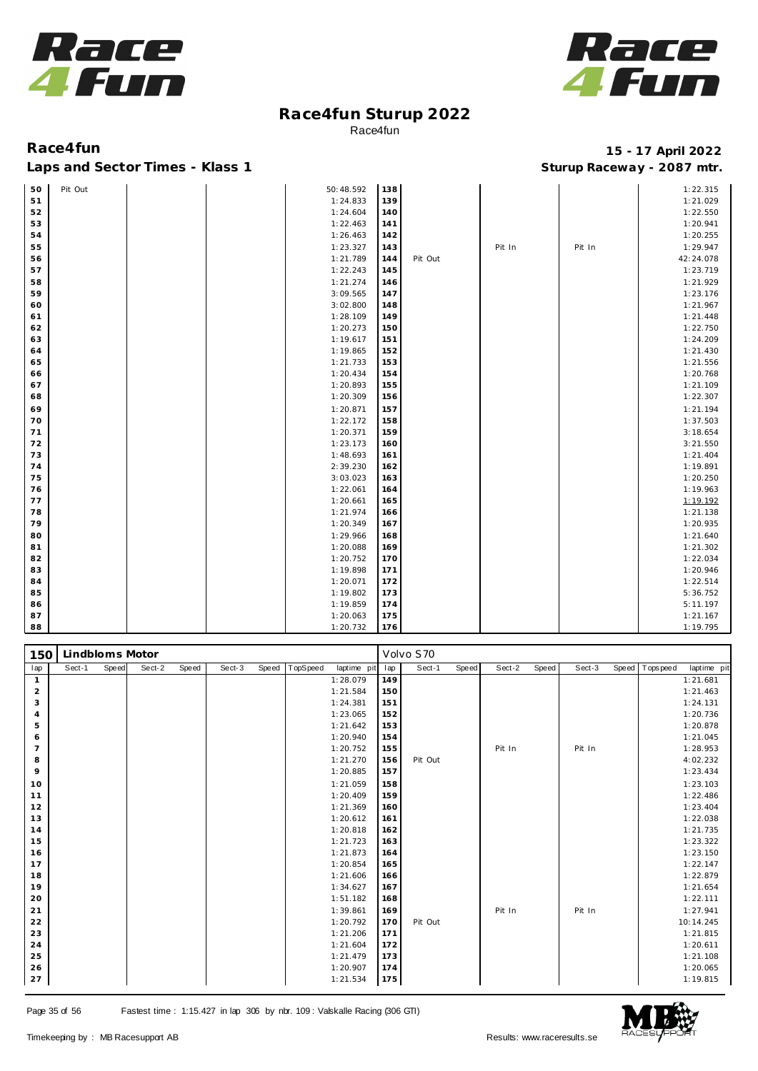



### Laps and Sector Times - Klass 1 **Sturies 1 Sturies 1 Sturies 1 8 and Sector Times - Klass 1 Sturies 1 and Section** 1 **Contrary** 1 **And Section** 1 **Contrary** 1 **Contrary** 1 **Contrary** 1 **Contrary 1 and 2007** must

| 50 | Pit Out |  | 50:48.592 | 138 |         |        |        | 1:22.315  |
|----|---------|--|-----------|-----|---------|--------|--------|-----------|
| 51 |         |  | 1:24.833  | 139 |         |        |        | 1:21.029  |
| 52 |         |  | 1:24.604  | 140 |         |        |        | 1:22.550  |
| 53 |         |  | 1:22.463  | 141 |         |        |        | 1:20.941  |
| 54 |         |  | 1:26.463  | 142 |         |        |        | 1:20.255  |
| 55 |         |  | 1:23.327  | 143 |         | Pit In | Pit In | 1:29.947  |
| 56 |         |  | 1:21.789  | 144 | Pit Out |        |        | 42:24.078 |
| 57 |         |  | 1:22.243  | 145 |         |        |        | 1:23.719  |
| 58 |         |  | 1:21.274  | 146 |         |        |        | 1:21.929  |
| 59 |         |  | 3:09.565  | 147 |         |        |        | 1:23.176  |
| 60 |         |  | 3:02.800  | 148 |         |        |        | 1:21.967  |
| 61 |         |  | 1:28.109  | 149 |         |        |        | 1:21.448  |
| 62 |         |  | 1:20.273  | 150 |         |        |        | 1:22.750  |
| 63 |         |  | 1:19.617  | 151 |         |        |        | 1:24.209  |
| 64 |         |  | 1:19.865  | 152 |         |        |        | 1:21.430  |
| 65 |         |  | 1:21.733  | 153 |         |        |        | 1:21.556  |
| 66 |         |  | 1:20.434  | 154 |         |        |        | 1:20.768  |
| 67 |         |  | 1:20.893  | 155 |         |        |        | 1:21.109  |
| 68 |         |  | 1:20.309  | 156 |         |        |        | 1:22.307  |
| 69 |         |  | 1:20.871  | 157 |         |        |        | 1:21.194  |
| 70 |         |  | 1:22.172  | 158 |         |        |        | 1:37.503  |
| 71 |         |  | 1:20.371  | 159 |         |        |        | 3:18.654  |
| 72 |         |  | 1:23.173  | 160 |         |        |        | 3:21.550  |
| 73 |         |  | 1:48.693  | 161 |         |        |        | 1:21.404  |
| 74 |         |  | 2:39.230  | 162 |         |        |        | 1:19.891  |
| 75 |         |  | 3:03.023  | 163 |         |        |        | 1:20.250  |
| 76 |         |  | 1:22.061  | 164 |         |        |        | 1:19.963  |
| 77 |         |  | 1:20.661  | 165 |         |        |        | 1:19.192  |
| 78 |         |  | 1:21.974  | 166 |         |        |        | 1:21.138  |
| 79 |         |  | 1:20.349  | 167 |         |        |        | 1:20.935  |
| 80 |         |  | 1:29.966  | 168 |         |        |        | 1:21.640  |
| 81 |         |  | 1:20.088  | 169 |         |        |        | 1:21.302  |
| 82 |         |  | 1:20.752  | 170 |         |        |        | 1:22.034  |
| 83 |         |  | 1:19.898  | 171 |         |        |        | 1:20.946  |
| 84 |         |  | 1:20.071  | 172 |         |        |        | 1:22.514  |
| 85 |         |  | 1:19.802  | 173 |         |        |        | 5:36.752  |
| 86 |         |  | 1:19.859  | 174 |         |        |        | 5:11.197  |
| 87 |         |  | 1:20.063  | 175 |         |        |        | 1:21.167  |
| 88 |         |  | 1:20.732  | 176 |         |        |        | 1:19.795  |

| 150            | Lindbloms Motor |       |        |       |        |       |          |             |     | Volvo S70 |       |        |       |        |                   |             |
|----------------|-----------------|-------|--------|-------|--------|-------|----------|-------------|-----|-----------|-------|--------|-------|--------|-------------------|-------------|
| lap            | Sect-1          | Speed | Sect-2 | Speed | Sect-3 | Speed | TopSpeed | laptime pit | lap | Sect-1    | Speed | Sect-2 | Speed | Sect-3 | Speed   Tops peed | laptime pit |
| $\mathbf{1}$   |                 |       |        |       |        |       |          | 1:28.079    | 149 |           |       |        |       |        |                   | 1:21.681    |
| 2              |                 |       |        |       |        |       |          | 1:21.584    | 150 |           |       |        |       |        |                   | 1:21.463    |
| 3              |                 |       |        |       |        |       |          | 1:24.381    | 151 |           |       |        |       |        |                   | 1:24.131    |
| $\overline{4}$ |                 |       |        |       |        |       |          | 1:23.065    | 152 |           |       |        |       |        |                   | 1:20.736    |
| 5              |                 |       |        |       |        |       |          | 1:21.642    | 153 |           |       |        |       |        |                   | 1:20.878    |
| 6              |                 |       |        |       |        |       |          | 1:20.940    | 154 |           |       |        |       |        |                   | 1:21.045    |
| $\overline{7}$ |                 |       |        |       |        |       |          | 1:20.752    | 155 |           |       | Pit In |       | Pit In |                   | 1:28.953    |
| 8              |                 |       |        |       |        |       |          | 1:21.270    | 156 | Pit Out   |       |        |       |        |                   | 4:02.232    |
| 9              |                 |       |        |       |        |       |          | 1:20.885    | 157 |           |       |        |       |        |                   | 1:23.434    |
| 10             |                 |       |        |       |        |       |          | 1:21.059    | 158 |           |       |        |       |        |                   | 1:23.103    |
| 11             |                 |       |        |       |        |       |          | 1:20.409    | 159 |           |       |        |       |        |                   | 1:22.486    |
| 12             |                 |       |        |       |        |       |          | 1:21.369    | 160 |           |       |        |       |        |                   | 1:23.404    |
| 13             |                 |       |        |       |        |       |          | 1:20.612    | 161 |           |       |        |       |        |                   | 1:22.038    |
| 14             |                 |       |        |       |        |       |          | 1:20.818    | 162 |           |       |        |       |        |                   | 1:21.735    |
| 15             |                 |       |        |       |        |       |          | 1:21.723    | 163 |           |       |        |       |        |                   | 1:23.322    |
| 16             |                 |       |        |       |        |       |          | 1:21.873    | 164 |           |       |        |       |        |                   | 1:23.150    |
| 17             |                 |       |        |       |        |       |          | 1:20.854    | 165 |           |       |        |       |        |                   | 1:22.147    |
| 18             |                 |       |        |       |        |       |          | 1:21.606    | 166 |           |       |        |       |        |                   | 1:22.879    |
| 19             |                 |       |        |       |        |       |          | 1:34.627    | 167 |           |       |        |       |        |                   | 1:21.654    |
| 20             |                 |       |        |       |        |       |          | 1:51.182    | 168 |           |       |        |       |        |                   | 1:22.111    |
| 21             |                 |       |        |       |        |       |          | 1:39.861    | 169 |           |       | Pit In |       | Pit In |                   | 1:27.941    |
| 22             |                 |       |        |       |        |       |          | 1:20.792    | 170 | Pit Out   |       |        |       |        |                   | 10:14.245   |
| 23             |                 |       |        |       |        |       |          | 1:21.206    | 171 |           |       |        |       |        |                   | 1:21.815    |
| 24             |                 |       |        |       |        |       |          | 1:21.604    | 172 |           |       |        |       |        |                   | 1:20.611    |
| 25             |                 |       |        |       |        |       |          | 1:21.479    | 173 |           |       |        |       |        |                   | 1:21.108    |
| 26             |                 |       |        |       |        |       |          | 1:20.907    | 174 |           |       |        |       |        |                   | 1:20.065    |
| 27             |                 |       |        |       |        |       |          | 1:21.534    | 175 |           |       |        |       |        |                   | 1:19.815    |

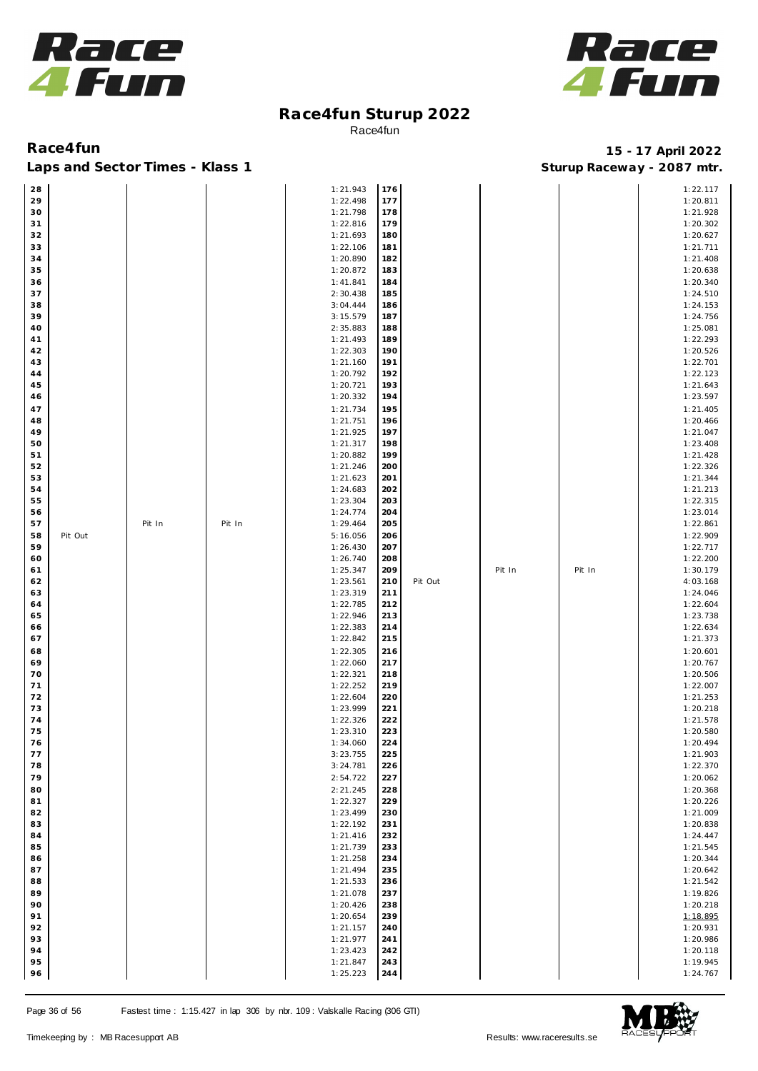



**Race4fun 15 - 17 April 2022** Laps and Sector Times - Klass 1 **Sturies 1 Sturies 1 Sturies 1 Sturies 1 Sturies 1 Sturies 1 Sturies 1 Sturies 1 Sturies 1 Sturies 1 Sturies 1 Sturies 1 Sturies 1 Sturies 1 Sturies 1 Sturies 1** 

| 28 |         |        |        | 1:21.943 | 176 |         |        |        | 1:22.117 |
|----|---------|--------|--------|----------|-----|---------|--------|--------|----------|
| 29 |         |        |        | 1:22.498 | 177 |         |        |        | 1:20.811 |
|    |         |        |        |          |     |         |        |        |          |
| 30 |         |        |        | 1:21.798 | 178 |         |        |        | 1:21.928 |
| 31 |         |        |        | 1:22.816 | 179 |         |        |        | 1:20.302 |
| 32 |         |        |        | 1:21.693 | 180 |         |        |        | 1:20.627 |
|    |         |        |        |          |     |         |        |        |          |
| 33 |         |        |        | 1:22.106 | 181 |         |        |        | 1:21.711 |
| 34 |         |        |        | 1:20.890 | 182 |         |        |        | 1:21.408 |
| 35 |         |        |        | 1:20.872 | 183 |         |        |        | 1:20.638 |
|    |         |        |        |          |     |         |        |        |          |
| 36 |         |        |        | 1:41.841 | 184 |         |        |        | 1:20.340 |
| 37 |         |        |        | 2:30.438 | 185 |         |        |        | 1:24.510 |
| 38 |         |        |        | 3:04.444 | 186 |         |        |        | 1:24.153 |
|    |         |        |        |          |     |         |        |        |          |
| 39 |         |        |        | 3:15.579 | 187 |         |        |        | 1:24.756 |
| 40 |         |        |        | 2:35.883 | 188 |         |        |        | 1:25.081 |
| 41 |         |        |        | 1:21.493 | 189 |         |        |        | 1:22.293 |
|    |         |        |        |          |     |         |        |        |          |
| 42 |         |        |        | 1:22.303 | 190 |         |        |        | 1:20.526 |
| 43 |         |        |        | 1:21.160 | 191 |         |        |        | 1:22.701 |
| 44 |         |        |        | 1:20.792 | 192 |         |        |        | 1:22.123 |
| 45 |         |        |        |          |     |         |        |        |          |
|    |         |        |        | 1:20.721 | 193 |         |        |        | 1:21.643 |
| 46 |         |        |        | 1:20.332 | 194 |         |        |        | 1:23.597 |
| 47 |         |        |        | 1:21.734 | 195 |         |        |        | 1:21.405 |
| 48 |         |        |        | 1:21.751 | 196 |         |        |        | 1:20.466 |
|    |         |        |        |          |     |         |        |        |          |
| 49 |         |        |        | 1:21.925 | 197 |         |        |        | 1:21.047 |
| 50 |         |        |        | 1:21.317 | 198 |         |        |        | 1:23.408 |
| 51 |         |        |        | 1:20.882 | 199 |         |        |        | 1:21.428 |
|    |         |        |        |          |     |         |        |        |          |
| 52 |         |        |        | 1:21.246 | 200 |         |        |        | 1:22.326 |
| 53 |         |        |        | 1:21.623 | 201 |         |        |        | 1:21.344 |
| 54 |         |        |        | 1:24.683 | 202 |         |        |        | 1:21.213 |
|    |         |        |        |          |     |         |        |        |          |
| 55 |         |        |        | 1:23.304 | 203 |         |        |        | 1:22.315 |
| 56 |         |        |        | 1:24.774 | 204 |         |        |        | 1:23.014 |
| 57 |         | Pit In | Pit In | 1:29.464 | 205 |         |        |        | 1:22.861 |
|    |         |        |        |          |     |         |        |        |          |
| 58 | Pit Out |        |        | 5:16.056 | 206 |         |        |        | 1:22.909 |
| 59 |         |        |        | 1:26.430 | 207 |         |        |        | 1:22.717 |
| 60 |         |        |        | 1:26.740 | 208 |         |        |        | 1:22.200 |
|    |         |        |        |          |     |         |        |        |          |
| 61 |         |        |        | 1:25.347 | 209 |         | Pit In | Pit In | 1:30.179 |
| 62 |         |        |        | 1:23.561 | 210 | Pit Out |        |        | 4:03.168 |
| 63 |         |        |        | 1:23.319 | 211 |         |        |        | 1:24.046 |
| 64 |         |        |        | 1:22.785 | 212 |         |        |        | 1:22.604 |
|    |         |        |        |          |     |         |        |        |          |
| 65 |         |        |        | 1:22.946 | 213 |         |        |        | 1:23.738 |
| 66 |         |        |        | 1:22.383 | 214 |         |        |        | 1:22.634 |
| 67 |         |        |        |          |     |         |        |        | 1:21.373 |
|    |         |        |        |          |     |         |        |        |          |
|    |         |        |        | 1:22.842 | 215 |         |        |        |          |
| 68 |         |        |        | 1:22.305 | 216 |         |        |        | 1:20.601 |
| 69 |         |        |        | 1:22.060 | 217 |         |        |        | 1:20.767 |
|    |         |        |        |          |     |         |        |        |          |
| 70 |         |        |        | 1:22.321 | 218 |         |        |        | 1:20.506 |
| 71 |         |        |        | 1:22.252 | 219 |         |        |        | 1:22.007 |
| 72 |         |        |        | 1:22.604 | 220 |         |        |        | 1:21.253 |
| 73 |         |        |        | 1:23.999 | 221 |         |        |        |          |
|    |         |        |        |          |     |         |        |        | 1:20.218 |
| 74 |         |        |        | 1:22.326 | 222 |         |        |        | 1:21.578 |
| 75 |         |        |        | 1:23.310 | 223 |         |        |        | 1:20.580 |
| 76 |         |        |        | 1:34.060 | 224 |         |        |        | 1:20.494 |
|    |         |        |        |          |     |         |        |        |          |
| 77 |         |        |        | 3:23.755 | 225 |         |        |        | 1:21.903 |
| 78 |         |        |        | 3:24.781 | 226 |         |        |        | 1:22.370 |
| 79 |         |        |        | 2:54.722 | 227 |         |        |        | 1:20.062 |
|    |         |        |        |          |     |         |        |        |          |
| 80 |         |        |        | 2:21.245 | 228 |         |        |        | 1:20.368 |
| 81 |         |        |        | 1:22.327 | 229 |         |        |        | 1:20.226 |
| 82 |         |        |        | 1:23.499 | 230 |         |        |        | 1:21.009 |
| 83 |         |        |        | 1:22.192 | 231 |         |        |        | 1:20.838 |
|    |         |        |        |          |     |         |        |        |          |
| 84 |         |        |        | 1:21.416 | 232 |         |        |        | 1:24.447 |
| 85 |         |        |        | 1:21.739 | 233 |         |        |        | 1:21.545 |
| 86 |         |        |        | 1:21.258 | 234 |         |        |        | 1:20.344 |
|    |         |        |        |          |     |         |        |        |          |
| 87 |         |        |        | 1:21.494 | 235 |         |        |        | 1:20.642 |
| 88 |         |        |        | 1:21.533 | 236 |         |        |        | 1:21.542 |
| 89 |         |        |        | 1:21.078 | 237 |         |        |        | 1:19.826 |
|    |         |        |        |          |     |         |        |        |          |
| 90 |         |        |        | 1:20.426 | 238 |         |        |        | 1:20.218 |
| 91 |         |        |        | 1:20.654 | 239 |         |        |        | 1:18.895 |
| 92 |         |        |        | 1:21.157 | 240 |         |        |        | 1:20.931 |
|    |         |        |        |          |     |         |        |        |          |
| 93 |         |        |        | 1:21.977 | 241 |         |        |        | 1:20.986 |
| 94 |         |        |        | 1:23.423 | 242 |         |        |        | 1:20.118 |
| 95 |         |        |        | 1:21.847 | 243 |         |        |        | 1:19.945 |
| 96 |         |        |        | 1:25.223 | 244 |         |        |        | 1:24.767 |

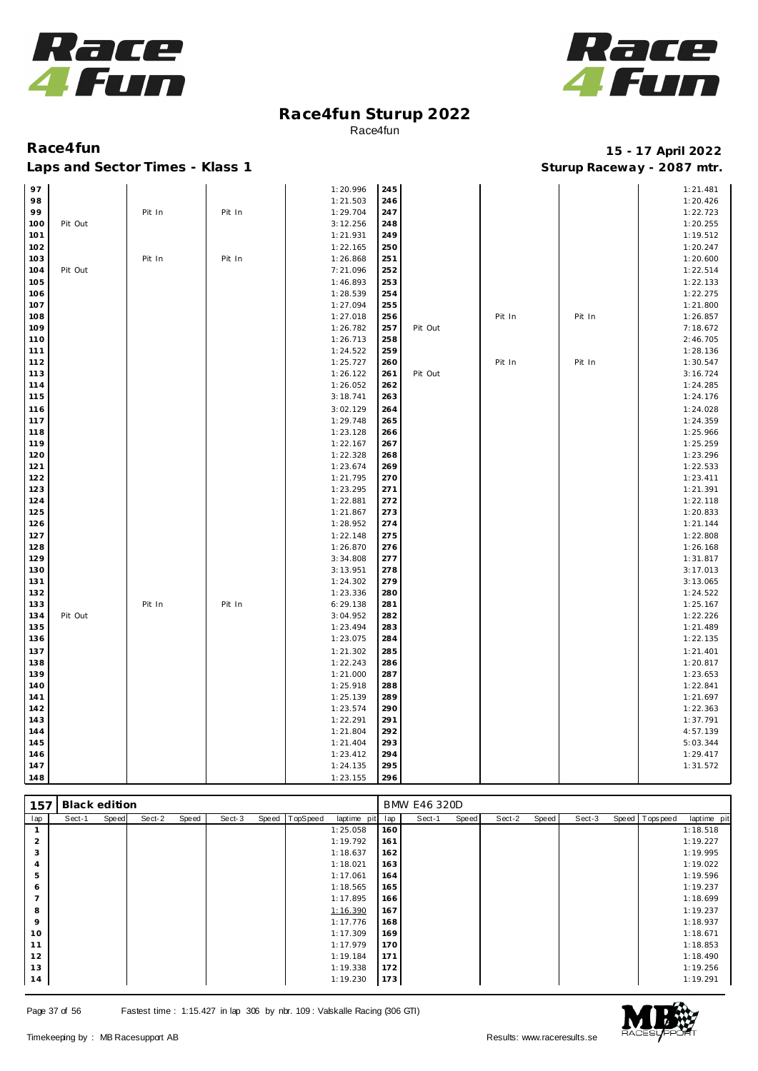



| 97  |         |        |        | 1:20.996 | 245 |         |        |        | 1:21.481 |
|-----|---------|--------|--------|----------|-----|---------|--------|--------|----------|
| 98  |         |        |        | 1:21.503 | 246 |         |        |        | 1:20.426 |
| 99  |         | Pit In | Pit In | 1:29.704 | 247 |         |        |        | 1:22.723 |
| 100 | Pit Out |        |        | 3:12.256 | 248 |         |        |        | 1:20.255 |
| 101 |         |        |        | 1:21.931 | 249 |         |        |        | 1:19.512 |
| 102 |         |        |        | 1:22.165 | 250 |         |        |        | 1:20.247 |
| 103 |         | Pit In | Pit In | 1:26.868 | 251 |         |        |        | 1:20.600 |
| 104 | Pit Out |        |        | 7:21.096 | 252 |         |        |        | 1:22.514 |
|     |         |        |        |          |     |         |        |        |          |
| 105 |         |        |        | 1:46.893 | 253 |         |        |        | 1:22.133 |
| 106 |         |        |        | 1:28.539 | 254 |         |        |        | 1:22.275 |
| 107 |         |        |        | 1:27.094 | 255 |         |        |        | 1:21.800 |
| 108 |         |        |        | 1:27.018 | 256 |         | Pit In | Pit In | 1:26.857 |
| 109 |         |        |        | 1:26.782 | 257 | Pit Out |        |        | 7:18.672 |
| 110 |         |        |        | 1:26.713 | 258 |         |        |        | 2:46.705 |
| 111 |         |        |        | 1:24.522 | 259 |         |        |        | 1:28.136 |
| 112 |         |        |        | 1:25.727 | 260 |         | Pit In | Pit In | 1:30.547 |
| 113 |         |        |        | 1:26.122 | 261 | Pit Out |        |        | 3:16.724 |
| 114 |         |        |        | 1:26.052 | 262 |         |        |        | 1:24.285 |
| 115 |         |        |        | 3:18.741 | 263 |         |        |        | 1:24.176 |
| 116 |         |        |        | 3:02.129 | 264 |         |        |        | 1:24.028 |
| 117 |         |        |        | 1:29.748 | 265 |         |        |        | 1:24.359 |
| 118 |         |        |        | 1:23.128 | 266 |         |        |        | 1:25.966 |
| 119 |         |        |        | 1:22.167 | 267 |         |        |        | 1:25.259 |
| 120 |         |        |        | 1:22.328 | 268 |         |        |        | 1:23.296 |
| 121 |         |        |        | 1:23.674 | 269 |         |        |        | 1:22.533 |
| 122 |         |        |        | 1:21.795 | 270 |         |        |        | 1:23.411 |
| 123 |         |        |        | 1:23.295 | 271 |         |        |        | 1:21.391 |
| 124 |         |        |        | 1:22.881 | 272 |         |        |        | 1:22.118 |
| 125 |         |        |        | 1:21.867 | 273 |         |        |        | 1:20.833 |
| 126 |         |        |        | 1:28.952 | 274 |         |        |        | 1:21.144 |
| 127 |         |        |        | 1:22.148 | 275 |         |        |        | 1:22.808 |
| 128 |         |        |        | 1:26.870 | 276 |         |        |        | 1:26.168 |
| 129 |         |        |        | 3:34.808 | 277 |         |        |        | 1:31.817 |
| 130 |         |        |        | 3:13.951 | 278 |         |        |        | 3:17.013 |
| 131 |         |        |        | 1:24.302 | 279 |         |        |        | 3:13.065 |
|     |         |        |        |          |     |         |        |        |          |
| 132 |         |        |        | 1:23.336 | 280 |         |        |        | 1:24.522 |
| 133 |         | Pit In | Pit In | 6:29.138 | 281 |         |        |        | 1:25.167 |
| 134 | Pit Out |        |        | 3:04.952 | 282 |         |        |        | 1:22.226 |
| 135 |         |        |        | 1:23.494 | 283 |         |        |        | 1:21.489 |
| 136 |         |        |        | 1:23.075 | 284 |         |        |        | 1:22.135 |
| 137 |         |        |        | 1:21.302 | 285 |         |        |        | 1:21.401 |
| 138 |         |        |        | 1:22.243 | 286 |         |        |        | 1:20.817 |
| 139 |         |        |        | 1:21.000 | 287 |         |        |        | 1:23.653 |
| 140 |         |        |        | 1:25.918 | 288 |         |        |        | 1:22.841 |
| 141 |         |        |        | 1:25.139 | 289 |         |        |        | 1:21.697 |
| 142 |         |        |        | 1:23.574 | 290 |         |        |        | 1:22.363 |
| 143 |         |        |        | 1:22.291 | 291 |         |        |        | 1:37.791 |
| 144 |         |        |        | 1:21.804 | 292 |         |        |        | 4:57.139 |
| 145 |         |        |        | 1:21.404 | 293 |         |        |        | 5:03.344 |
| 146 |         |        |        | 1:23.412 | 294 |         |        |        | 1:29.417 |
| 147 |         |        |        | 1:24.135 | 295 |         |        |        | 1:31.572 |
| 148 |         |        |        | 1:23.155 | 296 |         |        |        |          |

| 157 | <b>Black edition</b> |       |        |       |        |       |          |             |     | <b>BMW E46 320D</b> |       |        |       |        |                |             |
|-----|----------------------|-------|--------|-------|--------|-------|----------|-------------|-----|---------------------|-------|--------|-------|--------|----------------|-------------|
| lap | Sect-1               | Speed | Sect-2 | Speed | Sect-3 | Speed | TopSpeed | laptime pit | lap | Sect-1              | Speed | Sect-2 | Speed | Sect-3 | Speed Topspeed | laptime pit |
|     |                      |       |        |       |        |       |          | 1:25.058    | 160 |                     |       |        |       |        |                | 1:18.518    |
| ∠   |                      |       |        |       |        |       |          | 1:19.792    | 161 |                     |       |        |       |        |                | 1:19.227    |
| 3   |                      |       |        |       |        |       |          | 1:18.637    | 162 |                     |       |        |       |        |                | 1:19.995    |
| 4   |                      |       |        |       |        |       |          | 1:18.021    | 163 |                     |       |        |       |        |                | 1:19.022    |
| 5   |                      |       |        |       |        |       |          | 1:17.061    | 164 |                     |       |        |       |        |                | 1:19.596    |
| 6   |                      |       |        |       |        |       |          | 1:18.565    | 165 |                     |       |        |       |        |                | 1:19.237    |
|     |                      |       |        |       |        |       |          | 1:17.895    | 166 |                     |       |        |       |        |                | 1:18.699    |
| 8   |                      |       |        |       |        |       |          | 1:16.390    | 167 |                     |       |        |       |        |                | 1:19.237    |
| 9   |                      |       |        |       |        |       |          | 1:17.776    | 168 |                     |       |        |       |        |                | 1:18.937    |
| 10  |                      |       |        |       |        |       |          | 1:17.309    | 169 |                     |       |        |       |        |                | 1:18.671    |
| 11  |                      |       |        |       |        |       |          | 1:17.979    | 170 |                     |       |        |       |        |                | 1:18.853    |
| 12  |                      |       |        |       |        |       |          | 1:19.184    | 171 |                     |       |        |       |        |                | 1:18.490    |
| 13  |                      |       |        |       |        |       |          | 1:19.338    | 172 |                     |       |        |       |        |                | 1:19.256    |
| 14  |                      |       |        |       |        |       |          | 1:19.230    | 173 |                     |       |        |       |        |                | 1:19.291    |

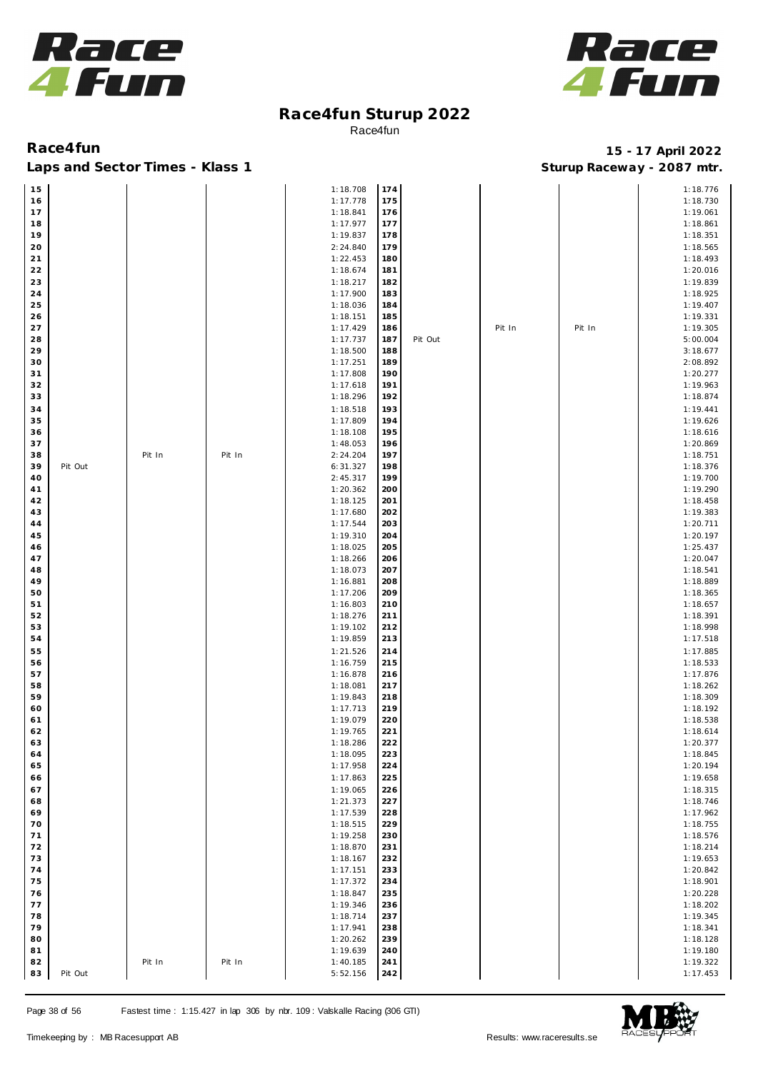



Laps and Sector Times - Klass 1 **Sturies 1 Sturies 1 Sturies 1 8 and Sector Times - Klass 1 Sturies 1 and Section** 1 **Contrary** 1 **And Section** 1 **Contrary** 1 **Contrary** 1 **Contrary** 1 **Contrary 1 and 2007** must

| 15       |         |        |        | 1:18.708             | 174        |         |        |        | 1:18.776             |
|----------|---------|--------|--------|----------------------|------------|---------|--------|--------|----------------------|
| 16       |         |        |        | 1:17.778             | 175        |         |        |        | 1:18.730             |
| 17       |         |        |        | 1:18.841             | 176        |         |        |        | 1:19.061             |
| 18       |         |        |        | 1:17.977             | 177        |         |        |        | 1:18.861             |
| 19       |         |        |        | 1:19.837             | 178        |         |        |        | 1:18.351             |
| 20       |         |        |        | 2:24.840             | 179        |         |        |        | 1:18.565             |
| 21       |         |        |        | 1:22.453             | 180        |         |        |        | 1:18.493             |
| 22       |         |        |        | 1:18.674             | 181        |         |        |        | 1:20.016             |
| 23       |         |        |        | 1:18.217             | 182        |         |        |        | 1:19.839             |
| 24       |         |        |        | 1:17.900             | 183        |         |        |        | 1:18.925             |
| 25       |         |        |        | 1:18.036             | 184        |         |        |        | 1:19.407             |
| 26<br>27 |         |        |        | 1:18.151<br>1:17.429 | 185<br>186 |         | Pit In | Pit In | 1:19.331<br>1:19.305 |
| 28       |         |        |        | 1:17.737             | 187        | Pit Out |        |        | 5:00.004             |
| 29       |         |        |        | 1:18.500             | 188        |         |        |        | 3:18.677             |
| 30       |         |        |        | 1:17.251             | 189        |         |        |        | 2:08.892             |
| 31       |         |        |        | 1:17.808             | 190        |         |        |        | 1:20.277             |
| 32       |         |        |        | 1:17.618             | 191        |         |        |        | 1:19.963             |
| 33       |         |        |        | 1:18.296             | 192        |         |        |        | 1:18.874             |
| 34       |         |        |        | 1:18.518             | 193        |         |        |        | 1:19.441             |
| 35       |         |        |        | 1:17.809             | 194        |         |        |        | 1:19.626             |
| 36       |         |        |        | 1:18.108             | 195        |         |        |        | 1:18.616             |
| 37       |         |        |        | 1:48.053             | 196        |         |        |        | 1:20.869             |
| 38       |         | Pit In | Pit In | 2:24.204             | 197        |         |        |        | 1:18.751             |
| 39       | Pit Out |        |        | 6:31.327             | 198        |         |        |        | 1:18.376             |
| 40       |         |        |        | 2:45.317             | 199        |         |        |        | 1:19.700             |
| 41       |         |        |        | 1:20.362             | 200        |         |        |        | 1:19.290             |
| 42       |         |        |        | 1:18.125             | 201        |         |        |        | 1:18.458             |
| 43       |         |        |        | 1:17.680             | 202        |         |        |        | 1:19.383             |
| 44       |         |        |        | 1:17.544             | 203        |         |        |        | 1:20.711             |
| 45       |         |        |        | 1:19.310             | 204        |         |        |        | 1:20.197             |
| 46       |         |        |        | 1:18.025             | 205        |         |        |        | 1:25.437             |
| 47       |         |        |        | 1:18.266             | 206        |         |        |        | 1:20.047             |
| 48       |         |        |        | 1:18.073             | 207        |         |        |        | 1:18.541             |
| 49       |         |        |        | 1:16.881             | 208        |         |        |        | 1:18.889             |
| 50       |         |        |        | 1:17.206             | 209        |         |        |        | 1:18.365             |
| 51       |         |        |        | 1:16.803             | 210        |         |        |        | 1:18.657             |
| 52       |         |        |        | 1:18.276             | 211        |         |        |        | 1:18.391             |
| 53       |         |        |        | 1:19.102             | 212        |         |        |        | 1:18.998             |
| 54       |         |        |        | 1:19.859             | 213        |         |        |        | 1:17.518             |
| 55       |         |        |        | 1:21.526             | 214        |         |        |        | 1:17.885             |
| 56<br>57 |         |        |        | 1:16.759<br>1:16.878 | 215<br>216 |         |        |        | 1:18.533<br>1:17.876 |
| 58       |         |        |        | 1:18.081             | 217        |         |        |        | 1:18.262             |
| 59       |         |        |        | 1:19.843             | 218        |         |        |        | 1:18.309             |
| 60       |         |        |        | 1:17.713             | 219        |         |        |        | 1:18.192             |
| 61       |         |        |        | 1:19.079             | 220        |         |        |        | 1:18.538             |
| 62       |         |        |        | 1:19.765             | 221        |         |        |        | 1:18.614             |
| 63       |         |        |        | 1:18.286             | 222        |         |        |        | 1:20.377             |
| 64       |         |        |        | 1:18.095             | 223        |         |        |        | 1:18.845             |
| 65       |         |        |        | 1:17.958             | 224        |         |        |        | 1:20.194             |
| 66       |         |        |        | 1:17.863             | 225        |         |        |        | 1:19.658             |
| 67       |         |        |        | 1:19.065             | 226        |         |        |        | 1:18.315             |
| 68       |         |        |        | 1:21.373             | 227        |         |        |        | 1:18.746             |
| 69       |         |        |        | 1:17.539             | 228        |         |        |        | 1:17.962             |
| 70       |         |        |        | 1:18.515             | 229        |         |        |        | 1:18.755             |
| 71       |         |        |        | 1:19.258             | 230        |         |        |        | 1:18.576             |
| 72       |         |        |        | 1:18.870             | 231        |         |        |        | 1:18.214             |
| 73       |         |        |        | 1:18.167             | 232        |         |        |        | 1:19.653             |
| 74       |         |        |        | 1:17.151             | 233        |         |        |        | 1:20.842             |
| 75       |         |        |        | 1:17.372             | 234        |         |        |        | 1:18.901             |
| 76       |         |        |        | 1:18.847             | 235        |         |        |        | 1:20.228             |
| 77       |         |        |        | 1:19.346             | 236        |         |        |        | 1:18.202             |
| 78       |         |        |        | 1:18.714             | 237        |         |        |        | 1:19.345             |
| 79       |         |        |        | 1:17.941             | 238        |         |        |        | 1:18.341             |
| 80       |         |        |        | 1:20.262             | 239        |         |        |        | 1:18.128             |
| 81<br>82 |         | Pit In | Pit In | 1:19.639<br>1:40.185 | 240<br>241 |         |        |        | 1:19.180<br>1:19.322 |
| 83       | Pit Out |        |        | 5:52.156             | 242        |         |        |        | 1:17.453             |
|          |         |        |        |                      |            |         |        |        |                      |

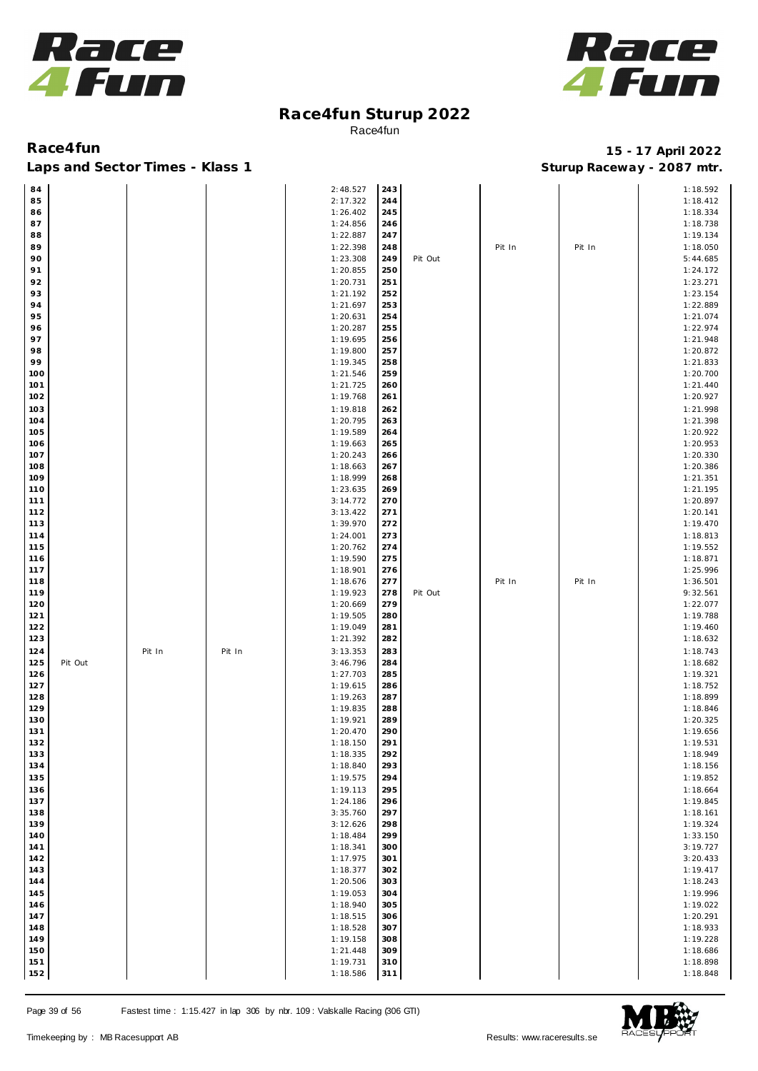



Laps and Sector Times - Klass 1 **Sturies 1 Sturies 1 Sturies 1 8 and Sector Times - Klass 1 Sturies 1 and Section** 1 **Contrary** 1 **And Section** 1 **Contrary** 1 **Contrary** 1 **Contrary** 1 **Contrary 1 and 2007** must

| 84  |         |        |        | 2:48.527 | 243 |         |        |        | 1:18.592 |
|-----|---------|--------|--------|----------|-----|---------|--------|--------|----------|
| 85  |         |        |        | 2:17.322 | 244 |         |        |        | 1:18.412 |
| 86  |         |        |        | 1:26.402 | 245 |         |        |        | 1:18.334 |
| 87  |         |        |        | 1:24.856 | 246 |         |        |        | 1:18.738 |
| 88  |         |        |        | 1:22.887 | 247 |         |        |        | 1:19.134 |
|     |         |        |        |          |     |         |        |        |          |
| 89  |         |        |        | 1:22.398 | 248 |         | Pit In | Pit In | 1:18.050 |
| 90  |         |        |        | 1:23.308 | 249 | Pit Out |        |        | 5:44.685 |
| 91  |         |        |        | 1:20.855 | 250 |         |        |        | 1:24.172 |
| 92  |         |        |        | 1:20.731 | 251 |         |        |        | 1:23.271 |
| 93  |         |        |        | 1:21.192 | 252 |         |        |        | 1:23.154 |
| 94  |         |        |        | 1:21.697 | 253 |         |        |        | 1:22.889 |
| 95  |         |        |        | 1:20.631 | 254 |         |        |        | 1:21.074 |
| 96  |         |        |        | 1:20.287 | 255 |         |        |        | 1:22.974 |
| 97  |         |        |        | 1:19.695 | 256 |         |        |        | 1:21.948 |
| 98  |         |        |        | 1:19.800 | 257 |         |        |        | 1:20.872 |
| 99  |         |        |        | 1:19.345 | 258 |         |        |        | 1:21.833 |
| 100 |         |        |        | 1:21.546 | 259 |         |        |        | 1:20.700 |
|     |         |        |        |          |     |         |        |        |          |
| 101 |         |        |        | 1:21.725 | 260 |         |        |        | 1:21.440 |
| 102 |         |        |        | 1:19.768 | 261 |         |        |        | 1:20.927 |
| 103 |         |        |        | 1:19.818 | 262 |         |        |        | 1:21.998 |
| 104 |         |        |        | 1:20.795 | 263 |         |        |        | 1:21.398 |
| 105 |         |        |        | 1:19.589 | 264 |         |        |        | 1:20.922 |
| 106 |         |        |        | 1:19.663 | 265 |         |        |        | 1:20.953 |
| 107 |         |        |        | 1:20.243 | 266 |         |        |        | 1:20.330 |
| 108 |         |        |        | 1:18.663 | 267 |         |        |        | 1:20.386 |
| 109 |         |        |        | 1:18.999 | 268 |         |        |        | 1:21.351 |
| 110 |         |        |        | 1:23.635 | 269 |         |        |        | 1:21.195 |
| 111 |         |        |        | 3:14.772 | 270 |         |        |        | 1:20.897 |
| 112 |         |        |        | 3:13.422 | 271 |         |        |        | 1:20.141 |
| 113 |         |        |        | 1:39.970 | 272 |         |        |        | 1:19.470 |
|     |         |        |        |          |     |         |        |        |          |
| 114 |         |        |        | 1:24.001 | 273 |         |        |        | 1:18.813 |
| 115 |         |        |        | 1:20.762 | 274 |         |        |        | 1:19.552 |
| 116 |         |        |        | 1:19.590 | 275 |         |        |        | 1:18.871 |
| 117 |         |        |        | 1:18.901 | 276 |         |        |        | 1:25.996 |
| 118 |         |        |        | 1:18.676 | 277 |         | Pit In | Pit In | 1:36.501 |
| 119 |         |        |        | 1:19.923 | 278 | Pit Out |        |        | 9:32.561 |
| 120 |         |        |        | 1:20.669 | 279 |         |        |        | 1:22.077 |
| 121 |         |        |        | 1:19.505 | 280 |         |        |        | 1:19.788 |
| 122 |         |        |        | 1:19.049 | 281 |         |        |        | 1:19.460 |
| 123 |         |        |        | 1:21.392 | 282 |         |        |        | 1:18.632 |
| 124 |         | Pit In | Pit In | 3:13.353 | 283 |         |        |        | 1:18.743 |
| 125 | Pit Out |        |        | 3:46.796 | 284 |         |        |        | 1:18.682 |
|     |         |        |        |          |     |         |        |        |          |
| 126 |         |        |        | 1:27.703 | 285 |         |        |        | 1:19.321 |
| 127 |         |        |        | 1:19.615 | 286 |         |        |        | 1:18.752 |
| 128 |         |        |        | 1:19.263 | 287 |         |        |        | 1:18.899 |
| 129 |         |        |        | 1:19.835 | 288 |         |        |        | 1:18.846 |
| 130 |         |        |        | 1:19.921 | 289 |         |        |        | 1:20.325 |
| 131 |         |        |        | 1:20.470 | 290 |         |        |        | 1:19.656 |
| 132 |         |        |        | 1:18.150 | 291 |         |        |        | 1:19.531 |
| 133 |         |        |        | 1:18.335 | 292 |         |        |        | 1:18.949 |
| 134 |         |        |        | 1:18.840 | 293 |         |        |        | 1:18.156 |
| 135 |         |        |        | 1:19.575 | 294 |         |        |        | 1:19.852 |
| 136 |         |        |        | 1:19.113 | 295 |         |        |        | 1:18.664 |
| 137 |         |        |        | 1:24.186 | 296 |         |        |        | 1:19.845 |
| 138 |         |        |        | 3:35.760 | 297 |         |        |        | 1:18.161 |
| 139 |         |        |        | 3:12.626 | 298 |         |        |        | 1:19.324 |
| 140 |         |        |        | 1:18.484 | 299 |         |        |        | 1:33.150 |
|     |         |        |        |          |     |         |        |        |          |
| 141 |         |        |        | 1:18.341 | 300 |         |        |        | 3:19.727 |
| 142 |         |        |        | 1:17.975 | 301 |         |        |        | 3:20.433 |
| 143 |         |        |        | 1:18.377 | 302 |         |        |        | 1:19.417 |
| 144 |         |        |        | 1:20.506 | 303 |         |        |        | 1:18.243 |
| 145 |         |        |        | 1:19.053 | 304 |         |        |        | 1:19.996 |
| 146 |         |        |        | 1:18.940 | 305 |         |        |        | 1:19.022 |
| 147 |         |        |        | 1:18.515 | 306 |         |        |        | 1:20.291 |
| 148 |         |        |        | 1:18.528 | 307 |         |        |        | 1:18.933 |
| 149 |         |        |        | 1:19.158 | 308 |         |        |        | 1:19.228 |
| 150 |         |        |        | 1:21.448 | 309 |         |        |        | 1:18.686 |
| 151 |         |        |        | 1:19.731 | 310 |         |        |        | 1:18.898 |
| 152 |         |        |        | 1:18.586 | 311 |         |        |        | 1:18.848 |
|     |         |        |        |          |     |         |        |        |          |

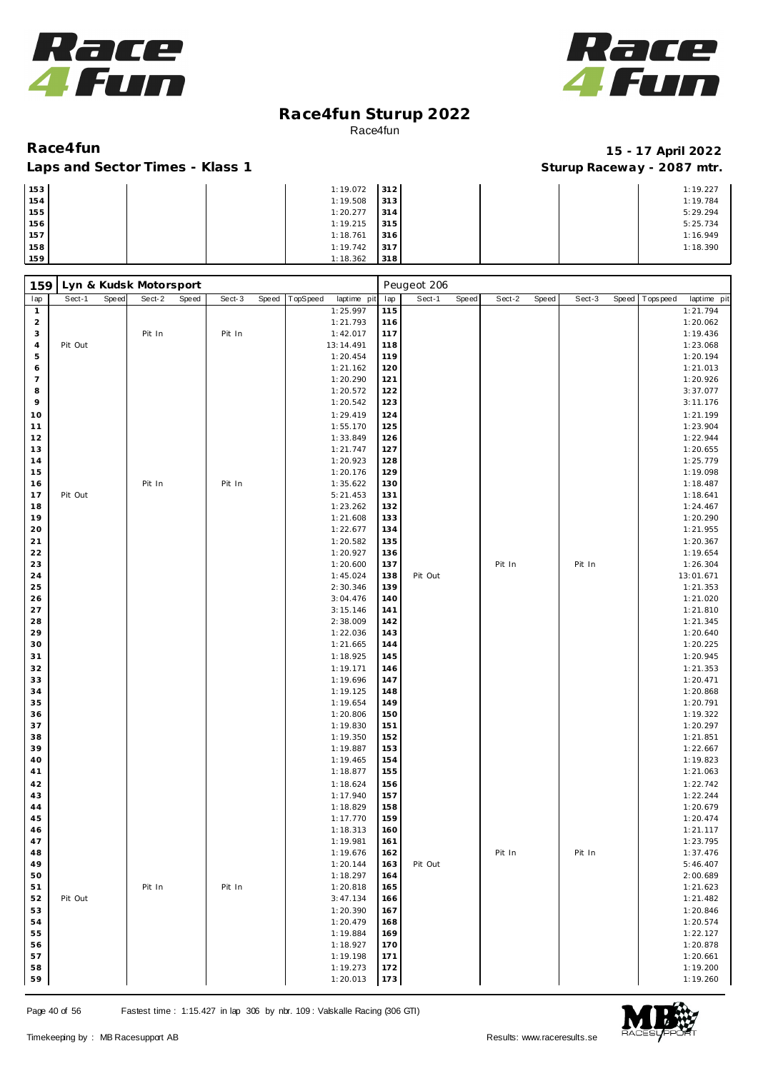



### Laps and Sector Times - Klass 1 **Sturies 1 Sturies 1 Sturies 1 8 and Sector Times - Klass 1 Sturies 1 and Section** 1 **Contrary** 1 **And Section** 1 **Contrary** 1 **Contrary** 1 **Contrary** 1 **Contrary 1 and 2007** must

| 153 |  | 1:19.072 | 312 |  | 1:19.227 |
|-----|--|----------|-----|--|----------|
| 154 |  | 1:19.508 | 313 |  | 1:19.784 |
| 155 |  | 1:20.277 | 314 |  | 5:29.294 |
| 156 |  | 1:19.215 | 315 |  | 5:25.734 |
| 157 |  | 1:18.761 | 316 |  | 1:16.949 |
| 158 |  | 1:19.742 | 317 |  | 1:18.390 |
| 159 |  | 1:18.362 | 318 |  |          |

| 159                     |         |       | Lyn & Kudsk Motorsport |       |        |       |          |                      |            | Peugeot 206 |       |        |       |        |       |           |                      |
|-------------------------|---------|-------|------------------------|-------|--------|-------|----------|----------------------|------------|-------------|-------|--------|-------|--------|-------|-----------|----------------------|
| lap                     | Sect-1  | Speed | Sect-2                 | Speed | Sect-3 | Speed | TopSpeed | laptime pit          | lap        | Sect-1      | Speed | Sect-2 | Speed | Sect-3 | Speed | Tops peed | laptime pit          |
| $\mathbf{1}$            |         |       |                        |       |        |       |          | 1:25.997             | 115        |             |       |        |       |        |       |           | 1:21.794             |
| $\overline{\mathbf{c}}$ |         |       |                        |       |        |       |          | 1:21.793             | 116        |             |       |        |       |        |       |           | 1:20.062             |
| 3                       |         |       | Pit In                 |       | Pit In |       |          | 1:42.017             | 117        |             |       |        |       |        |       |           | 1:19.436             |
| 4                       | Pit Out |       |                        |       |        |       |          | 13:14.491            | 118        |             |       |        |       |        |       |           | 1:23.068             |
| $\mathbf 5$<br>6        |         |       |                        |       |        |       |          | 1:20.454<br>1:21.162 | 119<br>120 |             |       |        |       |        |       |           | 1:20.194             |
| $\overline{7}$          |         |       |                        |       |        |       |          | 1:20.290             | 121        |             |       |        |       |        |       |           | 1:21.013<br>1:20.926 |
| 8                       |         |       |                        |       |        |       |          | 1:20.572             | 122        |             |       |        |       |        |       |           | 3:37.077             |
| 9                       |         |       |                        |       |        |       |          | 1:20.542             | 123        |             |       |        |       |        |       |           | 3:11.176             |
| 10                      |         |       |                        |       |        |       |          | 1:29.419             | 124        |             |       |        |       |        |       |           | 1:21.199             |
| 11                      |         |       |                        |       |        |       |          | 1:55.170             | 125        |             |       |        |       |        |       |           | 1:23.904             |
| 12                      |         |       |                        |       |        |       |          | 1:33.849             | 126        |             |       |        |       |        |       |           | 1:22.944             |
| 13                      |         |       |                        |       |        |       |          | 1:21.747             | 127        |             |       |        |       |        |       |           | 1:20.655             |
| 14                      |         |       |                        |       |        |       |          | 1:20.923             | 128        |             |       |        |       |        |       |           | 1:25.779             |
| 15                      |         |       |                        |       |        |       |          | 1:20.176             | 129        |             |       |        |       |        |       |           | 1:19.098             |
| 16                      |         |       | Pit In                 |       | Pit In |       |          | 1:35.622             | 130        |             |       |        |       |        |       |           | 1:18.487             |
| 17                      | Pit Out |       |                        |       |        |       |          | 5:21.453             | 131        |             |       |        |       |        |       |           | 1:18.641             |
| 18                      |         |       |                        |       |        |       |          | 1:23.262             | 132        |             |       |        |       |        |       |           | 1:24.467             |
| 19                      |         |       |                        |       |        |       |          | 1:21.608             | 133        |             |       |        |       |        |       |           | 1:20.290             |
| 20                      |         |       |                        |       |        |       |          | 1:22.677             | 134        |             |       |        |       |        |       |           | 1:21.955             |
| 21                      |         |       |                        |       |        |       |          | 1:20.582             | 135        |             |       |        |       |        |       |           | 1:20.367             |
| 22                      |         |       |                        |       |        |       |          | 1:20.927             | 136        |             |       |        |       |        |       |           | 1:19.654             |
| 23                      |         |       |                        |       |        |       |          | 1:20.600             | 137        |             |       | Pit In |       | Pit In |       |           | 1:26.304             |
| 24                      |         |       |                        |       |        |       |          | 1:45.024             | 138        | Pit Out     |       |        |       |        |       |           | 13:01.671            |
| 25                      |         |       |                        |       |        |       |          | 2:30.346             | 139<br>140 |             |       |        |       |        |       |           | 1:21.353             |
| 26<br>27                |         |       |                        |       |        |       |          | 3:04.476<br>3:15.146 | 141        |             |       |        |       |        |       |           | 1:21.020<br>1:21.810 |
| 28                      |         |       |                        |       |        |       |          | 2:38.009             | 142        |             |       |        |       |        |       |           | 1:21.345             |
| 29                      |         |       |                        |       |        |       |          | 1:22.036             | 143        |             |       |        |       |        |       |           | 1:20.640             |
| 30                      |         |       |                        |       |        |       |          | 1:21.665             | 144        |             |       |        |       |        |       |           | 1:20.225             |
| 31                      |         |       |                        |       |        |       |          | 1:18.925             | 145        |             |       |        |       |        |       |           | 1:20.945             |
| 32                      |         |       |                        |       |        |       |          | 1:19.171             | 146        |             |       |        |       |        |       |           | 1:21.353             |
| 33                      |         |       |                        |       |        |       |          | 1:19.696             | 147        |             |       |        |       |        |       |           | 1:20.471             |
| 34                      |         |       |                        |       |        |       |          | 1:19.125             | 148        |             |       |        |       |        |       |           | 1:20.868             |
| 35                      |         |       |                        |       |        |       |          | 1:19.654             | 149        |             |       |        |       |        |       |           | 1:20.791             |
| 36                      |         |       |                        |       |        |       |          | 1:20.806             | 150        |             |       |        |       |        |       |           | 1:19.322             |
| 37                      |         |       |                        |       |        |       |          | 1:19.830             | 151        |             |       |        |       |        |       |           | 1:20.297             |
| 38                      |         |       |                        |       |        |       |          | 1:19.350             | 152        |             |       |        |       |        |       |           | 1:21.851             |
| 39                      |         |       |                        |       |        |       |          | 1:19.887             | 153        |             |       |        |       |        |       |           | 1:22.667             |
| 40                      |         |       |                        |       |        |       |          | 1:19.465             | 154        |             |       |        |       |        |       |           | 1:19.823             |
| 41                      |         |       |                        |       |        |       |          | 1:18.877             | 155        |             |       |        |       |        |       |           | 1:21.063             |
| 42                      |         |       |                        |       |        |       |          | 1:18.624             | 156        |             |       |        |       |        |       |           | 1:22.742             |
| 43                      |         |       |                        |       |        |       |          | 1:17.940             | 157        |             |       |        |       |        |       |           | 1:22.244             |
| 44<br>45                |         |       |                        |       |        |       |          | 1:18.829<br>1:17.770 | 158<br>159 |             |       |        |       |        |       |           | 1:20.679             |
| 46                      |         |       |                        |       |        |       |          | 1:18.313             | 160        |             |       |        |       |        |       |           | 1:20.474<br>1:21.117 |
| 47                      |         |       |                        |       |        |       |          | 1:19.981             | 161        |             |       |        |       |        |       |           | 1:23.795             |
| 48                      |         |       |                        |       |        |       |          | 1:19.676             | 162        |             |       | Pit In |       | Pit In |       |           | 1:37.476             |
| 49                      |         |       |                        |       |        |       |          | 1:20.144             | 163        | Pit Out     |       |        |       |        |       |           | 5:46.407             |
| 50                      |         |       |                        |       |        |       |          | 1:18.297             | 164        |             |       |        |       |        |       |           | 2:00.689             |
| 51                      |         |       | Pit In                 |       | Pit In |       |          | 1:20.818             | 165        |             |       |        |       |        |       |           | 1:21.623             |
| 52                      | Pit Out |       |                        |       |        |       |          | 3:47.134             | 166        |             |       |        |       |        |       |           | 1:21.482             |
| 53                      |         |       |                        |       |        |       |          | 1:20.390             | 167        |             |       |        |       |        |       |           | 1:20.846             |
| 54                      |         |       |                        |       |        |       |          | 1:20.479             | 168        |             |       |        |       |        |       |           | 1:20.574             |
| 55                      |         |       |                        |       |        |       |          | 1:19.884             | 169        |             |       |        |       |        |       |           | 1:22.127             |
| 56                      |         |       |                        |       |        |       |          | 1:18.927             | 170        |             |       |        |       |        |       |           | 1:20.878             |
| 57                      |         |       |                        |       |        |       |          | 1:19.198             | 171        |             |       |        |       |        |       |           | 1:20.661             |
| 58                      |         |       |                        |       |        |       |          | 1:19.273             | 172        |             |       |        |       |        |       |           | 1:19.200             |
| 59                      |         |       |                        |       |        |       |          | 1:20.013             | 173        |             |       |        |       |        |       |           | 1:19.260             |

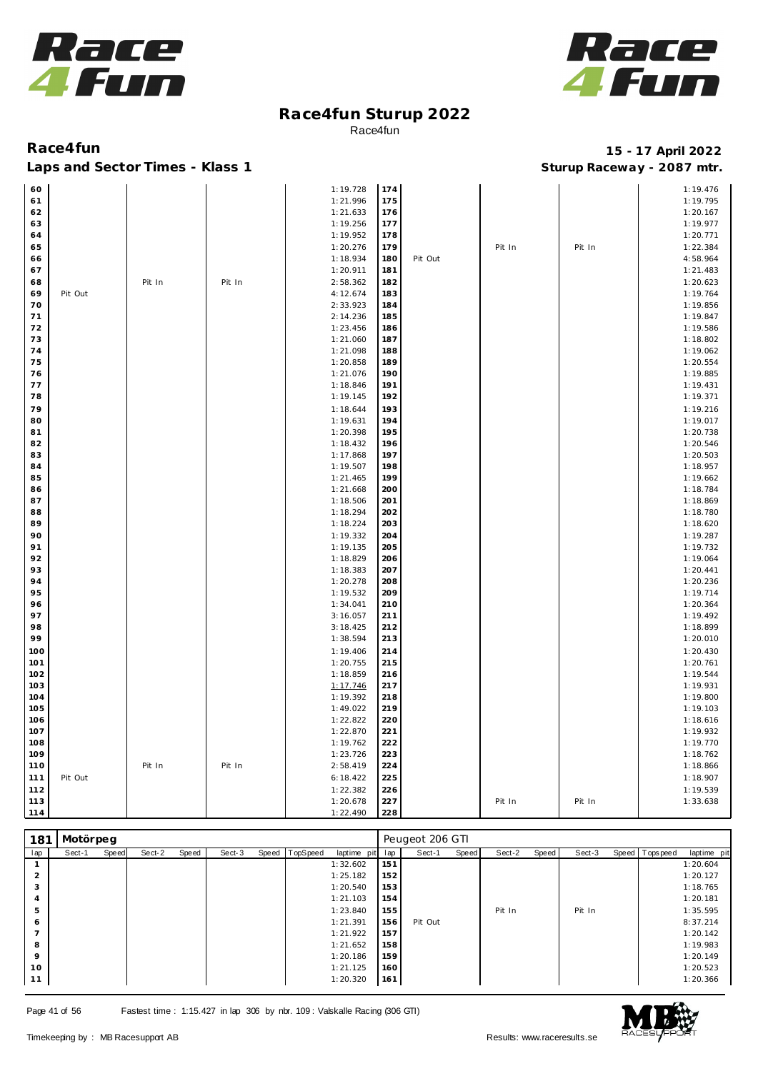



### Laps and Sector Times - Klass 1 **Sturies 1 Sturies 1 Sturies 1 8 and Sector Times - Klass 1 Sturies 1 and Section** 1 **Contrary** 1 **And Section** 1 **Contrary** 1 **Contrary** 1 **Contrary** 1 **Contrary 1 and 2007** must

# **Race4fun 15 - 17 April 2022**

| 60       |         |        |        | 1:19.728 | 174 |         |        |        | 1:19.476 |
|----------|---------|--------|--------|----------|-----|---------|--------|--------|----------|
| 61       |         |        |        | 1:21.996 | 175 |         |        |        | 1:19.795 |
| 62       |         |        |        | 1:21.633 | 176 |         |        |        | 1:20.167 |
| 63       |         |        |        | 1:19.256 | 177 |         |        |        | 1:19.977 |
| 64       |         |        |        | 1:19.952 | 178 |         |        |        | 1:20.771 |
| 65       |         |        |        | 1:20.276 | 179 |         | Pit In | Pit In | 1:22.384 |
| 66       |         |        |        | 1:18.934 | 180 | Pit Out |        |        | 4:58.964 |
| 67       |         |        |        | 1:20.911 | 181 |         |        |        | 1:21.483 |
| 68       |         | Pit In | Pit In | 2:58.362 | 182 |         |        |        | 1:20.623 |
| 69       | Pit Out |        |        | 4:12.674 | 183 |         |        |        | 1:19.764 |
| 70       |         |        |        | 2:33.923 | 184 |         |        |        | 1:19.856 |
| 71       |         |        |        | 2:14.236 | 185 |         |        |        | 1:19.847 |
| 72       |         |        |        | 1:23.456 | 186 |         |        |        | 1:19.586 |
| 73       |         |        |        | 1:21.060 | 187 |         |        |        | 1:18.802 |
| 74       |         |        |        | 1:21.098 | 188 |         |        |        | 1:19.062 |
| 75       |         |        |        | 1:20.858 | 189 |         |        |        | 1:20.554 |
| 76       |         |        |        | 1:21.076 | 190 |         |        |        | 1:19.885 |
| 77       |         |        |        | 1:18.846 | 191 |         |        |        | 1:19.431 |
| 78       |         |        |        | 1:19.145 | 192 |         |        |        | 1:19.371 |
| 79       |         |        |        | 1:18.644 | 193 |         |        |        | 1:19.216 |
| 80       |         |        |        | 1:19.631 | 194 |         |        |        | 1:19.017 |
| 81       |         |        |        | 1:20.398 | 195 |         |        |        | 1:20.738 |
| 82       |         |        |        | 1:18.432 | 196 |         |        |        | 1:20.546 |
| 83       |         |        |        | 1:17.868 | 197 |         |        |        | 1:20.503 |
| 84       |         |        |        | 1:19.507 | 198 |         |        |        | 1:18.957 |
| 85       |         |        |        | 1:21.465 | 199 |         |        |        | 1:19.662 |
| 86       |         |        |        | 1:21.668 | 200 |         |        |        | 1:18.784 |
| 87       |         |        |        | 1:18.506 | 201 |         |        |        | 1:18.869 |
| 88       |         |        |        | 1:18.294 | 202 |         |        |        | 1:18.780 |
| 89       |         |        |        | 1:18.224 | 203 |         |        |        | 1:18.620 |
|          |         |        |        |          |     |         |        |        |          |
| 90       |         |        |        | 1:19.332 | 204 |         |        |        | 1:19.287 |
| 91<br>92 |         |        |        | 1:19.135 | 205 |         |        |        | 1:19.732 |
|          |         |        |        | 1:18.829 | 206 |         |        |        | 1:19.064 |
| 93       |         |        |        | 1:18.383 | 207 |         |        |        | 1:20.441 |
| 94       |         |        |        | 1:20.278 | 208 |         |        |        | 1:20.236 |
| 95       |         |        |        | 1:19.532 | 209 |         |        |        | 1:19.714 |
| 96<br>97 |         |        |        | 1:34.041 | 210 |         |        |        | 1:20.364 |
|          |         |        |        | 3:16.057 | 211 |         |        |        | 1:19.492 |
| 98<br>99 |         |        |        | 3:18.425 | 212 |         |        |        | 1:18.899 |
|          |         |        |        | 1:38.594 | 213 |         |        |        | 1:20.010 |
| 100      |         |        |        | 1:19.406 | 214 |         |        |        | 1:20.430 |
| 101      |         |        |        | 1:20.755 | 215 |         |        |        | 1:20.761 |
| 102      |         |        |        | 1:18.859 | 216 |         |        |        | 1:19.544 |
| 103      |         |        |        | 1:17.746 | 217 |         |        |        | 1:19.931 |
| 104      |         |        |        | 1:19.392 | 218 |         |        |        | 1:19.800 |
| 105      |         |        |        | 1:49.022 | 219 |         |        |        | 1:19.103 |
| 106      |         |        |        | 1:22.822 | 220 |         |        |        | 1:18.616 |
| 107      |         |        |        | 1:22.870 | 221 |         |        |        | 1:19.932 |
| 108      |         |        |        | 1:19.762 | 222 |         |        |        | 1:19.770 |
| 109      |         |        |        | 1:23.726 | 223 |         |        |        | 1:18.762 |
| 110      |         | Pit In | Pit In | 2:58.419 | 224 |         |        |        | 1:18.866 |
| 111      | Pit Out |        |        | 6:18.422 | 225 |         |        |        | 1:18.907 |
| 112      |         |        |        | 1:22.382 | 226 |         |        |        | 1:19.539 |
| $113$    |         |        |        | 1:20.678 | 227 |         | Pit In | Pit In | 1:33.638 |
| 114      |         |        |        | 1:22.490 | 228 |         |        |        |          |

| 181            | Motörpeg |       |        |       |        |                |             |     | Peugeot 206 GTI |       |        |       |        |                |             |
|----------------|----------|-------|--------|-------|--------|----------------|-------------|-----|-----------------|-------|--------|-------|--------|----------------|-------------|
| lap            | Sect-1   | Speed | Sect-2 | Speed | Sect-3 | Speed TopSpeed | laptime pit | lap | Sect-1          | Speed | Sect-2 | Speed | Sect-3 | Speed Topspeed | laptime pit |
|                |          |       |        |       |        |                | 1:32.602    | 151 |                 |       |        |       |        |                | 1:20.604    |
| 2              |          |       |        |       |        |                | 1:25.182    | 152 |                 |       |        |       |        |                | 1:20.127    |
| 3              |          |       |        |       |        |                | 1:20.540    | 153 |                 |       |        |       |        |                | 1:18.765    |
| $\overline{4}$ |          |       |        |       |        |                | 1:21.103    | 154 |                 |       |        |       |        |                | 1:20.181    |
| 5              |          |       |        |       |        |                | 1:23.840    | 155 |                 |       | Pit In |       | Pit In |                | 1:35.595    |
| 6              |          |       |        |       |        |                | 1:21.391    | 156 | Pit Out         |       |        |       |        |                | 8:37.214    |
| $\overline{ }$ |          |       |        |       |        |                | 1:21.922    | 157 |                 |       |        |       |        |                | 1:20.142    |
| 8              |          |       |        |       |        |                | 1:21.652    | 158 |                 |       |        |       |        |                | 1:19.983    |
| 9              |          |       |        |       |        |                | 1:20.186    | 159 |                 |       |        |       |        |                | 1:20.149    |
| 10             |          |       |        |       |        |                | 1:21.125    | 160 |                 |       |        |       |        |                | 1:20.523    |
| 11             |          |       |        |       |        |                | 1:20.320    | 161 |                 |       |        |       |        |                | 1:20.366    |

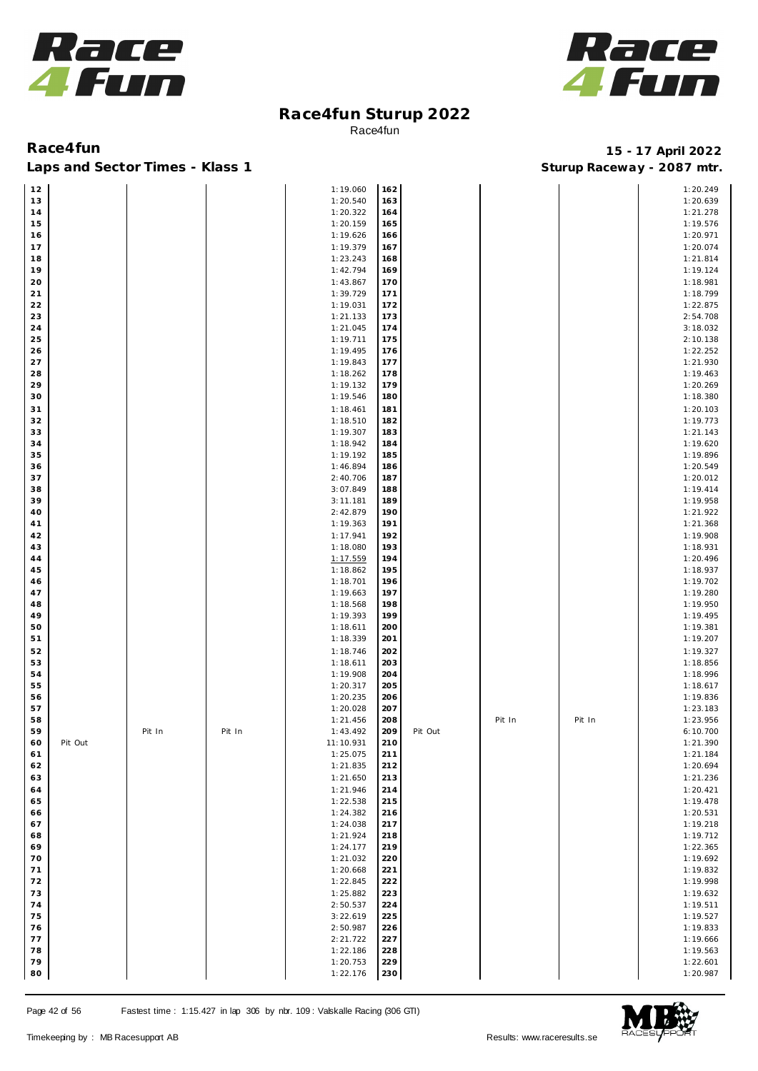



Laps and Sector Times - Klass 1 **Sturies 1 Sturies 1 Sturies 1 8 and Sector Times - Klass 1 Sturies 1 and Section** 1 **Contrary** 1 **And Section** 1 **Contrary** 1 **Contrary** 1 **Contrary** 1 **Contrary 1 and 2007** must

| 12   |         |        |        | 1:19.060  | 162 |         |        |        | 1:20.249 |
|------|---------|--------|--------|-----------|-----|---------|--------|--------|----------|
|      |         |        |        |           |     |         |        |        |          |
| 13   |         |        |        | 1:20.540  | 163 |         |        |        | 1:20.639 |
| 14   |         |        |        | 1:20.322  | 164 |         |        |        | 1:21.278 |
| 15   |         |        |        | 1:20.159  | 165 |         |        |        | 1:19.576 |
|      |         |        |        |           |     |         |        |        |          |
| 16   |         |        |        | 1:19.626  | 166 |         |        |        | 1:20.971 |
| 17   |         |        |        | 1:19.379  | 167 |         |        |        | 1:20.074 |
| 18   |         |        |        | 1:23.243  | 168 |         |        |        | 1:21.814 |
|      |         |        |        |           |     |         |        |        |          |
| 19   |         |        |        | 1:42.794  | 169 |         |        |        | 1:19.124 |
| 20   |         |        |        | 1:43.867  | 170 |         |        |        | 1:18.981 |
|      |         |        |        |           |     |         |        |        |          |
| $21$ |         |        |        | 1:39.729  | 171 |         |        |        | 1:18.799 |
| 22   |         |        |        | 1:19.031  | 172 |         |        |        | 1:22.875 |
| 23   |         |        |        | 1:21.133  | 173 |         |        |        | 2:54.708 |
|      |         |        |        |           |     |         |        |        |          |
| 24   |         |        |        | 1:21.045  | 174 |         |        |        | 3:18.032 |
| 25   |         |        |        | 1:19.711  | 175 |         |        |        | 2:10.138 |
| 26   |         |        |        | 1:19.495  | 176 |         |        |        | 1:22.252 |
|      |         |        |        |           |     |         |        |        |          |
| 27   |         |        |        | 1:19.843  | 177 |         |        |        | 1:21.930 |
| 28   |         |        |        | 1:18.262  | 178 |         |        |        | 1:19.463 |
| 29   |         |        |        | 1:19.132  | 179 |         |        |        | 1:20.269 |
|      |         |        |        |           |     |         |        |        |          |
| 30   |         |        |        | 1:19.546  | 180 |         |        |        | 1:18.380 |
| 31   |         |        |        | 1:18.461  | 181 |         |        |        | 1:20.103 |
| 32   |         |        |        | 1:18.510  | 182 |         |        |        | 1:19.773 |
|      |         |        |        |           |     |         |        |        |          |
| 33   |         |        |        | 1:19.307  | 183 |         |        |        | 1:21.143 |
| 34   |         |        |        | 1:18.942  | 184 |         |        |        | 1:19.620 |
| 35   |         |        |        | 1:19.192  | 185 |         |        |        | 1:19.896 |
|      |         |        |        |           |     |         |        |        |          |
| 36   |         |        |        | 1:46.894  | 186 |         |        |        | 1:20.549 |
| 37   |         |        |        | 2:40.706  | 187 |         |        |        | 1:20.012 |
| 38   |         |        |        | 3:07.849  | 188 |         |        |        | 1:19.414 |
|      |         |        |        |           |     |         |        |        |          |
| 39   |         |        |        | 3:11.181  | 189 |         |        |        | 1:19.958 |
| 40   |         |        |        | 2:42.879  | 190 |         |        |        | 1:21.922 |
| 41   |         |        |        | 1:19.363  | 191 |         |        |        | 1:21.368 |
|      |         |        |        |           |     |         |        |        |          |
| 42   |         |        |        | 1:17.941  | 192 |         |        |        | 1:19.908 |
| 43   |         |        |        | 1:18.080  | 193 |         |        |        | 1:18.931 |
|      |         |        |        |           |     |         |        |        |          |
| 44   |         |        |        | 1:17.559  | 194 |         |        |        | 1:20.496 |
| 45   |         |        |        | 1:18.862  | 195 |         |        |        | 1:18.937 |
| 46   |         |        |        | 1:18.701  | 196 |         |        |        | 1:19.702 |
|      |         |        |        |           | 197 |         |        |        |          |
| 47   |         |        |        | 1:19.663  |     |         |        |        | 1:19.280 |
| 48   |         |        |        | 1:18.568  | 198 |         |        |        | 1:19.950 |
| 49   |         |        |        | 1:19.393  | 199 |         |        |        | 1:19.495 |
| 50   |         |        |        | 1:18.611  | 200 |         |        |        | 1:19.381 |
|      |         |        |        |           |     |         |        |        |          |
| 51   |         |        |        | 1:18.339  | 201 |         |        |        | 1:19.207 |
| 52   |         |        |        | 1:18.746  | 202 |         |        |        | 1:19.327 |
| 53   |         |        |        |           | 203 |         |        |        |          |
|      |         |        |        | 1:18.611  |     |         |        |        | 1:18.856 |
| 54   |         |        |        | 1:19.908  | 204 |         |        |        | 1:18.996 |
| 55   |         |        |        | 1:20.317  | 205 |         |        |        | 1:18.617 |
| 56   |         |        |        | 1:20.235  | 206 |         |        |        | 1:19.836 |
|      |         |        |        |           |     |         |        |        |          |
| 57   |         |        |        | 1:20.028  | 207 |         |        |        | 1:23.183 |
| 58   |         |        |        | 1:21.456  | 208 |         | Pit In | Pit In | 1:23.956 |
| 59   |         | Pit In | Pit In | 1:43.492  | 209 | Pit Out |        |        | 6:10.700 |
|      |         |        |        |           |     |         |        |        |          |
| 60   | Pit Out |        |        | 11:10.931 | 210 |         |        |        | 1:21.390 |
| 61   |         |        |        | 1:25.075  | 211 |         |        |        | 1:21.184 |
| 62   |         |        |        |           |     |         |        |        |          |
|      |         |        |        | 1:21.835  | 212 |         |        |        | 1:20.694 |
| 63   |         |        |        | 1:21.650  | 213 |         |        |        | 1:21.236 |
| 64   |         |        |        | 1:21.946  | 214 |         |        |        | 1:20.421 |
|      |         |        |        |           |     |         |        |        |          |
| 65   |         |        |        | 1:22.538  | 215 |         |        |        | 1:19.478 |
| 66   |         |        |        | 1:24.382  | 216 |         |        |        | 1:20.531 |
| 67   |         |        |        | 1:24.038  | 217 |         |        |        | 1:19.218 |
| 68   |         |        |        | 1:21.924  | 218 |         |        |        | 1:19.712 |
|      |         |        |        |           |     |         |        |        |          |
| 69   |         |        |        | 1:24.177  | 219 |         |        |        | 1:22.365 |
| 70   |         |        |        | 1:21.032  | 220 |         |        |        | 1:19.692 |
| 71   |         |        |        | 1:20.668  | 221 |         |        |        | 1:19.832 |
|      |         |        |        |           |     |         |        |        |          |
| 72   |         |        |        | 1:22.845  | 222 |         |        |        | 1:19.998 |
| 73   |         |        |        | 1:25.882  | 223 |         |        |        | 1:19.632 |
| 74   |         |        |        | 2:50.537  | 224 |         |        |        | 1:19.511 |
|      |         |        |        |           |     |         |        |        |          |
| 75   |         |        |        | 3:22.619  | 225 |         |        |        | 1:19.527 |
| 76   |         |        |        | 2:50.987  | 226 |         |        |        | 1:19.833 |
| 77   |         |        |        | 2:21.722  | 227 |         |        |        | 1:19.666 |
|      |         |        |        |           |     |         |        |        |          |
| 78   |         |        |        | 1:22.186  | 228 |         |        |        | 1:19.563 |
| 79   |         |        |        | 1:20.753  | 229 |         |        |        | 1:22.601 |
| 80   |         |        |        | 1:22.176  | 230 |         |        |        | 1:20.987 |
|      |         |        |        |           |     |         |        |        |          |

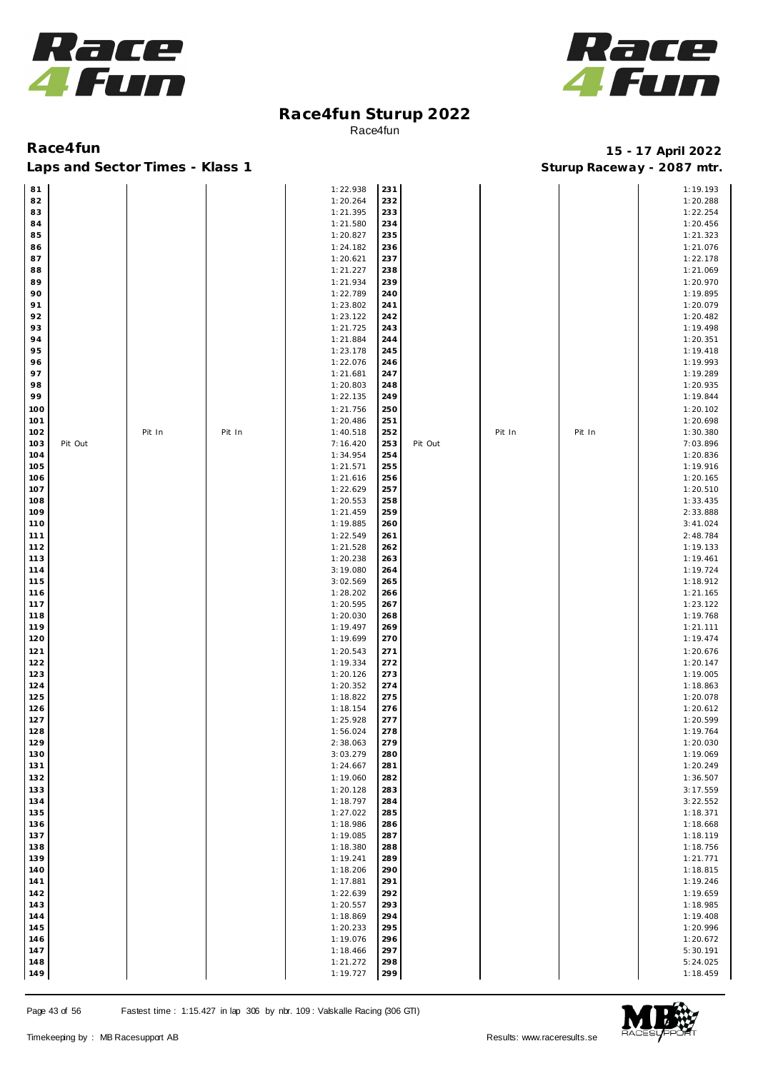



**Race4fun 15 - 17 April 2022** Laps and Sector Times - Klass 1 **Sturies 1 Sturies 1 Sturies 1 Sturies 1 Sturies 1 Sturies 1 Sturies 1 Sturies 1 Sturies 1 Sturies 1 Sturies 1 Sturies 1 Sturies 1 Sturies 1 Sturies 1 Sturies 1** 

| 81  |         |        |        | 1:22.938 | 231 |         |        |        | 1:19.193 |
|-----|---------|--------|--------|----------|-----|---------|--------|--------|----------|
| 82  |         |        |        | 1:20.264 | 232 |         |        |        | 1:20.288 |
| 83  |         |        |        | 1:21.395 | 233 |         |        |        | 1:22.254 |
|     |         |        |        |          |     |         |        |        |          |
| 84  |         |        |        | 1:21.580 | 234 |         |        |        | 1:20.456 |
| 85  |         |        |        | 1:20.827 | 235 |         |        |        | 1:21.323 |
| 86  |         |        |        | 1:24.182 | 236 |         |        |        | 1:21.076 |
| 87  |         |        |        | 1:20.621 | 237 |         |        |        | 1:22.178 |
| 88  |         |        |        | 1:21.227 | 238 |         |        |        | 1:21.069 |
|     |         |        |        |          |     |         |        |        |          |
| 89  |         |        |        | 1:21.934 | 239 |         |        |        | 1:20.970 |
| 90  |         |        |        | 1:22.789 | 240 |         |        |        | 1:19.895 |
| 91  |         |        |        | 1:23.802 | 241 |         |        |        | 1:20.079 |
| 92  |         |        |        | 1:23.122 | 242 |         |        |        | 1:20.482 |
|     |         |        |        |          |     |         |        |        |          |
| 93  |         |        |        | 1:21.725 | 243 |         |        |        | 1:19.498 |
| 94  |         |        |        | 1:21.884 | 244 |         |        |        | 1:20.351 |
| 95  |         |        |        | 1:23.178 | 245 |         |        |        | 1:19.418 |
| 96  |         |        |        | 1:22.076 | 246 |         |        |        | 1:19.993 |
| 97  |         |        |        | 1:21.681 | 247 |         |        |        | 1:19.289 |
|     |         |        |        |          |     |         |        |        |          |
| 98  |         |        |        | 1:20.803 | 248 |         |        |        | 1:20.935 |
| 99  |         |        |        | 1:22.135 | 249 |         |        |        | 1:19.844 |
| 100 |         |        |        | 1:21.756 | 250 |         |        |        | 1:20.102 |
| 101 |         |        |        | 1:20.486 | 251 |         |        |        | 1:20.698 |
|     |         |        |        |          |     |         |        |        |          |
| 102 |         | Pit In | Pit In | 1:40.518 | 252 |         | Pit In | Pit In | 1:30.380 |
| 103 | Pit Out |        |        | 7:16.420 | 253 | Pit Out |        |        | 7:03.896 |
| 104 |         |        |        | 1:34.954 | 254 |         |        |        | 1:20.836 |
| 105 |         |        |        | 1:21.571 | 255 |         |        |        | 1:19.916 |
| 106 |         |        |        | 1:21.616 | 256 |         |        |        | 1:20.165 |
|     |         |        |        |          |     |         |        |        |          |
| 107 |         |        |        | 1:22.629 | 257 |         |        |        | 1:20.510 |
| 108 |         |        |        | 1:20.553 | 258 |         |        |        | 1:33.435 |
| 109 |         |        |        | 1:21.459 | 259 |         |        |        | 2:33.888 |
| 110 |         |        |        | 1:19.885 | 260 |         |        |        | 3:41.024 |
|     |         |        |        |          |     |         |        |        |          |
| 111 |         |        |        | 1:22.549 | 261 |         |        |        | 2:48.784 |
| 112 |         |        |        | 1:21.528 | 262 |         |        |        | 1:19.133 |
| 113 |         |        |        | 1:20.238 | 263 |         |        |        | 1:19.461 |
| 114 |         |        |        | 3:19.080 | 264 |         |        |        | 1:19.724 |
| 115 |         |        |        | 3:02.569 | 265 |         |        |        | 1:18.912 |
|     |         |        |        |          |     |         |        |        |          |
| 116 |         |        |        | 1:28.202 | 266 |         |        |        | 1:21.165 |
| 117 |         |        |        | 1:20.595 | 267 |         |        |        | 1:23.122 |
| 118 |         |        |        | 1:20.030 | 268 |         |        |        | 1:19.768 |
| 119 |         |        |        | 1:19.497 | 269 |         |        |        | 1:21.111 |
| 120 |         |        |        | 1:19.699 | 270 |         |        |        | 1:19.474 |
|     |         |        |        |          |     |         |        |        |          |
| 121 |         |        |        | 1:20.543 | 271 |         |        |        | 1:20.676 |
| 122 |         |        |        | 1:19.334 | 272 |         |        |        | 1:20.147 |
| 123 |         |        |        | 1:20.126 | 273 |         |        |        | 1:19.005 |
| 124 |         |        |        | 1:20.352 | 274 |         |        |        | 1:18.863 |
|     |         |        |        |          |     |         |        |        |          |
| 125 |         |        |        | 1:18.822 | 275 |         |        |        | 1:20.078 |
| 126 |         |        |        | 1:18.154 | 276 |         |        |        | 1:20.612 |
| 127 |         |        |        | 1:25.928 | 277 |         |        |        | 1:20.599 |
| 128 |         |        |        | 1:56.024 | 278 |         |        |        | 1:19.764 |
| 129 |         |        |        | 2:38.063 | 279 |         |        |        | 1:20.030 |
| 130 |         |        |        |          | 280 |         |        |        |          |
|     |         |        |        | 3:03.279 |     |         |        |        | 1:19.069 |
| 131 |         |        |        | 1:24.667 | 281 |         |        |        | 1:20.249 |
| 132 |         |        |        | 1:19.060 | 282 |         |        |        | 1:36.507 |
| 133 |         |        |        | 1:20.128 | 283 |         |        |        | 3:17.559 |
| 134 |         |        |        | 1:18.797 | 284 |         |        |        | 3:22.552 |
|     |         |        |        |          |     |         |        |        |          |
| 135 |         |        |        | 1:27.022 | 285 |         |        |        | 1:18.371 |
| 136 |         |        |        | 1:18.986 | 286 |         |        |        | 1:18.668 |
| 137 |         |        |        | 1:19.085 | 287 |         |        |        | 1:18.119 |
| 138 |         |        |        | 1:18.380 | 288 |         |        |        | 1:18.756 |
| 139 |         |        |        | 1:19.241 | 289 |         |        |        | 1:21.771 |
|     |         |        |        |          |     |         |        |        |          |
| 140 |         |        |        | 1:18.206 | 290 |         |        |        | 1:18.815 |
| 141 |         |        |        | 1:17.881 | 291 |         |        |        | 1:19.246 |
| 142 |         |        |        | 1:22.639 | 292 |         |        |        | 1:19.659 |
| 143 |         |        |        | 1:20.557 | 293 |         |        |        | 1:18.985 |
|     |         |        |        |          |     |         |        |        |          |
| 144 |         |        |        | 1:18.869 | 294 |         |        |        | 1:19.408 |
| 145 |         |        |        | 1:20.233 | 295 |         |        |        | 1:20.996 |
| 146 |         |        |        | 1:19.076 | 296 |         |        |        | 1:20.672 |
| 147 |         |        |        | 1:18.466 | 297 |         |        |        | 5:30.191 |
| 148 |         |        |        | 1:21.272 | 298 |         |        |        | 5:24.025 |
|     |         |        |        |          |     |         |        |        |          |
| 149 |         |        |        | 1:19.727 | 299 |         |        |        | 1:18.459 |

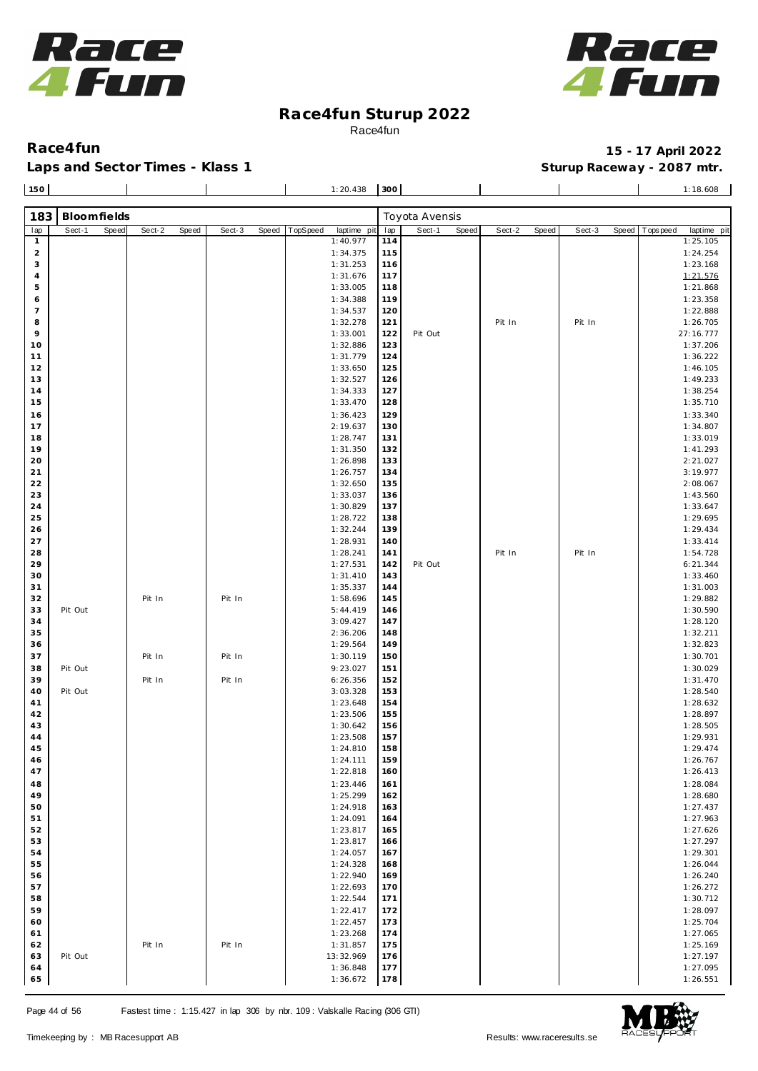



Laps and Sector Times - Klass 1 **Sturies 1 Sturies 1 Sturies 1 8 and Sector Times - Klass 1 Sturies 1 and Section** 1 **Contrary** 1 **And Section** 1 **Contrary** 1 **Contrary** 1 **Contrary** 1 **Contrary 1 and 2007** must

**Race4fun 15 - 17 April 2022**

| 150                     |             |       |        |       |        |       | 1:20.438                | 300        |                |       |        |       |        |       | 1:18.608                   |
|-------------------------|-------------|-------|--------|-------|--------|-------|-------------------------|------------|----------------|-------|--------|-------|--------|-------|----------------------------|
| 183                     | Bloomfields |       |        |       |        |       |                         |            | Toyota Avensis |       |        |       |        |       |                            |
|                         | Sect-1      | Speed | Sect-2 | Speed | Sect-3 | Speed | TopSpeed<br>laptime pit | lap        | Sect-1         | Speed | Sect-2 | Speed | Sect-3 | Speed | T ops pee d<br>laptime pit |
| lap<br>$\mathbf{1}$     |             |       |        |       |        |       | 1:40.977                | 114        |                |       |        |       |        |       | 1:25.105                   |
| $\overline{\mathbf{c}}$ |             |       |        |       |        |       | 1:34.375                | 115        |                |       |        |       |        |       | 1:24.254                   |
| 3                       |             |       |        |       |        |       | 1:31.253                | 116        |                |       |        |       |        |       | 1:23.168                   |
| $\overline{4}$          |             |       |        |       |        |       | 1:31.676                | 117        |                |       |        |       |        |       | 1:21.576                   |
| 5                       |             |       |        |       |        |       | 1:33.005                | 118        |                |       |        |       |        |       | 1:21.868                   |
| 6                       |             |       |        |       |        |       | 1:34.388                | 119        |                |       |        |       |        |       | 1:23.358                   |
| $\overline{7}$          |             |       |        |       |        |       | 1:34.537                | 120        |                |       |        |       |        |       | 1:22.888                   |
| 8                       |             |       |        |       |        |       | 1:32.278                | 121        |                |       | Pit In |       | Pit In |       | 1:26.705                   |
| 9                       |             |       |        |       |        |       | 1:33.001                | 122        | Pit Out        |       |        |       |        |       | 27:16.777                  |
| 10                      |             |       |        |       |        |       | 1:32.886                | 123        |                |       |        |       |        |       | 1:37.206                   |
| 11                      |             |       |        |       |        |       | 1:31.779                | 124        |                |       |        |       |        |       | 1:36.222                   |
| 12                      |             |       |        |       |        |       | 1:33.650                | 125        |                |       |        |       |        |       | 1:46.105                   |
| 13                      |             |       |        |       |        |       | 1:32.527                | 126        |                |       |        |       |        |       | 1:49.233                   |
| 14                      |             |       |        |       |        |       | 1:34.333                | 127        |                |       |        |       |        |       | 1:38.254                   |
| 15                      |             |       |        |       |        |       | 1:33.470                | 128        |                |       |        |       |        |       | 1:35.710                   |
| 16                      |             |       |        |       |        |       | 1:36.423                | 129        |                |       |        |       |        |       | 1:33.340                   |
| 17                      |             |       |        |       |        |       | 2:19.637                | 130        |                |       |        |       |        |       | 1:34.807                   |
| 18<br>19                |             |       |        |       |        |       | 1:28.747                | 131        |                |       |        |       |        |       | 1:33.019                   |
| 20                      |             |       |        |       |        |       | 1:31.350<br>1:26.898    | 132<br>133 |                |       |        |       |        |       | 1:41.293<br>2:21.027       |
| 21                      |             |       |        |       |        |       | 1:26.757                | 134        |                |       |        |       |        |       | 3:19.977                   |
| 22                      |             |       |        |       |        |       | 1:32.650                | 135        |                |       |        |       |        |       | 2:08.067                   |
| 23                      |             |       |        |       |        |       | 1:33.037                | 136        |                |       |        |       |        |       | 1:43.560                   |
| 24                      |             |       |        |       |        |       | 1:30.829                | 137        |                |       |        |       |        |       | 1:33.647                   |
| 25                      |             |       |        |       |        |       | 1:28.722                | 138        |                |       |        |       |        |       | 1:29.695                   |
| 26                      |             |       |        |       |        |       | 1:32.244                | 139        |                |       |        |       |        |       | 1:29.434                   |
| 27                      |             |       |        |       |        |       | 1:28.931                | 140        |                |       |        |       |        |       | 1:33.414                   |
| 28                      |             |       |        |       |        |       | 1:28.241                | 141        |                |       | Pit In |       | Pit In |       | 1:54.728                   |
| 29                      |             |       |        |       |        |       | 1:27.531                | 142        | Pit Out        |       |        |       |        |       | 6:21.344                   |
| 30                      |             |       |        |       |        |       | 1:31.410                | 143        |                |       |        |       |        |       | 1:33.460                   |
| 31                      |             |       |        |       |        |       | 1:35.337                | 144        |                |       |        |       |        |       | 1:31.003                   |
| 32                      |             |       | Pit In |       | Pit In |       | 1:58.696                | 145        |                |       |        |       |        |       | 1:29.882                   |
| 33                      | Pit Out     |       |        |       |        |       | 5:44.419                | 146        |                |       |        |       |        |       | 1:30.590                   |
| 34                      |             |       |        |       |        |       | 3:09.427                | 147        |                |       |        |       |        |       | 1:28.120                   |
| 35                      |             |       |        |       |        |       | 2:36.206                | 148        |                |       |        |       |        |       | 1:32.211                   |
| 36                      |             |       |        |       |        |       | 1:29.564                | 149        |                |       |        |       |        |       | 1:32.823                   |
| 37                      |             |       | Pit In |       | Pit In |       | 1:30.119                | 150        |                |       |        |       |        |       | 1:30.701                   |
| 38<br>39                | Pit Out     |       |        |       |        |       | 9:23.027                | 151        |                |       |        |       |        |       | 1:30.029                   |
| 40                      | Pit Out     |       | Pit In |       | Pit In |       | 6:26.356<br>3:03.328    | 152<br>153 |                |       |        |       |        |       | 1:31.470<br>1:28.540       |
| 41                      |             |       |        |       |        |       | 1:23.648                | 154        |                |       |        |       |        |       | 1:28.632                   |
| 42                      |             |       |        |       |        |       | 1:23.506                | 155        |                |       |        |       |        |       | 1:28.897                   |
| 43                      |             |       |        |       |        |       | 1:30.642                | 156        |                |       |        |       |        |       | 1:28.505                   |
| 44                      |             |       |        |       |        |       | 1:23.508                | 157        |                |       |        |       |        |       | 1:29.931                   |
| 45                      |             |       |        |       |        |       | 1:24.810                | 158        |                |       |        |       |        |       | 1:29.474                   |
| 46                      |             |       |        |       |        |       | 1:24.111                | 159        |                |       |        |       |        |       | 1:26.767                   |
| 47                      |             |       |        |       |        |       | 1:22.818                | 160        |                |       |        |       |        |       | 1:26.413                   |
| 48                      |             |       |        |       |        |       | 1:23.446                | 161        |                |       |        |       |        |       | 1:28.084                   |
| 49                      |             |       |        |       |        |       | 1:25.299                | 162        |                |       |        |       |        |       | 1:28.680                   |
| 50                      |             |       |        |       |        |       | 1:24.918                | 163        |                |       |        |       |        |       | 1:27.437                   |
| 51                      |             |       |        |       |        |       | 1:24.091                | 164        |                |       |        |       |        |       | 1:27.963                   |
| 52                      |             |       |        |       |        |       | 1:23.817                | 165        |                |       |        |       |        |       | 1:27.626                   |
| 53                      |             |       |        |       |        |       | 1:23.817                | 166        |                |       |        |       |        |       | 1:27.297                   |
| 54                      |             |       |        |       |        |       | 1:24.057                | 167        |                |       |        |       |        |       | 1:29.301                   |
| 55                      |             |       |        |       |        |       | 1:24.328                | 168        |                |       |        |       |        |       | 1:26.044                   |
| 56                      |             |       |        |       |        |       | 1:22.940                | 169        |                |       |        |       |        |       | 1:26.240                   |
| 57<br>58                |             |       |        |       |        |       | 1:22.693                | 170        |                |       |        |       |        |       | 1:26.272                   |
| 59                      |             |       |        |       |        |       | 1:22.544                | 171        |                |       |        |       |        |       | 1:30.712                   |
| 60                      |             |       |        |       |        |       | 1:22.417<br>1:22.457    | 172<br>173 |                |       |        |       |        |       | 1:28.097<br>1:25.704       |
| 61                      |             |       |        |       |        |       | 1:23.268                | 174        |                |       |        |       |        |       | 1:27.065                   |
| 62                      |             |       | Pit In |       | Pit In |       | 1:31.857                | 175        |                |       |        |       |        |       | 1:25.169                   |
| 63                      | Pit Out     |       |        |       |        |       | 13:32.969               | 176        |                |       |        |       |        |       | 1:27.197                   |
| 64                      |             |       |        |       |        |       | 1:36.848                | 177        |                |       |        |       |        |       | 1:27.095                   |

1:36.672

1:36.848 **1:36.848 1:36.848** 



 1:27.095 1:26.551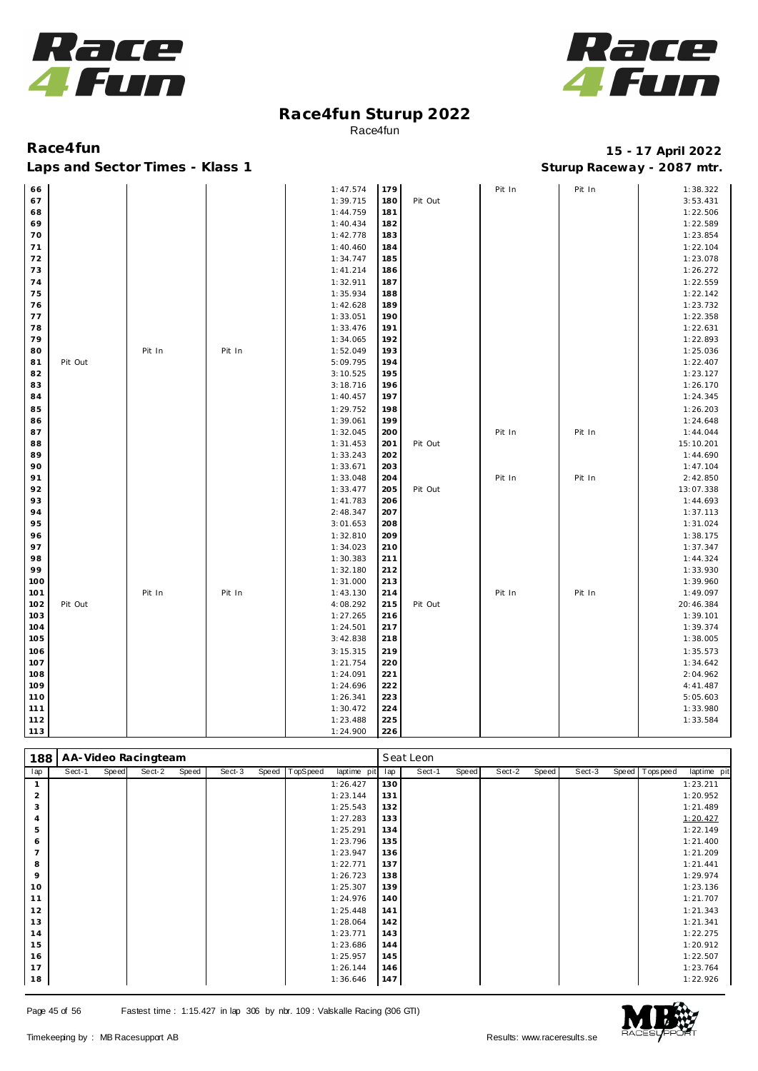



| 66  |         |        |        | 1:47.574             | 179        |         | Pit In | Pit In | 1:38.322              |
|-----|---------|--------|--------|----------------------|------------|---------|--------|--------|-----------------------|
| 67  |         |        |        | 1:39.715             | 180        | Pit Out |        |        | 3:53.431              |
| 68  |         |        |        | 1:44.759             | 181        |         |        |        | 1:22.506              |
| 69  |         |        |        | 1:40.434             | 182        |         |        |        | 1:22.589              |
| 70  |         |        |        | 1:42.778             | 183        |         |        |        | 1:23.854              |
| 71  |         |        |        | 1:40.460             | 184        |         |        |        | 1:22.104              |
| 72  |         |        |        | 1:34.747             | 185        |         |        |        | 1:23.078              |
| 73  |         |        |        | 1:41.214             | 186        |         |        |        | 1:26.272              |
| 74  |         |        |        | 1:32.911             | 187        |         |        |        | 1:22.559              |
| 75  |         |        |        | 1:35.934             | 188        |         |        |        | 1:22.142              |
| 76  |         |        |        | 1:42.628             | 189        |         |        |        | 1:23.732              |
| 77  |         |        |        | 1:33.051             | 190        |         |        |        | 1:22.358              |
| 78  |         |        |        | 1:33.476             | 191        |         |        |        | 1:22.631              |
| 79  |         |        |        | 1:34.065             | 192        |         |        |        | 1:22.893              |
| 80  |         | Pit In | Pit In | 1:52.049             | 193        |         |        |        | 1:25.036              |
| 81  | Pit Out |        |        | 5:09.795             | 194        |         |        |        | 1:22.407              |
| 82  |         |        |        | 3:10.525             | 195        |         |        |        | 1:23.127              |
| 83  |         |        |        | 3:18.716             | 196        |         |        |        | 1:26.170              |
| 84  |         |        |        | 1:40.457             | 197        |         |        |        | 1:24.345              |
| 85  |         |        |        | 1:29.752             | 198        |         |        |        | 1:26.203              |
| 86  |         |        |        | 1:39.061             | 199        |         |        |        | 1:24.648              |
| 87  |         |        |        | 1:32.045             | 200        |         | Pit In | Pit In | 1:44.044              |
| 88  |         |        |        | 1:31.453             | 201        | Pit Out |        |        | 15:10.201             |
| 89  |         |        |        | 1:33.243             | 202        |         |        |        | 1:44.690              |
| 90  |         |        |        | 1:33.671             | 203        |         |        |        | 1:47.104              |
| 91  |         |        |        | 1:33.048             | 204        |         | Pit In | Pit In | 2:42.850              |
| 92  |         |        |        |                      |            | Pit Out |        |        |                       |
| 93  |         |        |        | 1:33.477<br>1:41.783 | 205<br>206 |         |        |        | 13:07.338<br>1:44.693 |
| 94  |         |        |        |                      |            |         |        |        |                       |
| 95  |         |        |        | 2:48.347             | 207        |         |        |        | 1:37.113              |
|     |         |        |        | 3:01.653             | 208        |         |        |        | 1:31.024              |
| 96  |         |        |        | 1:32.810             | 209        |         |        |        | 1:38.175              |
| 97  |         |        |        | 1:34.023             | 210        |         |        |        | 1:37.347              |
| 98  |         |        |        | 1:30.383             | 211        |         |        |        | 1:44.324              |
| 99  |         |        |        | 1:32.180             | 212        |         |        |        | 1:33.930              |
| 100 |         |        |        | 1:31.000             | 213        |         |        |        | 1:39.960              |
| 101 |         | Pit In | Pit In | 1:43.130             | 214        |         | Pit In | Pit In | 1:49.097              |
| 102 | Pit Out |        |        | 4:08.292             | 215        | Pit Out |        |        | 20:46.384             |
| 103 |         |        |        | 1:27.265             | 216        |         |        |        | 1:39.101              |
| 104 |         |        |        | 1:24.501             | 217        |         |        |        | 1:39.374              |
| 105 |         |        |        | 3:42.838             | 218        |         |        |        | 1:38.005              |
| 106 |         |        |        | 3:15.315             | 219        |         |        |        | 1:35.573              |
| 107 |         |        |        | 1:21.754             | 220        |         |        |        | 1:34.642              |
| 108 |         |        |        | 1:24.091             | 221        |         |        |        | 2:04.962              |
| 109 |         |        |        | 1:24.696             | 222        |         |        |        | 4:41.487              |
| 110 |         |        |        | 1:26.341             | 223        |         |        |        | 5:05.603              |
| 111 |         |        |        | 1:30.472             | 224        |         |        |        | 1:33.980              |
| 112 |         |        |        | 1:23.488             | 225        |         |        |        | 1:33.584              |
| 113 |         |        |        | 1:24.900             | 226        |         |        |        |                       |

| 188            |        |       | AA-Video Racingteam |       |        |       |          |             |     | Seat Leon |       |        |       |        |                |             |
|----------------|--------|-------|---------------------|-------|--------|-------|----------|-------------|-----|-----------|-------|--------|-------|--------|----------------|-------------|
| lap            | Sect-1 | Speed | Sect-2              | Speed | Sect-3 | Speed | TopSpeed | laptime pit | lap | Sect-1    | Speed | Sect-2 | Speed | Sect-3 | Speed Topspeed | laptime pit |
|                |        |       |                     |       |        |       |          | 1:26.427    | 130 |           |       |        |       |        |                | 1:23.211    |
| $\overline{2}$ |        |       |                     |       |        |       |          | 1:23.144    | 131 |           |       |        |       |        |                | 1:20.952    |
| 3              |        |       |                     |       |        |       |          | 1:25.543    | 132 |           |       |        |       |        |                | 1:21.489    |
| $\overline{4}$ |        |       |                     |       |        |       |          | 1:27.283    | 133 |           |       |        |       |        |                | 1:20.427    |
| 5              |        |       |                     |       |        |       |          | 1:25.291    | 134 |           |       |        |       |        |                | 1:22.149    |
| 6              |        |       |                     |       |        |       |          | 1:23.796    | 135 |           |       |        |       |        |                | 1:21.400    |
| $\overline{ }$ |        |       |                     |       |        |       |          | 1:23.947    | 136 |           |       |        |       |        |                | 1:21.209    |
| 8              |        |       |                     |       |        |       |          | 1:22.771    | 137 |           |       |        |       |        |                | 1:21.441    |
| 9              |        |       |                     |       |        |       |          | 1:26.723    | 138 |           |       |        |       |        |                | 1:29.974    |
| 10             |        |       |                     |       |        |       |          | 1:25.307    | 139 |           |       |        |       |        |                | 1:23.136    |
| 11             |        |       |                     |       |        |       |          | 1:24.976    | 140 |           |       |        |       |        |                | 1:21.707    |
| 12             |        |       |                     |       |        |       |          | 1:25.448    | 141 |           |       |        |       |        |                | 1:21.343    |
| 13             |        |       |                     |       |        |       |          | 1:28.064    | 142 |           |       |        |       |        |                | 1:21.341    |
| 14             |        |       |                     |       |        |       |          | 1:23.771    | 143 |           |       |        |       |        |                | 1:22.275    |
| 15             |        |       |                     |       |        |       |          | 1:23.686    | 144 |           |       |        |       |        |                | 1:20.912    |
| 16             |        |       |                     |       |        |       |          | 1:25.957    | 145 |           |       |        |       |        |                | 1:22.507    |
| 17             |        |       |                     |       |        |       |          | 1:26.144    | 146 |           |       |        |       |        |                | 1:23.764    |
| 18             |        |       |                     |       |        |       |          | 1:36.646    | 147 |           |       |        |       |        |                | 1:22.926    |

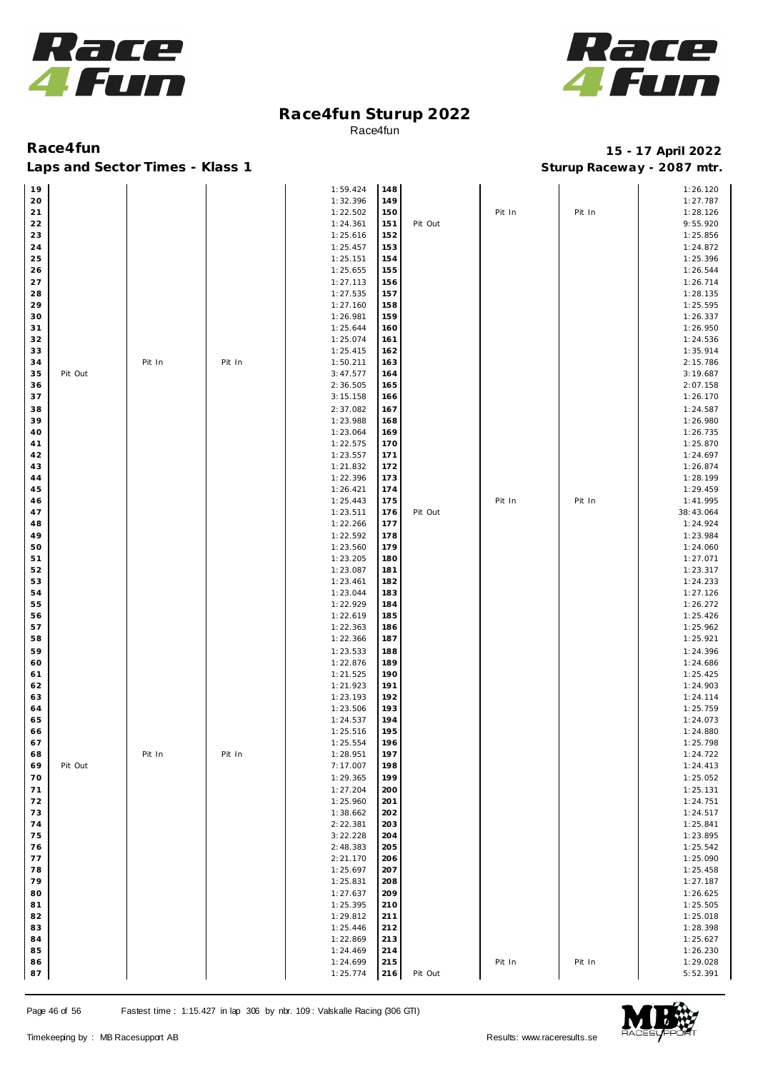



### Laps and Sector Times - Klass 1 **Sturies 1 Sturies 1 Sturies 1 8 and Sector Times - Klass 1 Sturies 1 and Section** 1 **Contrary** 1 **And Section** 1 **Contrary** 1 **Contrary** 1 **Contrary** 1 **Contrary 1 and 2007** must

| 19 |         |        |        | 1:59.424 | 148 |         |        |        | 1:26.120  |
|----|---------|--------|--------|----------|-----|---------|--------|--------|-----------|
| 20 |         |        |        | 1:32.396 | 149 |         |        |        | 1:27.787  |
|    |         |        |        |          |     |         |        |        |           |
| 21 |         |        |        | 1:22.502 | 150 |         | Pit In | Pit In | 1:28.126  |
| 22 |         |        |        | 1:24.361 | 151 | Pit Out |        |        | 9:55.920  |
| 23 |         |        |        | 1:25.616 | 152 |         |        |        | 1:25.856  |
| 24 |         |        |        | 1:25.457 | 153 |         |        |        | 1:24.872  |
| 25 |         |        |        | 1:25.151 | 154 |         |        |        | 1:25.396  |
| 26 |         |        |        | 1:25.655 | 155 |         |        |        | 1:26.544  |
|    |         |        |        |          |     |         |        |        |           |
| 27 |         |        |        | 1:27.113 | 156 |         |        |        | 1:26.714  |
| 28 |         |        |        | 1:27.535 | 157 |         |        |        | 1:28.135  |
| 29 |         |        |        | 1:27.160 | 158 |         |        |        | 1:25.595  |
| 30 |         |        |        | 1:26.981 | 159 |         |        |        | 1:26.337  |
| 31 |         |        |        | 1:25.644 | 160 |         |        |        | 1:26.950  |
| 32 |         |        |        | 1:25.074 | 161 |         |        |        | 1:24.536  |
| 33 |         |        |        | 1:25.415 | 162 |         |        |        | 1:35.914  |
| 34 |         |        | Pit In |          |     |         |        |        |           |
|    |         | Pit In |        | 1:50.211 | 163 |         |        |        | 2:15.786  |
| 35 | Pit Out |        |        | 3:47.577 | 164 |         |        |        | 3:19.687  |
| 36 |         |        |        | 2:36.505 | 165 |         |        |        | 2:07.158  |
| 37 |         |        |        | 3:15.158 | 166 |         |        |        | 1:26.170  |
| 38 |         |        |        | 2:37.082 | 167 |         |        |        | 1:24.587  |
| 39 |         |        |        | 1:23.988 | 168 |         |        |        | 1:26.980  |
| 40 |         |        |        | 1:23.064 | 169 |         |        |        | 1:26.735  |
| 41 |         |        |        |          | 170 |         |        |        | 1:25.870  |
|    |         |        |        | 1:22.575 |     |         |        |        |           |
| 42 |         |        |        | 1:23.557 | 171 |         |        |        | 1:24.697  |
| 43 |         |        |        | 1:21.832 | 172 |         |        |        | 1:26.874  |
| 44 |         |        |        | 1:22.396 | 173 |         |        |        | 1:28.199  |
| 45 |         |        |        | 1:26.421 | 174 |         |        |        | 1:29.459  |
| 46 |         |        |        | 1:25.443 | 175 |         | Pit In | Pit In | 1:41.995  |
| 47 |         |        |        | 1:23.511 | 176 | Pit Out |        |        | 38:43.064 |
| 48 |         |        |        | 1:22.266 | 177 |         |        |        | 1:24.924  |
| 49 |         |        |        | 1:22.592 | 178 |         |        |        | 1:23.984  |
|    |         |        |        |          |     |         |        |        |           |
| 50 |         |        |        | 1:23.560 | 179 |         |        |        | 1:24.060  |
| 51 |         |        |        | 1:23.205 | 180 |         |        |        | 1:27.071  |
| 52 |         |        |        | 1:23.087 | 181 |         |        |        | 1:23.317  |
| 53 |         |        |        | 1:23.461 | 182 |         |        |        | 1:24.233  |
| 54 |         |        |        | 1:23.044 | 183 |         |        |        | 1:27.126  |
| 55 |         |        |        | 1:22.929 | 184 |         |        |        | 1:26.272  |
| 56 |         |        |        | 1:22.619 | 185 |         |        |        | 1:25.426  |
|    |         |        |        |          |     |         |        |        |           |
| 57 |         |        |        | 1:22.363 | 186 |         |        |        | 1:25.962  |
| 58 |         |        |        | 1:22.366 | 187 |         |        |        | 1:25.921  |
| 59 |         |        |        | 1:23.533 | 188 |         |        |        | 1:24.396  |
| 60 |         |        |        | 1:22.876 | 189 |         |        |        | 1:24.686  |
| 61 |         |        |        | 1:21.525 | 190 |         |        |        | 1:25.425  |
| 62 |         |        |        | 1:21.923 | 191 |         |        |        | 1:24.903  |
| 63 |         |        |        | 1:23.193 | 192 |         |        |        | 1:24.114  |
| 64 |         |        |        | 1:23.506 | 193 |         |        |        | 1:25.759  |
|    |         |        |        |          | 194 |         |        |        |           |
| 65 |         |        |        | 1:24.537 |     |         |        |        | 1:24.073  |
| 66 |         |        |        | 1:25.516 | 195 |         |        |        | 1:24.880  |
| 67 |         |        |        | 1:25.554 | 196 |         |        |        | 1:25.798  |
| 68 |         | Pit In | Pit In | 1:28.951 | 197 |         |        |        | 1:24.722  |
| 69 | Pit Out |        |        | 7:17.007 | 198 |         |        |        | 1:24.413  |
| 70 |         |        |        | 1:29.365 | 199 |         |        |        | 1:25.052  |
| 71 |         |        |        | 1:27.204 | 200 |         |        |        | 1:25.131  |
| 72 |         |        |        | 1:25.960 | 201 |         |        |        | 1:24.751  |
| 73 |         |        |        |          |     |         |        |        | 1:24.517  |
|    |         |        |        | 1:38.662 | 202 |         |        |        |           |
| 74 |         |        |        | 2:22.381 | 203 |         |        |        | 1:25.841  |
| 75 |         |        |        | 3:22.228 | 204 |         |        |        | 1:23.895  |
| 76 |         |        |        | 2:48.383 | 205 |         |        |        | 1:25.542  |
| 77 |         |        |        | 2:21.170 | 206 |         |        |        | 1:25.090  |
| 78 |         |        |        | 1:25.697 | 207 |         |        |        | 1:25.458  |
| 79 |         |        |        | 1:25.831 | 208 |         |        |        | 1:27.187  |
| 80 |         |        |        | 1:27.637 | 209 |         |        |        | 1:26.625  |
| 81 |         |        |        | 1:25.395 | 210 |         |        |        | 1:25.505  |
| 82 |         |        |        |          | 211 |         |        |        | 1:25.018  |
|    |         |        |        | 1:29.812 |     |         |        |        |           |
| 83 |         |        |        | 1:25.446 | 212 |         |        |        | 1:28.398  |
| 84 |         |        |        | 1:22.869 | 213 |         |        |        | 1:25.627  |
| 85 |         |        |        | 1:24.469 | 214 |         |        |        | 1:26.230  |
| 86 |         |        |        | 1:24.699 | 215 |         | Pit In | Pit In | 1:29.028  |
| 87 |         |        |        | 1:25.774 | 216 | Pit Out |        |        | 5:52.391  |

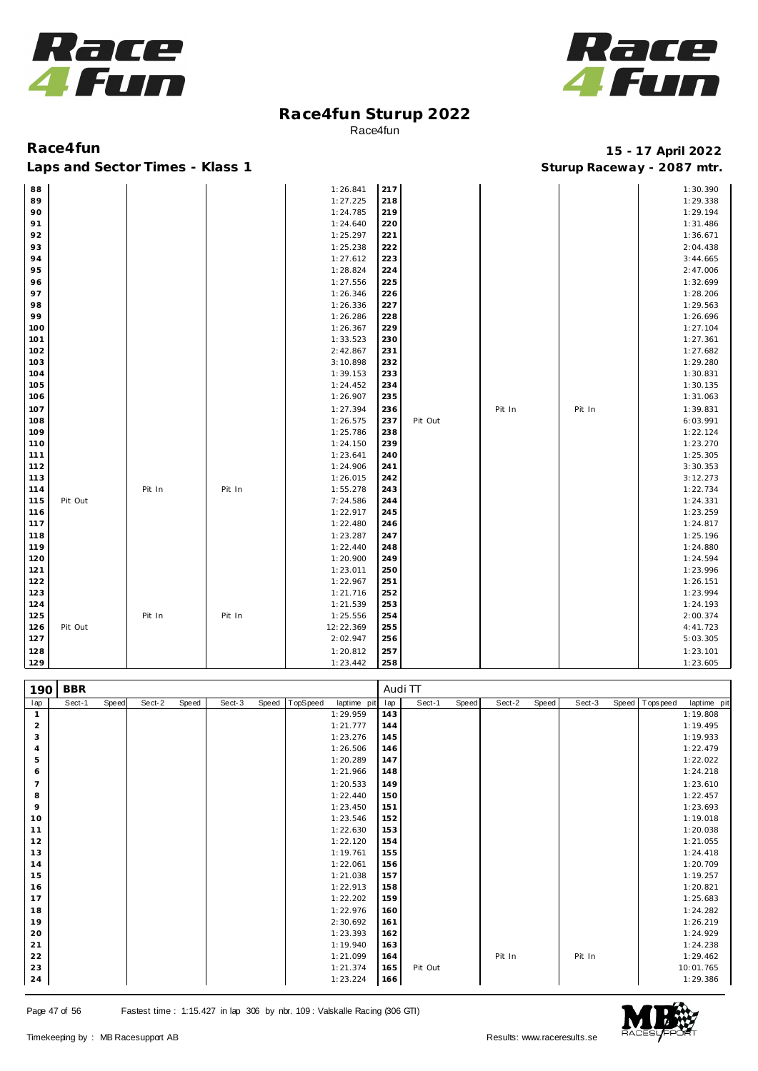



Laps and Sector Times - Klass 1 **Sturies 1 Sturies 1 Sturies 1 8 and Sector Times - Klass 1 Sturies 1 and Section** 1 **Contrary** 1 **And Section** 1 **Contrary** 1 **Contrary** 1 **Contrary** 1 **Contrary 1 and 2007** must

| 88  |         |        |        | 1:26.841  | 217 |         |        |        | 1:30.390 |
|-----|---------|--------|--------|-----------|-----|---------|--------|--------|----------|
| 89  |         |        |        | 1:27.225  | 218 |         |        |        | 1:29.338 |
| 90  |         |        |        | 1:24.785  | 219 |         |        |        | 1:29.194 |
| 91  |         |        |        | 1:24.640  | 220 |         |        |        | 1:31.486 |
| 92  |         |        |        | 1:25.297  | 221 |         |        |        | 1:36.671 |
| 93  |         |        |        | 1:25.238  | 222 |         |        |        | 2:04.438 |
| 94  |         |        |        | 1:27.612  | 223 |         |        |        | 3:44.665 |
| 95  |         |        |        | 1:28.824  | 224 |         |        |        | 2:47.006 |
| 96  |         |        |        | 1:27.556  | 225 |         |        |        | 1:32.699 |
| 97  |         |        |        | 1:26.346  | 226 |         |        |        | 1:28.206 |
| 98  |         |        |        | 1:26.336  | 227 |         |        |        | 1:29.563 |
| 99  |         |        |        | 1:26.286  | 228 |         |        |        | 1:26.696 |
| 100 |         |        |        | 1:26.367  | 229 |         |        |        | 1:27.104 |
| 101 |         |        |        | 1:33.523  | 230 |         |        |        | 1:27.361 |
| 102 |         |        |        | 2:42.867  | 231 |         |        |        | 1:27.682 |
| 103 |         |        |        | 3:10.898  | 232 |         |        |        | 1:29.280 |
| 104 |         |        |        | 1:39.153  | 233 |         |        |        | 1:30.831 |
| 105 |         |        |        | 1:24.452  | 234 |         |        |        | 1:30.135 |
| 106 |         |        |        | 1:26.907  | 235 |         |        |        | 1:31.063 |
| 107 |         |        |        | 1:27.394  | 236 |         | Pit In | Pit In | 1:39.831 |
| 108 |         |        |        | 1:26.575  | 237 | Pit Out |        |        | 6:03.991 |
| 109 |         |        |        | 1:25.786  | 238 |         |        |        | 1:22.124 |
| 110 |         |        |        | 1:24.150  | 239 |         |        |        | 1:23.270 |
| 111 |         |        |        | 1:23.641  | 240 |         |        |        | 1:25.305 |
| 112 |         |        |        | 1:24.906  | 241 |         |        |        | 3:30.353 |
| 113 |         |        |        | 1:26.015  | 242 |         |        |        | 3:12.273 |
| 114 |         | Pit In | Pit In | 1:55.278  | 243 |         |        |        | 1:22.734 |
| 115 | Pit Out |        |        | 7:24.586  | 244 |         |        |        | 1:24.331 |
| 116 |         |        |        | 1:22.917  | 245 |         |        |        | 1:23.259 |
| 117 |         |        |        | 1:22.480  | 246 |         |        |        | 1:24.817 |
| 118 |         |        |        | 1:23.287  | 247 |         |        |        | 1:25.196 |
| 119 |         |        |        | 1:22.440  | 248 |         |        |        | 1:24.880 |
| 120 |         |        |        | 1:20.900  | 249 |         |        |        | 1:24.594 |
| 121 |         |        |        | 1:23.011  | 250 |         |        |        | 1:23.996 |
| 122 |         |        |        | 1:22.967  | 251 |         |        |        | 1:26.151 |
| 123 |         |        |        | 1:21.716  | 252 |         |        |        | 1:23.994 |
| 124 |         |        |        | 1:21.539  | 253 |         |        |        | 1:24.193 |
| 125 |         | Pit In | Pit In | 1:25.556  | 254 |         |        |        | 2:00.374 |
| 126 | Pit Out |        |        | 12:22.369 | 255 |         |        |        | 4:41.723 |
| 127 |         |        |        | 2:02.947  | 256 |         |        |        | 5:03.305 |
| 128 |         |        |        | 1:20.812  | 257 |         |        |        | 1:23.101 |
| 129 |         |        |        | 1:23.442  | 258 |         |        |        | 1:23.605 |

| 190            | <b>BBR</b> |       |        |       |        |       |          |             | Audi TT |         |       |        |       |        |                  |             |
|----------------|------------|-------|--------|-------|--------|-------|----------|-------------|---------|---------|-------|--------|-------|--------|------------------|-------------|
| lap            | Sect-1     | Speed | Sect-2 | Speed | Sect-3 | Speed | TopSpeed | laptime pit | lap     | Sect-1  | Speed | Sect-2 | Speed | Sect-3 | Speed   Topspeed | laptime pit |
| $\mathbf{1}$   |            |       |        |       |        |       |          | 1:29.959    | 143     |         |       |        |       |        |                  | 1:19.808    |
| $\overline{a}$ |            |       |        |       |        |       |          | 1:21.777    | 144     |         |       |        |       |        |                  | 1:19.495    |
| 3              |            |       |        |       |        |       |          | 1:23.276    | 145     |         |       |        |       |        |                  | 1:19.933    |
| $\overline{4}$ |            |       |        |       |        |       |          | 1:26.506    | 146     |         |       |        |       |        |                  | 1:22.479    |
| 5              |            |       |        |       |        |       |          | 1:20.289    | 147     |         |       |        |       |        |                  | 1:22.022    |
| 6              |            |       |        |       |        |       |          | 1:21.966    | 148     |         |       |        |       |        |                  | 1:24.218    |
| $\overline{7}$ |            |       |        |       |        |       |          | 1:20.533    | 149     |         |       |        |       |        |                  | 1:23.610    |
| 8              |            |       |        |       |        |       |          | 1:22.440    | 150     |         |       |        |       |        |                  | 1:22.457    |
| 9              |            |       |        |       |        |       |          | 1:23.450    | 151     |         |       |        |       |        |                  | 1:23.693    |
| 10             |            |       |        |       |        |       |          | 1:23.546    | 152     |         |       |        |       |        |                  | 1:19.018    |
| 11             |            |       |        |       |        |       |          | 1:22.630    | 153     |         |       |        |       |        |                  | 1:20.038    |
| 12             |            |       |        |       |        |       |          | 1:22.120    | 154     |         |       |        |       |        |                  | 1:21.055    |
| 13             |            |       |        |       |        |       |          | 1:19.761    | 155     |         |       |        |       |        |                  | 1:24.418    |
| 14             |            |       |        |       |        |       |          | 1:22.061    | 156     |         |       |        |       |        |                  | 1:20.709    |
| 15             |            |       |        |       |        |       |          | 1:21.038    | 157     |         |       |        |       |        |                  | 1:19.257    |
| 16             |            |       |        |       |        |       |          | 1:22.913    | 158     |         |       |        |       |        |                  | 1:20.821    |
| 17             |            |       |        |       |        |       |          | 1:22.202    | 159     |         |       |        |       |        |                  | 1:25.683    |
| 18             |            |       |        |       |        |       |          | 1:22.976    | 160     |         |       |        |       |        |                  | 1:24.282    |
| 19             |            |       |        |       |        |       |          | 2:30.692    | 161     |         |       |        |       |        |                  | 1:26.219    |
| 20             |            |       |        |       |        |       |          | 1:23.393    | 162     |         |       |        |       |        |                  | 1:24.929    |
| 21             |            |       |        |       |        |       |          | 1:19.940    | 163     |         |       |        |       |        |                  | 1:24.238    |
| 22             |            |       |        |       |        |       |          | 1:21.099    | 164     |         |       | Pit In |       | Pit In |                  | 1:29.462    |
| 23             |            |       |        |       |        |       |          | 1:21.374    | 165     | Pit Out |       |        |       |        |                  | 10:01.765   |
| 24             |            |       |        |       |        |       |          | 1:23.224    | 166     |         |       |        |       |        |                  | 1:29.386    |

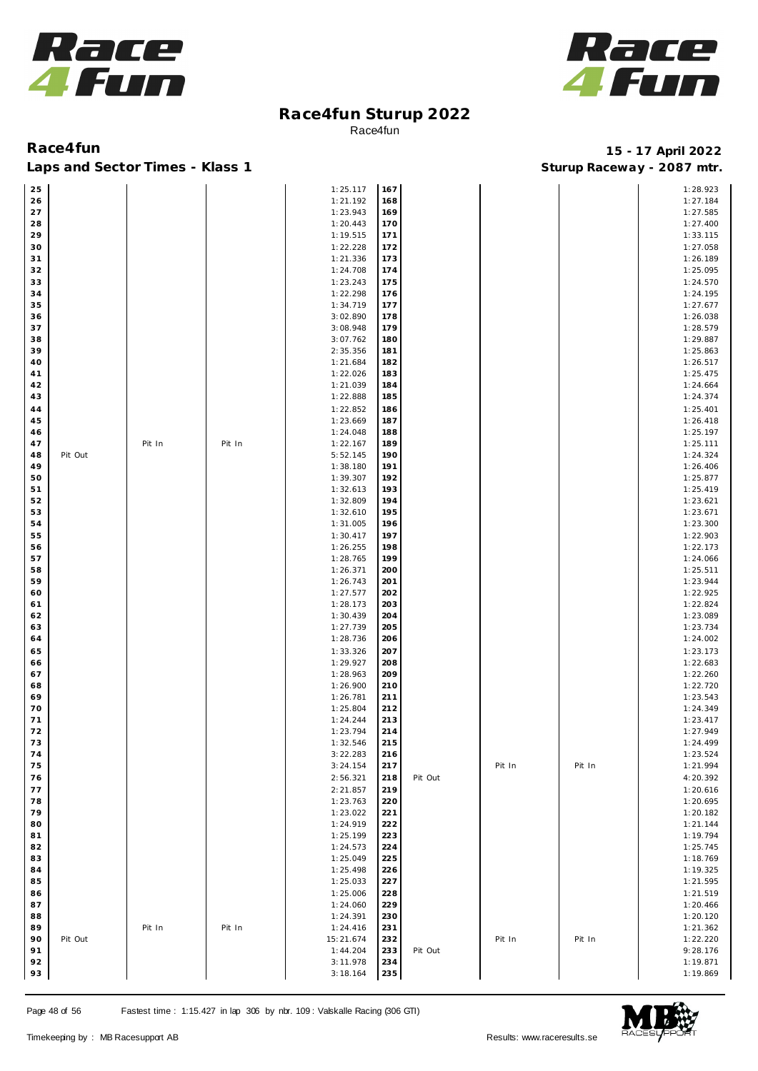



Laps and Sector Times - Klass 1 **Sturies 1 Sturies 1 Sturies 1 8 and Sector Times - Klass 1 Sturies 1 and Section** 1 **Contrary** 1 **And Section** 1 **Contrary** 1 **Contrary** 1 **Contrary** 1 **Contrary 1 and 2007** must

| 25 |         |        |        | 1:25.117  | 167 |         |        |        | 1:28.923 |
|----|---------|--------|--------|-----------|-----|---------|--------|--------|----------|
| 26 |         |        |        | 1:21.192  | 168 |         |        |        | 1:27.184 |
|    |         |        |        |           |     |         |        |        |          |
| 27 |         |        |        | 1:23.943  | 169 |         |        |        | 1:27.585 |
| 28 |         |        |        | 1:20.443  | 170 |         |        |        | 1:27.400 |
| 29 |         |        |        | 1:19.515  | 171 |         |        |        | 1:33.115 |
|    |         |        |        |           |     |         |        |        |          |
| 30 |         |        |        | 1:22.228  | 172 |         |        |        | 1:27.058 |
| 31 |         |        |        | 1:21.336  | 173 |         |        |        | 1:26.189 |
| 32 |         |        |        | 1:24.708  | 174 |         |        |        | 1:25.095 |
|    |         |        |        |           |     |         |        |        |          |
| 33 |         |        |        | 1:23.243  | 175 |         |        |        | 1:24.570 |
| 34 |         |        |        | 1:22.298  | 176 |         |        |        | 1:24.195 |
| 35 |         |        |        | 1:34.719  | 177 |         |        |        | 1:27.677 |
|    |         |        |        |           |     |         |        |        |          |
| 36 |         |        |        | 3:02.890  | 178 |         |        |        | 1:26.038 |
| 37 |         |        |        | 3:08.948  | 179 |         |        |        | 1:28.579 |
| 38 |         |        |        | 3:07.762  | 180 |         |        |        | 1:29.887 |
|    |         |        |        |           |     |         |        |        |          |
| 39 |         |        |        | 2:35.356  | 181 |         |        |        | 1:25.863 |
| 40 |         |        |        | 1:21.684  | 182 |         |        |        | 1:26.517 |
| 41 |         |        |        | 1:22.026  | 183 |         |        |        | 1:25.475 |
|    |         |        |        | 1:21.039  | 184 |         |        |        | 1:24.664 |
| 42 |         |        |        |           |     |         |        |        |          |
| 43 |         |        |        | 1:22.888  | 185 |         |        |        | 1:24.374 |
| 44 |         |        |        | 1:22.852  | 186 |         |        |        | 1:25.401 |
| 45 |         |        |        | 1:23.669  | 187 |         |        |        | 1:26.418 |
|    |         |        |        |           |     |         |        |        |          |
| 46 |         |        |        | 1:24.048  | 188 |         |        |        | 1:25.197 |
| 47 |         | Pit In | Pit In | 1:22.167  | 189 |         |        |        | 1:25.111 |
| 48 | Pit Out |        |        | 5:52.145  | 190 |         |        |        | 1:24.324 |
|    |         |        |        |           |     |         |        |        |          |
| 49 |         |        |        | 1:38.180  | 191 |         |        |        | 1:26.406 |
| 50 |         |        |        | 1:39.307  | 192 |         |        |        | 1:25.877 |
| 51 |         |        |        | 1:32.613  | 193 |         |        |        | 1:25.419 |
|    |         |        |        |           |     |         |        |        |          |
| 52 |         |        |        | 1:32.809  | 194 |         |        |        | 1:23.621 |
| 53 |         |        |        | 1:32.610  | 195 |         |        |        | 1:23.671 |
| 54 |         |        |        | 1:31.005  | 196 |         |        |        | 1:23.300 |
|    |         |        |        |           |     |         |        |        |          |
| 55 |         |        |        | 1:30.417  | 197 |         |        |        | 1:22.903 |
| 56 |         |        |        | 1:26.255  | 198 |         |        |        | 1:22.173 |
| 57 |         |        |        | 1:28.765  | 199 |         |        |        | 1:24.066 |
| 58 |         |        |        | 1:26.371  | 200 |         |        |        | 1:25.511 |
|    |         |        |        |           |     |         |        |        |          |
| 59 |         |        |        | 1:26.743  | 201 |         |        |        | 1:23.944 |
| 60 |         |        |        | 1:27.577  | 202 |         |        |        | 1:22.925 |
| 61 |         |        |        | 1:28.173  | 203 |         |        |        | 1:22.824 |
|    |         |        |        |           |     |         |        |        |          |
| 62 |         |        |        | 1:30.439  | 204 |         |        |        | 1:23.089 |
| 63 |         |        |        | 1:27.739  | 205 |         |        |        | 1:23.734 |
| 64 |         |        |        | 1:28.736  | 206 |         |        |        | 1:24.002 |
|    |         |        |        |           |     |         |        |        |          |
| 65 |         |        |        | 1:33.326  | 207 |         |        |        | 1:23.173 |
| 66 |         |        |        | 1:29.927  | 208 |         |        |        | 1:22.683 |
| 67 |         |        |        | 1:28.963  | 209 |         |        |        | 1:22.260 |
|    |         |        |        | 1:26.900  | 210 |         |        |        | 1:22.720 |
| 68 |         |        |        |           |     |         |        |        |          |
| 69 |         |        |        | 1:26.781  | 211 |         |        |        | 1:23.543 |
| 70 |         |        |        | 1:25.804  | 212 |         |        |        | 1:24.349 |
| 71 |         |        |        | 1:24.244  | 213 |         |        |        | 1:23.417 |
|    |         |        |        |           | 214 |         |        |        |          |
| 72 |         |        |        | 1:23.794  |     |         |        |        | 1:27.949 |
| 73 |         |        |        | 1:32.546  | 215 |         |        |        | 1:24.499 |
| 74 |         |        |        | 3:22.283  | 216 |         |        |        | 1:23.524 |
| 75 |         |        |        | 3:24.154  | 217 |         | Pit In | Pit In | 1:21.994 |
|    |         |        |        |           |     |         |        |        |          |
| 76 |         |        |        | 2:56.321  | 218 | Pit Out |        |        | 4:20.392 |
| 77 |         |        |        | 2:21.857  | 219 |         |        |        | 1:20.616 |
| 78 |         |        |        | 1:23.763  | 220 |         |        |        | 1:20.695 |
|    |         |        |        |           |     |         |        |        |          |
| 79 |         |        |        | 1:23.022  | 221 |         |        |        | 1:20.182 |
| 80 |         |        |        | 1:24.919  | 222 |         |        |        | 1:21.144 |
| 81 |         |        |        | 1:25.199  | 223 |         |        |        | 1:19.794 |
|    |         |        |        |           |     |         |        |        |          |
| 82 |         |        |        | 1:24.573  | 224 |         |        |        | 1:25.745 |
| 83 |         |        |        | 1:25.049  | 225 |         |        |        | 1:18.769 |
| 84 |         |        |        | 1:25.498  | 226 |         |        |        | 1:19.325 |
| 85 |         |        |        | 1:25.033  | 227 |         |        |        | 1:21.595 |
|    |         |        |        |           |     |         |        |        |          |
| 86 |         |        |        | 1:25.006  | 228 |         |        |        | 1:21.519 |
| 87 |         |        |        | 1:24.060  | 229 |         |        |        | 1:20.466 |
| 88 |         |        |        | 1:24.391  | 230 |         |        |        | 1:20.120 |
|    |         |        |        |           |     |         |        |        |          |
| 89 |         | Pit In | Pit In | 1:24.416  | 231 |         |        |        | 1:21.362 |
| 90 | Pit Out |        |        | 15:21.674 | 232 |         | Pit In | Pit In | 1:22.220 |
| 91 |         |        |        | 1:44.204  | 233 | Pit Out |        |        | 9:28.176 |
|    |         |        |        |           |     |         |        |        |          |
| 92 |         |        |        | 3:11.978  | 234 |         |        |        | 1:19.871 |
| 93 |         |        |        | 3:18.164  | 235 |         |        |        | 1:19.869 |

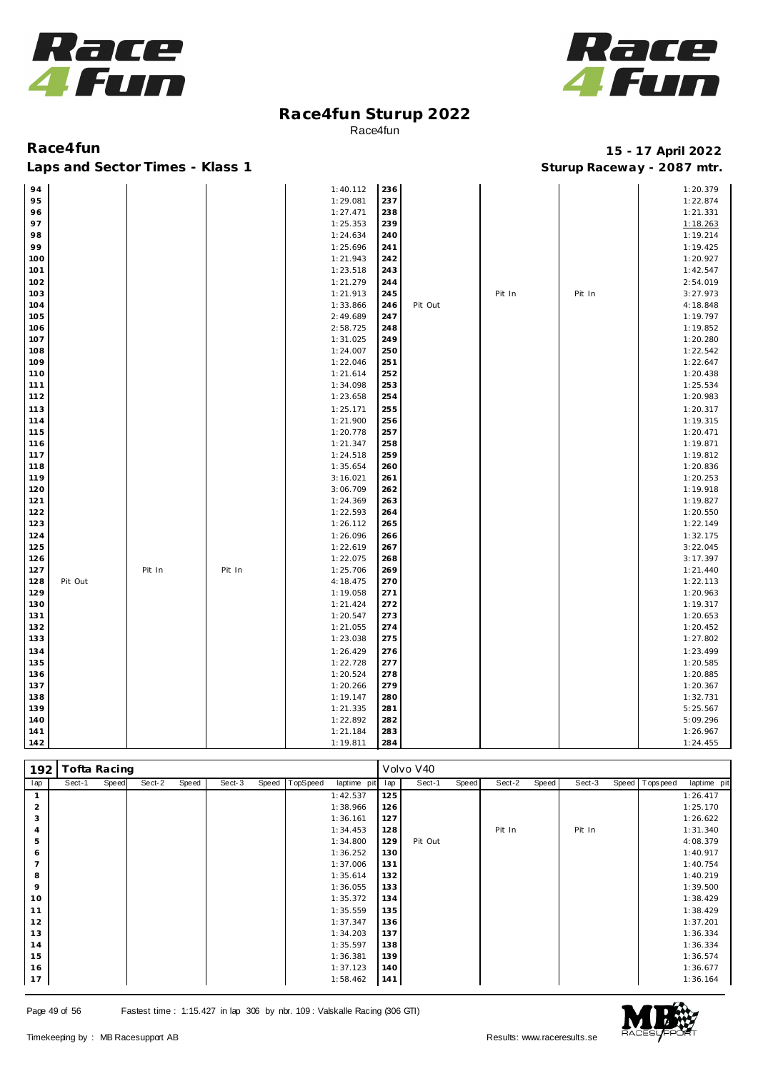



Laps and Sector Times - Klass 1 **Sturies 1 Sturies 1 Sturies 1 8 and Sector Times - Klass 1 Sturies 1 and Section** 1 **Contrary** 1 **And Section** 1 **Contrary** 1 **Contrary** 1 **Contrary** 1 **Contrary 1 and 2007** must

| 94  |         |        |        | 1:40.112 | 236 |         |        |        | 1:20.379 |
|-----|---------|--------|--------|----------|-----|---------|--------|--------|----------|
| 95  |         |        |        | 1:29.081 | 237 |         |        |        | 1:22.874 |
| 96  |         |        |        | 1:27.471 | 238 |         |        |        | 1:21.331 |
| 97  |         |        |        | 1:25.353 | 239 |         |        |        | 1:18.263 |
| 98  |         |        |        | 1:24.634 | 240 |         |        |        | 1:19.214 |
| 99  |         |        |        | 1:25.696 | 241 |         |        |        | 1:19.425 |
| 100 |         |        |        | 1:21.943 | 242 |         |        |        | 1:20.927 |
| 101 |         |        |        | 1:23.518 | 243 |         |        |        | 1:42.547 |
| 102 |         |        |        | 1:21.279 | 244 |         |        |        | 2:54.019 |
| 103 |         |        |        | 1:21.913 | 245 |         | Pit In | Pit In | 3:27.973 |
| 104 |         |        |        | 1:33.866 | 246 | Pit Out |        |        | 4:18.848 |
| 105 |         |        |        | 2:49.689 | 247 |         |        |        | 1:19.797 |
| 106 |         |        |        | 2:58.725 | 248 |         |        |        | 1:19.852 |
| 107 |         |        |        | 1:31.025 | 249 |         |        |        | 1:20.280 |
| 108 |         |        |        | 1:24.007 | 250 |         |        |        | 1:22.542 |
| 109 |         |        |        | 1:22.046 | 251 |         |        |        | 1:22.647 |
| 110 |         |        |        | 1:21.614 | 252 |         |        |        | 1:20.438 |
| 111 |         |        |        | 1:34.098 | 253 |         |        |        | 1:25.534 |
| 112 |         |        |        | 1:23.658 | 254 |         |        |        | 1:20.983 |
| 113 |         |        |        | 1:25.171 | 255 |         |        |        | 1:20.317 |
| 114 |         |        |        | 1:21.900 | 256 |         |        |        | 1:19.315 |
| 115 |         |        |        | 1:20.778 | 257 |         |        |        | 1:20.471 |
| 116 |         |        |        | 1:21.347 | 258 |         |        |        | 1:19.871 |
| 117 |         |        |        | 1:24.518 | 259 |         |        |        | 1:19.812 |
| 118 |         |        |        | 1:35.654 | 260 |         |        |        | 1:20.836 |
| 119 |         |        |        | 3:16.021 | 261 |         |        |        | 1:20.253 |
| 120 |         |        |        | 3:06.709 | 262 |         |        |        | 1:19.918 |
| 121 |         |        |        | 1:24.369 | 263 |         |        |        | 1:19.827 |
| 122 |         |        |        | 1:22.593 | 264 |         |        |        | 1:20.550 |
| 123 |         |        |        | 1:26.112 | 265 |         |        |        | 1:22.149 |
| 124 |         |        |        | 1:26.096 | 266 |         |        |        | 1:32.175 |
| 125 |         |        |        | 1:22.619 | 267 |         |        |        | 3:22.045 |
| 126 |         |        |        | 1:22.075 | 268 |         |        |        | 3:17.397 |
| 127 |         | Pit In | Pit In | 1:25.706 | 269 |         |        |        | 1:21.440 |
| 128 | Pit Out |        |        | 4:18.475 | 270 |         |        |        | 1:22.113 |
| 129 |         |        |        | 1:19.058 | 271 |         |        |        | 1:20.963 |
| 130 |         |        |        | 1:21.424 | 272 |         |        |        | 1:19.317 |
| 131 |         |        |        | 1:20.547 | 273 |         |        |        | 1:20.653 |
| 132 |         |        |        | 1:21.055 | 274 |         |        |        | 1:20.452 |
| 133 |         |        |        | 1:23.038 | 275 |         |        |        | 1:27.802 |
| 134 |         |        |        | 1:26.429 | 276 |         |        |        | 1:23.499 |
| 135 |         |        |        | 1:22.728 | 277 |         |        |        | 1:20.585 |
| 136 |         |        |        | 1:20.524 | 278 |         |        |        | 1:20.885 |
| 137 |         |        |        | 1:20.266 | 279 |         |        |        | 1:20.367 |
| 138 |         |        |        | 1:19.147 | 280 |         |        |        | 1:32.731 |
| 139 |         |        |        | 1:21.335 | 281 |         |        |        | 5:25.567 |
| 140 |         |        |        | 1:22.892 | 282 |         |        |        | 5:09.296 |
| 141 |         |        |        | 1:21.184 | 283 |         |        |        | 1:26.967 |
| 142 |         |        |        | 1:19.811 | 284 |         |        |        | 1:24.455 |

| 192 | Tofta Racing |       |        |       |        |       |          |             |     | Volvo V40 |       |        |       |        |       |           |             |
|-----|--------------|-------|--------|-------|--------|-------|----------|-------------|-----|-----------|-------|--------|-------|--------|-------|-----------|-------------|
| lap | Sect-1       | Speed | Sect-2 | Speed | Sect-3 | Speed | TopSpeed | laptime pit | lap | Sect-1    | Speed | Sect-2 | Speed | Sect-3 | Speed | Tops peed | laptime pit |
|     |              |       |        |       |        |       |          | 1:42.537    | 125 |           |       |        |       |        |       |           | 1:26.417    |
| 2   |              |       |        |       |        |       |          | 1:38.966    | 126 |           |       |        |       |        |       |           | 1:25.170    |
| 3   |              |       |        |       |        |       |          | 1:36.161    | 127 |           |       |        |       |        |       |           | 1:26.622    |
| 4   |              |       |        |       |        |       |          | 1:34.453    | 128 |           |       | Pit In |       | Pit In |       |           | 1:31.340    |
| 5   |              |       |        |       |        |       |          | 1:34.800    | 129 | Pit Out   |       |        |       |        |       |           | 4:08.379    |
| 6   |              |       |        |       |        |       |          | 1:36.252    | 130 |           |       |        |       |        |       |           | 1:40.917    |
|     |              |       |        |       |        |       |          | 1:37.006    | 131 |           |       |        |       |        |       |           | 1:40.754    |
| 8   |              |       |        |       |        |       |          | 1:35.614    | 132 |           |       |        |       |        |       |           | 1:40.219    |
| 9   |              |       |        |       |        |       |          | 1:36.055    | 133 |           |       |        |       |        |       |           | 1:39.500    |
| 10  |              |       |        |       |        |       |          | 1:35.372    | 134 |           |       |        |       |        |       |           | 1:38.429    |
| 11  |              |       |        |       |        |       |          | 1:35.559    | 135 |           |       |        |       |        |       |           | 1:38.429    |
| 12  |              |       |        |       |        |       |          | 1:37.347    | 136 |           |       |        |       |        |       |           | 1:37.201    |
| 13  |              |       |        |       |        |       |          | 1:34.203    | 137 |           |       |        |       |        |       |           | 1:36.334    |
| 14  |              |       |        |       |        |       |          | 1:35.597    | 138 |           |       |        |       |        |       |           | 1:36.334    |
| 15  |              |       |        |       |        |       |          | 1:36.381    | 139 |           |       |        |       |        |       |           | 1:36.574    |
| 16  |              |       |        |       |        |       |          | 1:37.123    | 140 |           |       |        |       |        |       |           | 1:36.677    |
| 17  |              |       |        |       |        |       |          | 1:58.462    | 141 |           |       |        |       |        |       |           | 1:36.164    |

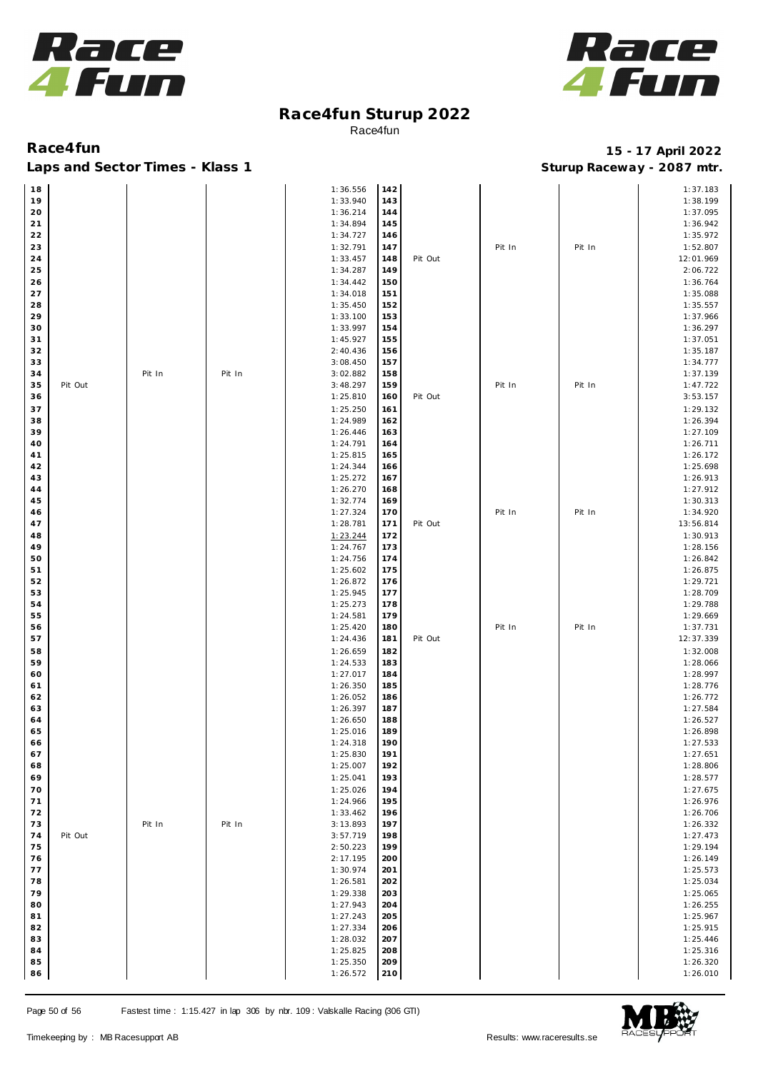



### Laps and Sector Times - Klass 1 **Sturies 1 Sturies 1 Sturies 1 8 and Sector Times - Klass 1 Sturies 1 and Section** 1 **Contrary** 1 **And Section** 1 **Contrary** 1 **Contrary** 1 **Contrary** 1 **Contrary 1 and 2007** must

| 18 |         |        |        | 1:36.556 | 142 |         |        |        | 1:37.183  |
|----|---------|--------|--------|----------|-----|---------|--------|--------|-----------|
| 19 |         |        |        | 1:33.940 | 143 |         |        |        | 1:38.199  |
| 20 |         |        |        | 1:36.214 | 144 |         |        |        | 1:37.095  |
| 21 |         |        |        | 1:34.894 | 145 |         |        |        | 1:36.942  |
| 22 |         |        |        | 1:34.727 | 146 |         |        |        | 1:35.972  |
| 23 |         |        |        | 1:32.791 | 147 |         | Pit In | Pit In | 1:52.807  |
| 24 |         |        |        | 1:33.457 | 148 | Pit Out |        |        | 12:01.969 |
| 25 |         |        |        | 1:34.287 | 149 |         |        |        | 2:06.722  |
| 26 |         |        |        | 1:34.442 | 150 |         |        |        | 1:36.764  |
| 27 |         |        |        | 1:34.018 | 151 |         |        |        | 1:35.088  |
| 28 |         |        |        | 1:35.450 | 152 |         |        |        | 1:35.557  |
| 29 |         |        |        | 1:33.100 | 153 |         |        |        | 1:37.966  |
| 30 |         |        |        | 1:33.997 | 154 |         |        |        | 1:36.297  |
| 31 |         |        |        | 1:45.927 | 155 |         |        |        | 1:37.051  |
| 32 |         |        |        | 2:40.436 | 156 |         |        |        | 1:35.187  |
| 33 |         |        |        | 3:08.450 | 157 |         |        |        | 1:34.777  |
| 34 |         | Pit In | Pit In | 3:02.882 | 158 |         |        |        | 1:37.139  |
| 35 | Pit Out |        |        | 3:48.297 | 159 |         | Pit In | Pit In | 1:47.722  |
| 36 |         |        |        | 1:25.810 | 160 | Pit Out |        |        | 3:53.157  |
| 37 |         |        |        | 1:25.250 | 161 |         |        |        | 1:29.132  |
| 38 |         |        |        | 1:24.989 | 162 |         |        |        | 1:26.394  |
| 39 |         |        |        | 1:26.446 | 163 |         |        |        | 1:27.109  |
| 40 |         |        |        | 1:24.791 | 164 |         |        |        | 1:26.711  |
| 41 |         |        |        | 1:25.815 | 165 |         |        |        | 1:26.172  |
| 42 |         |        |        | 1:24.344 | 166 |         |        |        | 1:25.698  |
| 43 |         |        |        | 1:25.272 | 167 |         |        |        | 1:26.913  |
| 44 |         |        |        | 1:26.270 | 168 |         |        |        | 1:27.912  |
| 45 |         |        |        | 1:32.774 | 169 |         |        |        | 1:30.313  |
| 46 |         |        |        | 1:27.324 | 170 |         | Pit In | Pit In | 1:34.920  |
| 47 |         |        |        | 1:28.781 | 171 | Pit Out |        |        | 13:56.814 |
| 48 |         |        |        | 1:23.244 | 172 |         |        |        | 1:30.913  |
| 49 |         |        |        | 1:24.767 | 173 |         |        |        | 1:28.156  |
| 50 |         |        |        | 1:24.756 | 174 |         |        |        | 1:26.842  |
| 51 |         |        |        | 1:25.602 | 175 |         |        |        | 1:26.875  |
| 52 |         |        |        | 1:26.872 | 176 |         |        |        | 1:29.721  |
| 53 |         |        |        | 1:25.945 | 177 |         |        |        | 1:28.709  |
| 54 |         |        |        | 1:25.273 | 178 |         |        |        | 1:29.788  |
| 55 |         |        |        | 1:24.581 | 179 |         |        |        | 1:29.669  |
| 56 |         |        |        | 1:25.420 | 180 |         | Pit In | Pit In | 1:37.731  |
| 57 |         |        |        | 1:24.436 | 181 | Pit Out |        |        | 12:37.339 |
| 58 |         |        |        | 1:26.659 | 182 |         |        |        | 1:32.008  |
| 59 |         |        |        | 1:24.533 | 183 |         |        |        | 1:28.066  |
| 60 |         |        |        | 1:27.017 | 184 |         |        |        | 1:28.997  |
| 61 |         |        |        | 1:26.350 | 185 |         |        |        | 1:28.776  |
| 62 |         |        |        | 1:26.052 | 186 |         |        |        | 1:26.772  |
| 63 |         |        |        | 1:26.397 | 187 |         |        |        | 1:27.584  |
| 64 |         |        |        | 1:26.650 | 188 |         |        |        | 1:26.527  |
| 65 |         |        |        | 1:25.016 | 189 |         |        |        | 1:26.898  |
| 66 |         |        |        | 1:24.318 | 190 |         |        |        | 1:27.533  |
| 67 |         |        |        | 1:25.830 | 191 |         |        |        | 1:27.651  |
| 68 |         |        |        | 1:25.007 | 192 |         |        |        | 1:28.806  |
| 69 |         |        |        | 1:25.041 | 193 |         |        |        | 1:28.577  |
| 70 |         |        |        | 1:25.026 | 194 |         |        |        | 1:27.675  |
| 71 |         |        |        | 1:24.966 | 195 |         |        |        | 1:26.976  |
| 72 |         |        |        | 1:33.462 | 196 |         |        |        | 1:26.706  |
| 73 |         | Pit In | Pit In | 3:13.893 | 197 |         |        |        | 1:26.332  |
| 74 | Pit Out |        |        | 3:57.719 | 198 |         |        |        | 1:27.473  |
| 75 |         |        |        | 2:50.223 | 199 |         |        |        | 1:29.194  |
| 76 |         |        |        | 2:17.195 | 200 |         |        |        | 1:26.149  |
| 77 |         |        |        | 1:30.974 | 201 |         |        |        | 1:25.573  |
| 78 |         |        |        | 1:26.581 | 202 |         |        |        | 1:25.034  |
| 79 |         |        |        | 1:29.338 | 203 |         |        |        | 1:25.065  |
| 80 |         |        |        | 1:27.943 | 204 |         |        |        | 1:26.255  |
| 81 |         |        |        | 1:27.243 | 205 |         |        |        | 1:25.967  |
| 82 |         |        |        | 1:27.334 | 206 |         |        |        | 1:25.915  |
| 83 |         |        |        | 1:28.032 | 207 |         |        |        | 1:25.446  |
| 84 |         |        |        | 1:25.825 | 208 |         |        |        | 1:25.316  |
| 85 |         |        |        | 1:25.350 | 209 |         |        |        | 1:26.320  |
| 86 |         |        |        | 1:26.572 | 210 |         |        |        | 1:26.010  |

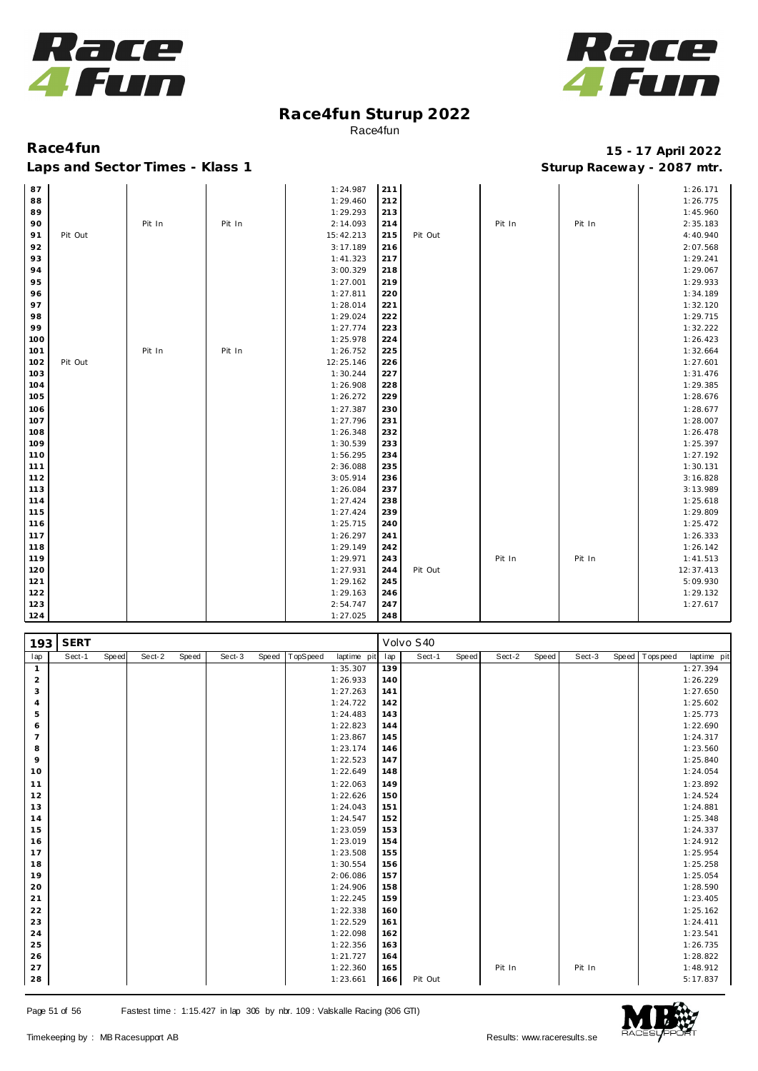



| 87  |         |        |        | 1:24.987  | 211 |         |        |        | 1:26.171  |
|-----|---------|--------|--------|-----------|-----|---------|--------|--------|-----------|
| 88  |         |        |        | 1:29.460  | 212 |         |        |        | 1:26.775  |
| 89  |         |        |        | 1:29.293  | 213 |         |        |        | 1:45.960  |
| 90  |         | Pit In | Pit In | 2:14.093  | 214 |         | Pit In | Pit In | 2:35.183  |
| 91  | Pit Out |        |        | 15:42.213 | 215 | Pit Out |        |        | 4:40.940  |
| 92  |         |        |        | 3:17.189  | 216 |         |        |        | 2:07.568  |
| 93  |         |        |        | 1:41.323  | 217 |         |        |        | 1:29.241  |
| 94  |         |        |        | 3:00.329  | 218 |         |        |        | 1:29.067  |
| 95  |         |        |        | 1:27.001  | 219 |         |        |        | 1:29.933  |
| 96  |         |        |        | 1:27.811  | 220 |         |        |        | 1:34.189  |
| 97  |         |        |        | 1:28.014  | 221 |         |        |        | 1:32.120  |
| 98  |         |        |        | 1:29.024  | 222 |         |        |        | 1:29.715  |
| 99  |         |        |        | 1:27.774  | 223 |         |        |        | 1:32.222  |
| 100 |         |        |        | 1:25.978  | 224 |         |        |        | 1:26.423  |
| 101 |         | Pit In | Pit In | 1:26.752  | 225 |         |        |        | 1:32.664  |
| 102 | Pit Out |        |        | 12:25.146 | 226 |         |        |        | 1:27.601  |
| 103 |         |        |        | 1:30.244  | 227 |         |        |        | 1:31.476  |
| 104 |         |        |        | 1:26.908  | 228 |         |        |        | 1:29.385  |
| 105 |         |        |        | 1:26.272  | 229 |         |        |        | 1:28.676  |
| 106 |         |        |        | 1:27.387  | 230 |         |        |        | 1:28.677  |
| 107 |         |        |        | 1:27.796  | 231 |         |        |        | 1:28.007  |
| 108 |         |        |        | 1:26.348  | 232 |         |        |        | 1:26.478  |
| 109 |         |        |        | 1:30.539  | 233 |         |        |        | 1:25.397  |
| 110 |         |        |        | 1:56.295  | 234 |         |        |        | 1:27.192  |
| 111 |         |        |        | 2:36.088  | 235 |         |        |        | 1:30.131  |
| 112 |         |        |        | 3:05.914  | 236 |         |        |        | 3:16.828  |
| 113 |         |        |        | 1:26.084  | 237 |         |        |        | 3:13.989  |
| 114 |         |        |        | 1:27.424  | 238 |         |        |        | 1:25.618  |
| 115 |         |        |        | 1:27.424  | 239 |         |        |        | 1:29.809  |
| 116 |         |        |        | 1:25.715  | 240 |         |        |        | 1:25.472  |
| 117 |         |        |        | 1:26.297  | 241 |         |        |        | 1:26.333  |
| 118 |         |        |        | 1:29.149  | 242 |         |        |        | 1:26.142  |
| 119 |         |        |        | 1:29.971  | 243 |         | Pit In | Pit In | 1:41.513  |
| 120 |         |        |        | 1:27.931  | 244 | Pit Out |        |        | 12:37.413 |
| 121 |         |        |        | 1:29.162  | 245 |         |        |        | 5:09.930  |
| 122 |         |        |        | 1:29.163  | 246 |         |        |        | 1:29.132  |
| 123 |         |        |        | 2:54.747  | 247 |         |        |        | 1:27.617  |
| 124 |         |        |        | 1:27.025  | 248 |         |        |        |           |

| 193            | <b>SERT</b> |       |        |       |        |       |          |             |     | Volvo S40 |       |        |       |        |                |             |
|----------------|-------------|-------|--------|-------|--------|-------|----------|-------------|-----|-----------|-------|--------|-------|--------|----------------|-------------|
| lap            | Sect-1      | Speed | Sect-2 | Speed | Sect-3 | Speed | TopSpeed | laptime pit | lap | Sect-1    | Speed | Sect-2 | Speed | Sect-3 | Speed Topspeed | laptime pit |
| $\mathbf{1}$   |             |       |        |       |        |       |          | 1:35.307    | 139 |           |       |        |       |        |                | 1:27.394    |
| $\overline{2}$ |             |       |        |       |        |       |          | 1:26.933    | 140 |           |       |        |       |        |                | 1:26.229    |
| 3              |             |       |        |       |        |       |          | 1:27.263    | 141 |           |       |        |       |        |                | 1:27.650    |
| $\overline{4}$ |             |       |        |       |        |       |          | 1:24.722    | 142 |           |       |        |       |        |                | 1:25.602    |
| 5              |             |       |        |       |        |       |          | 1:24.483    | 143 |           |       |        |       |        |                | 1:25.773    |
| 6              |             |       |        |       |        |       |          | 1:22.823    | 144 |           |       |        |       |        |                | 1:22.690    |
| $\overline{7}$ |             |       |        |       |        |       |          | 1:23.867    | 145 |           |       |        |       |        |                | 1:24.317    |
| 8              |             |       |        |       |        |       |          | 1:23.174    | 146 |           |       |        |       |        |                | 1:23.560    |
| 9              |             |       |        |       |        |       |          | 1:22.523    | 147 |           |       |        |       |        |                | 1:25.840    |
| 10             |             |       |        |       |        |       |          | 1:22.649    | 148 |           |       |        |       |        |                | 1:24.054    |
| 11             |             |       |        |       |        |       |          | 1:22.063    | 149 |           |       |        |       |        |                | 1:23.892    |
| 12             |             |       |        |       |        |       |          | 1:22.626    | 150 |           |       |        |       |        |                | 1:24.524    |
| 13             |             |       |        |       |        |       |          | 1:24.043    | 151 |           |       |        |       |        |                | 1:24.881    |
| 14             |             |       |        |       |        |       |          | 1:24.547    | 152 |           |       |        |       |        |                | 1:25.348    |
| 15             |             |       |        |       |        |       |          | 1:23.059    | 153 |           |       |        |       |        |                | 1:24.337    |
| 16             |             |       |        |       |        |       |          | 1:23.019    | 154 |           |       |        |       |        |                | 1:24.912    |
| 17             |             |       |        |       |        |       |          | 1:23.508    | 155 |           |       |        |       |        |                | 1:25.954    |
| 18             |             |       |        |       |        |       |          | 1:30.554    | 156 |           |       |        |       |        |                | 1:25.258    |
| 19             |             |       |        |       |        |       |          | 2:06.086    | 157 |           |       |        |       |        |                | 1:25.054    |
| 20             |             |       |        |       |        |       |          | 1:24.906    | 158 |           |       |        |       |        |                | 1:28.590    |
| 21             |             |       |        |       |        |       |          | 1:22.245    | 159 |           |       |        |       |        |                | 1:23.405    |
| 22             |             |       |        |       |        |       |          | 1:22.338    | 160 |           |       |        |       |        |                | 1:25.162    |
| 23             |             |       |        |       |        |       |          | 1:22.529    | 161 |           |       |        |       |        |                | 1:24.411    |
| 24             |             |       |        |       |        |       |          | 1:22.098    | 162 |           |       |        |       |        |                | 1:23.541    |
| 25             |             |       |        |       |        |       |          | 1:22.356    | 163 |           |       |        |       |        |                | 1:26.735    |
| 26             |             |       |        |       |        |       |          | 1:21.727    | 164 |           |       |        |       |        |                | 1:28.822    |
| 27             |             |       |        |       |        |       |          | 1:22.360    | 165 |           |       | Pit In |       | Pit In |                | 1:48.912    |
| 28             |             |       |        |       |        |       |          | 1:23.661    | 166 | Pit Out   |       |        |       |        |                | 5:17.837    |

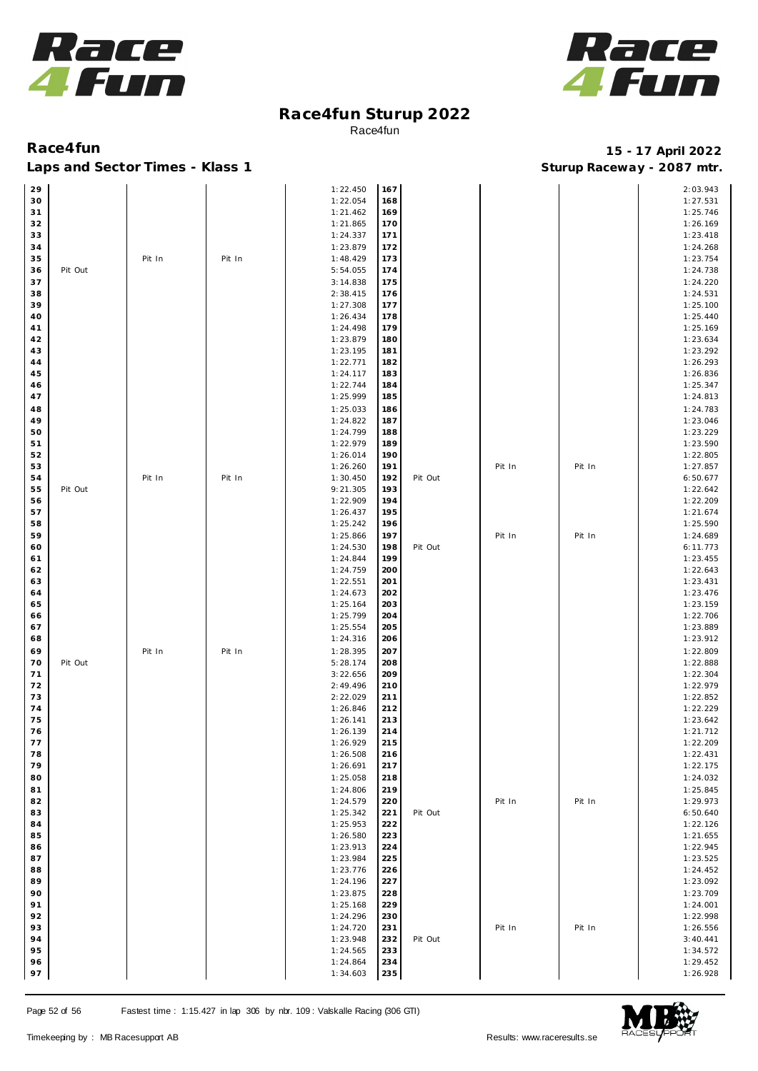



| 29       |         |        |        | 1:22.450             | 167        |         |        |        | 2:03.943             |
|----------|---------|--------|--------|----------------------|------------|---------|--------|--------|----------------------|
| 30       |         |        |        | 1:22.054             | 168        |         |        |        | 1:27.531             |
| 31       |         |        |        | 1:21.462             | 169        |         |        |        | 1:25.746             |
| 32       |         |        |        | 1:21.865             | 170        |         |        |        | 1:26.169             |
| 33       |         |        |        | 1:24.337             | 171        |         |        |        | 1:23.418             |
| 34       |         |        |        | 1:23.879             | 172        |         |        |        | 1:24.268             |
| 35       |         | Pit In | Pit In | 1:48.429             | 173        |         |        |        | 1:23.754             |
| 36       | Pit Out |        |        | 5:54.055             | 174        |         |        |        | 1:24.738             |
| 37       |         |        |        | 3:14.838             | 175        |         |        |        | 1:24.220             |
| 38       |         |        |        | 2:38.415             | 176        |         |        |        | 1:24.531             |
| 39       |         |        |        | 1:27.308             | 177        |         |        |        | 1:25.100             |
| 40       |         |        |        | 1:26.434             | 178        |         |        |        | 1:25.440             |
| 41       |         |        |        | 1:24.498             | 179        |         |        |        | 1:25.169             |
| 42       |         |        |        | 1:23.879             | 180        |         |        |        | 1:23.634             |
| 43       |         |        |        | 1:23.195             | 181        |         |        |        | 1:23.292             |
| 44       |         |        |        | 1:22.771             | 182        |         |        |        | 1:26.293             |
| 45       |         |        |        | 1:24.117             | 183        |         |        |        | 1:26.836             |
| 46       |         |        |        | 1:22.744             | 184        |         |        |        | 1:25.347             |
| 47       |         |        |        | 1:25.999             | 185        |         |        |        | 1:24.813             |
| 48       |         |        |        | 1:25.033             | 186        |         |        |        | 1:24.783             |
| 49       |         |        |        | 1:24.822             | 187        |         |        |        | 1:23.046             |
| 50       |         |        |        | 1:24.799             | 188        |         |        |        | 1:23.229             |
| 51       |         |        |        | 1:22.979             | 189        |         |        |        | 1:23.590             |
| 52       |         |        |        | 1:26.014             | 190        |         |        |        | 1:22.805             |
| 53       |         |        |        | 1:26.260             | 191        |         | Pit In | Pit In | 1:27.857             |
| 54       |         | Pit In | Pit In | 1:30.450             | 192        | Pit Out |        |        | 6:50.677             |
| 55       | Pit Out |        |        | 9:21.305             | 193        |         |        |        | 1:22.642             |
| 56       |         |        |        | 1:22.909             | 194        |         |        |        | 1:22.209             |
| 57       |         |        |        | 1:26.437             | 195<br>196 |         |        |        | 1:21.674             |
| 58       |         |        |        | 1:25.242             |            |         |        |        | 1:25.590             |
| 59       |         |        |        | 1:25.866             | 197        |         | Pit In | Pit In | 1:24.689             |
| 60       |         |        |        | 1:24.530             | 198<br>199 | Pit Out |        |        | 6:11.773             |
| 61<br>62 |         |        |        | 1:24.844<br>1:24.759 | 200        |         |        |        | 1:23.455<br>1:22.643 |
| 63       |         |        |        | 1:22.551             | 201        |         |        |        | 1:23.431             |
| 64       |         |        |        | 1:24.673             | 202        |         |        |        | 1:23.476             |
| 65       |         |        |        | 1:25.164             | 203        |         |        |        | 1:23.159             |
| 66       |         |        |        | 1:25.799             | 204        |         |        |        | 1:22.706             |
| 67       |         |        |        | 1:25.554             | 205        |         |        |        | 1:23.889             |
| 68       |         |        |        | 1:24.316             | 206        |         |        |        | 1:23.912             |
| 69       |         | Pit In | Pit In | 1:28.395             | 207        |         |        |        | 1:22.809             |
| 70       | Pit Out |        |        | 5:28.174             | 208        |         |        |        | 1:22.888             |
| 71       |         |        |        | 3:22.656             | 209        |         |        |        | 1:22.304             |
| 72       |         |        |        | 2:49.496             | 210        |         |        |        | 1:22.979             |
| 73       |         |        |        | 2:22.029             | 211        |         |        |        | 1:22.852             |
| 74       |         |        |        | 1:26.846             | 212        |         |        |        | 1:22.229             |
| 75       |         |        |        | 1:26.141             | 213        |         |        |        | 1:23.642             |
| 76       |         |        |        | 1:26.139             | 214        |         |        |        | 1:21.712             |
| 77       |         |        |        | 1:26.929             | 215        |         |        |        | 1:22.209             |
| 78       |         |        |        | 1:26.508             | 216        |         |        |        | 1:22.431             |
| 79       |         |        |        | 1:26.691             | 217        |         |        |        | 1:22.175             |
| 80       |         |        |        | 1:25.058             | 218        |         |        |        | 1:24.032             |
| 81       |         |        |        | 1:24.806             | 219        |         |        |        | 1:25.845             |
| 82       |         |        |        | 1:24.579             | 220        |         | Pit In | Pit In | 1:29.973             |
| 83       |         |        |        | 1:25.342             | 221        | Pit Out |        |        | 6:50.640             |
| 84       |         |        |        | 1:25.953             | 222        |         |        |        | 1:22.126             |
| 85       |         |        |        | 1:26.580             | 223        |         |        |        | 1:21.655             |
| 86       |         |        |        | 1:23.913             | 224        |         |        |        | 1:22.945             |
| 87       |         |        |        | 1:23.984             | 225        |         |        |        | 1:23.525             |
| 88       |         |        |        | 1:23.776             | 226        |         |        |        | 1:24.452             |
| 89       |         |        |        | 1:24.196             | 227        |         |        |        | 1:23.092             |
| 90       |         |        |        | 1:23.875             | 228        |         |        |        | 1:23.709             |
| 91       |         |        |        | 1:25.168             | 229        |         |        |        | 1:24.001             |
| 92       |         |        |        | 1:24.296             | 230        |         |        |        | 1:22.998             |
| 93       |         |        |        | 1:24.720             | 231        |         | Pit In | Pit In | 1:26.556             |
| 94       |         |        |        | 1:23.948             | 232        | Pit Out |        |        | 3:40.441             |
| 95       |         |        |        | 1:24.565             | 233        |         |        |        | 1:34.572             |
| 96       |         |        |        | 1:24.864             | 234        |         |        |        | 1:29.452             |
| 97       |         |        |        | 1:34.603             | 235        |         |        |        | 1:26.928             |

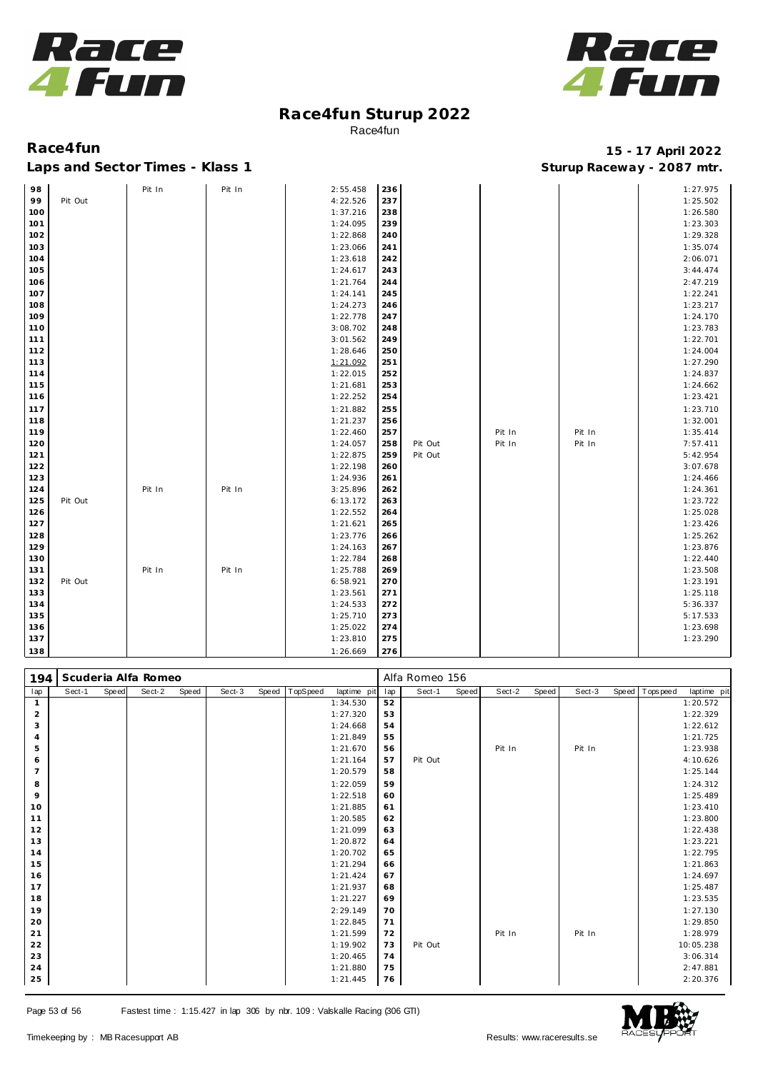



| Race4fun                        | 15 - 17 April 2022         |
|---------------------------------|----------------------------|
| Laps and Sector Times - Klass 1 | Sturup Raceway - 2087 mtr. |

| 98  |         | Pit In | Pit In | 2:55.458 | 236 |         |        |        | 1:27.975 |
|-----|---------|--------|--------|----------|-----|---------|--------|--------|----------|
| 99  | Pit Out |        |        | 4:22.526 | 237 |         |        |        | 1:25.502 |
| 100 |         |        |        | 1:37.216 | 238 |         |        |        | 1:26.580 |
| 101 |         |        |        | 1:24.095 | 239 |         |        |        | 1:23.303 |
| 102 |         |        |        | 1:22.868 | 240 |         |        |        | 1:29.328 |
| 103 |         |        |        | 1:23.066 | 241 |         |        |        | 1:35.074 |
| 104 |         |        |        | 1:23.618 | 242 |         |        |        | 2:06.071 |
| 105 |         |        |        | 1:24.617 | 243 |         |        |        | 3:44.474 |
| 106 |         |        |        | 1:21.764 | 244 |         |        |        | 2:47.219 |
| 107 |         |        |        | 1:24.141 | 245 |         |        |        | 1:22.241 |
| 108 |         |        |        | 1:24.273 | 246 |         |        |        | 1:23.217 |
| 109 |         |        |        | 1:22.778 | 247 |         |        |        | 1:24.170 |
| 110 |         |        |        | 3:08.702 | 248 |         |        |        | 1:23.783 |
| 111 |         |        |        | 3:01.562 | 249 |         |        |        | 1:22.701 |
| 112 |         |        |        | 1:28.646 | 250 |         |        |        | 1:24.004 |
| 113 |         |        |        | 1:21.092 | 251 |         |        |        | 1:27.290 |
| 114 |         |        |        | 1:22.015 | 252 |         |        |        | 1:24.837 |
| 115 |         |        |        | 1:21.681 | 253 |         |        |        | 1:24.662 |
| 116 |         |        |        | 1:22.252 | 254 |         |        |        | 1:23.421 |
| 117 |         |        |        | 1:21.882 | 255 |         |        |        | 1:23.710 |
| 118 |         |        |        | 1:21.237 | 256 |         |        |        | 1:32.001 |
| 119 |         |        |        | 1:22.460 | 257 |         | Pit In | Pit In | 1:35.414 |
| 120 |         |        |        | 1:24.057 | 258 | Pit Out | Pit In | Pit In | 7:57.411 |
| 121 |         |        |        | 1:22.875 | 259 | Pit Out |        |        | 5:42.954 |
| 122 |         |        |        | 1:22.198 | 260 |         |        |        | 3:07.678 |
| 123 |         |        |        | 1:24.936 | 261 |         |        |        | 1:24.466 |
| 124 |         | Pit In | Pit In | 3:25.896 | 262 |         |        |        | 1:24.361 |
| 125 | Pit Out |        |        | 6:13.172 | 263 |         |        |        | 1:23.722 |
| 126 |         |        |        | 1:22.552 | 264 |         |        |        | 1:25.028 |
| 127 |         |        |        | 1:21.621 | 265 |         |        |        | 1:23.426 |
| 128 |         |        |        | 1:23.776 | 266 |         |        |        | 1:25.262 |
| 129 |         |        |        | 1:24.163 | 267 |         |        |        | 1:23.876 |
| 130 |         |        |        | 1:22.784 | 268 |         |        |        | 1:22.440 |
| 131 |         | Pit In | Pit In | 1:25.788 | 269 |         |        |        | 1:23.508 |
| 132 | Pit Out |        |        | 6:58.921 | 270 |         |        |        | 1:23.191 |
| 133 |         |        |        | 1:23.561 | 271 |         |        |        | 1:25.118 |
| 134 |         |        |        | 1:24.533 | 272 |         |        |        | 5:36.337 |
| 135 |         |        |        | 1:25.710 | 273 |         |        |        | 5:17.533 |
| 136 |         |        |        | 1:25.022 | 274 |         |        |        | 1:23.698 |
| 137 |         |        |        | 1:23.810 | 275 |         |        |        | 1:23.290 |
| 138 |         |        |        | 1:26.669 | 276 |         |        |        |          |

| 194            | Scuderia Alfa Romeo |       |        |       |        |       |          |             | Alfa Romeo 156 |         |       |        |       |        |  |                |             |
|----------------|---------------------|-------|--------|-------|--------|-------|----------|-------------|----------------|---------|-------|--------|-------|--------|--|----------------|-------------|
| lap            | Sect-1              | Speed | Sect-2 | Speed | Sect-3 | Speed | TopSpeed | laptime pit | lap            | Sect-1  | Speed | Sect-2 | Speed | Sect-3 |  | Speed Topspeed | laptime pit |
| $\mathbf{1}$   |                     |       |        |       |        |       |          | 1:34.530    | 52             |         |       |        |       |        |  |                | 1:20.572    |
| $\overline{2}$ |                     |       |        |       |        |       |          | 1:27.320    | 53             |         |       |        |       |        |  |                | 1:22.329    |
| 3              |                     |       |        |       |        |       |          | 1:24.668    | 54             |         |       |        |       |        |  |                | 1:22.612    |
| $\overline{4}$ |                     |       |        |       |        |       |          | 1:21.849    | 55             |         |       |        |       |        |  |                | 1:21.725    |
| 5              |                     |       |        |       |        |       |          | 1:21.670    | 56             |         |       | Pit In |       | Pit In |  |                | 1:23.938    |
| 6              |                     |       |        |       |        |       |          | 1:21.164    | 57             | Pit Out |       |        |       |        |  |                | 4:10.626    |
| $\overline{7}$ |                     |       |        |       |        |       |          | 1:20.579    | 58             |         |       |        |       |        |  |                | 1:25.144    |
| 8              |                     |       |        |       |        |       |          | 1:22.059    | 59             |         |       |        |       |        |  |                | 1:24.312    |
| $\circ$        |                     |       |        |       |        |       |          | 1:22.518    | 60             |         |       |        |       |        |  |                | 1:25.489    |
| 10             |                     |       |        |       |        |       |          | 1:21.885    | 61             |         |       |        |       |        |  |                | 1:23.410    |
| 11             |                     |       |        |       |        |       |          | 1:20.585    | 62             |         |       |        |       |        |  |                | 1:23.800    |
| 12             |                     |       |        |       |        |       |          | 1:21.099    | 63             |         |       |        |       |        |  |                | 1:22.438    |
| 13             |                     |       |        |       |        |       |          | 1:20.872    | 64             |         |       |        |       |        |  |                | 1:23.221    |
| 14             |                     |       |        |       |        |       |          | 1:20.702    | 65             |         |       |        |       |        |  |                | 1:22.795    |
| 15             |                     |       |        |       |        |       |          | 1:21.294    | 66             |         |       |        |       |        |  |                | 1:21.863    |
| 16             |                     |       |        |       |        |       |          | 1:21.424    | 67             |         |       |        |       |        |  |                | 1:24.697    |
| 17             |                     |       |        |       |        |       |          | 1:21.937    | 68             |         |       |        |       |        |  |                | 1:25.487    |
| 18             |                     |       |        |       |        |       |          | 1:21.227    | 69             |         |       |        |       |        |  |                | 1:23.535    |
| 19             |                     |       |        |       |        |       |          | 2:29.149    | 70             |         |       |        |       |        |  |                | 1:27.130    |
| 20             |                     |       |        |       |        |       |          | 1:22.845    | 71             |         |       |        |       |        |  |                | 1:29.850    |
| 21             |                     |       |        |       |        |       |          | 1:21.599    | 72             |         |       | Pit In |       | Pit In |  |                | 1:28.979    |
| 22             |                     |       |        |       |        |       |          | 1:19.902    | 73             | Pit Out |       |        |       |        |  |                | 10:05.238   |
| 23             |                     |       |        |       |        |       |          | 1:20.465    | 74             |         |       |        |       |        |  |                | 3:06.314    |
| 24             |                     |       |        |       |        |       |          | 1:21.880    | 75             |         |       |        |       |        |  |                | 2:47.881    |
| 25             |                     |       |        |       |        |       |          | 1:21.445    | 76             |         |       |        |       |        |  |                | 2:20.376    |

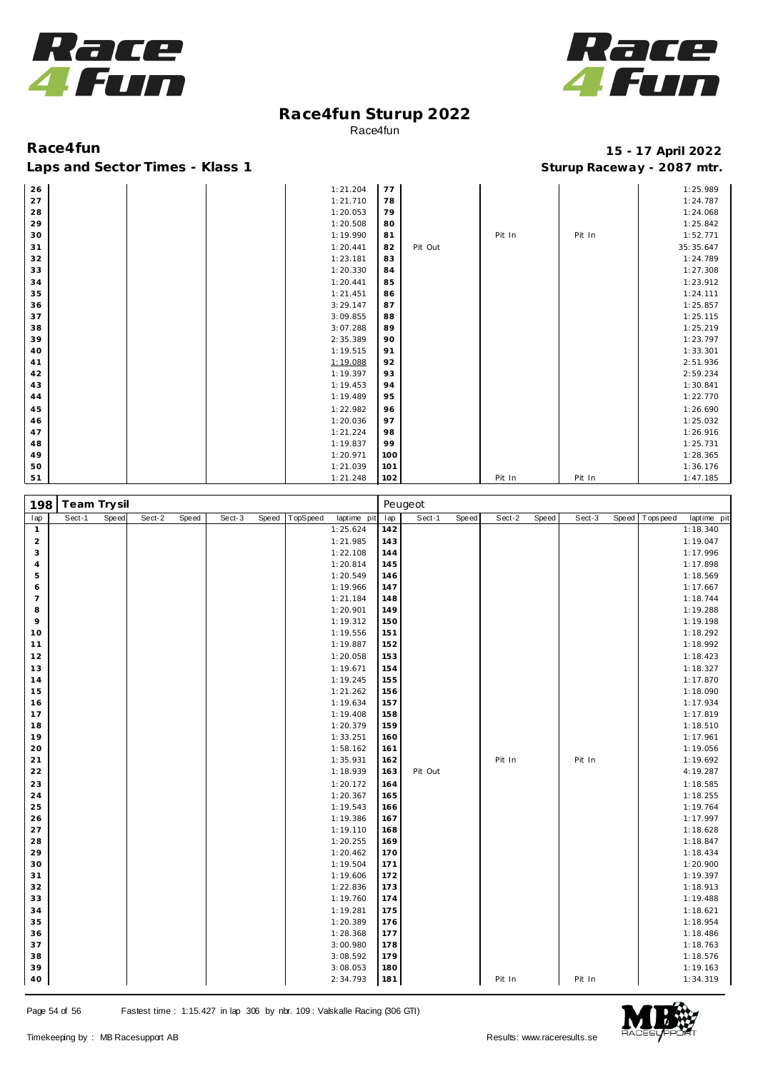



| 26 |  | 1:21.204 | 77  |         |        |        | 1:25.989  |
|----|--|----------|-----|---------|--------|--------|-----------|
| 27 |  | 1:21.710 | 78  |         |        |        | 1:24.787  |
| 28 |  | 1:20.053 | 79  |         |        |        | 1:24.068  |
| 29 |  | 1:20.508 | 80  |         |        |        | 1:25.842  |
| 30 |  | 1:19.990 | 81  |         | Pit In | Pit In | 1:52.771  |
| 31 |  | 1:20.441 | 82  | Pit Out |        |        | 35:35.647 |
| 32 |  | 1:23.181 | 83  |         |        |        | 1:24.789  |
| 33 |  | 1:20.330 | 84  |         |        |        | 1:27.308  |
| 34 |  | 1:20.441 | 85  |         |        |        | 1:23.912  |
| 35 |  | 1:21.451 | 86  |         |        |        | 1:24.111  |
| 36 |  | 3:29.147 | 87  |         |        |        | 1:25.857  |
| 37 |  | 3:09.855 | 88  |         |        |        | 1:25.115  |
| 38 |  | 3:07.288 | 89  |         |        |        | 1:25.219  |
| 39 |  | 2:35.389 | 90  |         |        |        | 1:23.797  |
| 40 |  | 1:19.515 | 91  |         |        |        | 1:33.301  |
| 41 |  | 1:19.088 | 92  |         |        |        | 2:51.936  |
| 42 |  | 1:19.397 | 93  |         |        |        | 2:59.234  |
| 43 |  | 1:19.453 | 94  |         |        |        | 1:30.841  |
| 44 |  | 1:19.489 | 95  |         |        |        | 1:22.770  |
| 45 |  | 1:22.982 | 96  |         |        |        | 1:26.690  |
| 46 |  | 1:20.036 | 97  |         |        |        | 1:25.032  |
| 47 |  | 1:21.224 | 98  |         |        |        | 1:26.916  |
| 48 |  | 1:19.837 | 99  |         |        |        | 1:25.731  |
| 49 |  | 1:20.971 | 100 |         |        |        | 1:28.365  |
| 50 |  | 1:21.039 | 101 |         |        |        | 1:36.176  |
| 51 |  | 1:21.248 | 102 |         | Pit In | Pit In | 1:47.185  |

| 198            | Team Trysil |       |        |       |        |       |          |             |     | Peugeot |       |        |       |        |       |           |             |
|----------------|-------------|-------|--------|-------|--------|-------|----------|-------------|-----|---------|-------|--------|-------|--------|-------|-----------|-------------|
| lap            | Sect-1      | Speed | Sect-2 | Speed | Sect-3 | Speed | TopSpeed | laptime pit | lap | Sect-1  | Speed | Sect-2 | Speed | Sect-3 | Speed | Tops peed | laptime pit |
| $\mathbf{1}$   |             |       |        |       |        |       |          | 1:25.624    | 142 |         |       |        |       |        |       |           | 1:18.340    |
| $\overline{a}$ |             |       |        |       |        |       |          | 1:21.985    | 143 |         |       |        |       |        |       |           | 1:19.047    |
| 3              |             |       |        |       |        |       |          | 1:22.108    | 144 |         |       |        |       |        |       |           | 1:17.996    |
| $\overline{4}$ |             |       |        |       |        |       |          | 1:20.814    | 145 |         |       |        |       |        |       |           | 1:17.898    |
| 5              |             |       |        |       |        |       |          | 1:20.549    | 146 |         |       |        |       |        |       |           | 1:18.569    |
| 6              |             |       |        |       |        |       |          | 1:19.966    | 147 |         |       |        |       |        |       |           | 1:17.667    |
| $\overline{7}$ |             |       |        |       |        |       |          | 1:21.184    | 148 |         |       |        |       |        |       |           | 1:18.744    |
| 8              |             |       |        |       |        |       |          | 1:20.901    | 149 |         |       |        |       |        |       |           | 1:19.288    |
| 9              |             |       |        |       |        |       |          | 1:19.312    | 150 |         |       |        |       |        |       |           | 1:19.198    |
| 10             |             |       |        |       |        |       |          | 1:19.556    | 151 |         |       |        |       |        |       |           | 1:18.292    |
| 11             |             |       |        |       |        |       |          | 1:19.887    | 152 |         |       |        |       |        |       |           | 1:18.992    |
| 12             |             |       |        |       |        |       |          | 1:20.058    | 153 |         |       |        |       |        |       |           | 1:18.423    |
| 13             |             |       |        |       |        |       |          | 1:19.671    | 154 |         |       |        |       |        |       |           | 1:18.327    |
| 14             |             |       |        |       |        |       |          | 1:19.245    | 155 |         |       |        |       |        |       |           | 1:17.870    |
| 15             |             |       |        |       |        |       |          | 1:21.262    | 156 |         |       |        |       |        |       |           | 1:18.090    |
| 16             |             |       |        |       |        |       |          | 1:19.634    | 157 |         |       |        |       |        |       |           | 1:17.934    |
| 17             |             |       |        |       |        |       |          | 1:19.408    | 158 |         |       |        |       |        |       |           | 1:17.819    |
| 18             |             |       |        |       |        |       |          | 1:20.379    | 159 |         |       |        |       |        |       |           | 1:18.510    |
| 19             |             |       |        |       |        |       |          | 1:33.251    | 160 |         |       |        |       |        |       |           | 1:17.961    |
| 20             |             |       |        |       |        |       |          | 1:58.162    | 161 |         |       |        |       |        |       |           | 1:19.056    |
| 21             |             |       |        |       |        |       |          | 1:35.931    | 162 |         |       | Pit In |       | Pit In |       |           | 1:19.692    |
| 22             |             |       |        |       |        |       |          | 1:18.939    | 163 | Pit Out |       |        |       |        |       |           | 4:19.287    |
| 23             |             |       |        |       |        |       |          | 1:20.172    | 164 |         |       |        |       |        |       |           | 1:18.585    |
| $2\sqrt{4}$    |             |       |        |       |        |       |          | 1:20.367    | 165 |         |       |        |       |        |       |           | 1:18.255    |
| 25             |             |       |        |       |        |       |          | 1:19.543    | 166 |         |       |        |       |        |       |           | 1:19.764    |
| 26             |             |       |        |       |        |       |          | 1:19.386    | 167 |         |       |        |       |        |       |           | 1:17.997    |
| 27             |             |       |        |       |        |       |          | 1:19.110    | 168 |         |       |        |       |        |       |           | 1:18.628    |
| 28             |             |       |        |       |        |       |          | 1:20.255    | 169 |         |       |        |       |        |       |           | 1:18.847    |
| 29             |             |       |        |       |        |       |          | 1:20.462    | 170 |         |       |        |       |        |       |           | 1:18.434    |
| 30             |             |       |        |       |        |       |          | 1:19.504    | 171 |         |       |        |       |        |       |           | 1:20.900    |
| 31             |             |       |        |       |        |       |          | 1:19.606    | 172 |         |       |        |       |        |       |           | 1:19.397    |
| 32             |             |       |        |       |        |       |          | 1:22.836    | 173 |         |       |        |       |        |       |           | 1:18.913    |
| 33             |             |       |        |       |        |       |          | 1:19.760    | 174 |         |       |        |       |        |       |           | 1:19.488    |
| 34             |             |       |        |       |        |       |          | 1:19.281    | 175 |         |       |        |       |        |       |           | 1:18.621    |
| 35             |             |       |        |       |        |       |          | 1:20.389    | 176 |         |       |        |       |        |       |           | 1:18.954    |
| 36             |             |       |        |       |        |       |          | 1:28.368    | 177 |         |       |        |       |        |       |           | 1:18.486    |
| 37             |             |       |        |       |        |       |          | 3:00.980    | 178 |         |       |        |       |        |       |           | 1:18.763    |
| 38             |             |       |        |       |        |       |          | 3:08.592    | 179 |         |       |        |       |        |       |           | 1:18.576    |
| 39             |             |       |        |       |        |       |          | 3:08.053    | 180 |         |       |        |       |        |       |           | 1:19.163    |
| 40             |             |       |        |       |        |       |          | 2:34.793    | 181 |         |       | Pit In |       | Pit In |       |           | 1:34.319    |

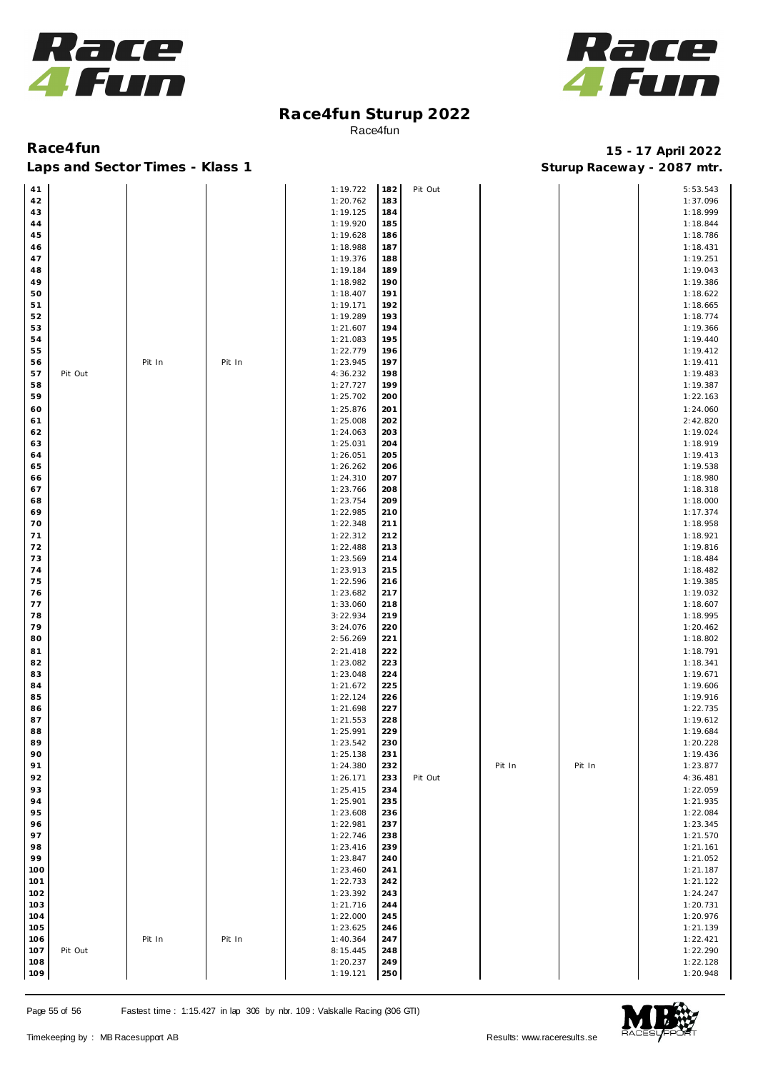



| 41  |         |        |        | 1:19.722 | 182 | Pit Out |        |        | 5:53.543 |
|-----|---------|--------|--------|----------|-----|---------|--------|--------|----------|
|     |         |        |        |          |     |         |        |        |          |
| 42  |         |        |        | 1:20.762 | 183 |         |        |        | 1:37.096 |
| 43  |         |        |        | 1:19.125 | 184 |         |        |        | 1:18.999 |
|     |         |        |        |          |     |         |        |        |          |
| 44  |         |        |        | 1:19.920 | 185 |         |        |        | 1:18.844 |
| 45  |         |        |        | 1:19.628 | 186 |         |        |        | 1:18.786 |
|     |         |        |        |          | 187 |         |        |        |          |
| 46  |         |        |        | 1:18.988 |     |         |        |        | 1:18.431 |
| 47  |         |        |        | 1:19.376 | 188 |         |        |        | 1:19.251 |
| 48  |         |        |        | 1:19.184 | 189 |         |        |        | 1:19.043 |
|     |         |        |        |          |     |         |        |        |          |
| 49  |         |        |        | 1:18.982 | 190 |         |        |        | 1:19.386 |
| 50  |         |        |        | 1:18.407 | 191 |         |        |        | 1:18.622 |
|     |         |        |        |          |     |         |        |        |          |
| 51  |         |        |        | 1:19.171 | 192 |         |        |        | 1:18.665 |
| 52  |         |        |        | 1:19.289 | 193 |         |        |        | 1:18.774 |
|     |         |        |        |          |     |         |        |        |          |
| 53  |         |        |        | 1:21.607 | 194 |         |        |        | 1:19.366 |
| 54  |         |        |        | 1:21.083 | 195 |         |        |        | 1:19.440 |
|     |         |        |        |          |     |         |        |        |          |
| 55  |         |        |        | 1:22.779 | 196 |         |        |        | 1:19.412 |
| 56  |         | Pit In | Pit In | 1:23.945 | 197 |         |        |        | 1:19.411 |
|     |         |        |        |          |     |         |        |        |          |
| 57  | Pit Out |        |        | 4:36.232 | 198 |         |        |        | 1:19.483 |
| 58  |         |        |        | 1:27.727 | 199 |         |        |        | 1:19.387 |
| 59  |         |        |        |          |     |         |        |        |          |
|     |         |        |        | 1:25.702 | 200 |         |        |        | 1:22.163 |
| 60  |         |        |        | 1:25.876 | 201 |         |        |        | 1:24.060 |
|     |         |        |        | 1:25.008 | 202 |         |        |        | 2:42.820 |
| 61  |         |        |        |          |     |         |        |        |          |
| 62  |         |        |        | 1:24.063 | 203 |         |        |        | 1:19.024 |
| 63  |         |        |        | 1:25.031 | 204 |         |        |        | 1:18.919 |
|     |         |        |        |          |     |         |        |        |          |
| 64  |         |        |        | 1:26.051 | 205 |         |        |        | 1:19.413 |
| 65  |         |        |        | 1:26.262 | 206 |         |        |        | 1:19.538 |
|     |         |        |        |          |     |         |        |        |          |
| 66  |         |        |        | 1:24.310 | 207 |         |        |        | 1:18.980 |
| 67  |         |        |        | 1:23.766 | 208 |         |        |        | 1:18.318 |
|     |         |        |        |          |     |         |        |        |          |
| 68  |         |        |        | 1:23.754 | 209 |         |        |        | 1:18.000 |
| 69  |         |        |        | 1:22.985 | 210 |         |        |        | 1:17.374 |
|     |         |        |        |          |     |         |        |        |          |
| 70  |         |        |        | 1:22.348 | 211 |         |        |        | 1:18.958 |
| 71  |         |        |        | 1:22.312 | 212 |         |        |        | 1:18.921 |
|     |         |        |        |          |     |         |        |        |          |
| 72  |         |        |        | 1:22.488 | 213 |         |        |        | 1:19.816 |
| 73  |         |        |        | 1:23.569 | 214 |         |        |        | 1:18.484 |
|     |         |        |        |          |     |         |        |        |          |
| 74  |         |        |        | 1:23.913 | 215 |         |        |        | 1:18.482 |
| 75  |         |        |        | 1:22.596 | 216 |         |        |        | 1:19.385 |
| 76  |         |        |        | 1:23.682 | 217 |         |        |        | 1:19.032 |
|     |         |        |        |          |     |         |        |        |          |
| 77  |         |        |        | 1:33.060 | 218 |         |        |        | 1:18.607 |
| 78  |         |        |        | 3:22.934 | 219 |         |        |        | 1:18.995 |
|     |         |        |        |          |     |         |        |        |          |
| 79  |         |        |        | 3:24.076 | 220 |         |        |        | 1:20.462 |
| 80  |         |        |        | 2:56.269 | 221 |         |        |        | 1:18.802 |
|     |         |        |        |          |     |         |        |        |          |
| 81  |         |        |        | 2:21.418 | 222 |         |        |        | 1:18.791 |
| 82  |         |        |        | 1:23.082 | 223 |         |        |        | 1:18.341 |
|     |         |        |        |          |     |         |        |        |          |
| 83  |         |        |        | 1:23.048 | 224 |         |        |        | 1:19.671 |
| 84  |         |        |        | 1:21.672 | 225 |         |        |        | 1:19.606 |
|     |         |        |        |          |     |         |        |        |          |
| 85  |         |        |        | 1:22.124 | 226 |         |        |        | 1:19.916 |
| 86  |         |        |        | 1:21.698 | 227 |         |        |        | 1:22.735 |
|     |         |        |        |          |     |         |        |        |          |
| 87  |         |        |        | 1:21.553 | 228 |         |        |        | 1:19.612 |
| 88  |         |        |        | 1:25.991 | 229 |         |        |        | 1:19.684 |
| 89  |         |        |        | 1:23.542 | 230 |         |        |        | 1:20.228 |
|     |         |        |        |          |     |         |        |        |          |
| 90  |         |        |        | 1:25.138 | 231 |         |        |        | 1:19.436 |
| 91  |         |        |        | 1:24.380 | 232 |         | Pit In | Pit In | 1:23.877 |
|     |         |        |        |          |     |         |        |        |          |
| 92  |         |        |        | 1:26.171 | 233 | Pit Out |        |        | 4:36.481 |
| 93  |         |        |        | 1:25.415 | 234 |         |        |        | 1:22.059 |
|     |         |        |        |          |     |         |        |        |          |
| 94  |         |        |        | 1:25.901 | 235 |         |        |        | 1:21.935 |
| 95  |         |        |        | 1:23.608 | 236 |         |        |        | 1:22.084 |
|     |         |        |        |          |     |         |        |        |          |
| 96  |         |        |        | 1:22.981 | 237 |         |        |        | 1:23.345 |
| 97  |         |        |        | 1:22.746 | 238 |         |        |        | 1:21.570 |
|     |         |        |        |          |     |         |        |        |          |
| 98  |         |        |        | 1:23.416 | 239 |         |        |        | 1:21.161 |
| 99  |         |        |        | 1:23.847 | 240 |         |        |        | 1:21.052 |
| 100 |         |        |        | 1:23.460 | 241 |         |        |        | 1:21.187 |
|     |         |        |        |          |     |         |        |        |          |
| 101 |         |        |        | 1:22.733 | 242 |         |        |        | 1:21.122 |
| 102 |         |        |        | 1:23.392 | 243 |         |        |        | 1:24.247 |
|     |         |        |        |          |     |         |        |        |          |
| 103 |         |        |        | 1:21.716 | 244 |         |        |        | 1:20.731 |
| 104 |         |        |        | 1:22.000 | 245 |         |        |        | 1:20.976 |
|     |         |        |        |          |     |         |        |        |          |
| 105 |         |        |        | 1:23.625 | 246 |         |        |        | 1:21.139 |
| 106 |         | Pit In | Pit In | 1:40.364 | 247 |         |        |        | 1:22.421 |
|     |         |        |        |          |     |         |        |        |          |
| 107 | Pit Out |        |        | 8:15.445 | 248 |         |        |        | 1:22.290 |
| 108 |         |        |        | 1:20.237 | 249 |         |        |        | 1:22.128 |
|     |         |        |        |          |     |         |        |        |          |
| 109 |         |        |        | 1:19.121 | 250 |         |        |        | 1:20.948 |